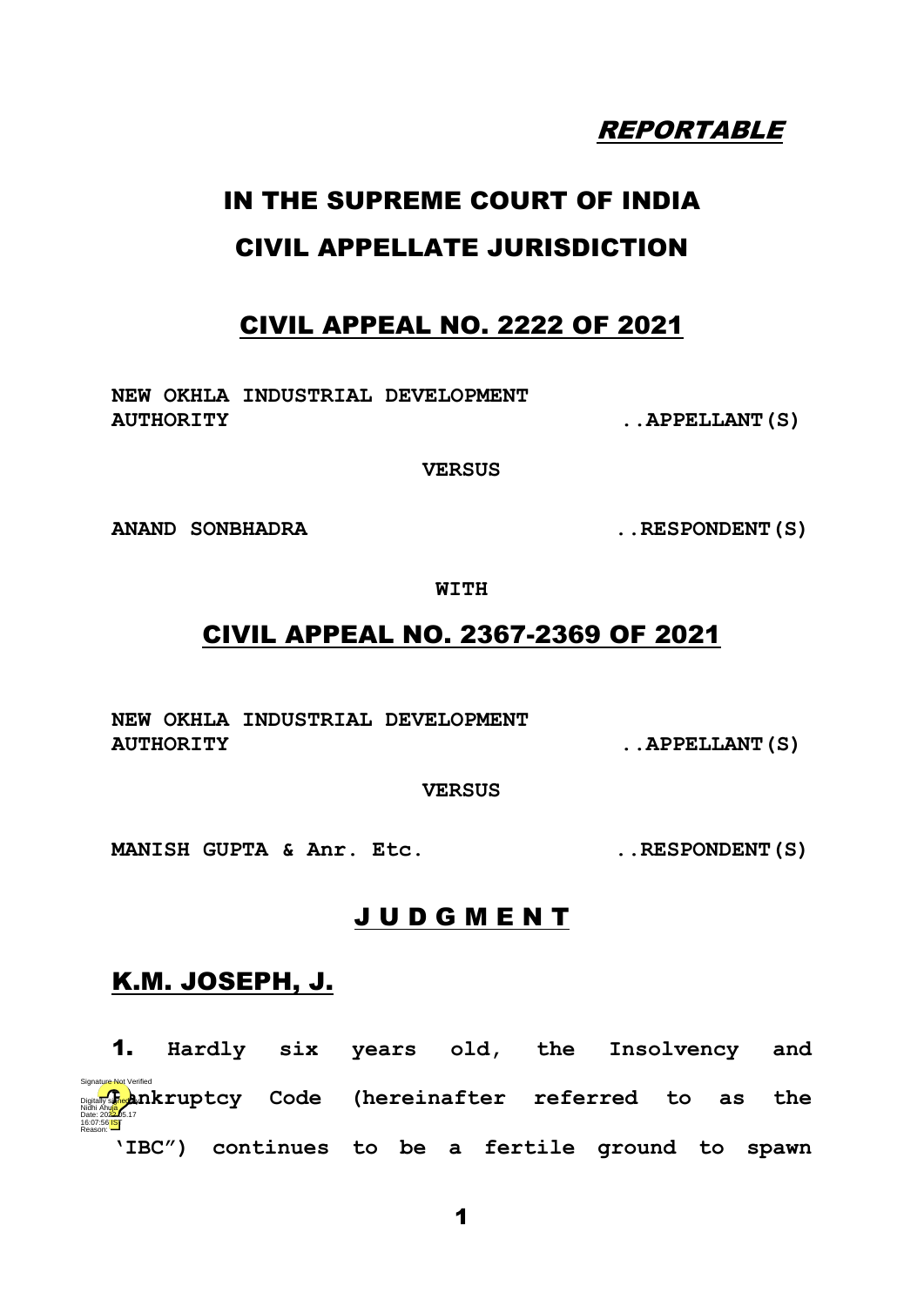# REPORTABLE

# IN THE SUPREME COURT OF INDIA CIVIL APPELLATE JURISDICTION

## CIVIL APPEAL NO. 2222 OF 2021

**NEW OKHLA INDUSTRIAL DEVELOPMENT**  AUTHORITY ... APPELLANT (S)

**VERSUS**

**ANAND SONBHADRA ..RESPONDENT(S)**

**WITH**

## CIVIL APPEAL NO. 2367-2369 OF 2021

**NEW OKHLA INDUSTRIAL DEVELOPMENT**  AUTHORITY **...** APPELLANT (S)

**VERSUS**

**MANISH GUPTA & Anr. Etc. ..RESPONDENT(S)**

## J U D G M E N T

## K.M. JOSEPH, J.

1. **Hardly six years old, the Insolvency and Bankruptcy Code (hereinafter referred to as the bankruptcy Code (hereinafter referred to as the particle of the b 'IBC") continues to be a fertile ground to spawn**  $\overline{\phantom{a}}$  ist $\overline{\phantom{a}}$ Reason: ur<del>e N</del>ot Verified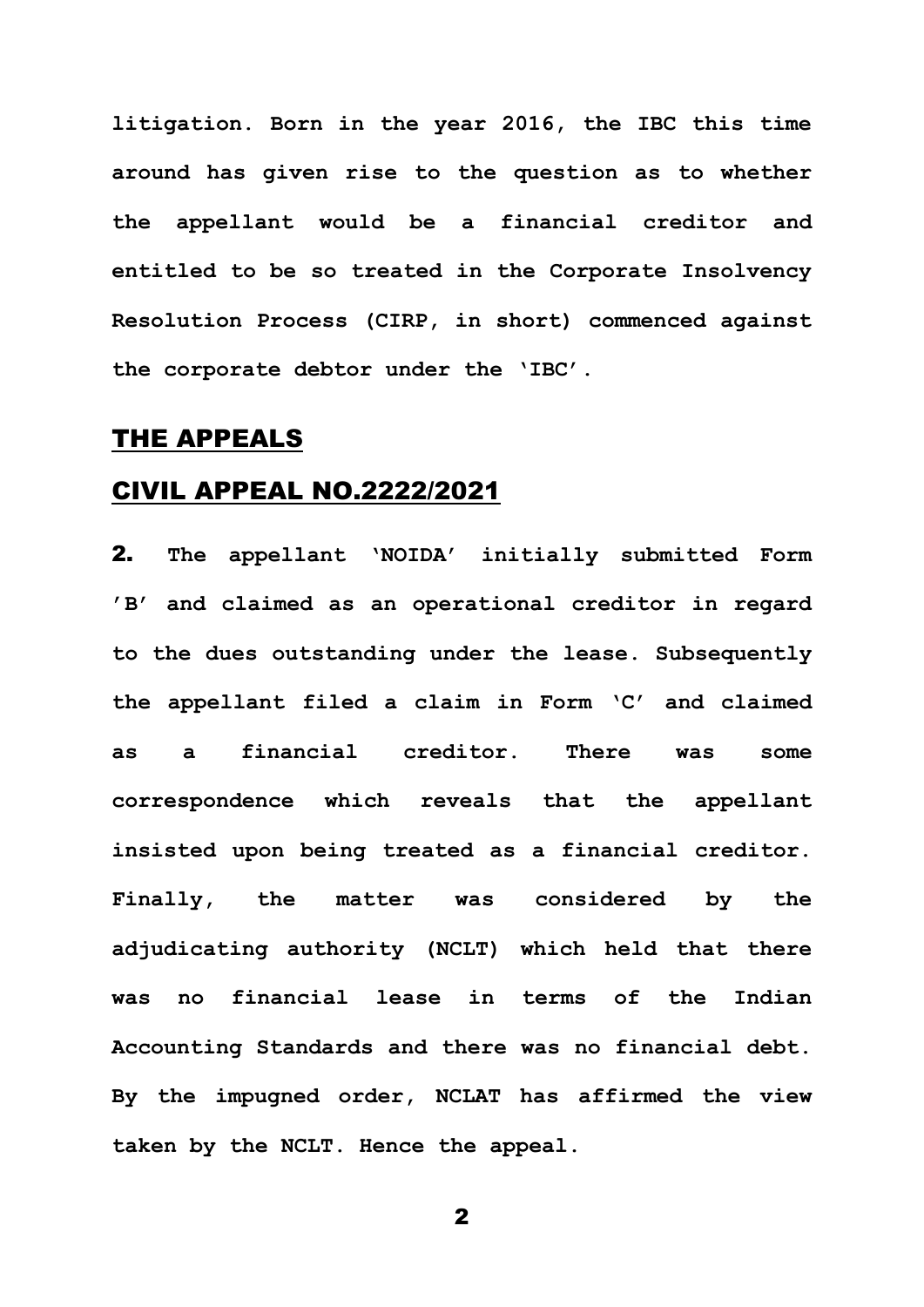**litigation. Born in the year 2016, the IBC this time around has given rise to the question as to whether the appellant would be a financial creditor and entitled to be so treated in the Corporate Insolvency Resolution Process (CIRP, in short) commenced against the corporate debtor under the 'IBC'.** 

## THE APPEALS

## CIVIL APPEAL NO.2222/2021

2. **The appellant 'NOIDA' initially submitted Form 'B' and claimed as an operational creditor in regard to the dues outstanding under the lease. Subsequently the appellant filed a claim in Form 'C' and claimed as a financial creditor. There was some correspondence which reveals that the appellant insisted upon being treated as a financial creditor. Finally, the matter was considered by the adjudicating authority (NCLT) which held that there was no financial lease in terms of the Indian Accounting Standards and there was no financial debt. By the impugned order, NCLAT has affirmed the view taken by the NCLT. Hence the appeal.**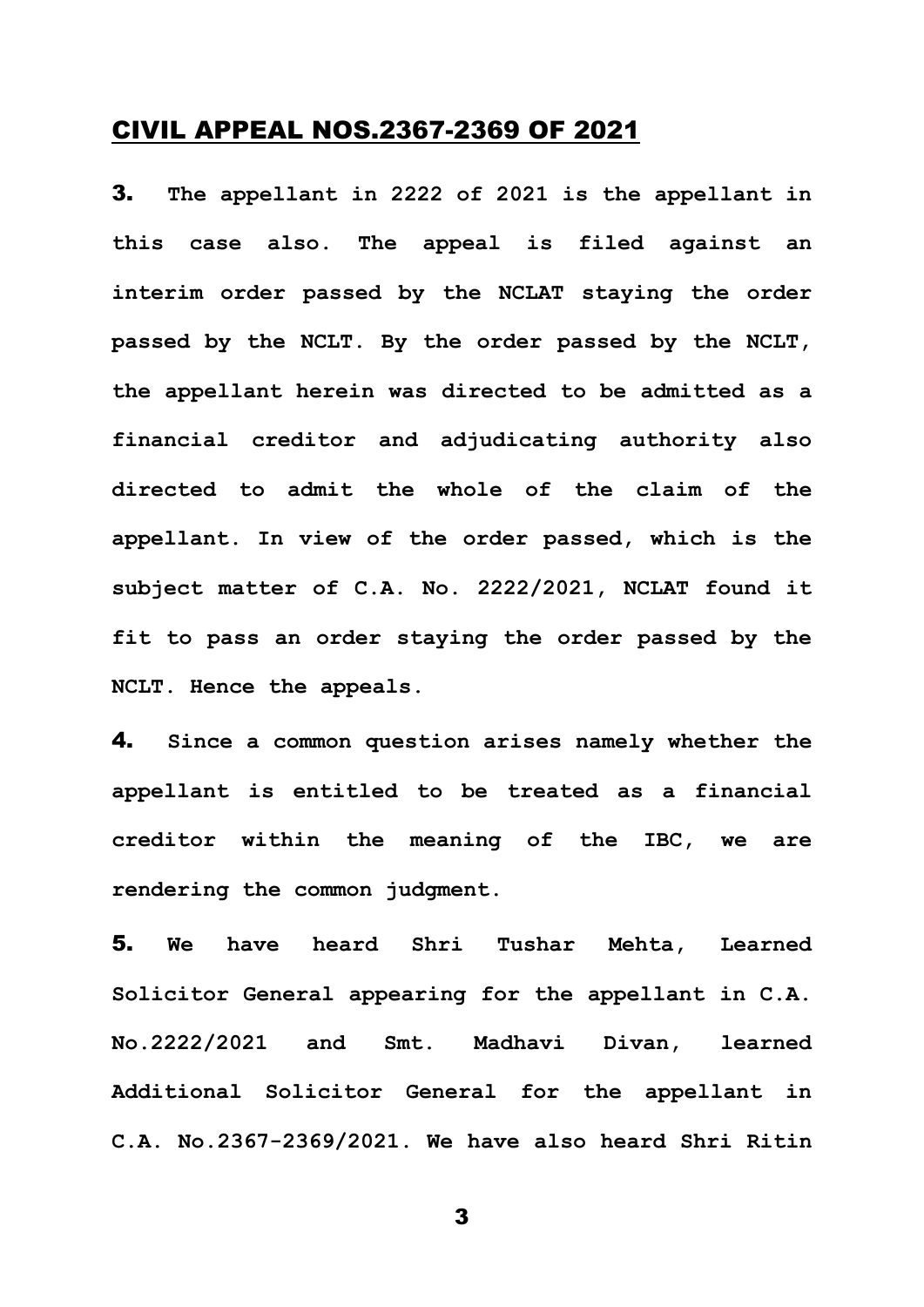### CIVIL APPEAL NOS.2367-2369 OF 2021

3. **The appellant in 2222 of 2021 is the appellant in this case also. The appeal is filed against an interim order passed by the NCLAT staying the order passed by the NCLT. By the order passed by the NCLT, the appellant herein was directed to be admitted as a financial creditor and adjudicating authority also directed to admit the whole of the claim of the appellant. In view of the order passed, which is the subject matter of C.A. No. 2222/2021, NCLAT found it fit to pass an order staying the order passed by the NCLT. Hence the appeals.**

4. **Since a common question arises namely whether the appellant is entitled to be treated as a financial creditor within the meaning of the IBC, we are rendering the common judgment.** 

5. **We have heard Shri Tushar Mehta, Learned Solicitor General appearing for the appellant in C.A. No.2222/2021 and Smt. Madhavi Divan, learned Additional Solicitor General for the appellant in C.A. No.2367-2369/2021. We have also heard Shri Ritin**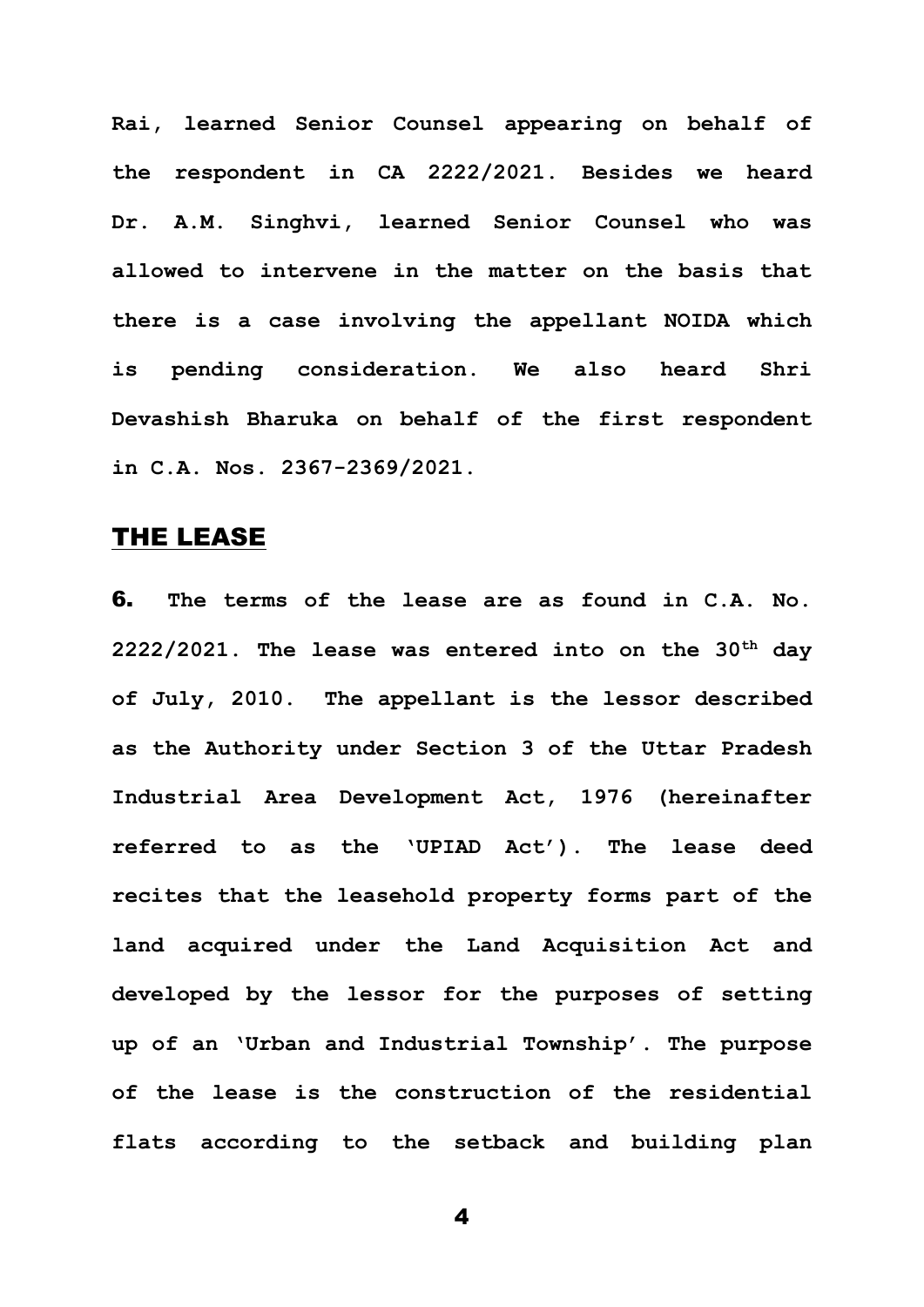**Rai, learned Senior Counsel appearing on behalf of the respondent in CA 2222/2021. Besides we heard Dr. A.M. Singhvi, learned Senior Counsel who was allowed to intervene in the matter on the basis that there is a case involving the appellant NOIDA which is pending consideration. We also heard Shri Devashish Bharuka on behalf of the first respondent in C.A. Nos. 2367-2369/2021.** 

## THE LEASE

6. **The terms of the lease are as found in C.A. No. 2222/2021. The lease was entered into on the 30th day of July, 2010. The appellant is the lessor described as the Authority under Section 3 of the Uttar Pradesh Industrial Area Development Act, 1976 (hereinafter referred to as the 'UPIAD Act'). The lease deed recites that the leasehold property forms part of the land acquired under the Land Acquisition Act and developed by the lessor for the purposes of setting up of an 'Urban and Industrial Township'. The purpose of the lease is the construction of the residential flats according to the setback and building plan**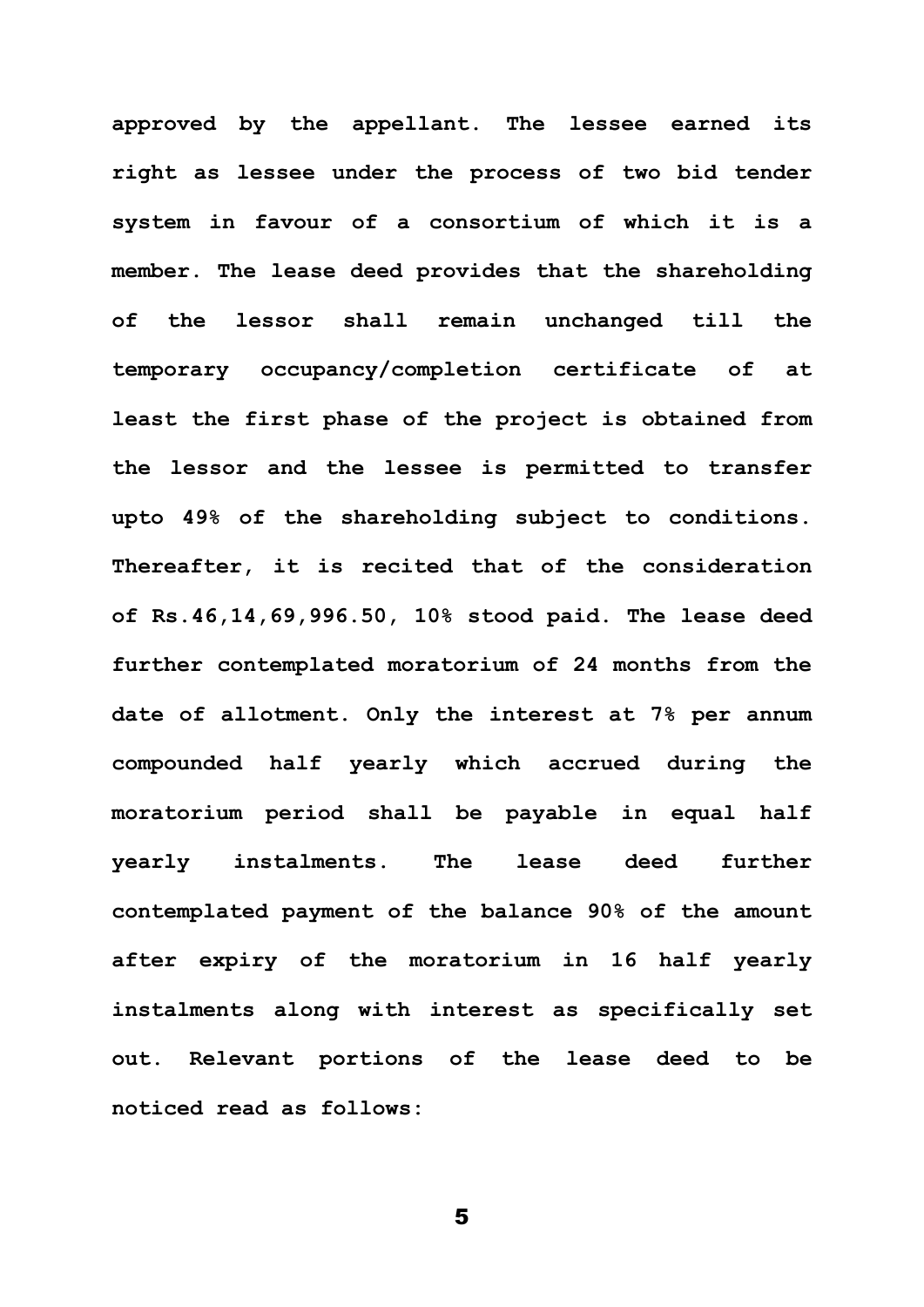**approved by the appellant. The lessee earned its right as lessee under the process of two bid tender system in favour of a consortium of which it is a member. The lease deed provides that the shareholding of the lessor shall remain unchanged till the temporary occupancy/completion certificate of at least the first phase of the project is obtained from the lessor and the lessee is permitted to transfer upto 49% of the shareholding subject to conditions. Thereafter, it is recited that of the consideration of Rs.46,14,69,996.50, 10% stood paid. The lease deed further contemplated moratorium of 24 months from the date of allotment. Only the interest at 7% per annum compounded half yearly which accrued during the moratorium period shall be payable in equal half yearly instalments. The lease deed further contemplated payment of the balance 90% of the amount after expiry of the moratorium in 16 half yearly instalments along with interest as specifically set out. Relevant portions of the lease deed to be noticed read as follows:**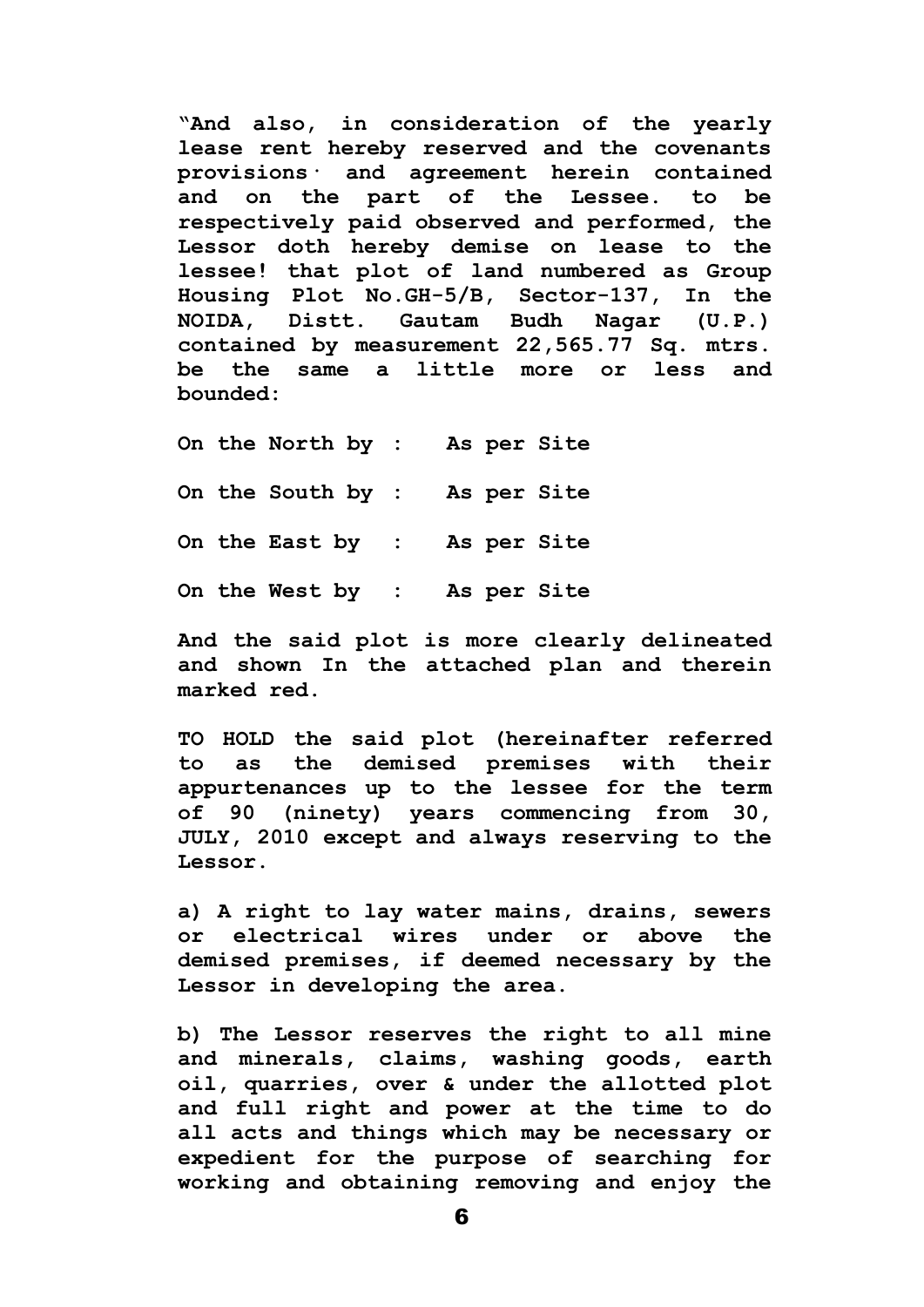**"And also, in consideration of the yearly lease rent hereby reserved and the covenants provisions· and agreement herein contained and on the part of the Lessee. to be respectively paid observed and performed, the Lessor doth hereby demise on lease to the lessee! that plot of land numbered as Group Housing Plot No.GH-5/B, Sector-137, In the NOIDA, Distt. Gautam Budh Nagar (U.P.) contained by measurement 22,565.77 Sq. mtrs. be the same a little more or less and bounded:**

**On the North by : As per Site On the South by : As per Site On the East by : As per Site On the West by : As per Site**

**And the said plot is more clearly delineated and shown In the attached plan and therein marked red.**

**TO HOLD the said plot (hereinafter referred to as the demised premises with their appurtenances up to the lessee for the term of 90 (ninety) years commencing from 30, JULY, 2010 except and always reserving to the Lessor.**

**a) A right to lay water mains, drains, sewers or electrical wires under or above the demised premises, if deemed necessary by the Lessor in developing the area.**

**b) The Lessor reserves the right to all mine and minerals, claims, washing goods, earth oil, quarries, over & under the allotted plot and full right and power at the time to do all acts and things which may be necessary or expedient for the purpose of searching for working and obtaining removing and enjoy the**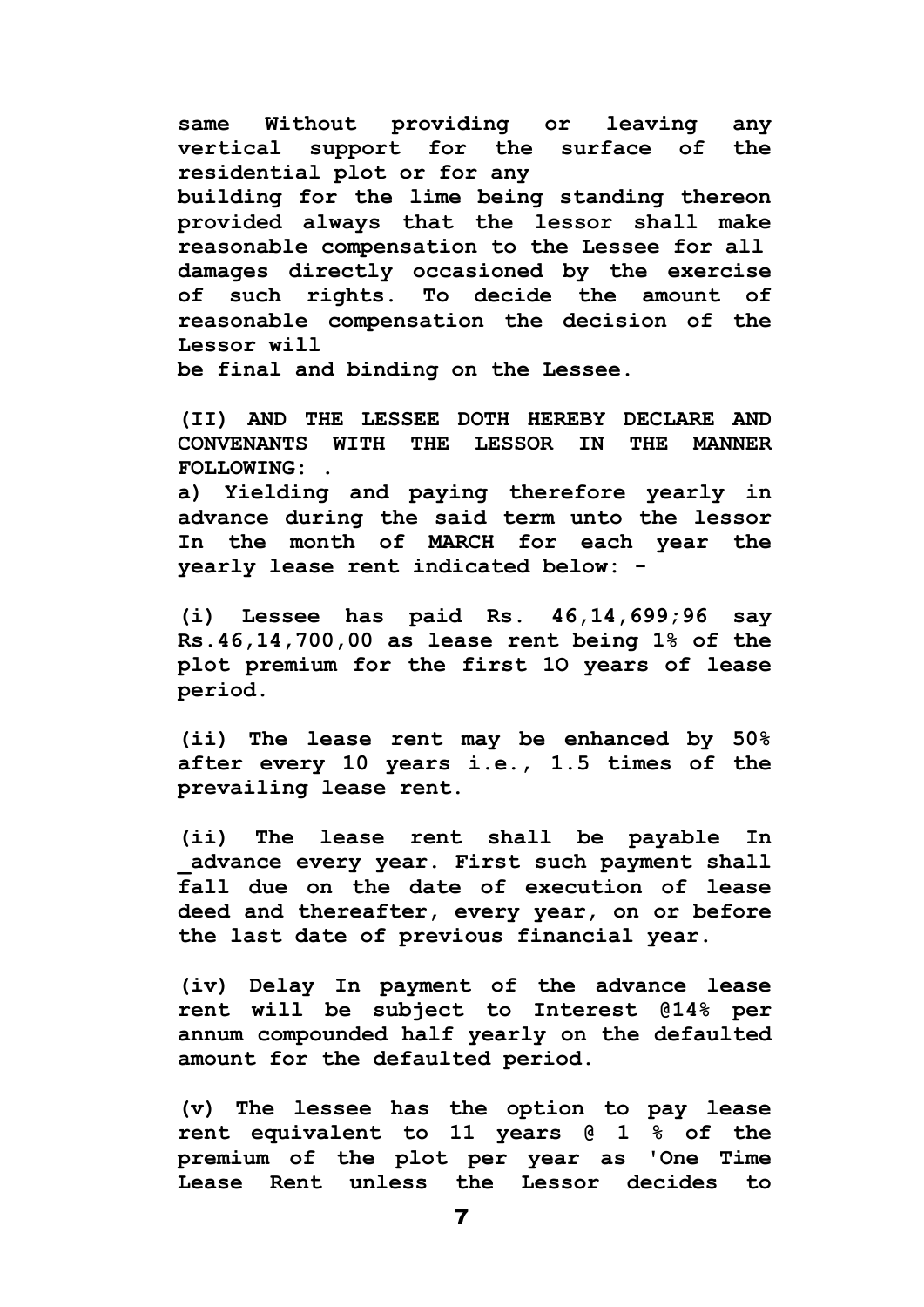**same Without providing or leaving any vertical support for the surface of the residential plot or for any building for the lime being standing thereon provided always that the lessor shall make reasonable compensation to the Lessee for all damages directly occasioned by the exercise of such rights. To decide the amount of reasonable compensation the decision of the Lessor will**

**be final and binding on the Lessee.**

**(II) AND THE LESSEE DOTH HEREBY DECLARE AND CONVENANTS WITH THE LESSOR IN THE MANNER FOLLOWING: .**

**a) Yielding and paying therefore yearly in advance during the said term unto the lessor In the month of MARCH for each year the yearly lease rent indicated below: -**

**(i) Lessee has paid Rs. 46,14,699;96 say Rs.46,14,700,00 as lease rent being 1% of the plot premium for the first 1O years of lease period.**

**(ii) The lease rent may be enhanced by 50% after every 10 years i.e., 1.5 times of the prevailing lease rent.**

**(ii) The lease rent shall be payable In \_advance every year. First such payment shall fall due on the date of execution of lease deed and thereafter, every year, on or before the last date of previous financial year.**

**(iv) Delay In payment of the advance lease rent will be subject to Interest @14% per annum compounded half yearly on the defaulted amount for the defaulted period.** 

**(v) The lessee has the option to pay lease rent equivalent to 11 years @ 1 % of the premium of the plot per year as 'One Time Lease Rent unless the Lessor decides to**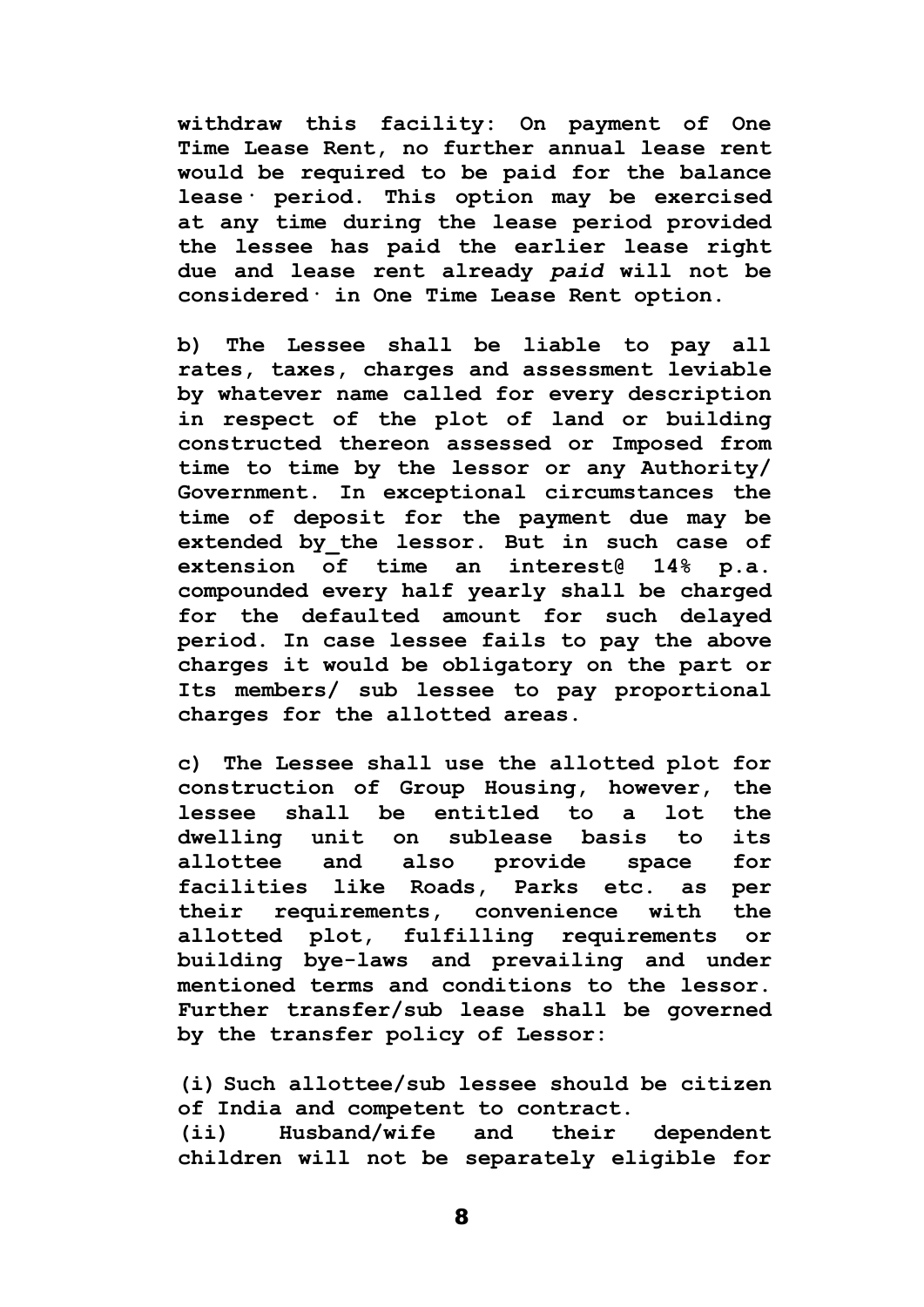**withdraw this facility: On payment of One Time Lease Rent, no further annual lease rent would be required to be paid for the balance lease· period. This option may be exercised at any time during the lease period provided the lessee has paid the earlier lease right due and lease rent already** *paid* **will not be considered· in One Time Lease Rent option.**

**b) The Lessee shall be liable to pay all rates, taxes, charges and assessment leviable by whatever name called for every description in respect of the plot of land or building constructed thereon assessed or Imposed from time to time by the lessor or any Authority/ Government. In exceptional circumstances the time of deposit for the payment due may be extended by\_the lessor. But in such case of extension of time an interest@ 14% p.a. compounded every half yearly shall be charged for the defaulted amount for such delayed period. In case lessee fails to pay the above charges it would be obligatory on the part or Its members/ sub lessee to pay proportional charges for the allotted areas.**

**c) The Lessee shall use the allotted plot for construction of Group Housing, however, the lessee shall be entitled to a lot the dwelling unit on sublease basis to its allottee and also provide space for facilities like Roads, Parks etc. as per their requirements, convenience with the allotted plot, fulfilling requirements or building bye-laws and prevailing and under mentioned terms and conditions to the lessor. Further transfer/sub lease shall be governed by the transfer policy of Lessor:**

**(i) Such allottee/sub lessee should be citizen of India and competent to contract.**

**(ii) Husband/wife and their dependent children will not be separately eligible for**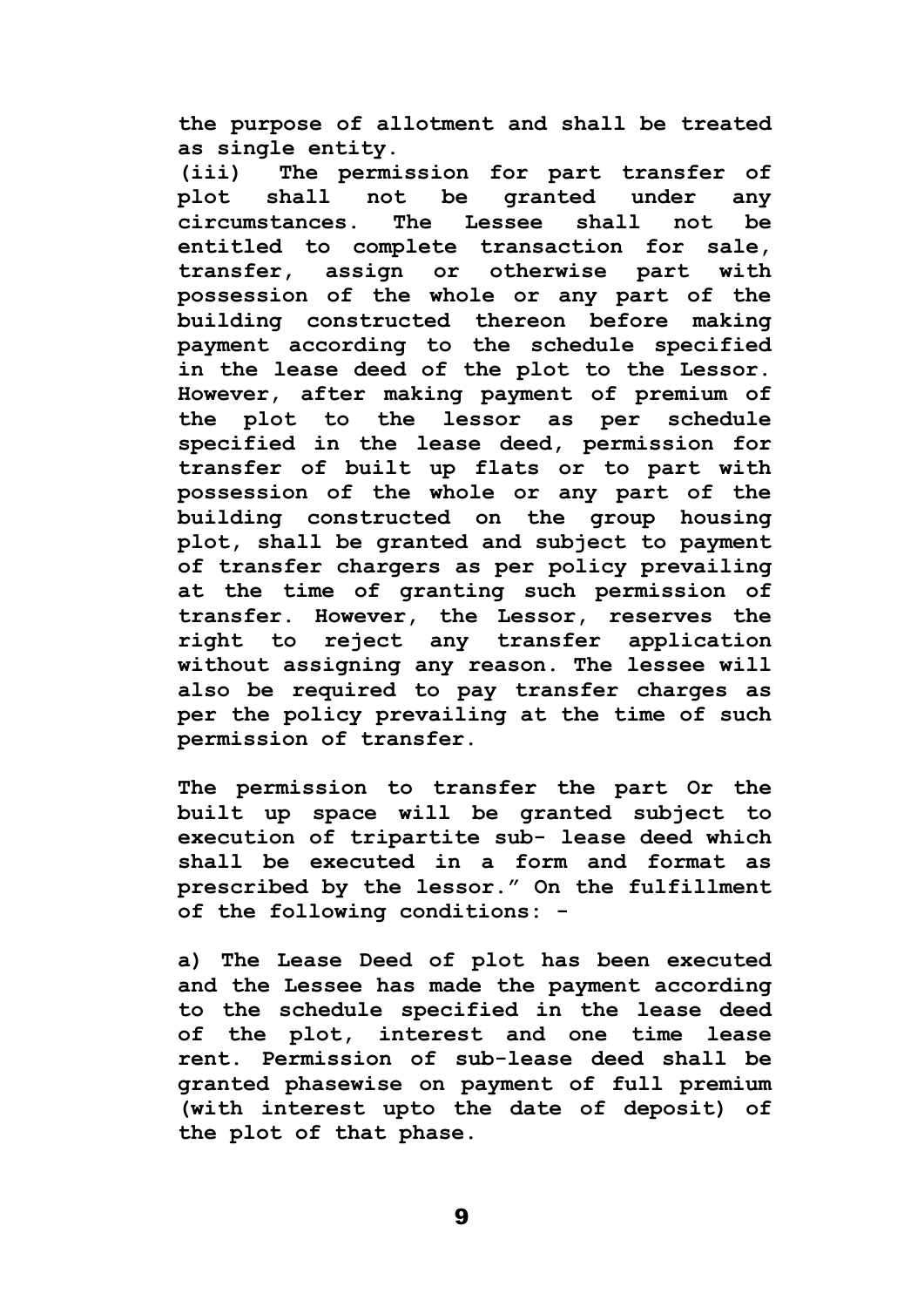**the purpose of allotment and shall be treated as single entity.**

**(iii) The permission for part transfer of plot shall not be granted under any circumstances. The Lessee shall not be entitled to complete transaction for sale, transfer, assign or otherwise part with possession of the whole or any part of the building constructed thereon before making payment according to the schedule specified in the lease deed of the plot to the Lessor. However, after making payment of premium of the plot to the lessor as per schedule specified in the lease deed, permission for transfer of built up flats or to part with possession of the whole or any part of the building constructed on the group housing plot, shall be granted and subject to payment of transfer chargers as per policy prevailing at the time of granting such permission of transfer. However, the Lessor, reserves the right to reject any transfer application without assigning any reason. The lessee will also be required to pay transfer charges as per the policy prevailing at the time of such permission of transfer.** 

**The permission to transfer the part Or the built up space will be granted subject to execution of tripartite sub- lease deed which shall be executed in a form and format as prescribed by the lessor." On the fulfillment of the following conditions: -**

**a) The Lease Deed of plot has been executed and the Lessee has made the payment according to the schedule specified in the lease deed of the plot, interest and one time lease rent. Permission of sub-lease deed shall be granted phasewise on payment of full premium (with interest upto the date of deposit) of the plot of that phase.**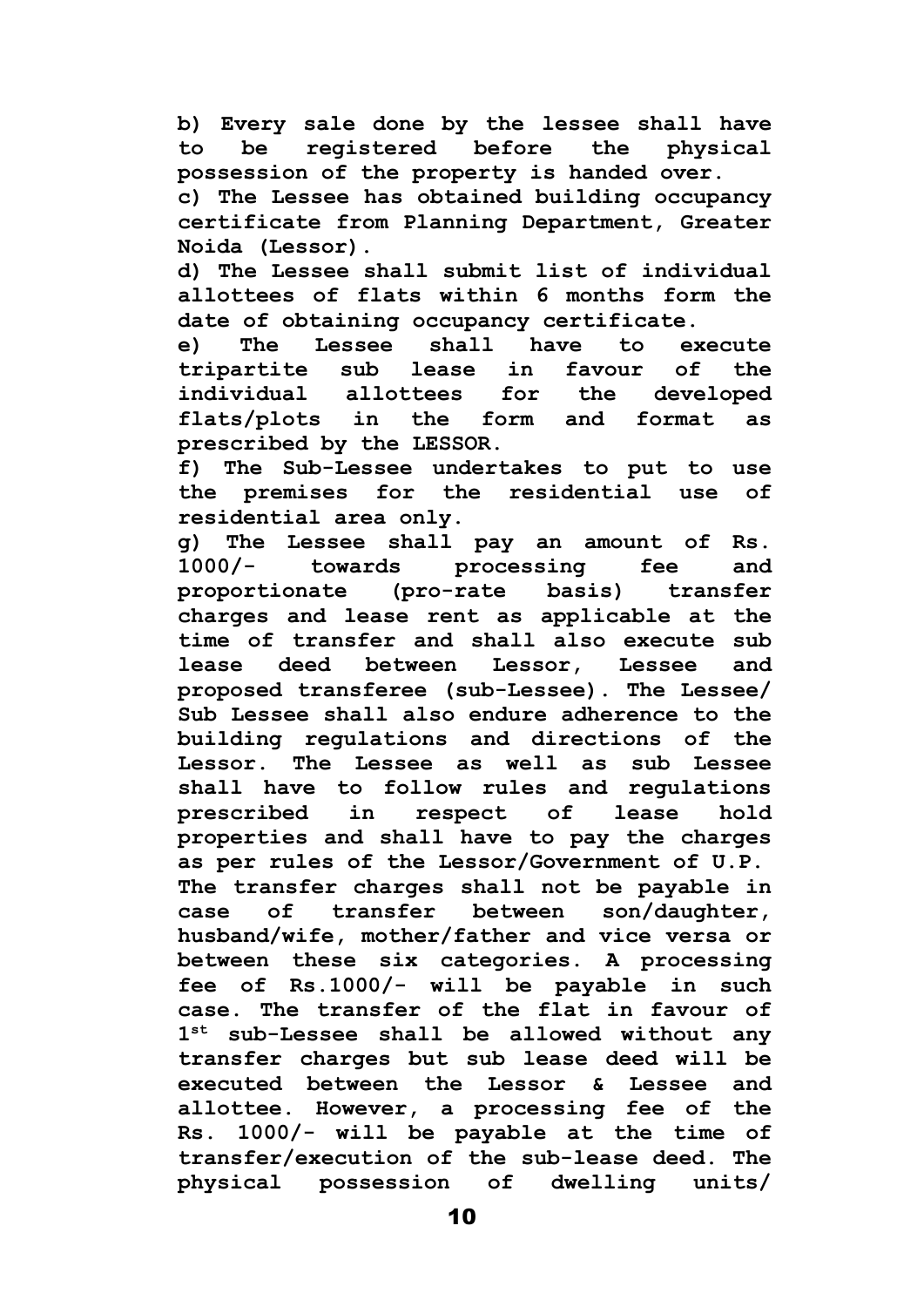**b) Every sale done by the lessee shall have to be registered before the physical possession of the property is handed over.**

**c) The Lessee has obtained building occupancy certificate from Planning Department, Greater Noida (Lessor).**

**d) The Lessee shall submit list of individual allottees of flats within 6 months form the date of obtaining occupancy certificate.**

**e) The Lessee shall have to execute tripartite sub lease in favour of the individual allottees for the developed flats/plots in the form and format as prescribed by the LESSOR.**

**f) The Sub-Lessee undertakes to put to use the premises for the residential use of residential area only.**

**g) The Lessee shall pay an amount of Rs. 1000/- towards processing fee and proportionate (pro-rate basis) transfer charges and lease rent as applicable at the time of transfer and shall also execute sub lease deed between Lessor, Lessee and proposed transferee (sub-Lessee). The Lessee/ Sub Lessee shall also endure adherence to the building regulations and directions of the Lessor. The Lessee as well as sub Lessee shall have to follow rules and regulations prescribed in respect of lease hold properties and shall have to pay the charges as per rules of the Lessor/Government of U.P. The transfer charges shall not be payable in case of transfer between son/daughter, husband/wife, mother/father and vice versa or between these six categories. A processing fee of Rs.1000/- will be payable in such case. The transfer of the flat in favour of 1 st sub-Lessee shall be allowed without any transfer charges but sub lease deed will be executed between the Lessor & Lessee and allottee. However, a processing fee of the Rs. 1000/- will be payable at the time of transfer/execution of the sub-lease deed. The physical possession of dwelling units/**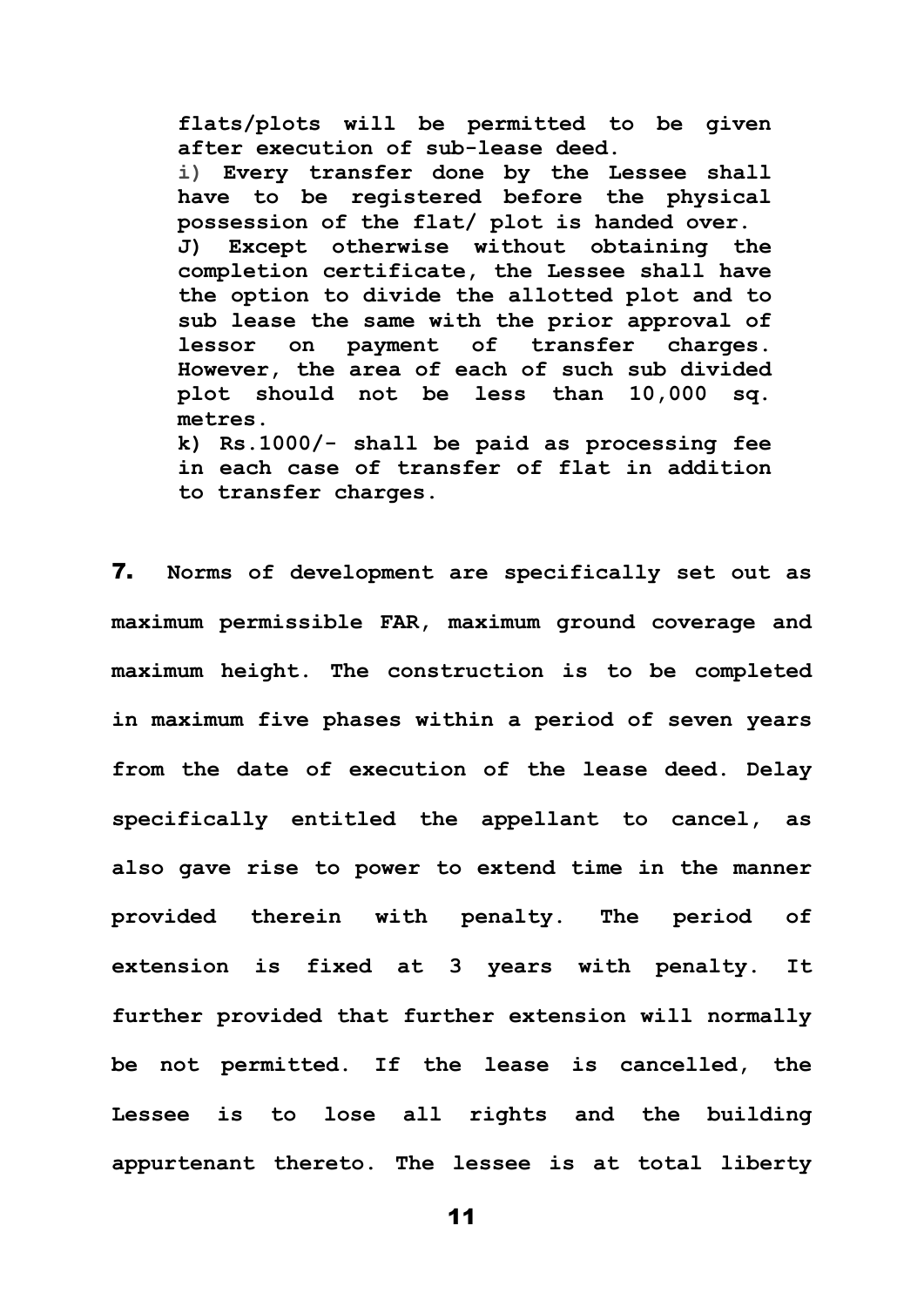**flats/plots will be permitted to be given after execution of sub-lease deed. i) Every transfer done by the Lessee shall have to be registered before the physical possession of the flat/ plot is handed over. J) Except otherwise without obtaining the completion certificate, the Lessee shall have the option to divide the allotted plot and to sub lease the same with the prior approval of lessor on payment of transfer charges. However, the area of each of such sub divided plot should not be less than 10,000 sq. metres. k) Rs.1000/- shall be paid as processing fee in each case of transfer of flat in addition** 

**to transfer charges.**

7. **Norms of development are specifically set out as maximum permissible FAR, maximum ground coverage and maximum height. The construction is to be completed in maximum five phases within a period of seven years from the date of execution of the lease deed. Delay specifically entitled the appellant to cancel, as also gave rise to power to extend time in the manner provided therein with penalty. The period of extension is fixed at 3 years with penalty. It further provided that further extension will normally be not permitted. If the lease is cancelled, the Lessee is to lose all rights and the building appurtenant thereto. The lessee is at total liberty**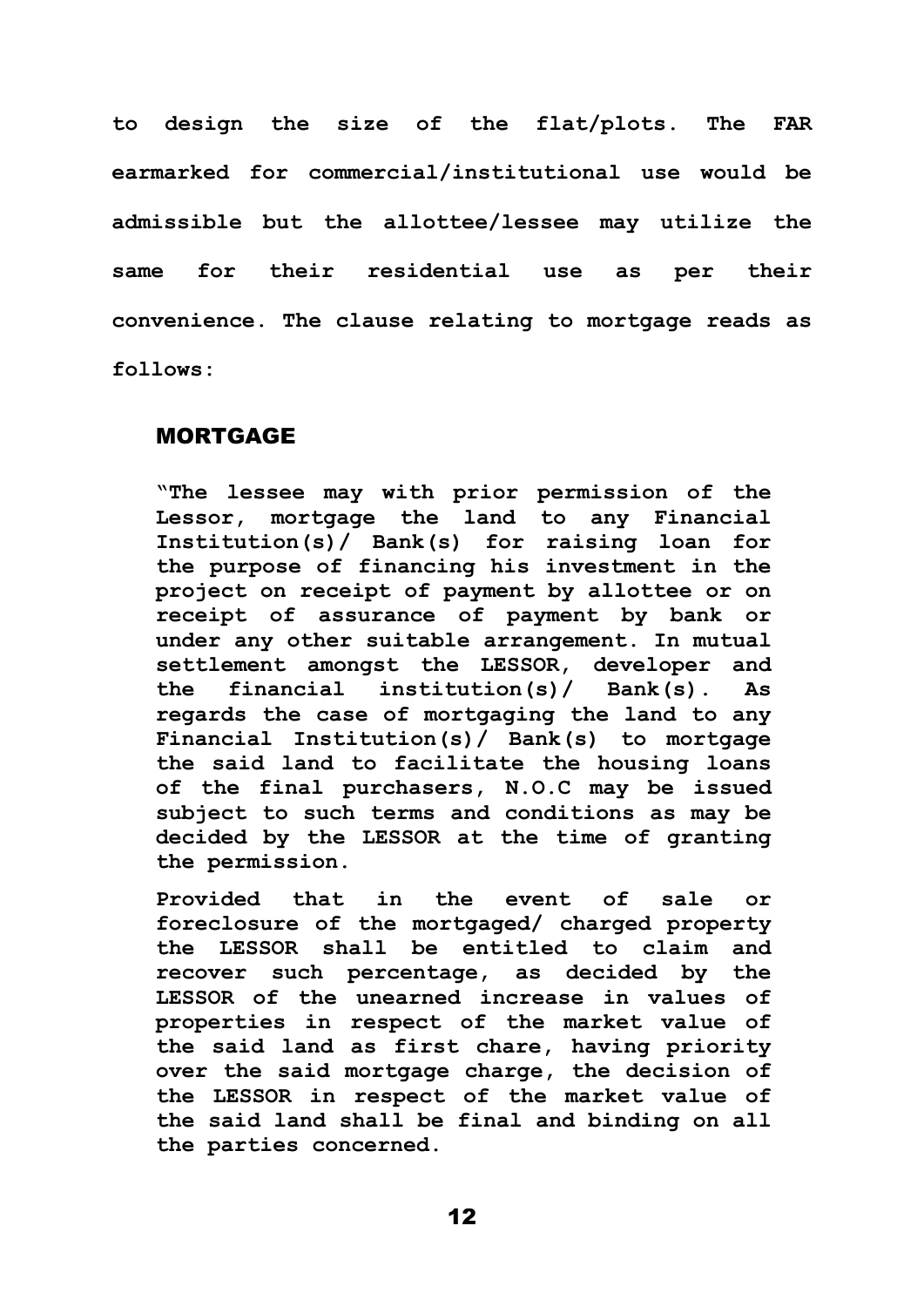**to design the size of the flat/plots. The FAR earmarked for commercial/institutional use would be admissible but the allottee/lessee may utilize the same for their residential use as per their convenience. The clause relating to mortgage reads as follows:** 

### MORTGAGE

**"The lessee may with prior permission of the Lessor, mortgage the land to any Financial Institution(s)/ Bank(s) for raising loan for the purpose of financing his investment in the project on receipt of payment by allottee or on receipt of assurance of payment by bank or under any other suitable arrangement. In mutual settlement amongst the LESSOR, developer and the financial institution(s)/ Bank(s). As regards the case of mortgaging the land to any Financial Institution(s)/ Bank(s) to mortgage the said land to facilitate the housing loans of the final purchasers, N.O.C may be issued subject to such terms and conditions as may be decided by the LESSOR at the time of granting the permission.** 

**Provided that in the event of sale or foreclosure of the mortgaged/ charged property the LESSOR shall be entitled to claim and recover such percentage, as decided by the LESSOR of the unearned increase in values of properties in respect of the market value of the said land as first chare, having priority over the said mortgage charge, the decision of the LESSOR in respect of the market value of the said land shall be final and binding on all the parties concerned.**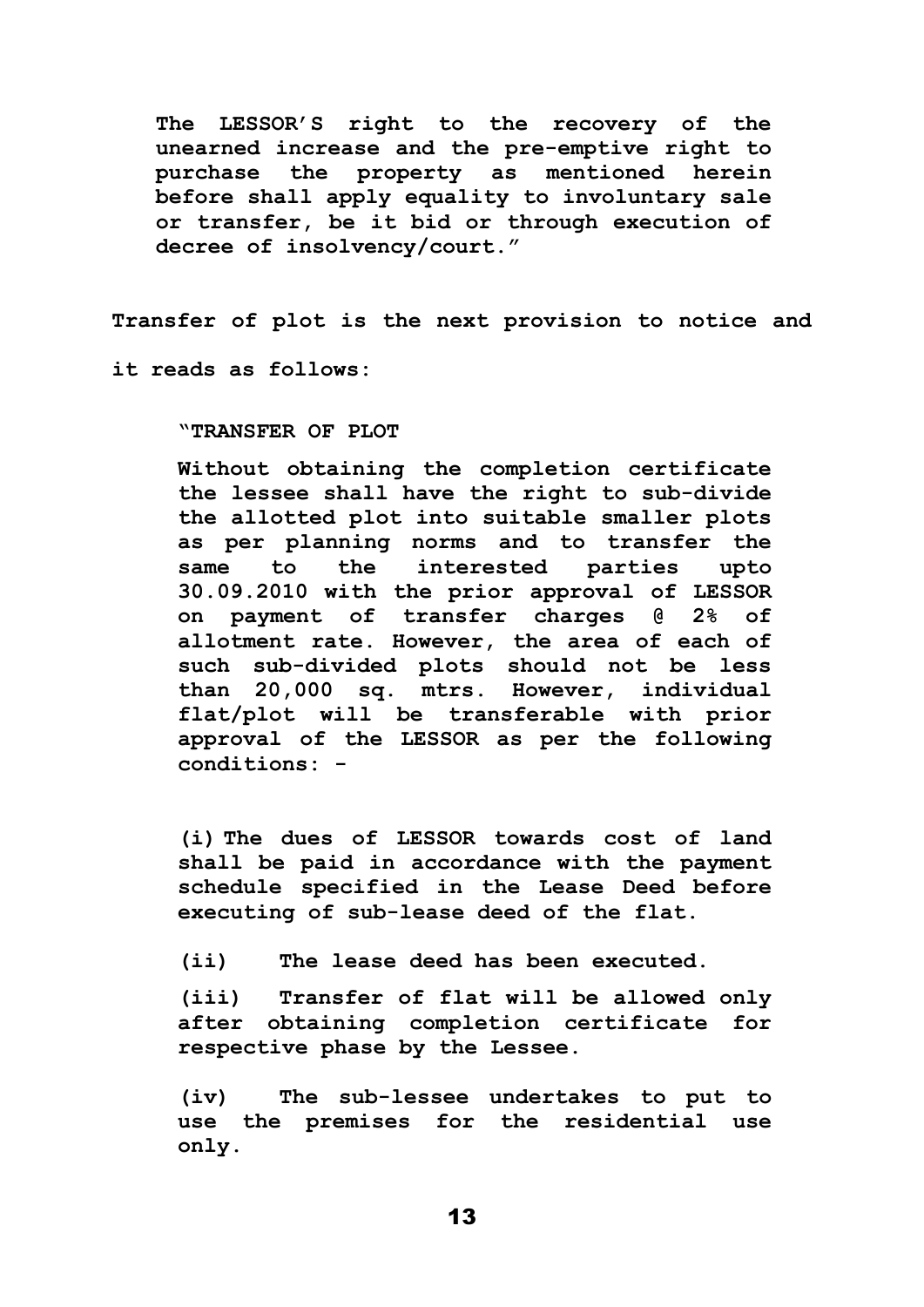**The LESSOR'S right to the recovery of the unearned increase and the pre-emptive right to purchase the property as mentioned herein before shall apply equality to involuntary sale or transfer, be it bid or through execution of decree of insolvency/court."**

**Transfer of plot is the next provision to notice and** 

**it reads as follows:**

**"TRANSFER OF PLOT**

**Without obtaining the completion certificate the lessee shall have the right to sub-divide the allotted plot into suitable smaller plots as per planning norms and to transfer the same to the interested parties upto 30.09.2010 with the prior approval of LESSOR on payment of transfer charges @ 2% of allotment rate. However, the area of each of such sub-divided plots should not be less than 20,000 sq. mtrs. However, individual flat/plot will be transferable with prior approval of the LESSOR as per the following conditions: -**

**(i) The dues of LESSOR towards cost of land shall be paid in accordance with the payment schedule specified in the Lease Deed before executing of sub-lease deed of the flat.**

**(ii) The lease deed has been executed.**

**(iii) Transfer of flat will be allowed only after obtaining completion certificate for respective phase by the Lessee.**

**(iv) The sub-lessee undertakes to put to use the premises for the residential use only.**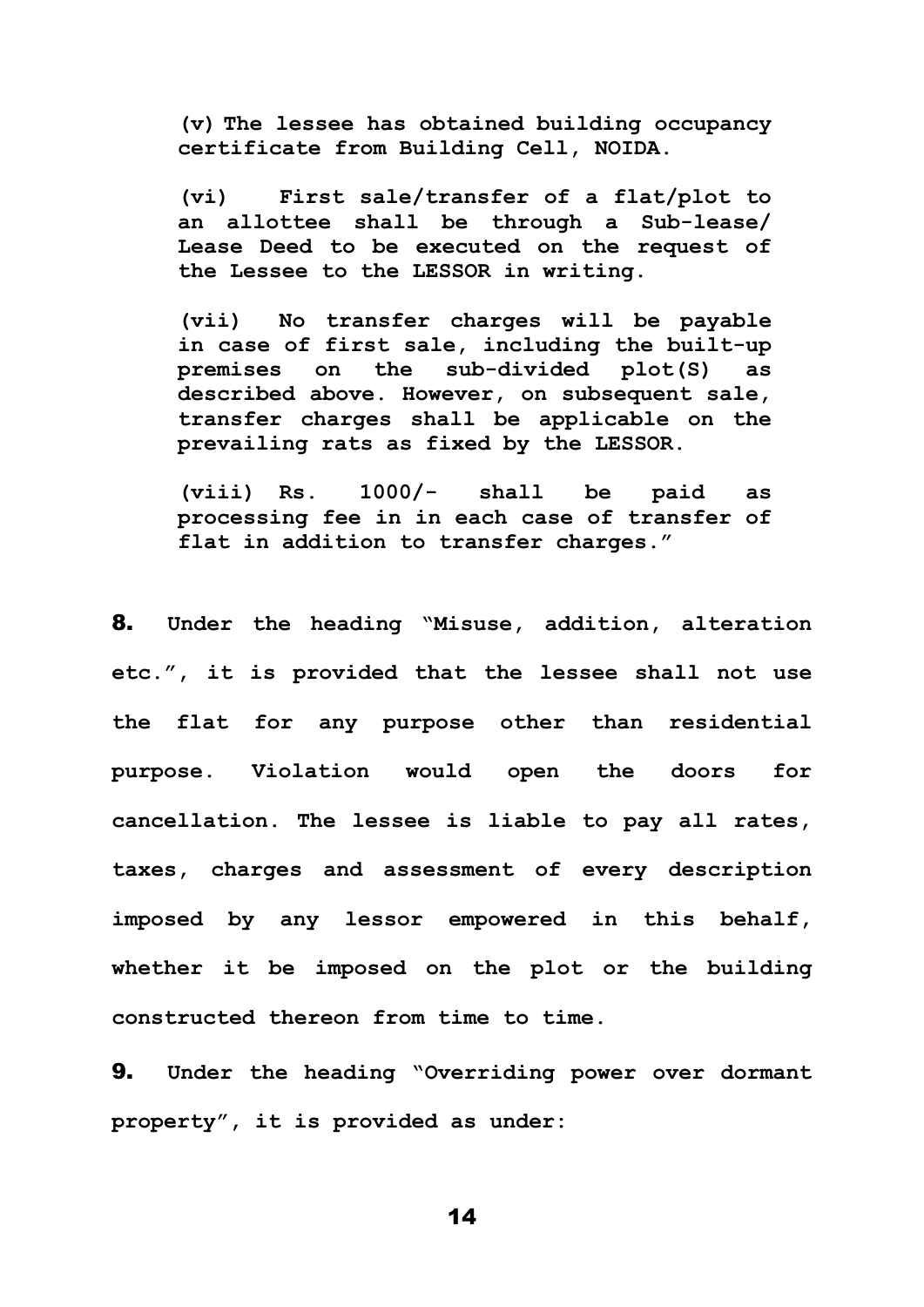**(v) The lessee has obtained building occupancy certificate from Building Cell, NOIDA.**

**(vi) First sale/transfer of a flat/plot to an allottee shall be through a Sub-lease/ Lease Deed to be executed on the request of the Lessee to the LESSOR in writing.**

**(vii) No transfer charges will be payable in case of first sale, including the built-up premises on the sub-divided plot(S) as described above. However, on subsequent sale, transfer charges shall be applicable on the prevailing rats as fixed by the LESSOR.** 

**(viii) Rs. 1000/- shall be paid as processing fee in in each case of transfer of flat in addition to transfer charges."**

8. **Under the heading "Misuse, addition, alteration etc.", it is provided that the lessee shall not use the flat for any purpose other than residential purpose. Violation would open the doors for cancellation. The lessee is liable to pay all rates, taxes, charges and assessment of every description imposed by any lessor empowered in this behalf, whether it be imposed on the plot or the building constructed thereon from time to time.** 

9. **Under the heading "Overriding power over dormant property", it is provided as under:**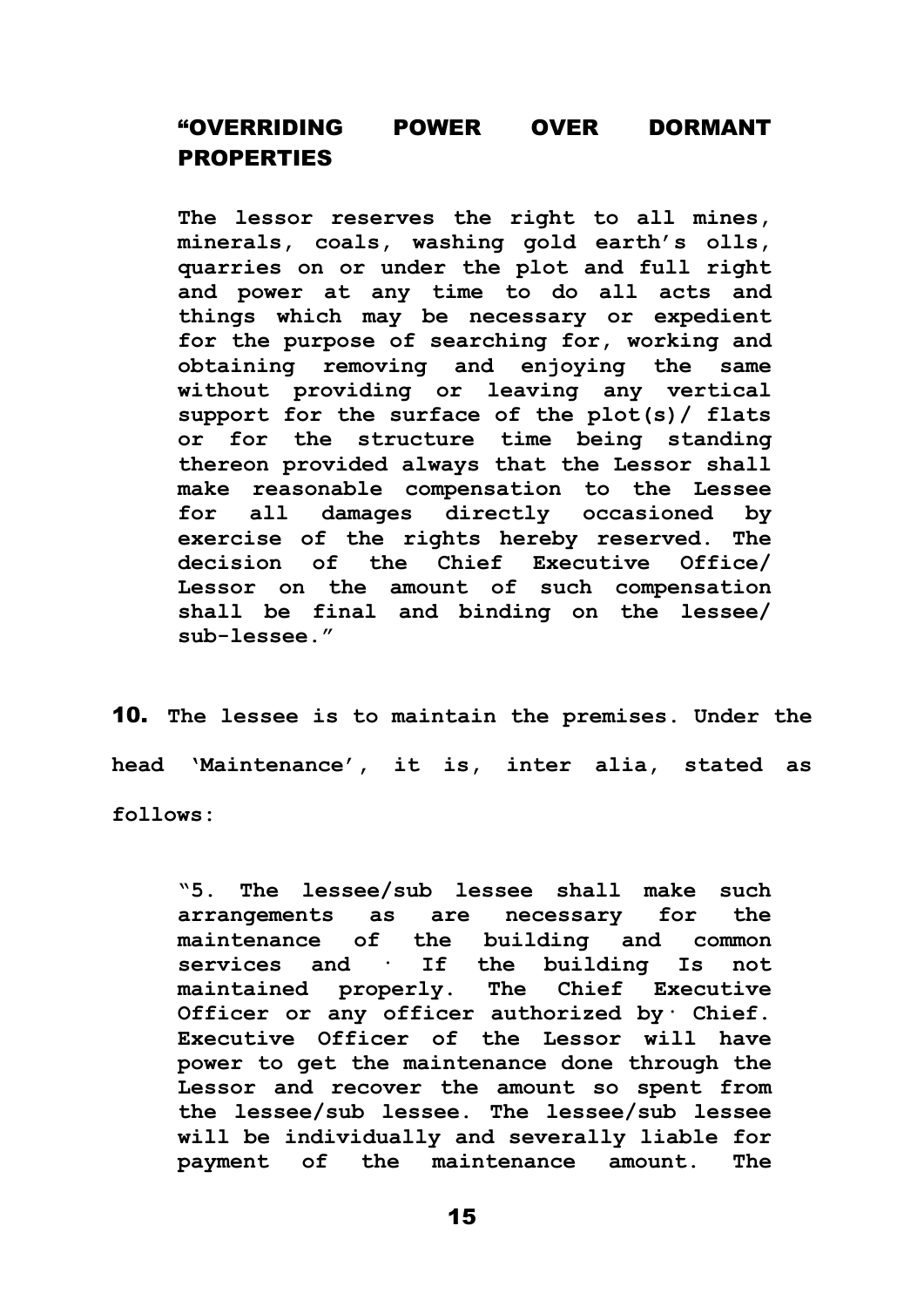## "OVERRIDING POWER OVER DORMANT PROPERTIES

**The lessor reserves the right to all mines, minerals, coals, washing gold earth's olls, quarries on or under the plot and full right and power at any time to do all acts and things which may be necessary or expedient for the purpose of searching for, working and obtaining removing and enjoying the same without providing or leaving any vertical support for the surface of the plot(s)/ flats or for the structure time being standing thereon provided always that the Lessor shall make reasonable compensation to the Lessee for all damages directly occasioned by exercise of the rights hereby reserved. The decision of the Chief Executive Office/ Lessor on the amount of such compensation shall be final and binding on the lessee/ sub-lessee."**

10. **The lessee is to maintain the premises. Under the head 'Maintenance', it is, inter alia, stated as follows:** 

**"5. The lessee/sub lessee shall make such arrangements as are necessary for the maintenance of the building and common services and · If the building Is not maintained properly. The Chief Executive Officer or any officer authorized by· Chief. Executive Officer of the Lessor will have power to get the maintenance done through the Lessor and recover the amount so spent from the lessee/sub lessee. The lessee/sub lessee will be individually and severally liable for payment of the maintenance amount. The**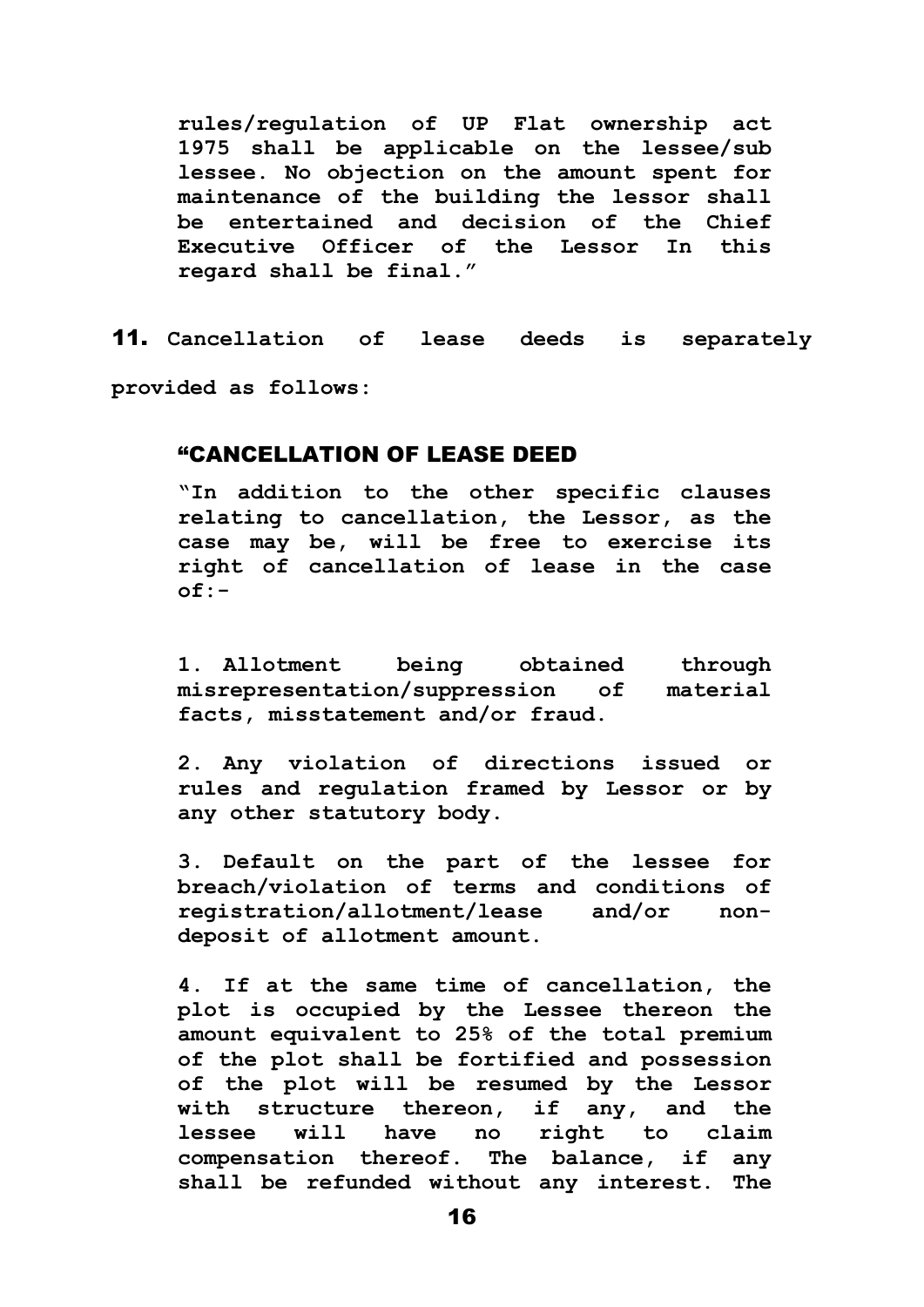**rules/regulation of UP Flat ownership act 1975 shall be applicable on the lessee/sub lessee. No objection on the amount spent for maintenance of the building the lessor shall be entertained and decision of the Chief Executive Officer of the Lessor In this regard shall be final."**

11. **Cancellation of lease deeds is separately provided as follows:**

#### "CANCELLATION OF LEASE DEED

**"In addition to the other specific clauses relating to cancellation, the Lessor, as the case may be, will be free to exercise its right of cancellation of lease in the case of:-**

**1. Allotment being obtained through misrepresentation/suppression of material facts, misstatement and/or fraud.**

**2. Any violation of directions issued or rules and regulation framed by Lessor or by any other statutory body.** 

**3. Default on the part of the lessee for breach/violation of terms and conditions of registration/allotment/lease and/or nondeposit of allotment amount.**

**4. If at the same time of cancellation, the plot is occupied by the Lessee thereon the amount equivalent to 25% of the total premium of the plot shall be fortified and possession of the plot will be resumed by the Lessor with structure thereon, if any, and the lessee will have no right to claim compensation thereof. The balance, if any shall be refunded without any interest. The**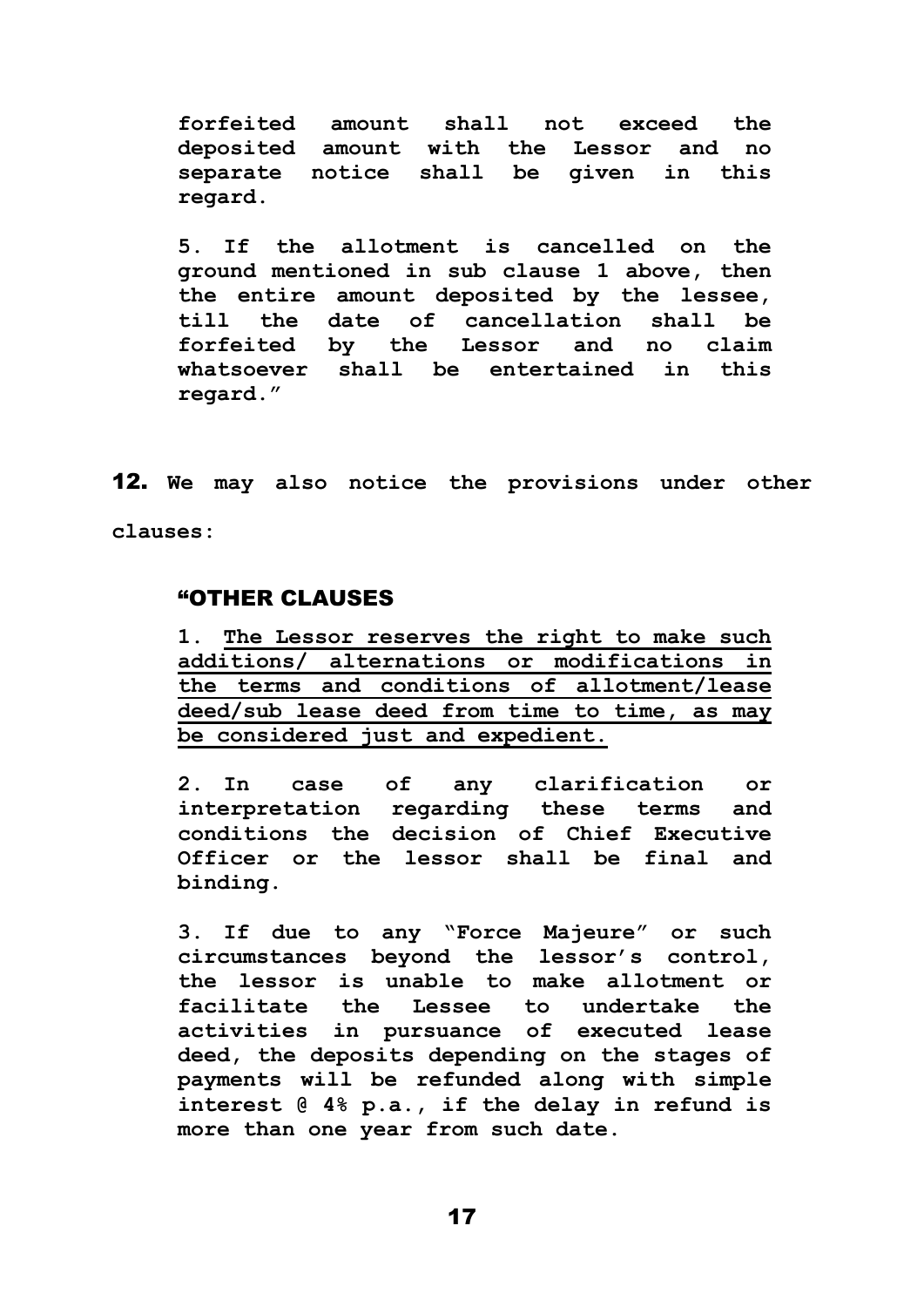**forfeited amount shall not exceed the deposited amount with the Lessor and no separate notice shall be given in this regard.**

**5. If the allotment is cancelled on the ground mentioned in sub clause 1 above, then the entire amount deposited by the lessee, till the date of cancellation shall be forfeited by the Lessor and no claim whatsoever shall be entertained in this regard."**

12. **We may also notice the provisions under other clauses:**

#### "OTHER CLAUSES

**1. The Lessor reserves the right to make such additions/ alternations or modifications in the terms and conditions of allotment/lease deed/sub lease deed from time to time, as may be considered just and expedient.**

**2. In case of any clarification or interpretation regarding these terms and conditions the decision of Chief Executive Officer or the lessor shall be final and binding.**

**3. If due to any "Force Majeure" or such circumstances beyond the lessor's control, the lessor is unable to make allotment or facilitate the Lessee to undertake the activities in pursuance of executed lease deed, the deposits depending on the stages of payments will be refunded along with simple interest @ 4% p.a., if the delay in refund is more than one year from such date.**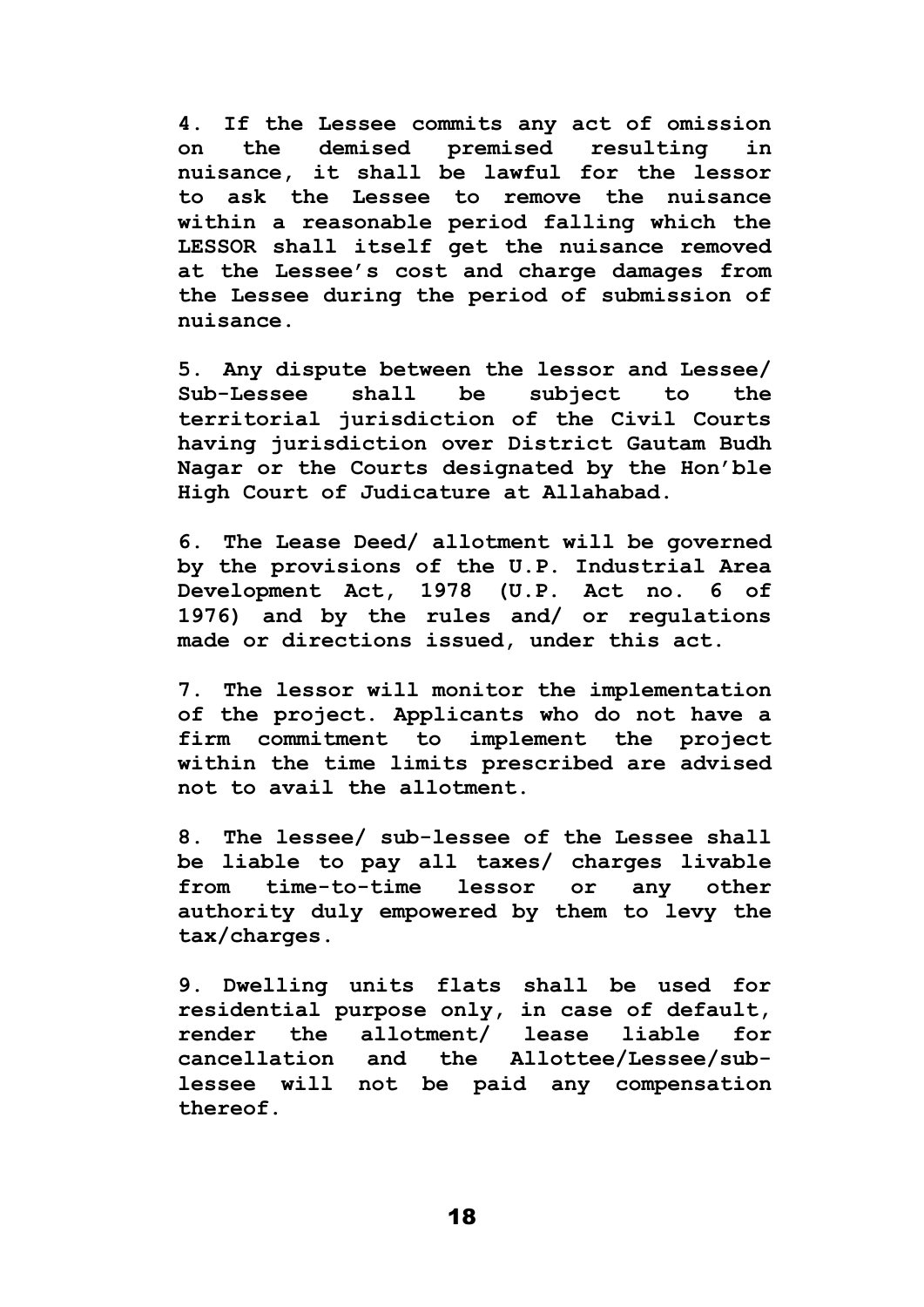**4. If the Lessee commits any act of omission on the demised premised resulting in nuisance, it shall be lawful for the lessor to ask the Lessee to remove the nuisance within a reasonable period falling which the LESSOR shall itself get the nuisance removed at the Lessee's cost and charge damages from the Lessee during the period of submission of nuisance.**

**5. Any dispute between the lessor and Lessee/ Sub-Lessee shall be subject to the territorial jurisdiction of the Civil Courts having jurisdiction over District Gautam Budh Nagar or the Courts designated by the Hon'ble High Court of Judicature at Allahabad.**

**6. The Lease Deed/ allotment will be governed by the provisions of the U.P. Industrial Area Development Act, 1978 (U.P. Act no. 6 of 1976) and by the rules and/ or regulations made or directions issued, under this act.**

**7. The lessor will monitor the implementation of the project. Applicants who do not have a firm commitment to implement the project within the time limits prescribed are advised not to avail the allotment.**

**8. The lessee/ sub-lessee of the Lessee shall be liable to pay all taxes/ charges livable from time-to-time lessor or any other authority duly empowered by them to levy the tax/charges.**

**9. Dwelling units flats shall be used for residential purpose only, in case of default, render the allotment/ lease liable for cancellation and the Allottee/Lessee/sublessee will not be paid any compensation thereof.**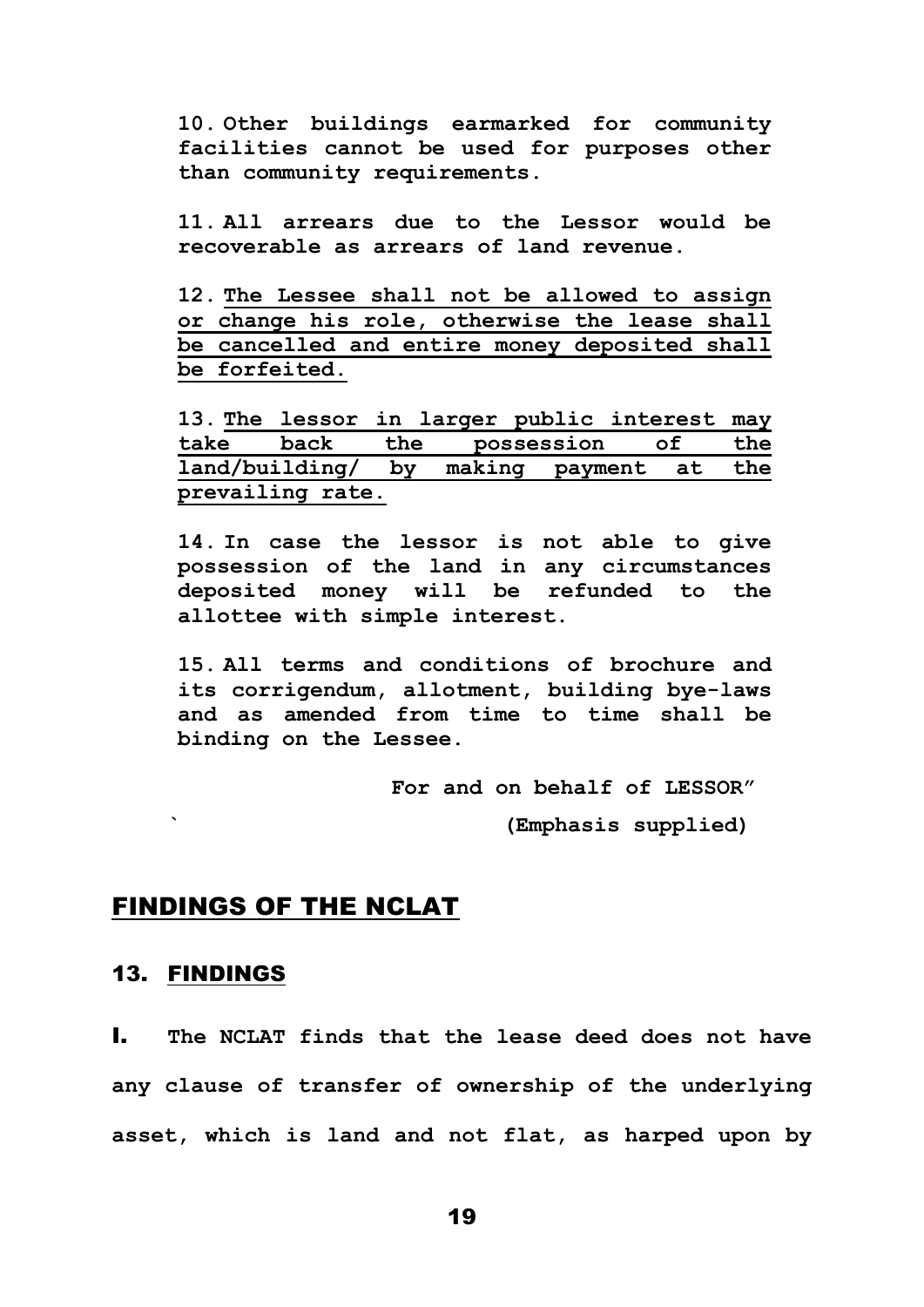**10. Other buildings earmarked for community facilities cannot be used for purposes other than community requirements.**

**11. All arrears due to the Lessor would be recoverable as arrears of land revenue.**

**12. The Lessee shall not be allowed to assign or change his role, otherwise the lease shall be cancelled and entire money deposited shall be forfeited.**

**13. The lessor in larger public interest may take back the possession of the land/building/ by making payment at the prevailing rate.**

**14. In case the lessor is not able to give possession of the land in any circumstances deposited money will be refunded to the allottee with simple interest.**

**15. All terms and conditions of brochure and its corrigendum, allotment, building bye-laws and as amended from time to time shall be binding on the Lessee.**

> **For and on behalf of LESSOR" ` (Emphasis supplied)**

## FINDINGS OF THE NCLAT

#### 13. FINDINGS

I. **The NCLAT finds that the lease deed does not have any clause of transfer of ownership of the underlying asset, which is land and not flat, as harped upon by**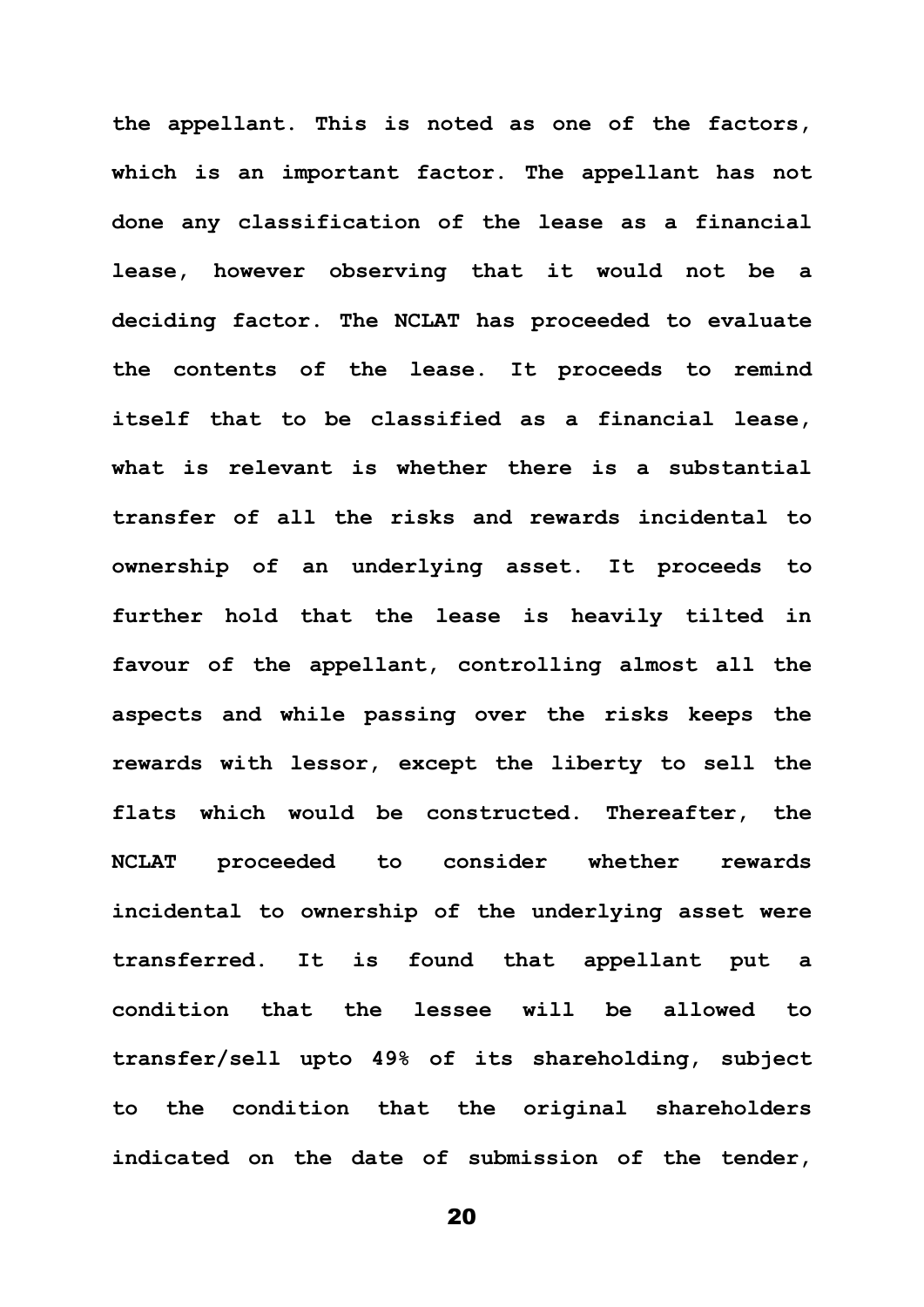**the appellant. This is noted as one of the factors, which is an important factor. The appellant has not done any classification of the lease as a financial lease, however observing that it would not be a deciding factor. The NCLAT has proceeded to evaluate the contents of the lease. It proceeds to remind itself that to be classified as a financial lease, what is relevant is whether there is a substantial transfer of all the risks and rewards incidental to ownership of an underlying asset. It proceeds to further hold that the lease is heavily tilted in favour of the appellant, controlling almost all the aspects and while passing over the risks keeps the rewards with lessor, except the liberty to sell the flats which would be constructed. Thereafter, the NCLAT proceeded to consider whether rewards incidental to ownership of the underlying asset were transferred. It is found that appellant put a condition that the lessee will be allowed to transfer/sell upto 49% of its shareholding, subject to the condition that the original shareholders indicated on the date of submission of the tender,**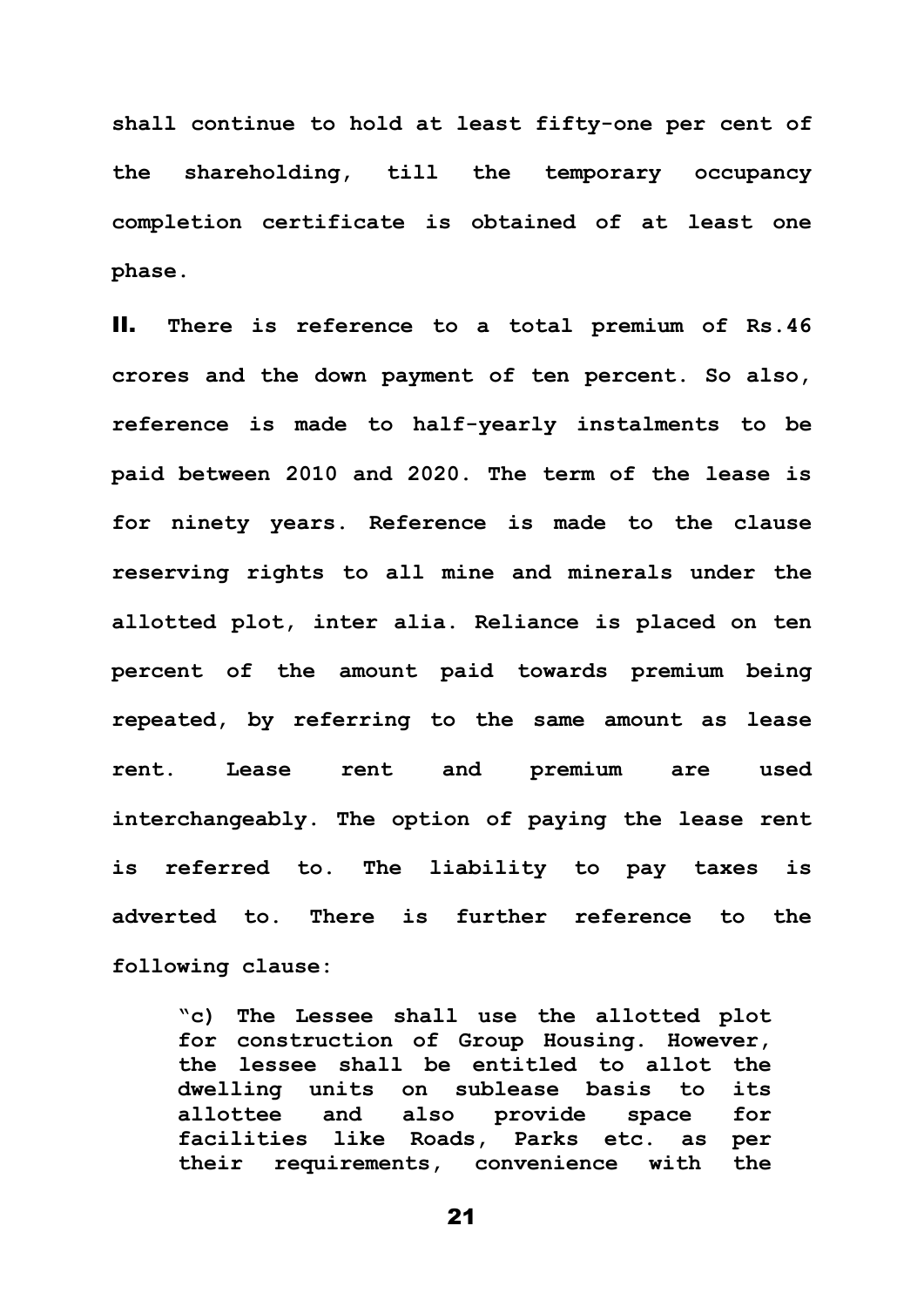**shall continue to hold at least fifty-one per cent of the shareholding, till the temporary occupancy completion certificate is obtained of at least one phase.**

II. **There is reference to a total premium of Rs.46 crores and the down payment of ten percent. So also, reference is made to half-yearly instalments to be paid between 2010 and 2020. The term of the lease is for ninety years. Reference is made to the clause reserving rights to all mine and minerals under the allotted plot, inter alia. Reliance is placed on ten percent of the amount paid towards premium being repeated, by referring to the same amount as lease rent. Lease rent and premium are used interchangeably. The option of paying the lease rent is referred to. The liability to pay taxes is adverted to. There is further reference to the following clause:**

**"c) The Lessee shall use the allotted plot for construction of Group Housing. However, the lessee shall be entitled to allot the dwelling units on sublease basis to its allottee and also provide space for facilities like Roads, Parks etc. as per their requirements, convenience with the**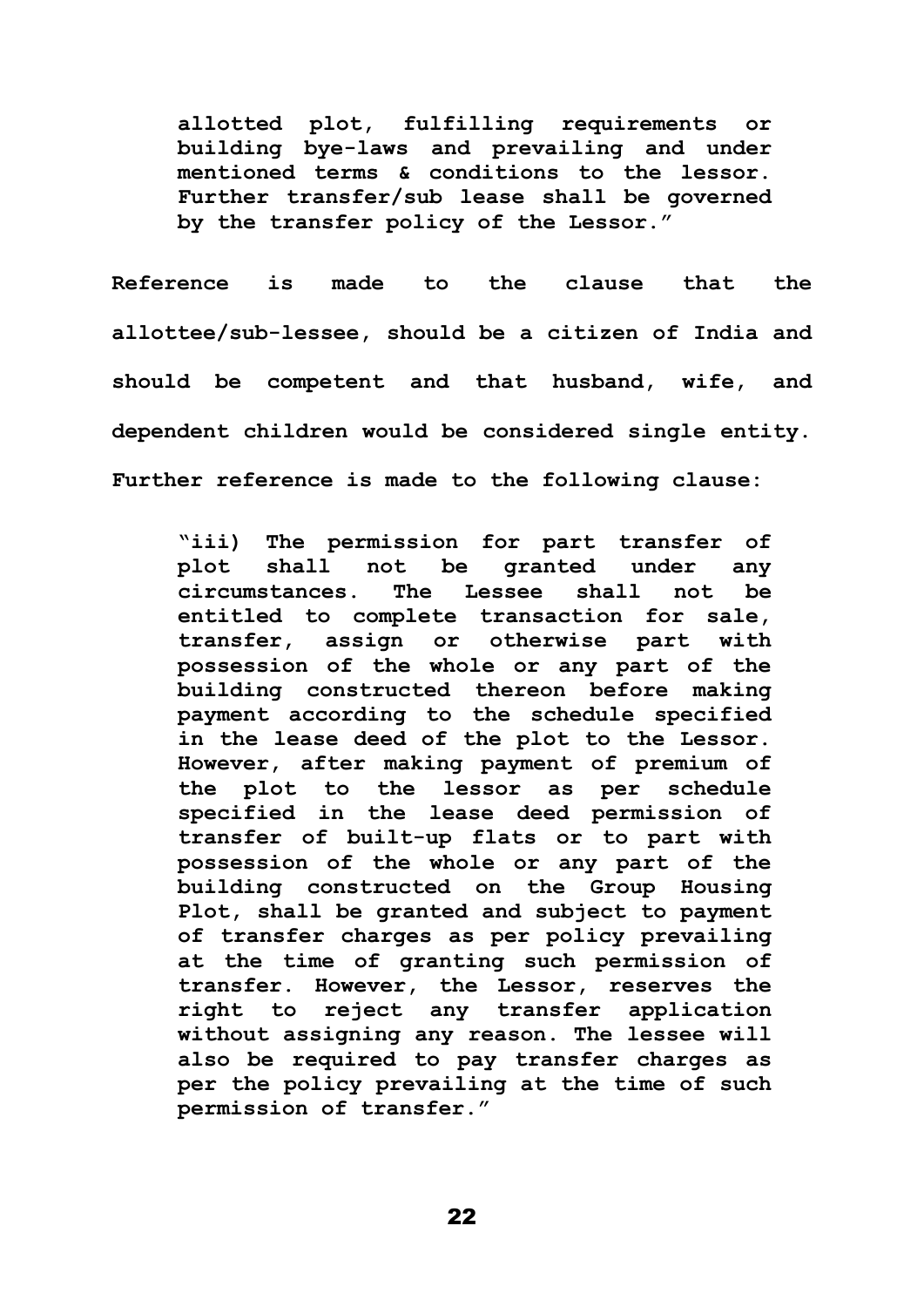**allotted plot, fulfilling requirements or building bye-laws and prevailing and under mentioned terms & conditions to the lessor. Further transfer/sub lease shall be governed by the transfer policy of the Lessor."**

**Reference is made to the clause that the allottee/sub-lessee, should be a citizen of India and should be competent and that husband, wife, and dependent children would be considered single entity. Further reference is made to the following clause:** 

**"iii) The permission for part transfer of plot shall not be granted under any circumstances. The Lessee shall not be entitled to complete transaction for sale, transfer, assign or otherwise part with possession of the whole or any part of the building constructed thereon before making payment according to the schedule specified in the lease deed of the plot to the Lessor. However, after making payment of premium of the plot to the lessor as per schedule specified in the lease deed permission of transfer of built-up flats or to part with possession of the whole or any part of the building constructed on the Group Housing Plot, shall be granted and subject to payment of transfer charges as per policy prevailing at the time of granting such permission of transfer. However, the Lessor, reserves the right to reject any transfer application without assigning any reason. The lessee will also be required to pay transfer charges as per the policy prevailing at the time of such permission of transfer."**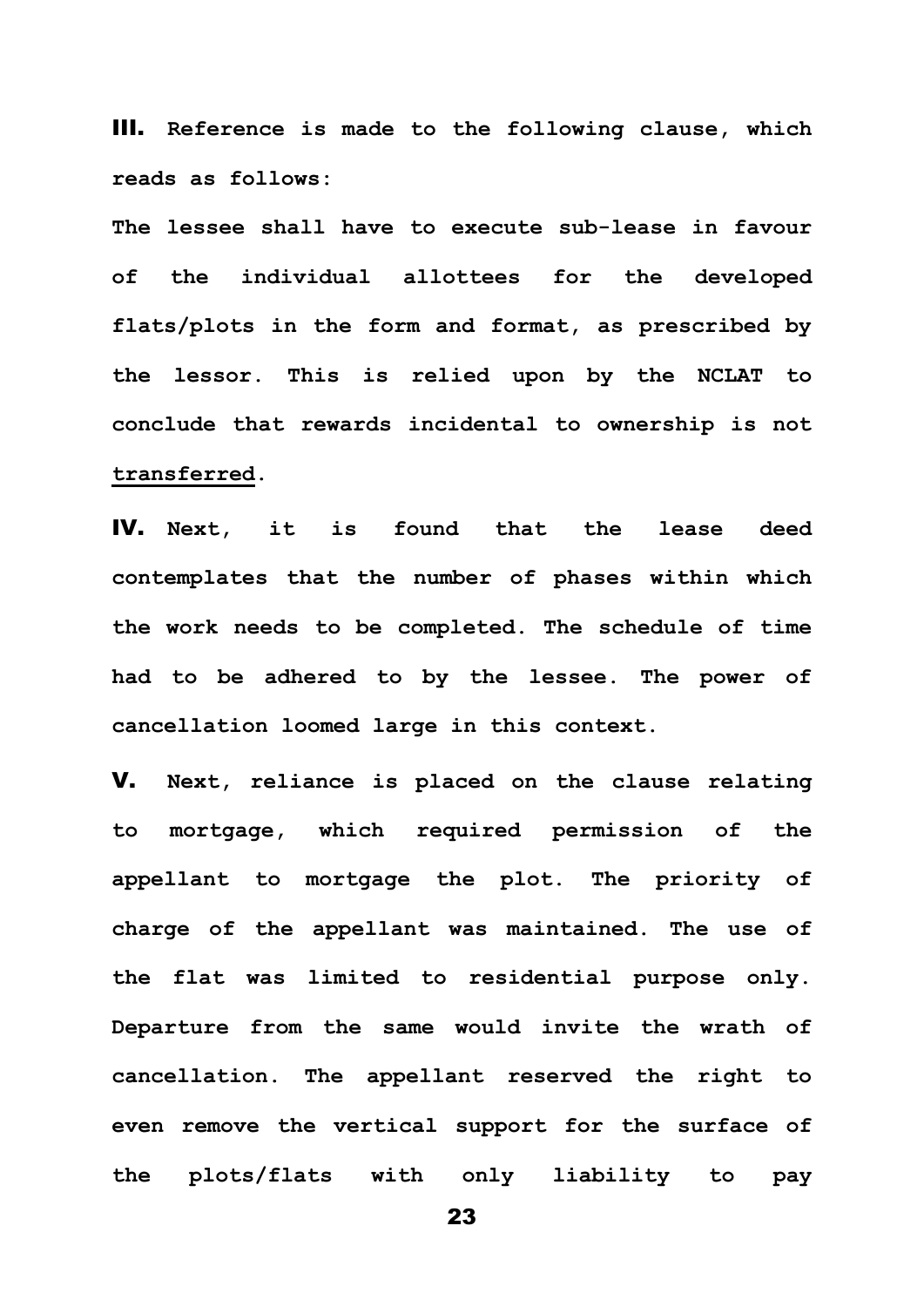III. **Reference is made to the following clause, which reads as follows:** 

**The lessee shall have to execute sub-lease in favour of the individual allottees for the developed flats/plots in the form and format, as prescribed by the lessor. This is relied upon by the NCLAT to conclude that rewards incidental to ownership is not transferred.** 

IV. **Next, it is found that the lease deed contemplates that the number of phases within which the work needs to be completed. The schedule of time had to be adhered to by the lessee. The power of cancellation loomed large in this context.** 

V. **Next, reliance is placed on the clause relating to mortgage, which required permission of the appellant to mortgage the plot. The priority of charge of the appellant was maintained. The use of the flat was limited to residential purpose only. Departure from the same would invite the wrath of cancellation. The appellant reserved the right to even remove the vertical support for the surface of the plots/flats with only liability to pay**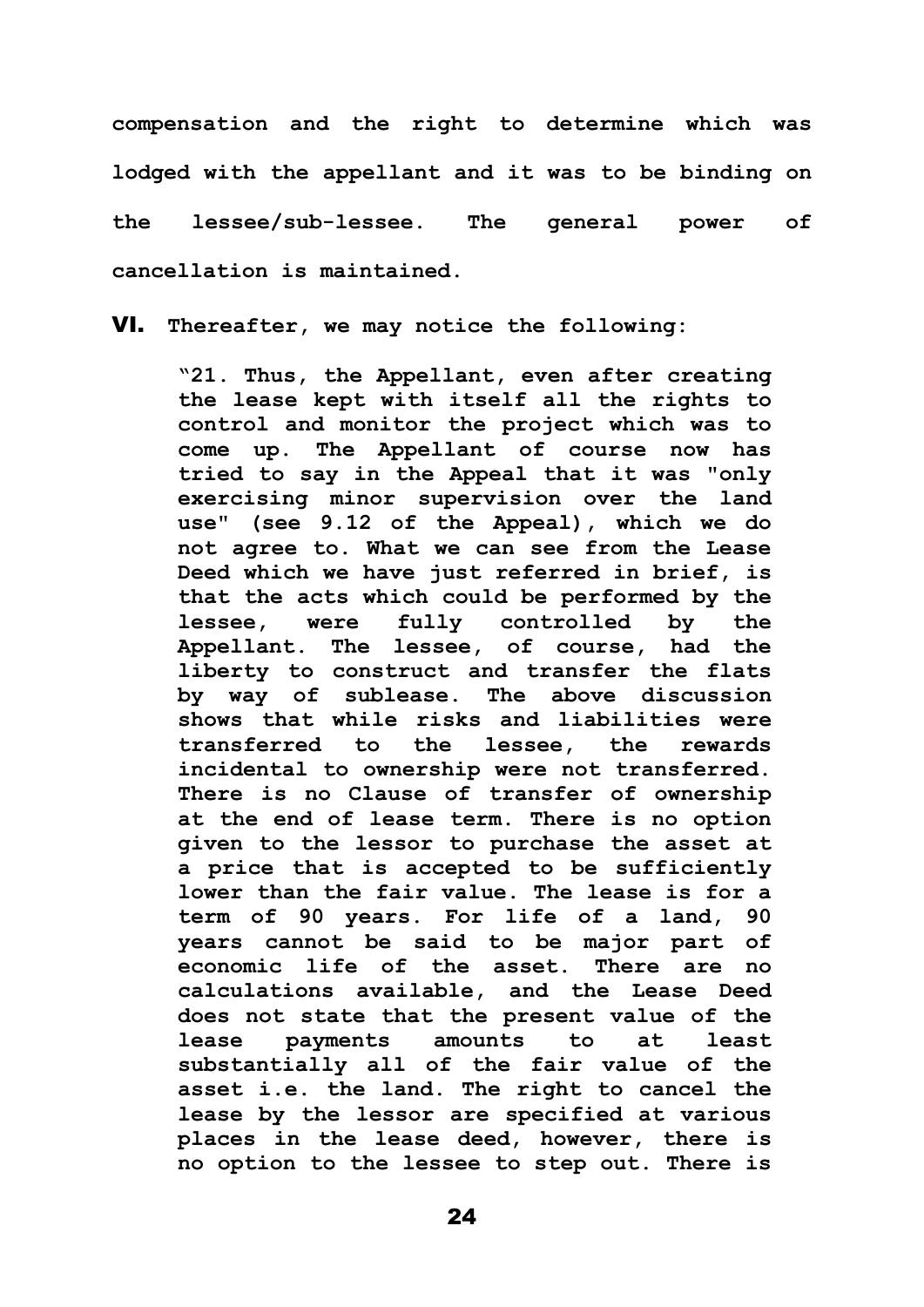**compensation and the right to determine which was lodged with the appellant and it was to be binding on the lessee/sub-lessee. The general power of cancellation is maintained.** 

VI. **Thereafter, we may notice the following:**

**"21. Thus, the Appellant, even after creating the lease kept with itself all the rights to control and monitor the project which was to come up. The Appellant of course now has tried to say in the Appeal that it was "only exercising minor supervision over the land use" (see 9.12 of the Appeal), which we do not agree to. What we can see from the Lease Deed which we have just referred in brief, is that the acts which could be performed by the lessee, were fully controlled by the Appellant. The lessee, of course, had the liberty to construct and transfer the flats by way of sublease. The above discussion shows that while risks and liabilities were transferred to the lessee, the rewards incidental to ownership were not transferred. There is no Clause of transfer of ownership at the end of lease term. There is no option given to the lessor to purchase the asset at a price that is accepted to be sufficiently lower than the fair value. The lease is for a term of 90 years. For life of a land, 90 years cannot be said to be major part of economic life of the asset. There are no calculations available, and the Lease Deed does not state that the present value of the lease payments amounts to at least substantially all of the fair value of the asset i.e. the land. The right to cancel the lease by the lessor are specified at various places in the lease deed, however, there is no option to the lessee to step out. There is**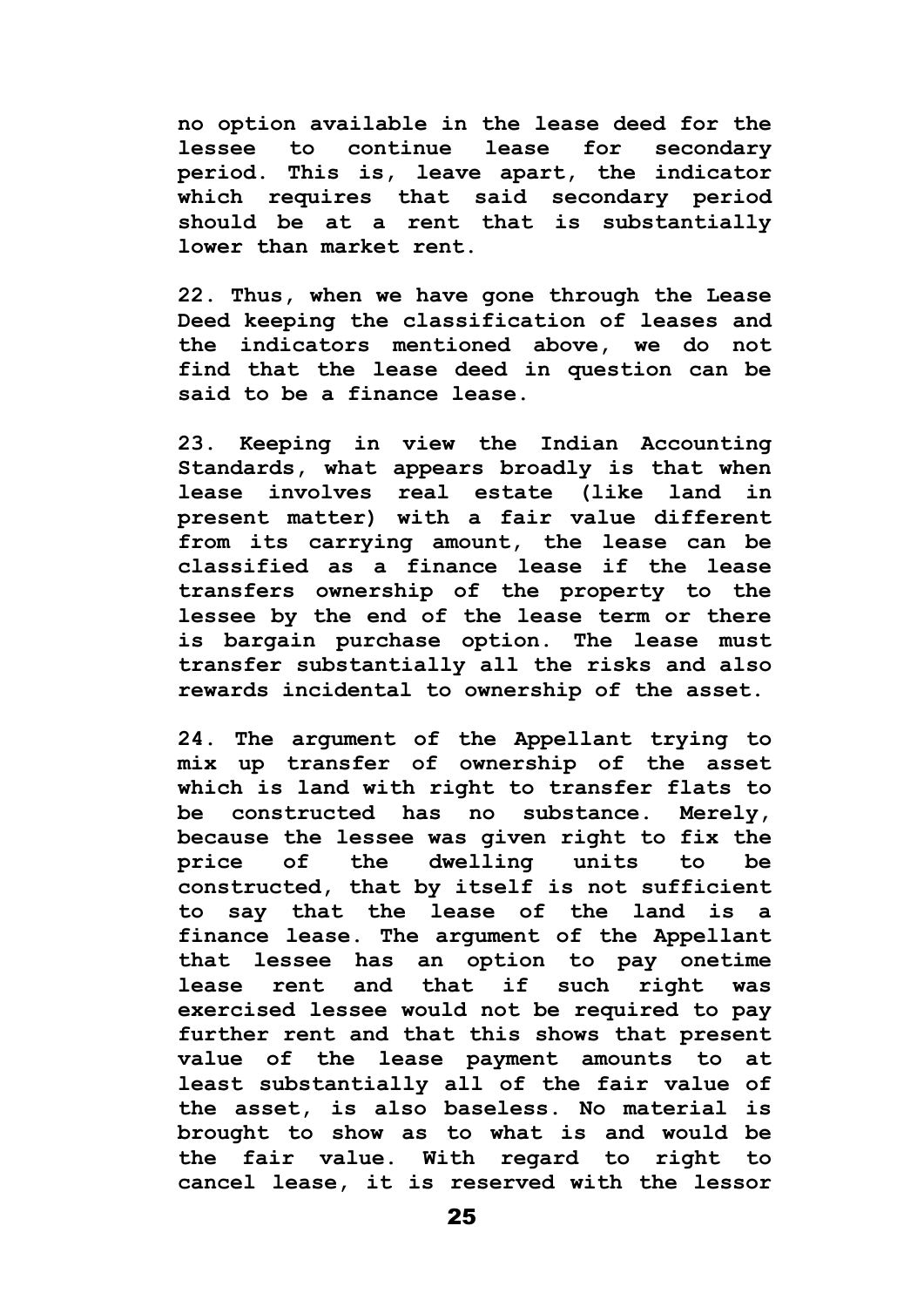**no option available in the lease deed for the lessee to continue lease for secondary period. This is, leave apart, the indicator which requires that said secondary period should be at a rent that is substantially lower than market rent.**

**22. Thus, when we have gone through the Lease Deed keeping the classification of leases and the indicators mentioned above, we do not find that the lease deed in question can be said to be a finance lease.** 

**23. Keeping in view the Indian Accounting Standards, what appears broadly is that when lease involves real estate (like land in present matter) with a fair value different from its carrying amount, the lease can be classified as a finance lease if the lease transfers ownership of the property to the lessee by the end of the lease term or there is bargain purchase option. The lease must transfer substantially all the risks and also rewards incidental to ownership of the asset.**

**24. The argument of the Appellant trying to mix up transfer of ownership of the asset which is land with right to transfer flats to be constructed has no substance. Merely, because the lessee was given right to fix the price of the dwelling units to be constructed, that by itself is not sufficient to say that the lease of the land is a finance lease. The argument of the Appellant that lessee has an option to pay onetime lease rent and that if such right was exercised lessee would not be required to pay further rent and that this shows that present value of the lease payment amounts to at least substantially all of the fair value of the asset, is also baseless. No material is brought to show as to what is and would be the fair value. With regard to right to cancel lease, it is reserved with the lessor**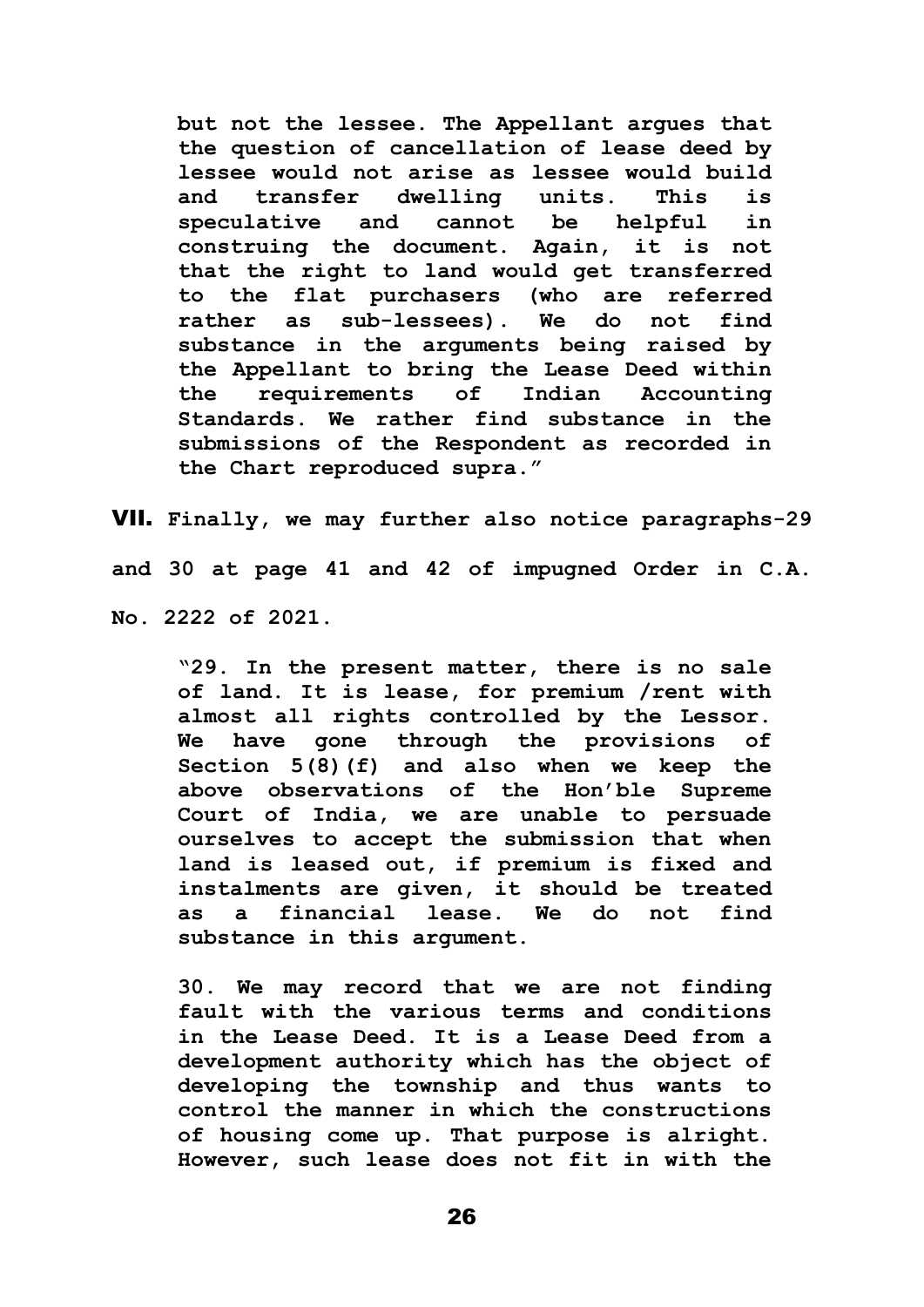**but not the lessee. The Appellant argues that the question of cancellation of lease deed by lessee would not arise as lessee would build and transfer dwelling units. This is speculative and cannot be helpful in construing the document. Again, it is not that the right to land would get transferred to the flat purchasers (who are referred rather as sub-lessees). We do not find substance in the arguments being raised by the Appellant to bring the Lease Deed within the requirements of Indian Accounting Standards. We rather find substance in the submissions of the Respondent as recorded in the Chart reproduced supra."**

VII. **Finally, we may further also notice paragraphs-29 and 30 at page 41 and 42 of impugned Order in C.A. No. 2222 of 2021.**

**"29. In the present matter, there is no sale of land. It is lease, for premium /rent with almost all rights controlled by the Lessor. We have gone through the provisions of Section 5(8)(f) and also when we keep the above observations of the Hon'ble Supreme Court of India, we are unable to persuade ourselves to accept the submission that when land is leased out, if premium is fixed and instalments are given, it should be treated as a financial lease. We do not find substance in this argument.**

**30. We may record that we are not finding fault with the various terms and conditions in the Lease Deed. It is a Lease Deed from a development authority which has the object of developing the township and thus wants to control the manner in which the constructions of housing come up. That purpose is alright. However, such lease does not fit in with the**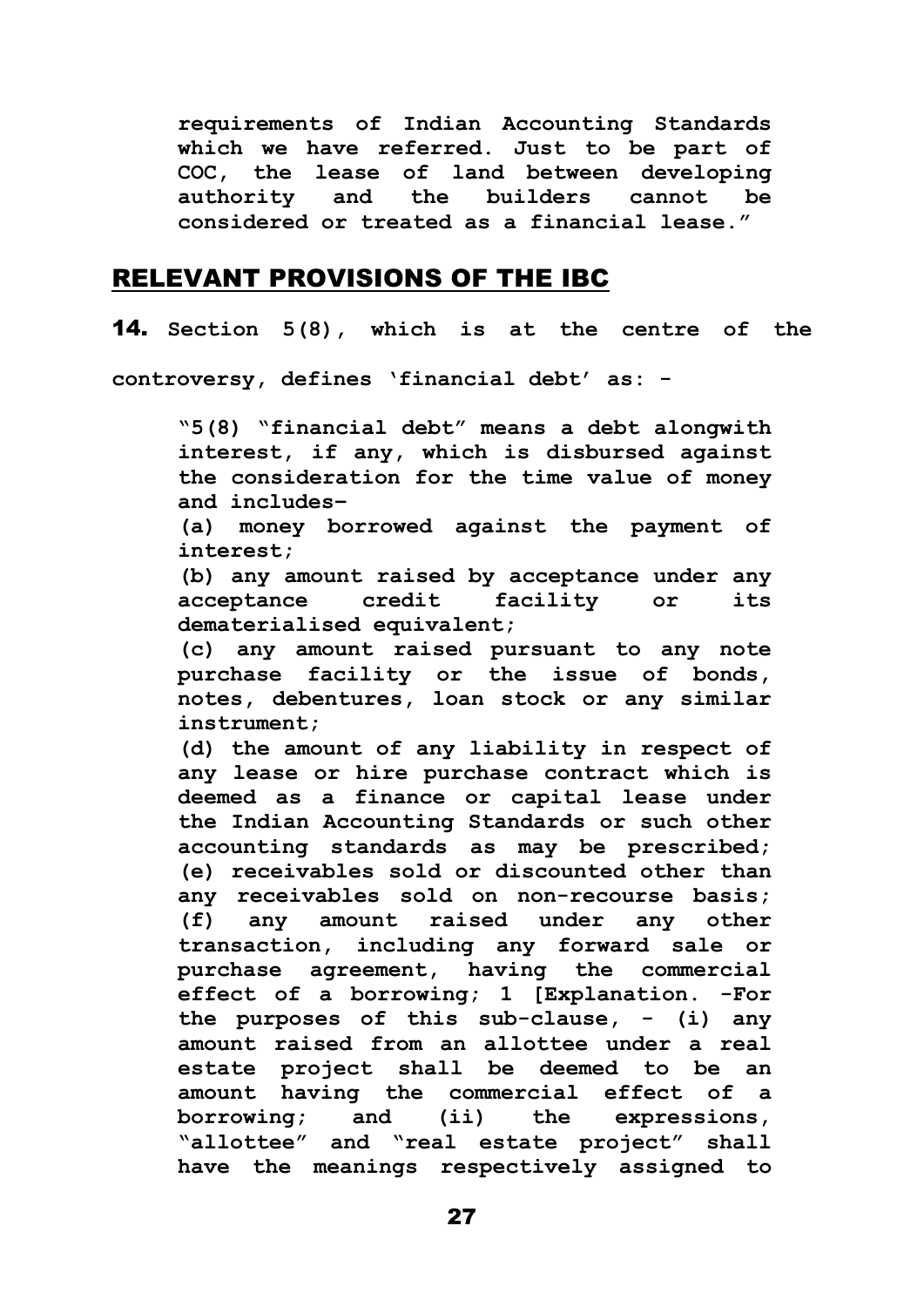**requirements of Indian Accounting Standards which we have referred. Just to be part of COC, the lease of land between developing authority and the builders cannot be considered or treated as a financial lease."**

## RELEVANT PROVISIONS OF THE IBC

14. **Section 5(8), which is at the centre of the** 

**controversy, defines 'financial debt' as: -**

**"5(8) "financial debt" means a debt alongwith interest, if any, which is disbursed against the consideration for the time value of money and includes–**

**(a) money borrowed against the payment of interest;** 

**(b) any amount raised by acceptance under any acceptance credit facility or its dematerialised equivalent;** 

**(c) any amount raised pursuant to any note purchase facility or the issue of bonds, notes, debentures, loan stock or any similar instrument;** 

**(d) the amount of any liability in respect of any lease or hire purchase contract which is deemed as a finance or capital lease under the Indian Accounting Standards or such other accounting standards as may be prescribed; (e) receivables sold or discounted other than any receivables sold on non-recourse basis; (f) any amount raised under any other transaction, including any forward sale or purchase agreement, having the commercial effect of a borrowing; 1 [Explanation. -For the purposes of this sub-clause, - (i) any amount raised from an allottee under a real estate project shall be deemed to be an amount having the commercial effect of a borrowing; and (ii) the expressions, "allottee" and "real estate project" shall have the meanings respectively assigned to**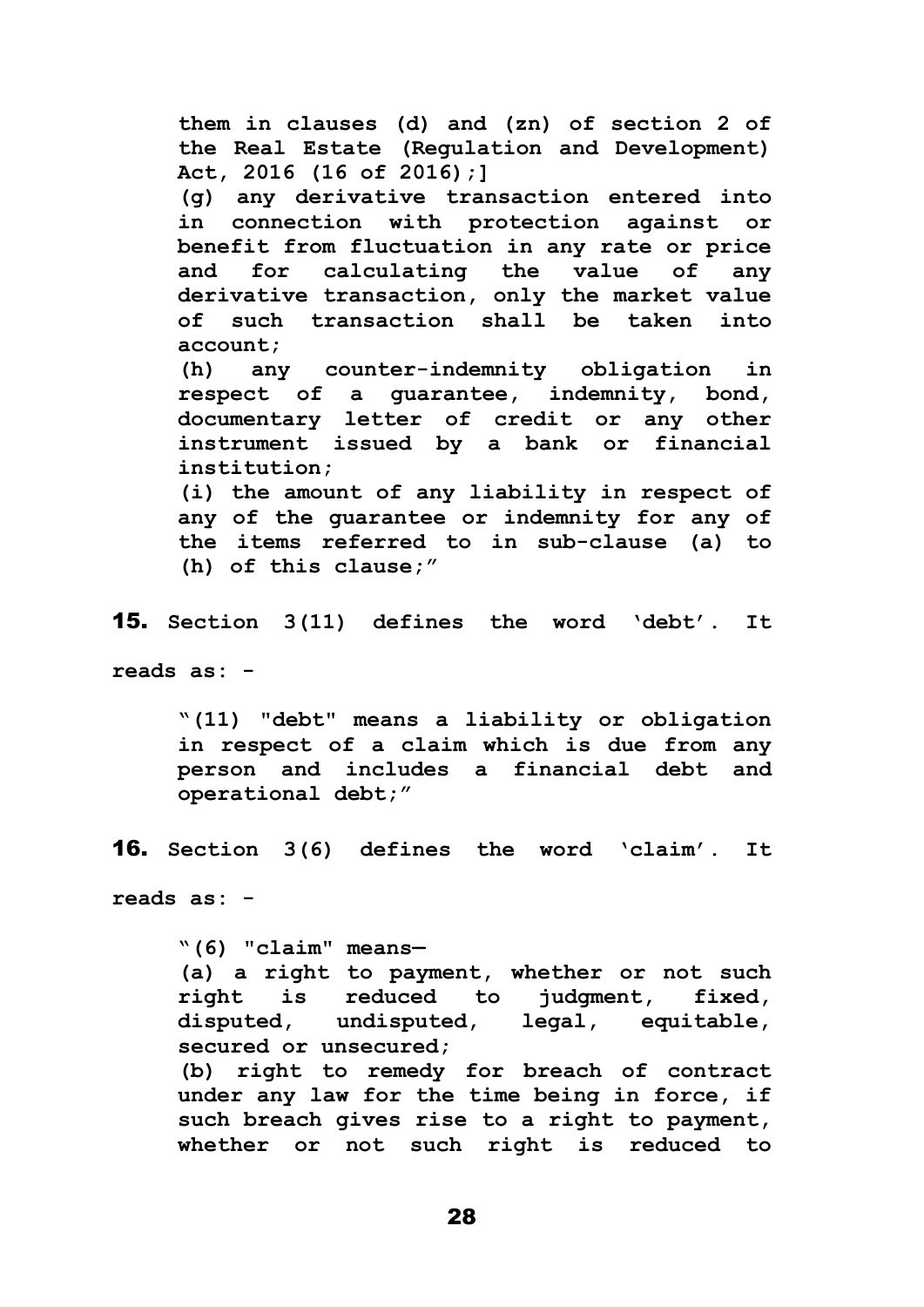**them in clauses (d) and (zn) of section 2 of the Real Estate (Regulation and Development) Act, 2016 (16 of 2016);] (g) any derivative transaction entered into in connection with protection against or benefit from fluctuation in any rate or price and for calculating the value of any derivative transaction, only the market value of such transaction shall be taken into account; (h) any counter-indemnity obligation in respect of a guarantee, indemnity, bond, documentary letter of credit or any other instrument issued by a bank or financial institution; (i) the amount of any liability in respect of any of the guarantee or indemnity for any of the items referred to in sub-clause (a) to** 

**(h) of this clause;"**

15. **Section 3(11) defines the word 'debt'. It** 

**reads as: -**

**"(11) "debt" means a liability or obligation in respect of a claim which is due from any person and includes a financial debt and operational debt;"**

16. **Section 3(6) defines the word 'claim'. It** 

**reads as: -**

**"(6) "claim" means— (a) a right to payment, whether or not such right is reduced to judgment, fixed, disputed, undisputed, legal, equitable, secured or unsecured; (b) right to remedy for breach of contract under any law for the time being in force, if such breach gives rise to a right to payment, whether or not such right is reduced to**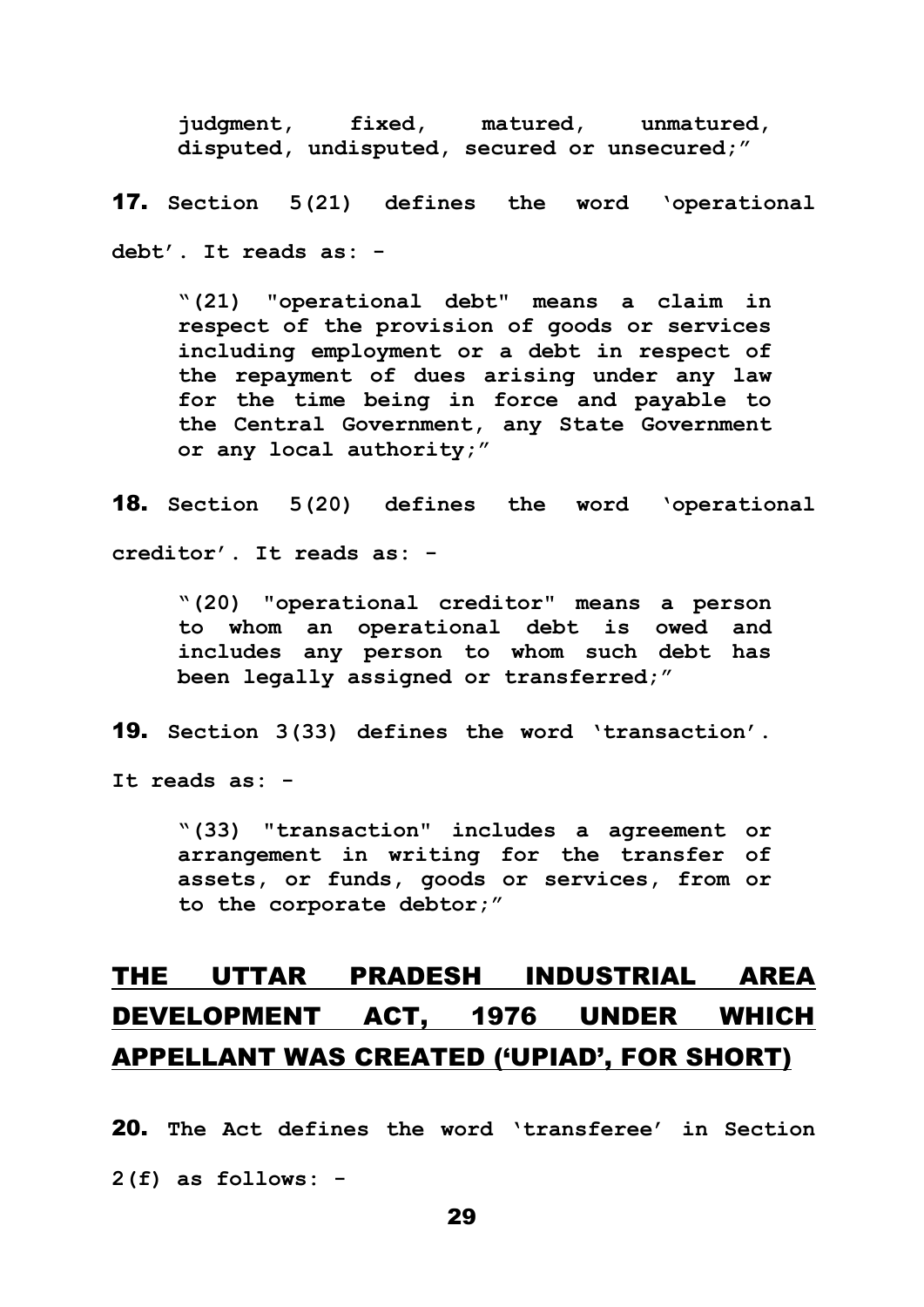**judgment, fixed, matured, unmatured, disputed, undisputed, secured or unsecured;"**

17. **Section 5(21) defines the word 'operational debt'. It reads as: -**

**"(21) "operational debt" means a claim in respect of the provision of goods or services including employment or a debt in respect of the repayment of dues arising under any law for the time being in force and payable to the Central Government, any State Government or any local authority;"**

18. **Section 5(20) defines the word 'operational creditor'. It reads as: -**

**"(20) "operational creditor" means a person to whom an operational debt is owed and includes any person to whom such debt has been legally assigned or transferred;"**

19. **Section 3(33) defines the word 'transaction'.** 

**It reads as: -**

**"(33) "transaction" includes a agreement or arrangement in writing for the transfer of assets, or funds, goods or services, from or to the corporate debtor;"**

# THE UTTAR PRADESH INDUSTRIAL AREA DEVELOPMENT ACT, 1976 UNDER WHICH APPELLANT WAS CREATED ('UPIAD', FOR SHORT)

20. **The Act defines the word 'transferee' in Section 2(f) as follows: -**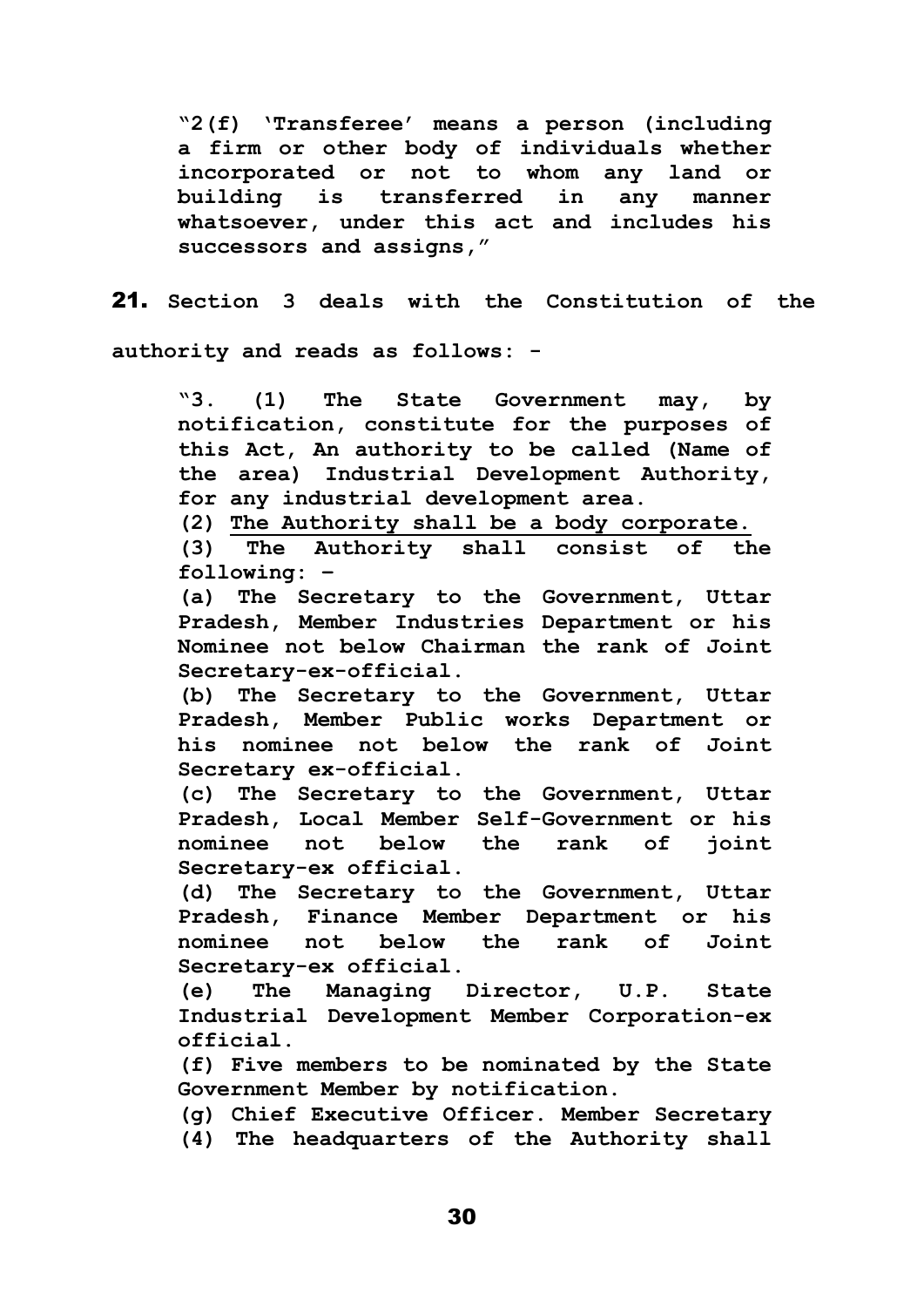**"2(f) 'Transferee' means a person (including a firm or other body of individuals whether incorporated or not to whom any land or building is transferred in any manner whatsoever, under this act and includes his successors and assigns,"**

21. **Section 3 deals with the Constitution of the authority and reads as follows: -**

**"3. (1) The State Government may, by notification, constitute for the purposes of this Act, An authority to be called (Name of the area) Industrial Development Authority, for any industrial development area.** 

**(2) The Authority shall be a body corporate.**

**(3) The Authority shall consist of the following: –**

**(a) The Secretary to the Government, Uttar Pradesh, Member Industries Department or his Nominee not below Chairman the rank of Joint Secretary-ex-official.** 

**(b) The Secretary to the Government, Uttar Pradesh, Member Public works Department or his nominee not below the rank of Joint Secretary ex-official.** 

**(c) The Secretary to the Government, Uttar Pradesh, Local Member Self-Government or his nominee not below the rank of joint Secretary-ex official.** 

**(d) The Secretary to the Government, Uttar Pradesh, Finance Member Department or his nominee not below the rank of Joint Secretary-ex official.** 

**(e) The Managing Director, U.P. State Industrial Development Member Corporation-ex official.** 

**(f) Five members to be nominated by the State Government Member by notification.** 

**(g) Chief Executive Officer. Member Secretary** 

**(4) The headquarters of the Authority shall**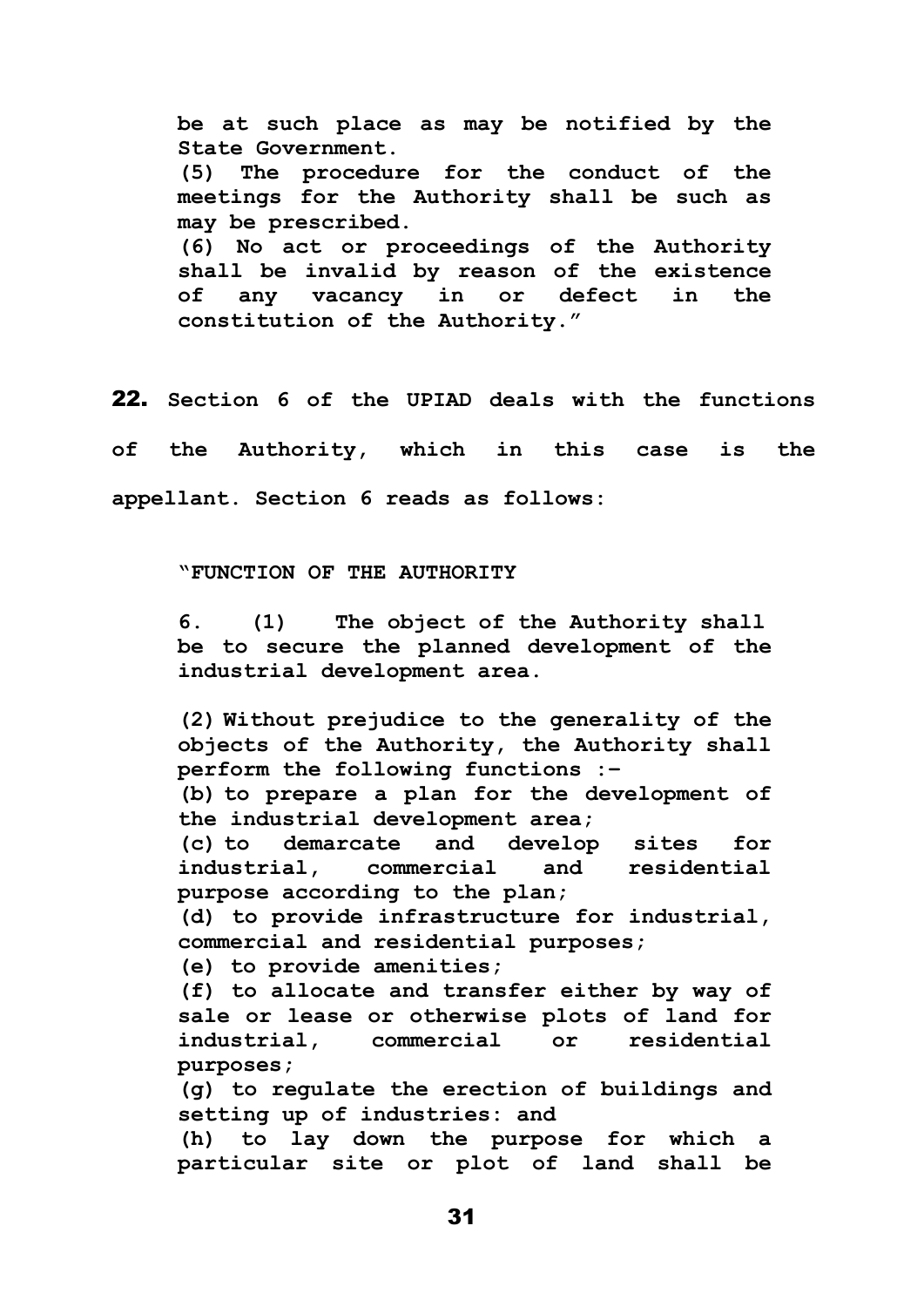**be at such place as may be notified by the State Government. (5) The procedure for the conduct of the meetings for the Authority shall be such as may be prescribed. (6) No act or proceedings of the Authority shall be invalid by reason of the existence of any vacancy in or defect in the constitution of the Authority."**

22. **Section 6 of the UPIAD deals with the functions of the Authority, which in this case is the appellant. Section 6 reads as follows:**

#### **"FUNCTION OF THE AUTHORITY**

**6. (1) The object of the Authority shall be to secure the planned development of the industrial development area.**

**(2) Without prejudice to the generality of the objects of the Authority, the Authority shall perform the following functions :–**

**(b) to prepare a plan for the development of the industrial development area;**

**(c) to demarcate and develop sites for industrial, commercial and residential purpose according to the plan;**

**(d) to provide infrastructure for industrial, commercial and residential purposes;**

**(e) to provide amenities;**

**(f) to allocate and transfer either by way of sale or lease or otherwise plots of land for industrial, commercial or residential purposes;**

**(g) to regulate the erection of buildings and setting up of industries: and**

**(h) to lay down the purpose for which a particular site or plot of land shall be**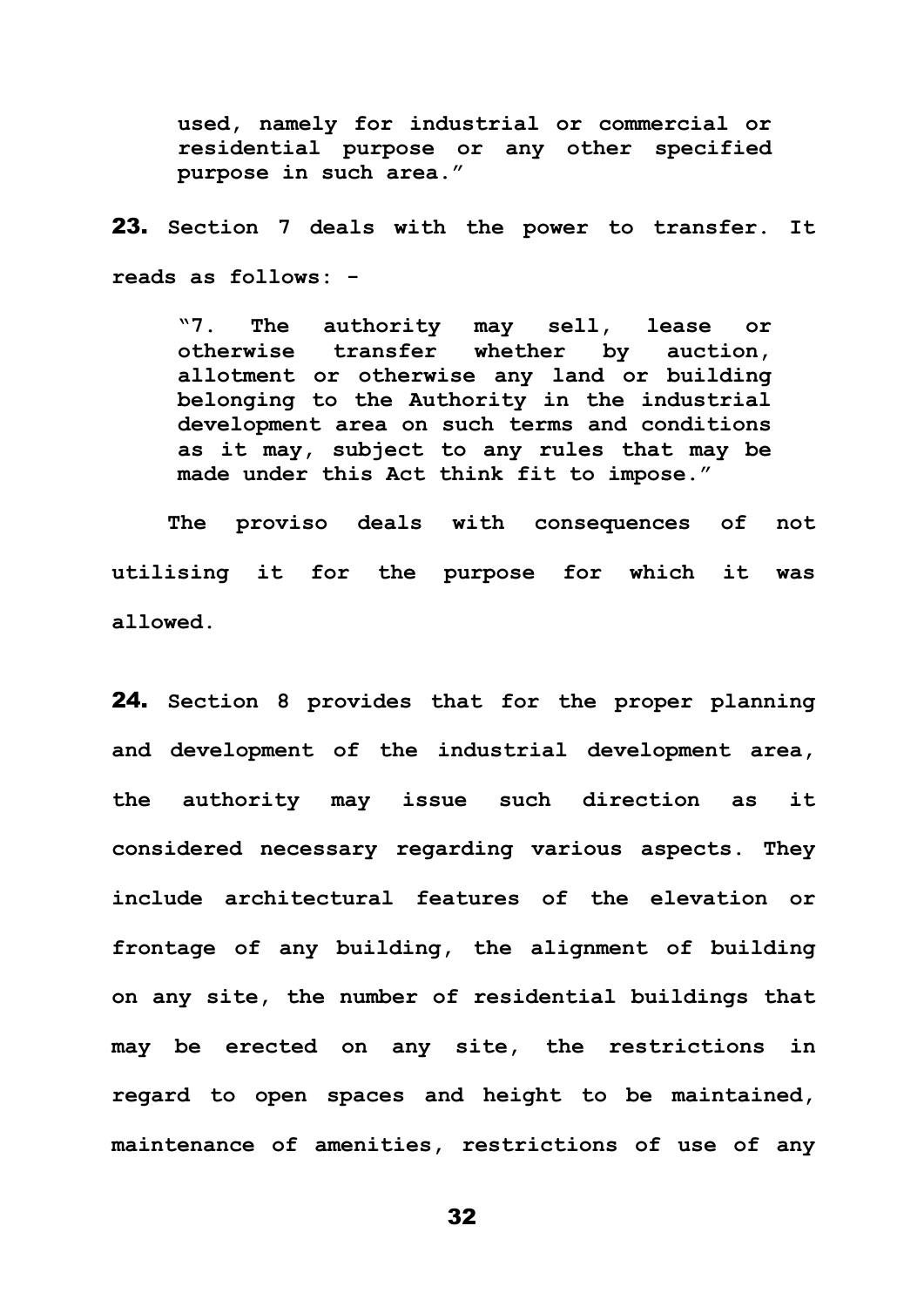**used, namely for industrial or commercial or residential purpose or any other specified purpose in such area."** 

23. **Section 7 deals with the power to transfer. It reads as follows: -**

**"7. The authority may sell, lease or otherwise transfer whether by auction, allotment or otherwise any land or building belonging to the Authority in the industrial development area on such terms and conditions as it may, subject to any rules that may be made under this Act think fit to impose."**

**The proviso deals with consequences of not utilising it for the purpose for which it was allowed.**

24. **Section 8 provides that for the proper planning and development of the industrial development area, the authority may issue such direction as it considered necessary regarding various aspects. They include architectural features of the elevation or frontage of any building, the alignment of building on any site, the number of residential buildings that may be erected on any site, the restrictions in regard to open spaces and height to be maintained, maintenance of amenities, restrictions of use of any**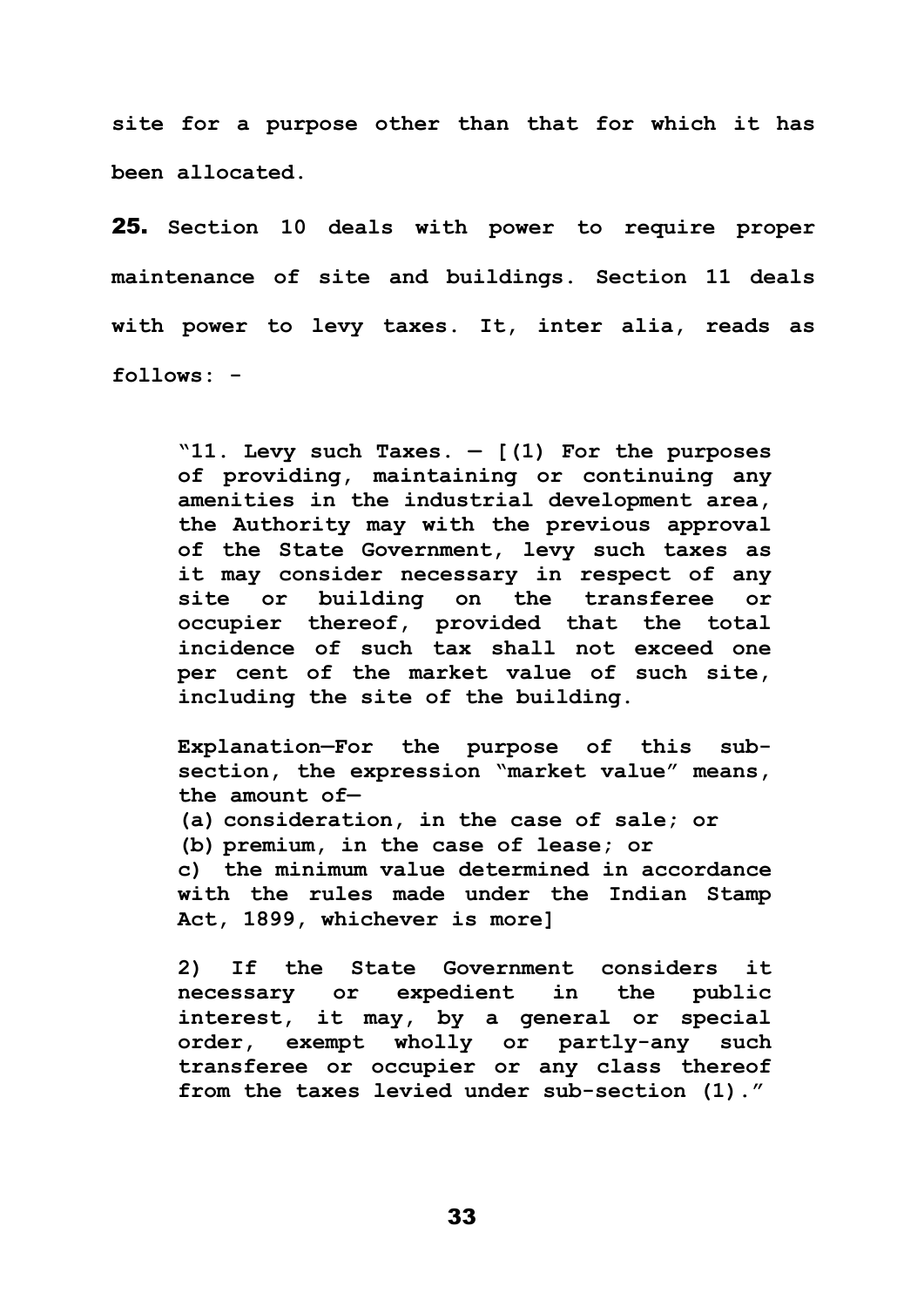**site for a purpose other than that for which it has been allocated.**

25. **Section 10 deals with power to require proper maintenance of site and buildings. Section 11 deals with power to levy taxes. It, inter alia, reads as follows: -**

**"11. Levy such Taxes. — [(1) For the purposes of providing, maintaining or continuing any amenities in the industrial development area, the Authority may with the previous approval of the State Government, levy such taxes as it may consider necessary in respect of any site or building on the transferee or occupier thereof, provided that the total incidence of such tax shall not exceed one per cent of the market value of such site, including the site of the building.**

**Explanation—For the purpose of this subsection, the expression "market value" means, the amount of— (a) consideration, in the case of sale; or (b) premium, in the case of lease; or c) the minimum value determined in accordance with the rules made under the Indian Stamp Act, 1899, whichever is more]** 

**2) If the State Government considers it necessary or expedient in the public interest, it may, by a general or special order, exempt wholly or partly-any such transferee or occupier or any class thereof from the taxes levied under sub-section (1)."**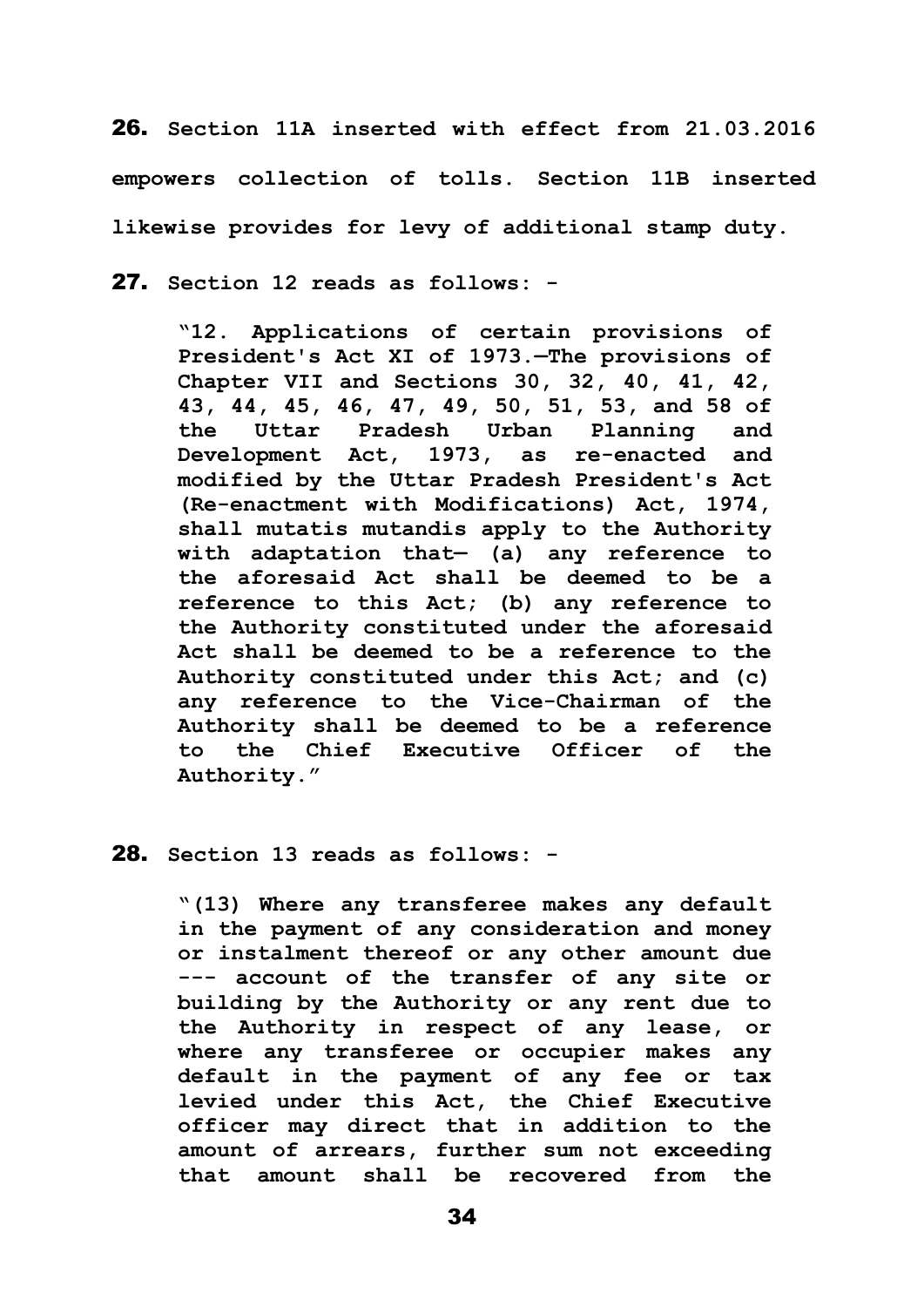26. **Section 11A inserted with effect from 21.03.2016 empowers collection of tolls. Section 11B inserted likewise provides for levy of additional stamp duty.**

27. **Section 12 reads as follows: -**

**"12. Applications of certain provisions of President's Act XI of 1973.—The provisions of Chapter VII and Sections 30, 32, 40, 41, 42, 43, 44, 45, 46, 47, 49, 50, 51, 53, and 58 of the Uttar Pradesh Urban Planning and Development Act, 1973, as re-enacted and modified by the Uttar Pradesh President's Act (Re-enactment with Modifications) Act, 1974, shall mutatis mutandis apply to the Authority with adaptation that— (a) any reference to the aforesaid Act shall be deemed to be a reference to this Act; (b) any reference to the Authority constituted under the aforesaid Act shall be deemed to be a reference to the Authority constituted under this Act; and (c) any reference to the Vice-Chairman of the Authority shall be deemed to be a reference to the Chief Executive Officer of the Authority."**

#### 28. **Section 13 reads as follows: -**

**"(13) Where any transferee makes any default in the payment of any consideration and money or instalment thereof or any other amount due --- account of the transfer of any site or building by the Authority or any rent due to the Authority in respect of any lease, or where any transferee or occupier makes any default in the payment of any fee or tax levied under this Act, the Chief Executive officer may direct that in addition to the amount of arrears, further sum not exceeding that amount shall be recovered from the**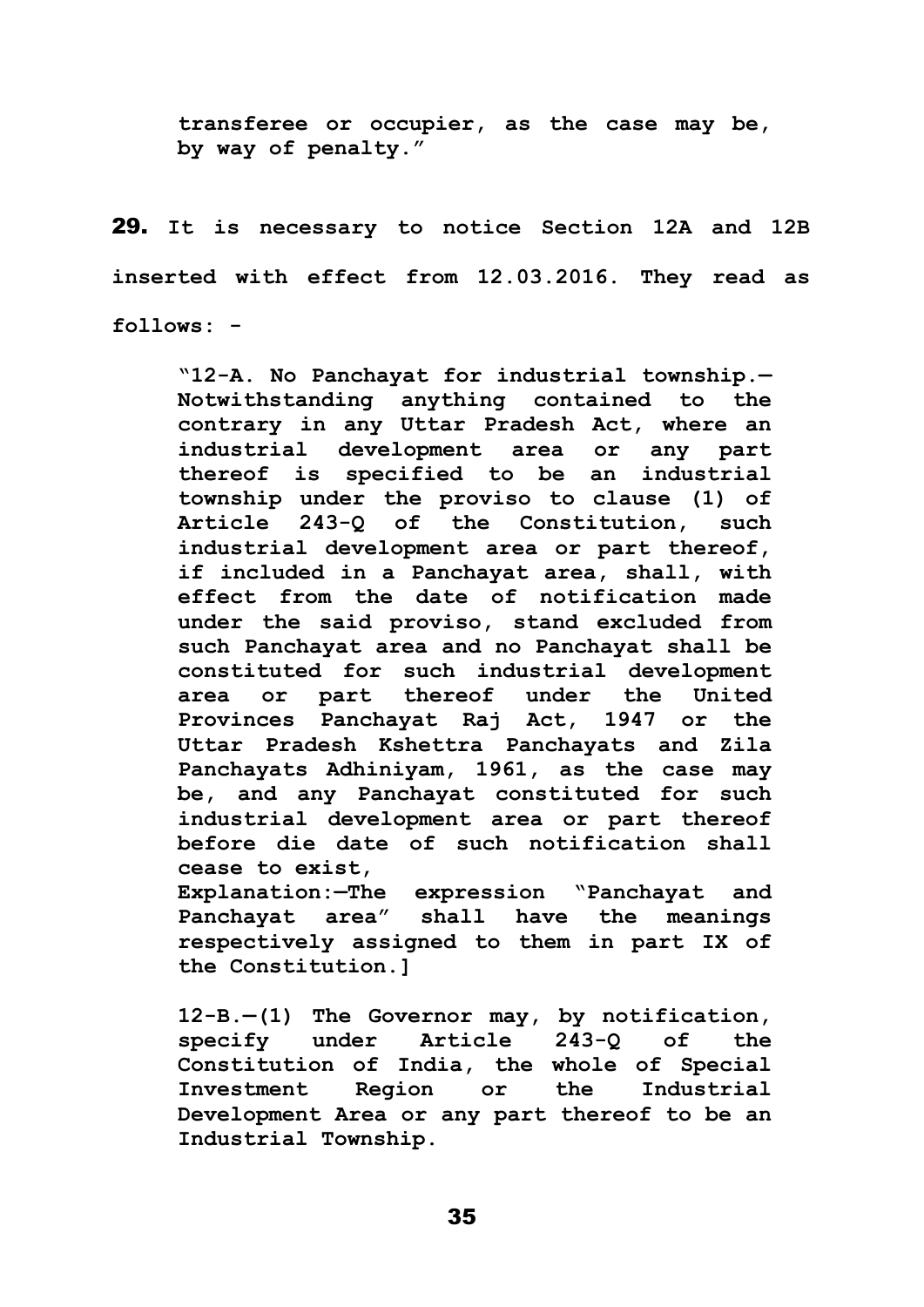**transferee or occupier, as the case may be, by way of penalty."**

29. **It is necessary to notice Section 12A and 12B inserted with effect from 12.03.2016. They read as follows: -**

**"12-A. No Panchayat for industrial township.— Notwithstanding anything contained to the contrary in any Uttar Pradesh Act, where an industrial development area or any part thereof is specified to be an industrial township under the proviso to clause (1) of Article 243-Q of the Constitution, such industrial development area or part thereof, if included in a Panchayat area, shall, with effect from the date of notification made under the said proviso, stand excluded from such Panchayat area and no Panchayat shall be constituted for such industrial development area or part thereof under the United Provinces Panchayat Raj Act, 1947 or the Uttar Pradesh Kshettra Panchayats and Zila Panchayats Adhiniyam, 1961, as the case may be, and any Panchayat constituted for such industrial development area or part thereof before die date of such notification shall cease to exist, Explanation:—The expression "Panchayat and** 

**Panchayat area" shall have the meanings respectively assigned to them in part IX of the Constitution.]**

**12-B.—(1) The Governor may, by notification, specify under Article 243-Q of the Constitution of India, the whole of Special Investment Region or the Industrial Development Area or any part thereof to be an Industrial Township.**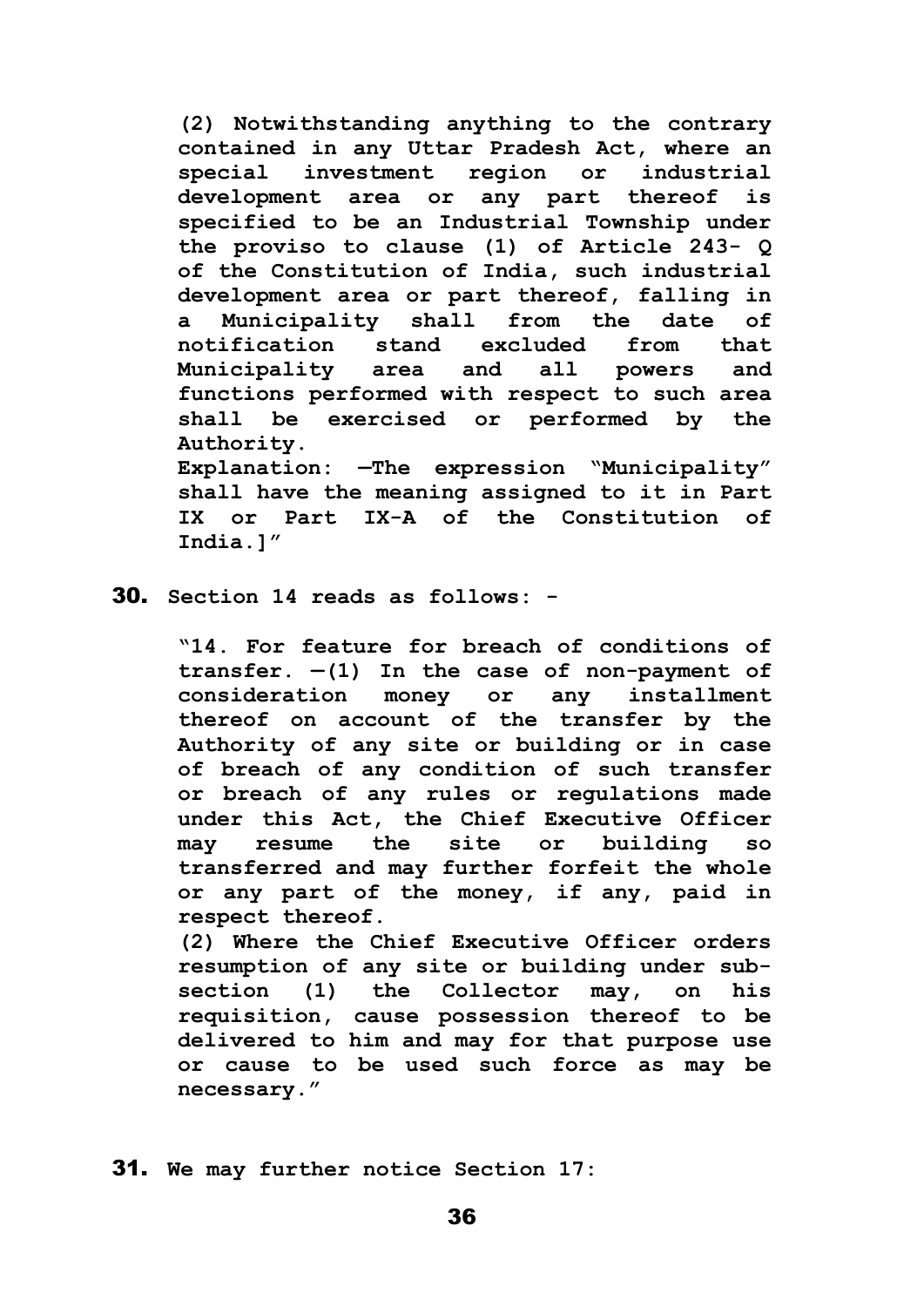**(2) Notwithstanding anything to the contrary contained in any Uttar Pradesh Act, where an special investment region or industrial development area or any part thereof is specified to be an Industrial Township under the proviso to clause (1) of Article 243- Q of the Constitution of India, such industrial development area or part thereof, falling in a Municipality shall from the date of notification stand excluded from that Municipality area and all powers and functions performed with respect to such area shall be exercised or performed by the Authority. Explanation: —The expression "Municipality" shall have the meaning assigned to it in Part IX or Part IX-A of the Constitution of India.]"**

30. **Section 14 reads as follows: -**

**"14. For feature for breach of conditions of**   $transfer.  $-(1)$  In the case of non-payment of$ **consideration money or any installment thereof on account of the transfer by the Authority of any site or building or in case of breach of any condition of such transfer or breach of any rules or regulations made under this Act, the Chief Executive Officer may resume the site or building so transferred and may further forfeit the whole or any part of the money, if any, paid in respect thereof.**

**(2) Where the Chief Executive Officer orders resumption of any site or building under subsection (1) the Collector may, on his requisition, cause possession thereof to be delivered to him and may for that purpose use or cause to be used such force as may be necessary."**

31. **We may further notice Section 17:**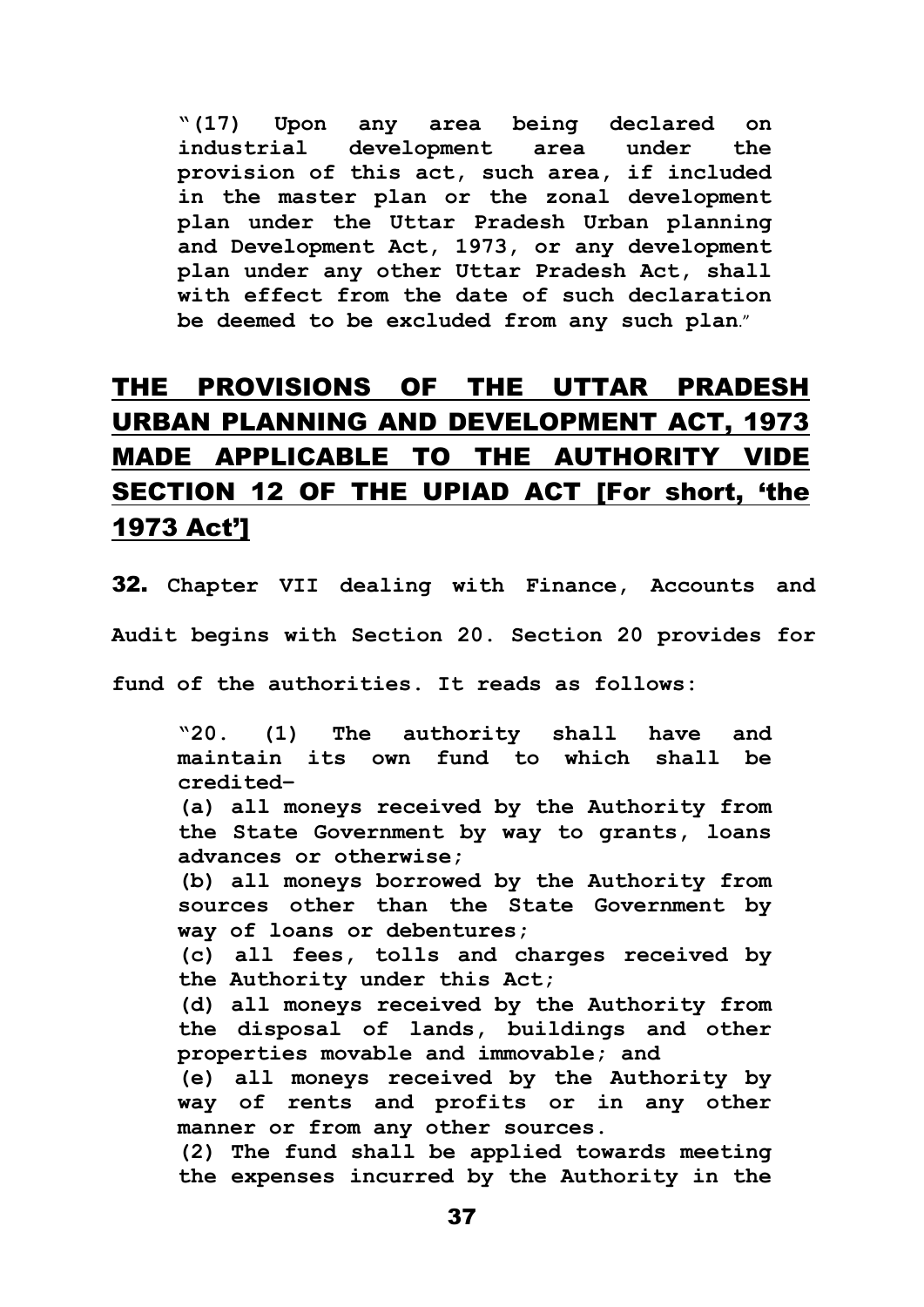**"(17) Upon any area being declared on industrial development area under the provision of this act, such area, if included in the master plan or the zonal development plan under the Uttar Pradesh Urban planning and Development Act, 1973, or any development plan under any other Uttar Pradesh Act, shall with effect from the date of such declaration be deemed to be excluded from any such plan**."

# THE PROVISIONS OF THE UTTAR PRADESH URBAN PLANNING AND DEVELOPMENT ACT, 1973 MADE APPLICABLE TO THE AUTHORITY VIDE SECTION 12 OF THE UPIAD ACT [For short, 'the 1973 Act']

32. **Chapter VII dealing with Finance, Accounts and Audit begins with Section 20. Section 20 provides for fund of the authorities. It reads as follows:** 

**"20. (1) The authority shall have and maintain its own fund to which shall be credited–**

**(a) all moneys received by the Authority from the State Government by way to grants, loans advances or otherwise;** 

**(b) all moneys borrowed by the Authority from sources other than the State Government by way of loans or debentures;** 

**(c) all fees, tolls and charges received by the Authority under this Act;** 

**(d) all moneys received by the Authority from the disposal of lands, buildings and other properties movable and immovable; and** 

**(e) all moneys received by the Authority by way of rents and profits or in any other manner or from any other sources.**

**(2) The fund shall be applied towards meeting the expenses incurred by the Authority in the**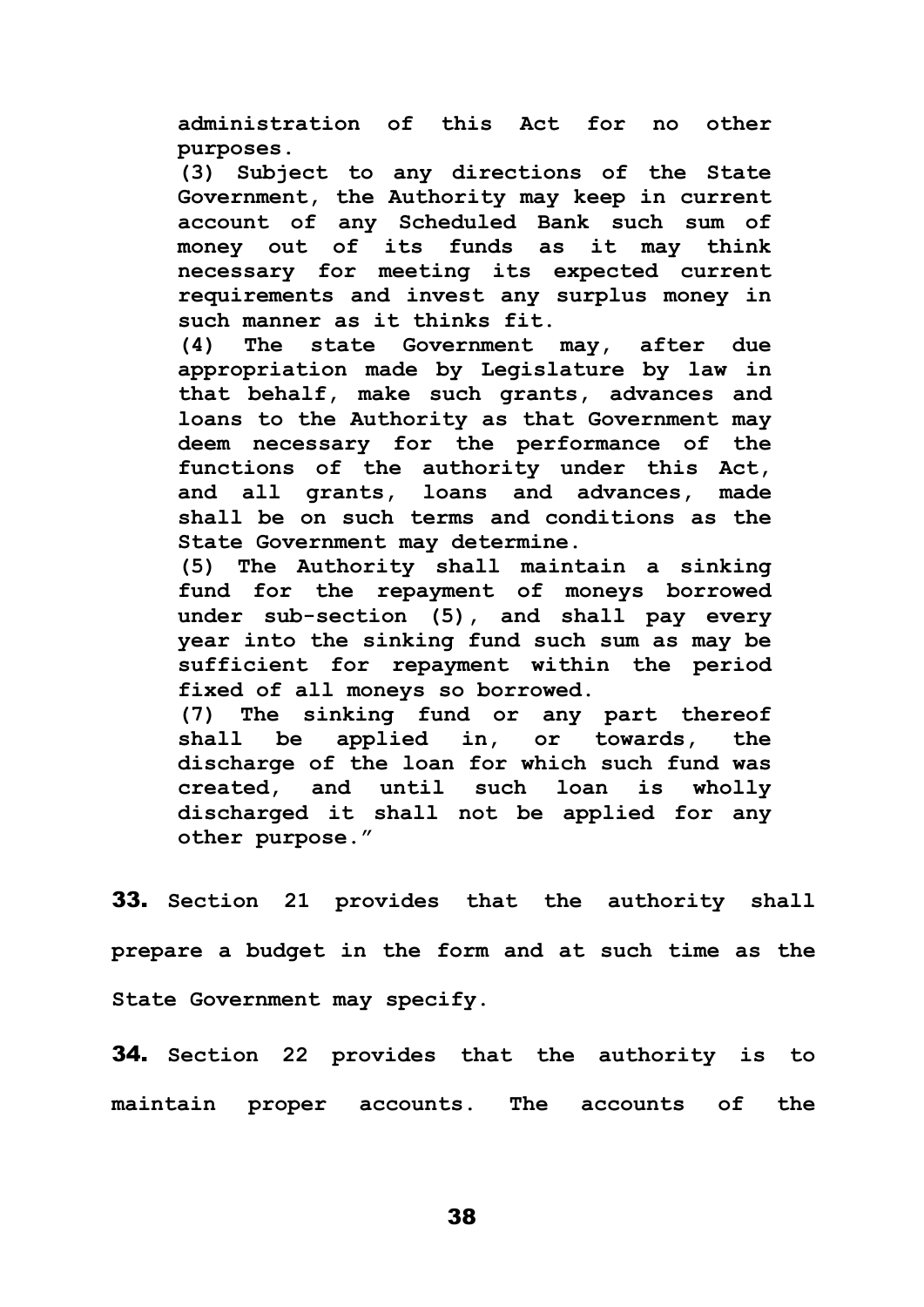**administration of this Act for no other purposes.** 

**(3) Subject to any directions of the State Government, the Authority may keep in current account of any Scheduled Bank such sum of money out of its funds as it may think necessary for meeting its expected current requirements and invest any surplus money in such manner as it thinks fit.** 

**(4) The state Government may, after due appropriation made by Legislature by law in that behalf, make such grants, advances and loans to the Authority as that Government may deem necessary for the performance of the functions of the authority under this Act, and all grants, loans and advances, made shall be on such terms and conditions as the State Government may determine.** 

**(5) The Authority shall maintain a sinking fund for the repayment of moneys borrowed under sub-section (5), and shall pay every year into the sinking fund such sum as may be sufficient for repayment within the period fixed of all moneys so borrowed.** 

**(7) The sinking fund or any part thereof shall be applied in, or towards, the discharge of the loan for which such fund was created, and until such loan is wholly discharged it shall not be applied for any other purpose."**

33. **Section 21 provides that the authority shall prepare a budget in the form and at such time as the State Government may specify.** 

34. **Section 22 provides that the authority is to maintain proper accounts. The accounts of the**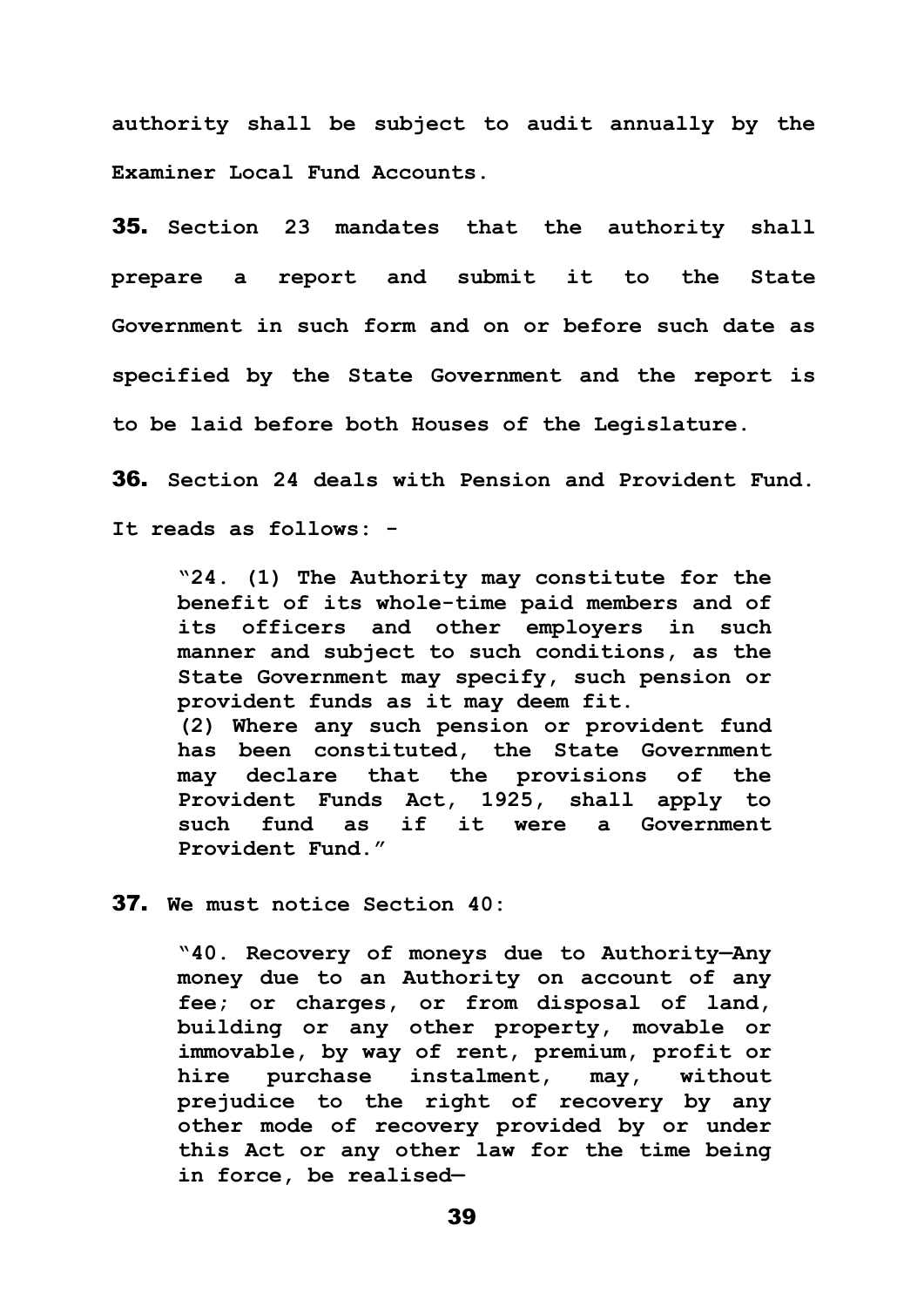**authority shall be subject to audit annually by the Examiner Local Fund Accounts.**

35. **Section 23 mandates that the authority shall prepare a report and submit it to the State Government in such form and on or before such date as specified by the State Government and the report is to be laid before both Houses of the Legislature.** 

36. **Section 24 deals with Pension and Provident Fund. It reads as follows: -**

**"24. (1) The Authority may constitute for the benefit of its whole-time paid members and of its officers and other employers in such manner and subject to such conditions, as the State Government may specify, such pension or provident funds as it may deem fit. (2) Where any such pension or provident fund has been constituted, the State Government may declare that the provisions of the Provident Funds Act, 1925, shall apply to such fund as if it were a Government Provident Fund."**

37. **We must notice Section 40:**

**"40. Recovery of moneys due to Authority—Any money due to an Authority on account of any fee; or charges, or from disposal of land, building or any other property, movable or immovable, by way of rent, premium, profit or hire purchase instalment, may, without prejudice to the right of recovery by any other mode of recovery provided by or under this Act or any other law for the time being in force, be realised—**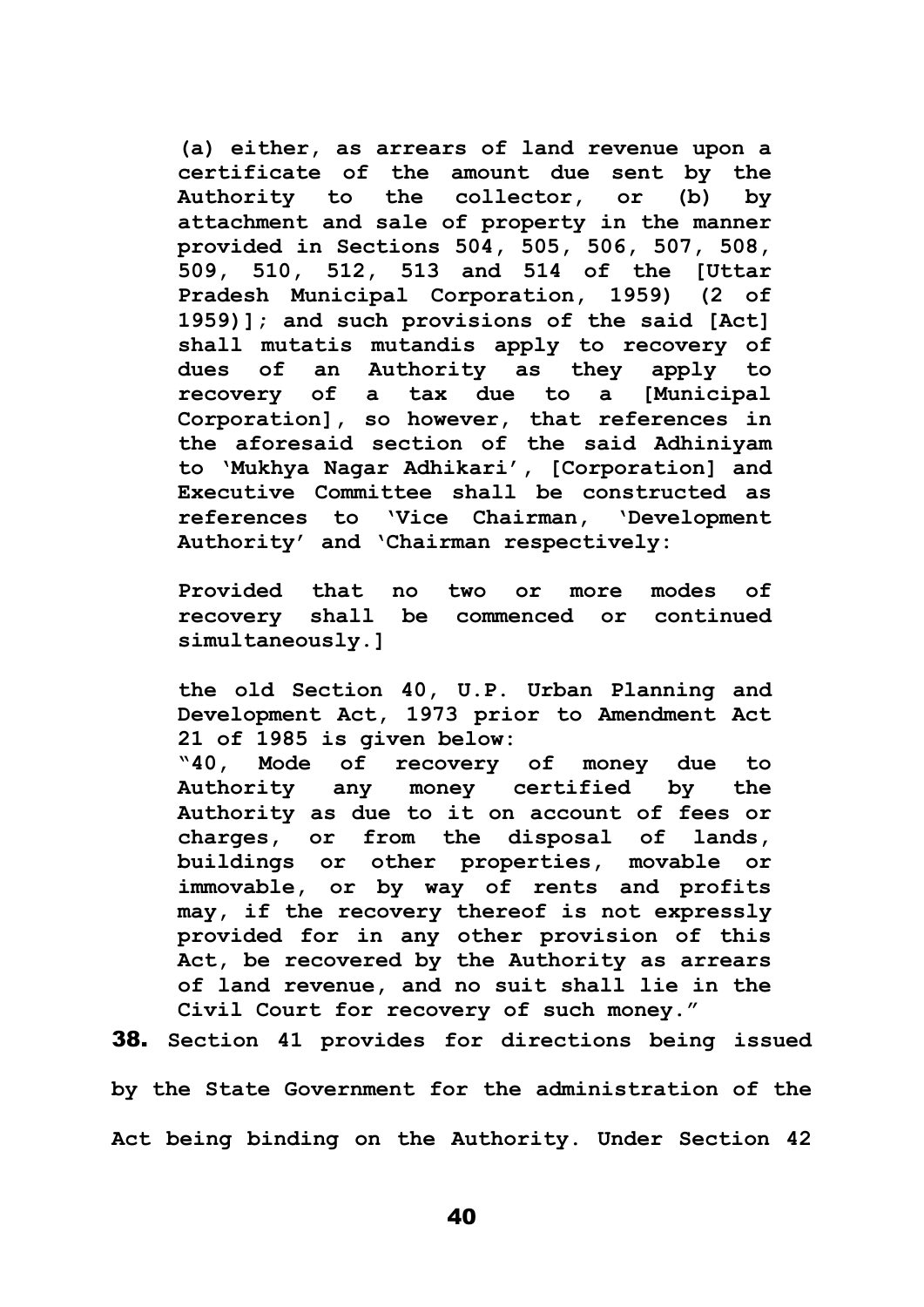**(a) either, as arrears of land revenue upon a certificate of the amount due sent by the Authority to the collector, or (b) by attachment and sale of property in the manner provided in Sections 504, 505, 506, 507, 508, 509, 510, 512, 513 and 514 of the [Uttar Pradesh Municipal Corporation, 1959) (2 of 1959)]; and such provisions of the said [Act] shall mutatis mutandis apply to recovery of dues of an Authority as they apply to recovery of a tax due to a [Municipal Corporation], so however, that references in the aforesaid section of the said Adhiniyam to 'Mukhya Nagar Adhikari', [Corporation] and Executive Committee shall be constructed as references to 'Vice Chairman, 'Development Authority' and 'Chairman respectively:** 

**Provided that no two or more modes of recovery shall be commenced or continued simultaneously.]**

**the old Section 40, U.P. Urban Planning and Development Act, 1973 prior to Amendment Act 21 of 1985 is given below:**

**"40, Mode of recovery of money due to Authority any money certified by the Authority as due to it on account of fees or charges, or from the disposal of lands, buildings or other properties, movable or immovable, or by way of rents and profits may, if the recovery thereof is not expressly provided for in any other provision of this Act, be recovered by the Authority as arrears of land revenue, and no suit shall lie in the Civil Court for recovery of such money."**

38. **Section 41 provides for directions being issued** 

**by the State Government for the administration of the Act being binding on the Authority. Under Section 42**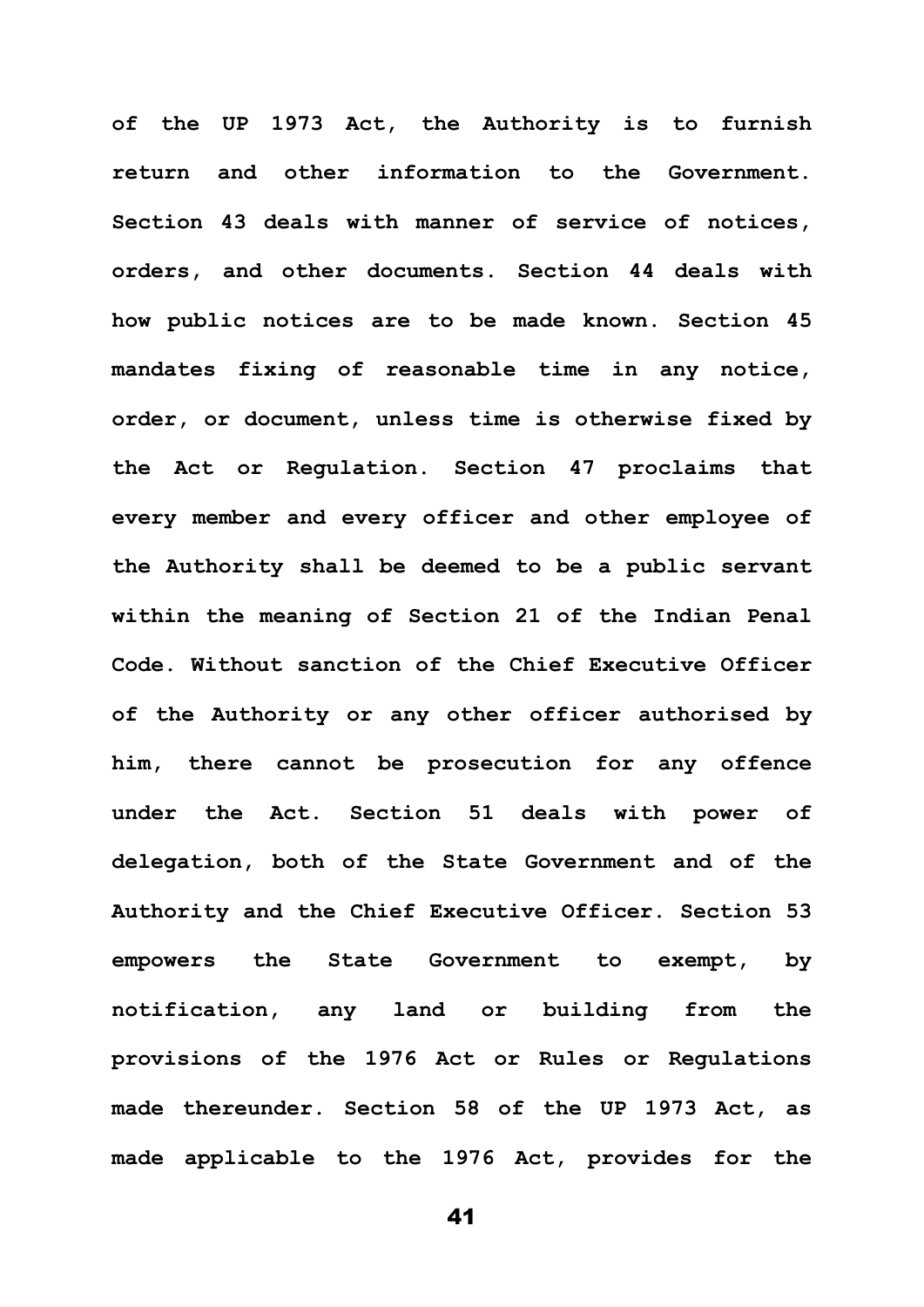**of the UP 1973 Act, the Authority is to furnish return and other information to the Government. Section 43 deals with manner of service of notices, orders, and other documents. Section 44 deals with how public notices are to be made known. Section 45 mandates fixing of reasonable time in any notice, order, or document, unless time is otherwise fixed by the Act or Regulation. Section 47 proclaims that every member and every officer and other employee of the Authority shall be deemed to be a public servant within the meaning of Section 21 of the Indian Penal Code. Without sanction of the Chief Executive Officer of the Authority or any other officer authorised by him, there cannot be prosecution for any offence under the Act. Section 51 deals with power of delegation, both of the State Government and of the Authority and the Chief Executive Officer. Section 53 empowers the State Government to exempt, by notification, any land or building from the provisions of the 1976 Act or Rules or Regulations made thereunder. Section 58 of the UP 1973 Act, as made applicable to the 1976 Act, provides for the**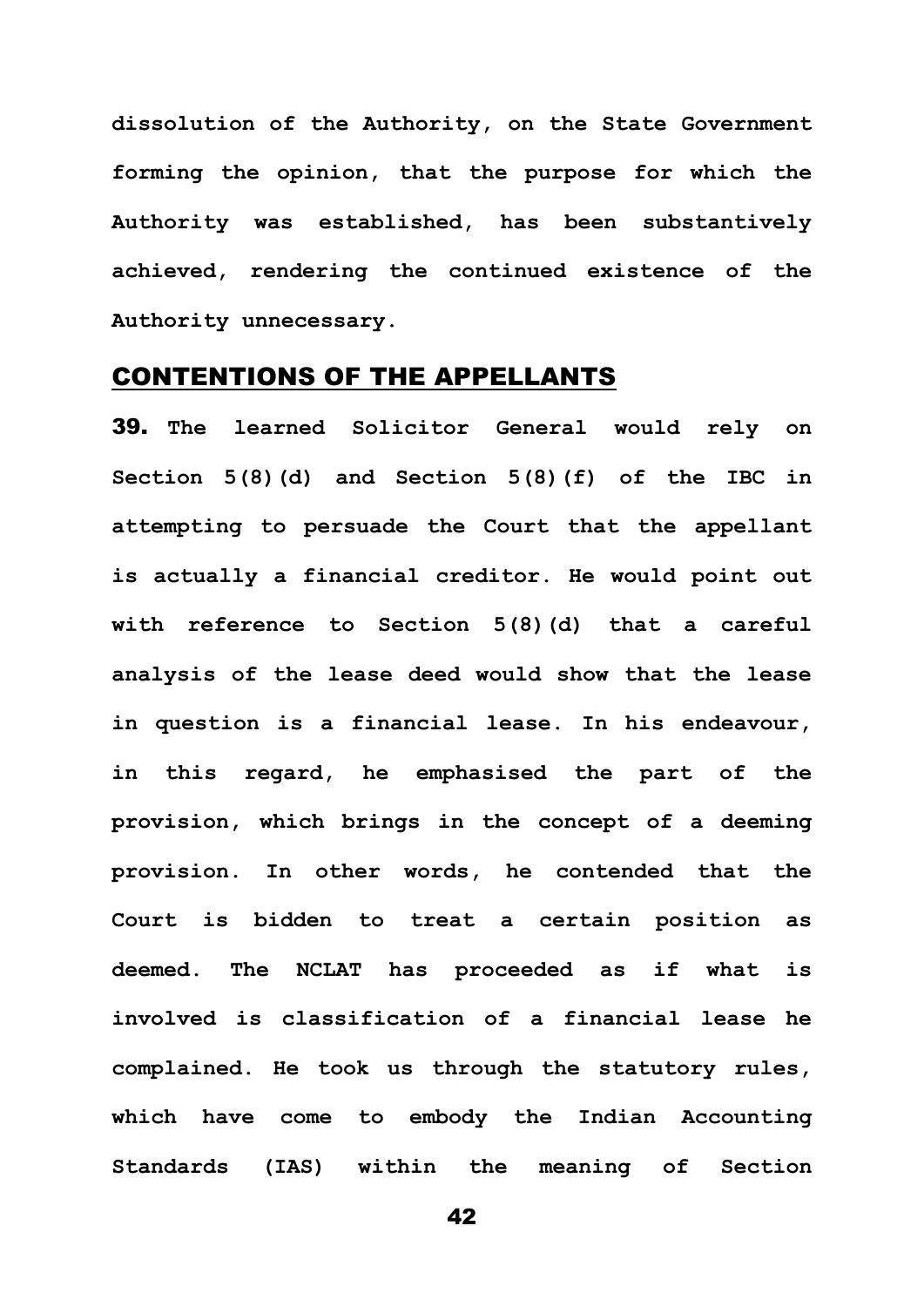**dissolution of the Authority, on the State Government forming the opinion, that the purpose for which the Authority was established, has been substantively achieved, rendering the continued existence of the Authority unnecessary.**

#### CONTENTIONS OF THE APPELLANTS

39. **The learned Solicitor General would rely on Section 5(8)(d) and Section 5(8)(f) of the IBC in attempting to persuade the Court that the appellant is actually a financial creditor. He would point out with reference to Section 5(8)(d) that a careful analysis of the lease deed would show that the lease in question is a financial lease. In his endeavour, in this regard, he emphasised the part of the provision, which brings in the concept of a deeming provision. In other words, he contended that the Court is bidden to treat a certain position as deemed. The NCLAT has proceeded as if what is involved is classification of a financial lease he complained. He took us through the statutory rules, which have come to embody the Indian Accounting Standards (IAS) within the meaning of Section**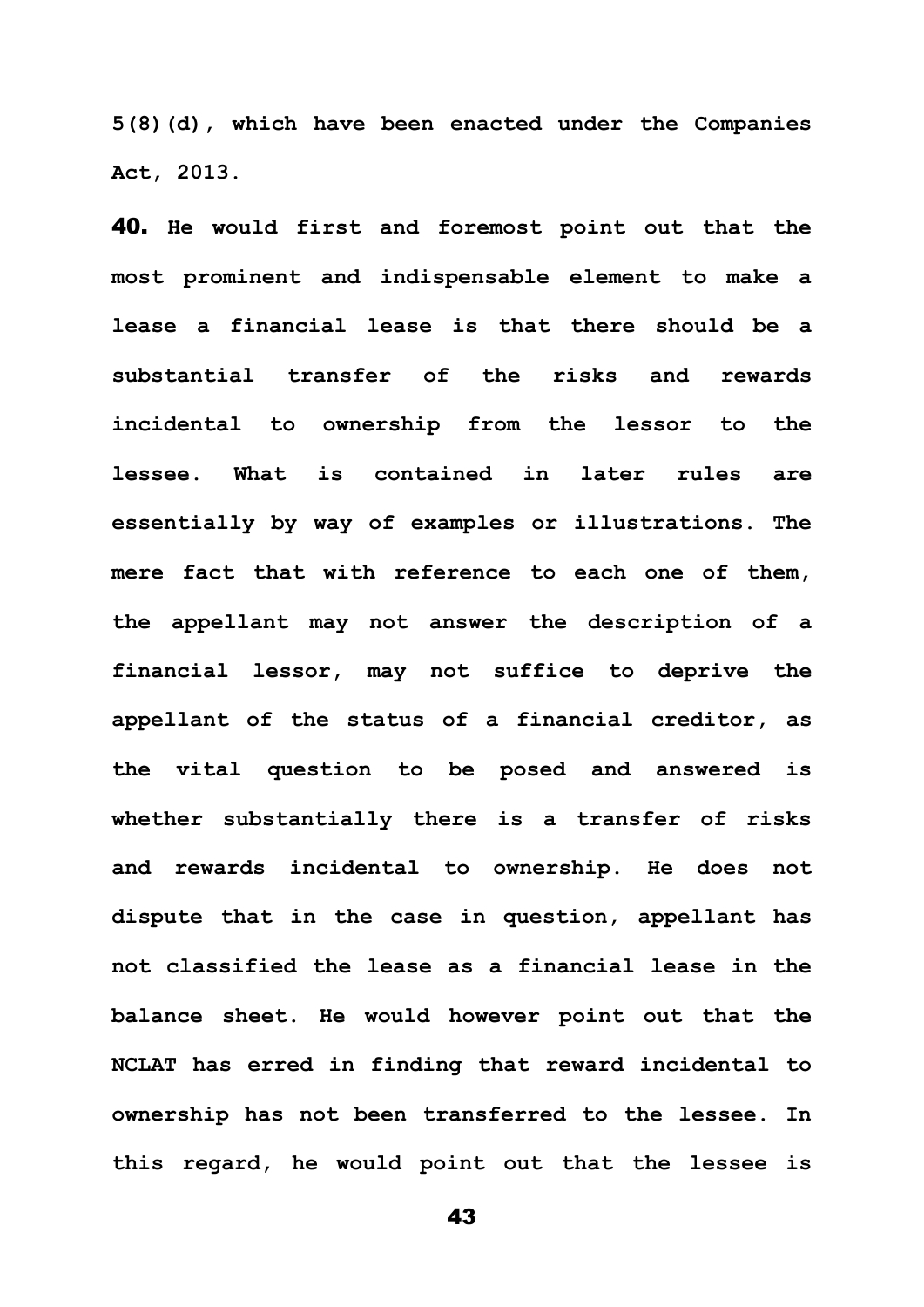**5(8)(d), which have been enacted under the Companies Act, 2013.** 

40. **He would first and foremost point out that the most prominent and indispensable element to make a lease a financial lease is that there should be a substantial transfer of the risks and rewards incidental to ownership from the lessor to the lessee. What is contained in later rules are essentially by way of examples or illustrations. The mere fact that with reference to each one of them, the appellant may not answer the description of a financial lessor, may not suffice to deprive the appellant of the status of a financial creditor, as the vital question to be posed and answered is whether substantially there is a transfer of risks and rewards incidental to ownership. He does not dispute that in the case in question, appellant has not classified the lease as a financial lease in the balance sheet. He would however point out that the NCLAT has erred in finding that reward incidental to ownership has not been transferred to the lessee. In this regard, he would point out that the lessee is**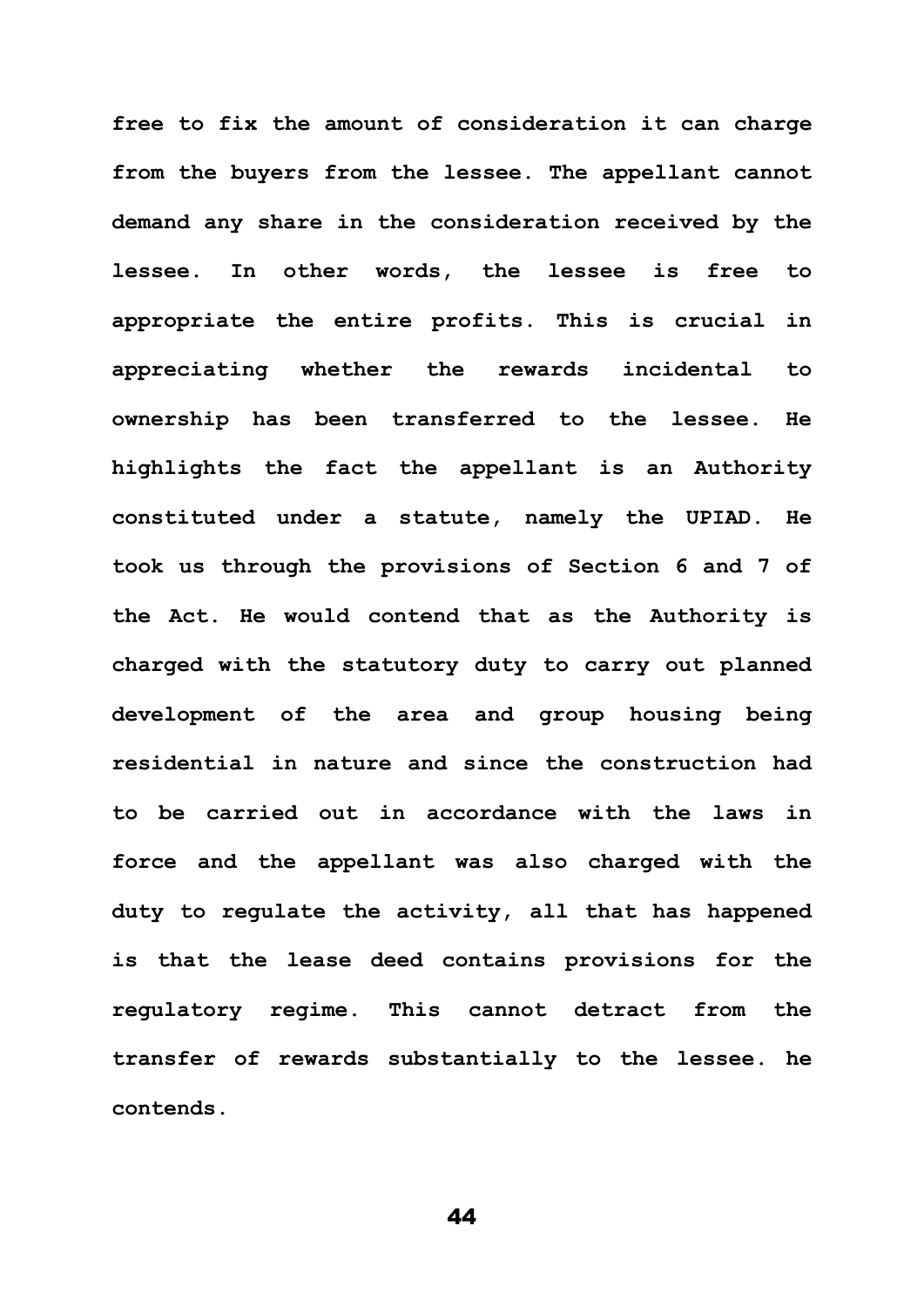**free to fix the amount of consideration it can charge from the buyers from the lessee. The appellant cannot demand any share in the consideration received by the lessee. In other words, the lessee is free to appropriate the entire profits. This is crucial in appreciating whether the rewards incidental to ownership has been transferred to the lessee. He highlights the fact the appellant is an Authority constituted under a statute, namely the UPIAD. He took us through the provisions of Section 6 and 7 of the Act. He would contend that as the Authority is charged with the statutory duty to carry out planned development of the area and group housing being residential in nature and since the construction had to be carried out in accordance with the laws in force and the appellant was also charged with the duty to regulate the activity, all that has happened is that the lease deed contains provisions for the regulatory regime. This cannot detract from the transfer of rewards substantially to the lessee. he contends.**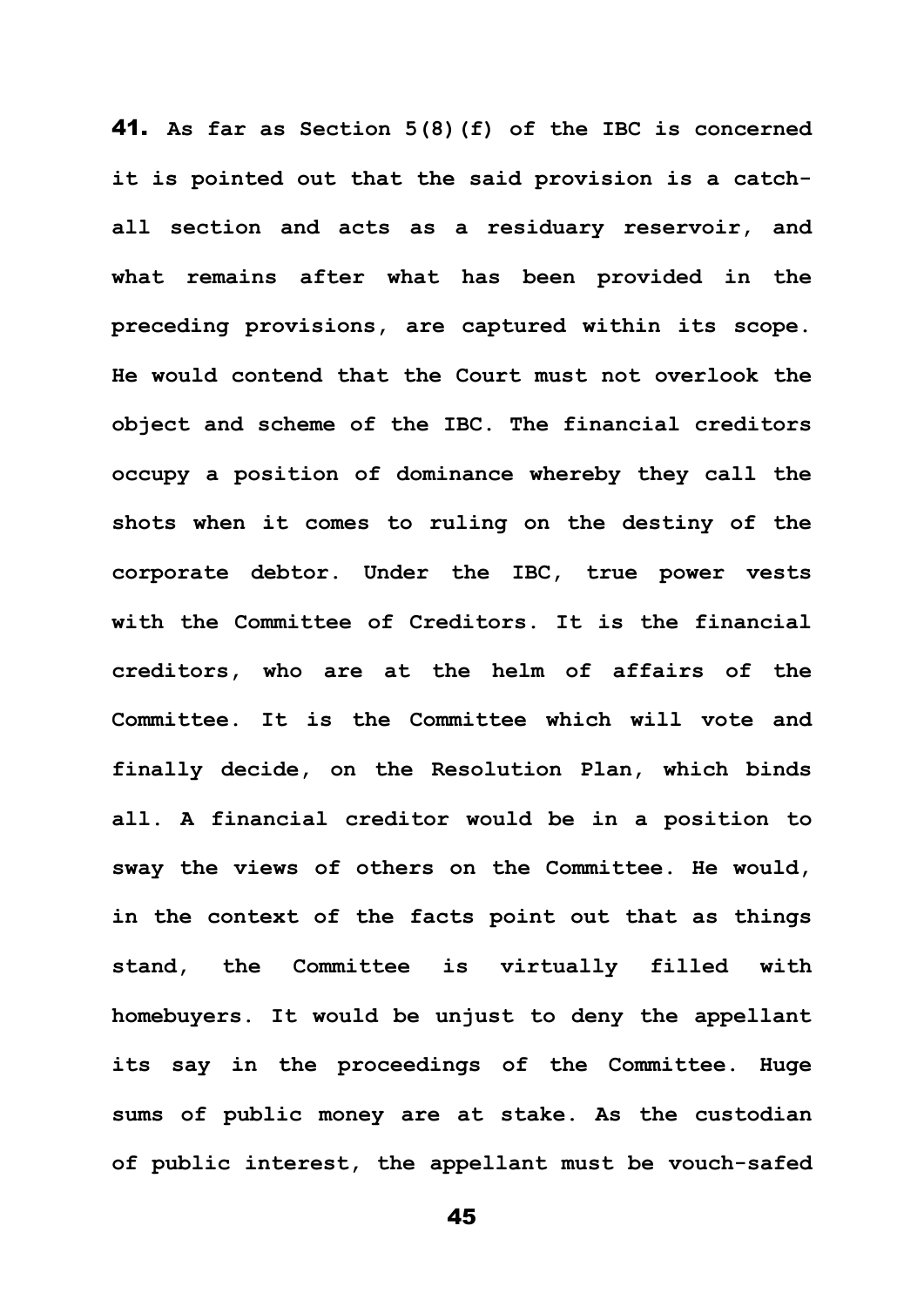41. **As far as Section 5(8)(f) of the IBC is concerned it is pointed out that the said provision is a catchall section and acts as a residuary reservoir, and what remains after what has been provided in the preceding provisions, are captured within its scope. He would contend that the Court must not overlook the object and scheme of the IBC. The financial creditors occupy a position of dominance whereby they call the shots when it comes to ruling on the destiny of the corporate debtor. Under the IBC, true power vests with the Committee of Creditors. It is the financial creditors, who are at the helm of affairs of the Committee. It is the Committee which will vote and finally decide, on the Resolution Plan, which binds all. A financial creditor would be in a position to sway the views of others on the Committee. He would, in the context of the facts point out that as things stand, the Committee is virtually filled with homebuyers. It would be unjust to deny the appellant its say in the proceedings of the Committee. Huge sums of public money are at stake. As the custodian of public interest, the appellant must be vouch-safed**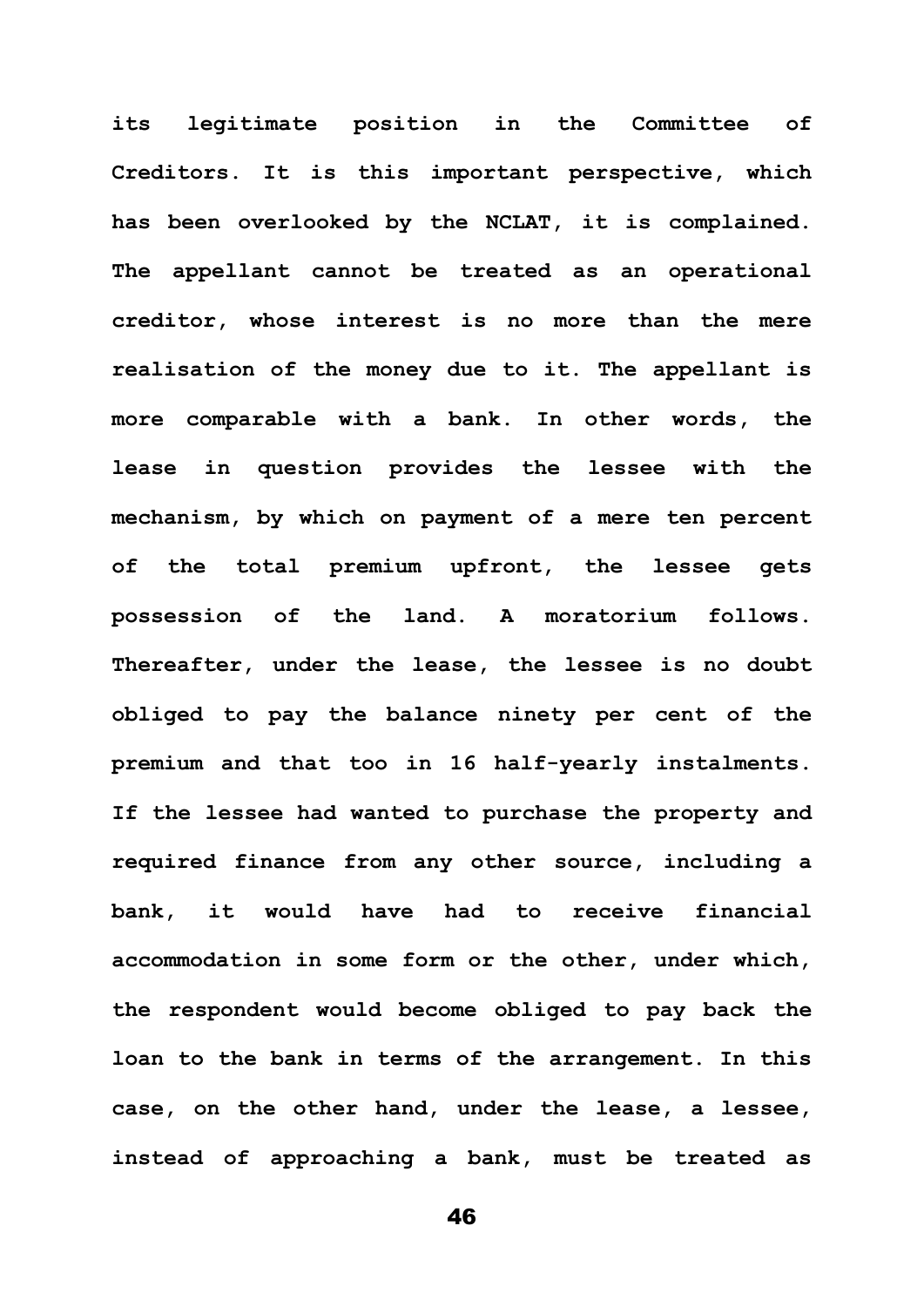**its legitimate position in the Committee of Creditors. It is this important perspective, which has been overlooked by the NCLAT, it is complained. The appellant cannot be treated as an operational creditor, whose interest is no more than the mere realisation of the money due to it. The appellant is more comparable with a bank. In other words, the lease in question provides the lessee with the mechanism, by which on payment of a mere ten percent of the total premium upfront, the lessee gets possession of the land. A moratorium follows. Thereafter, under the lease, the lessee is no doubt obliged to pay the balance ninety per cent of the premium and that too in 16 half-yearly instalments. If the lessee had wanted to purchase the property and required finance from any other source, including a bank, it would have had to receive financial accommodation in some form or the other, under which, the respondent would become obliged to pay back the loan to the bank in terms of the arrangement. In this case, on the other hand, under the lease, a lessee, instead of approaching a bank, must be treated as**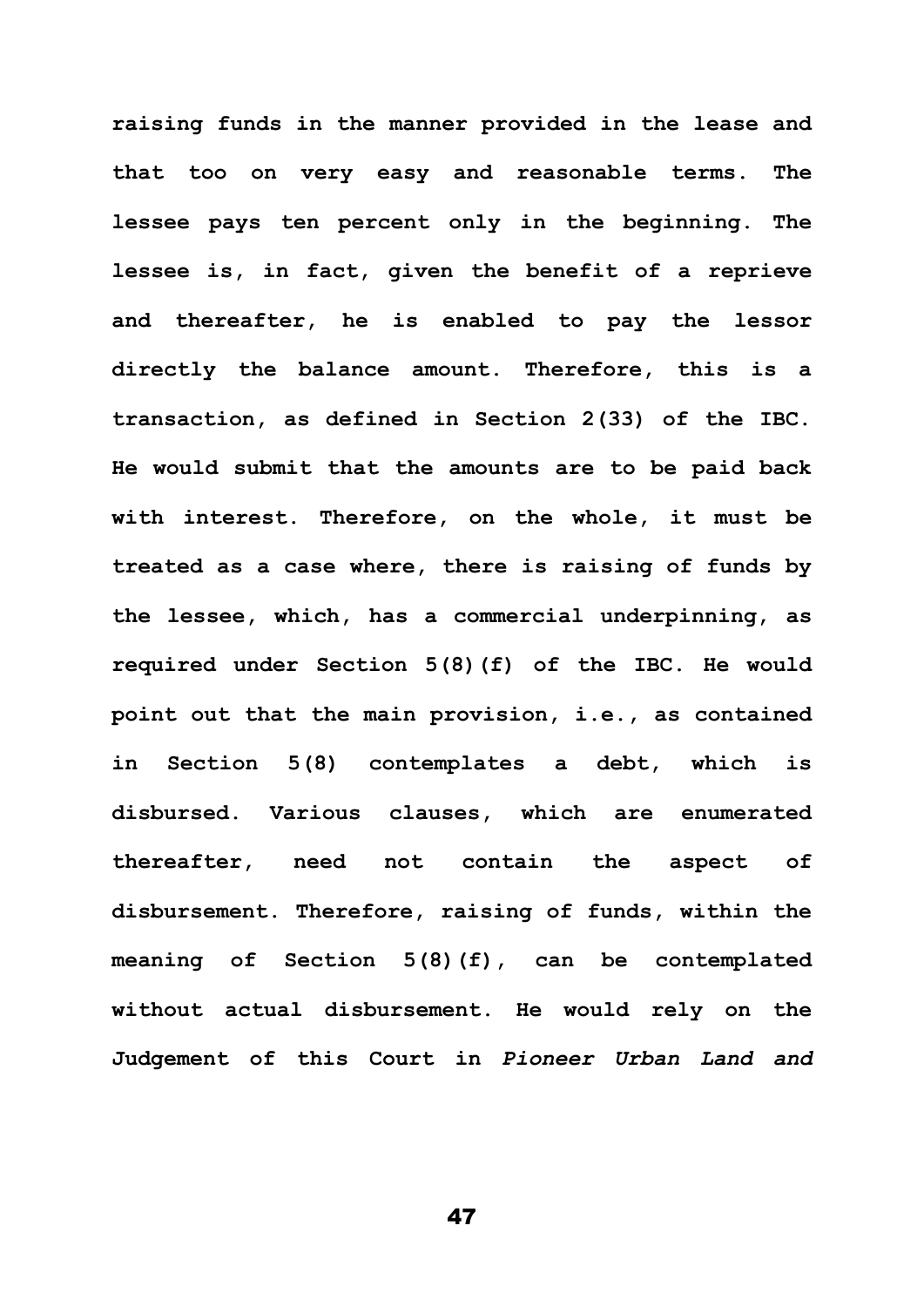**raising funds in the manner provided in the lease and that too on very easy and reasonable terms. The lessee pays ten percent only in the beginning. The lessee is, in fact, given the benefit of a reprieve and thereafter, he is enabled to pay the lessor directly the balance amount. Therefore, this is a transaction, as defined in Section 2(33) of the IBC. He would submit that the amounts are to be paid back with interest. Therefore, on the whole, it must be treated as a case where, there is raising of funds by the lessee, which, has a commercial underpinning, as required under Section 5(8)(f) of the IBC. He would point out that the main provision, i.e., as contained in Section 5(8) contemplates a debt, which is disbursed. Various clauses, which are enumerated thereafter, need not contain the aspect of disbursement. Therefore, raising of funds, within the meaning of Section 5(8)(f), can be contemplated without actual disbursement. He would rely on the Judgement of this Court in** *Pioneer Urban Land and*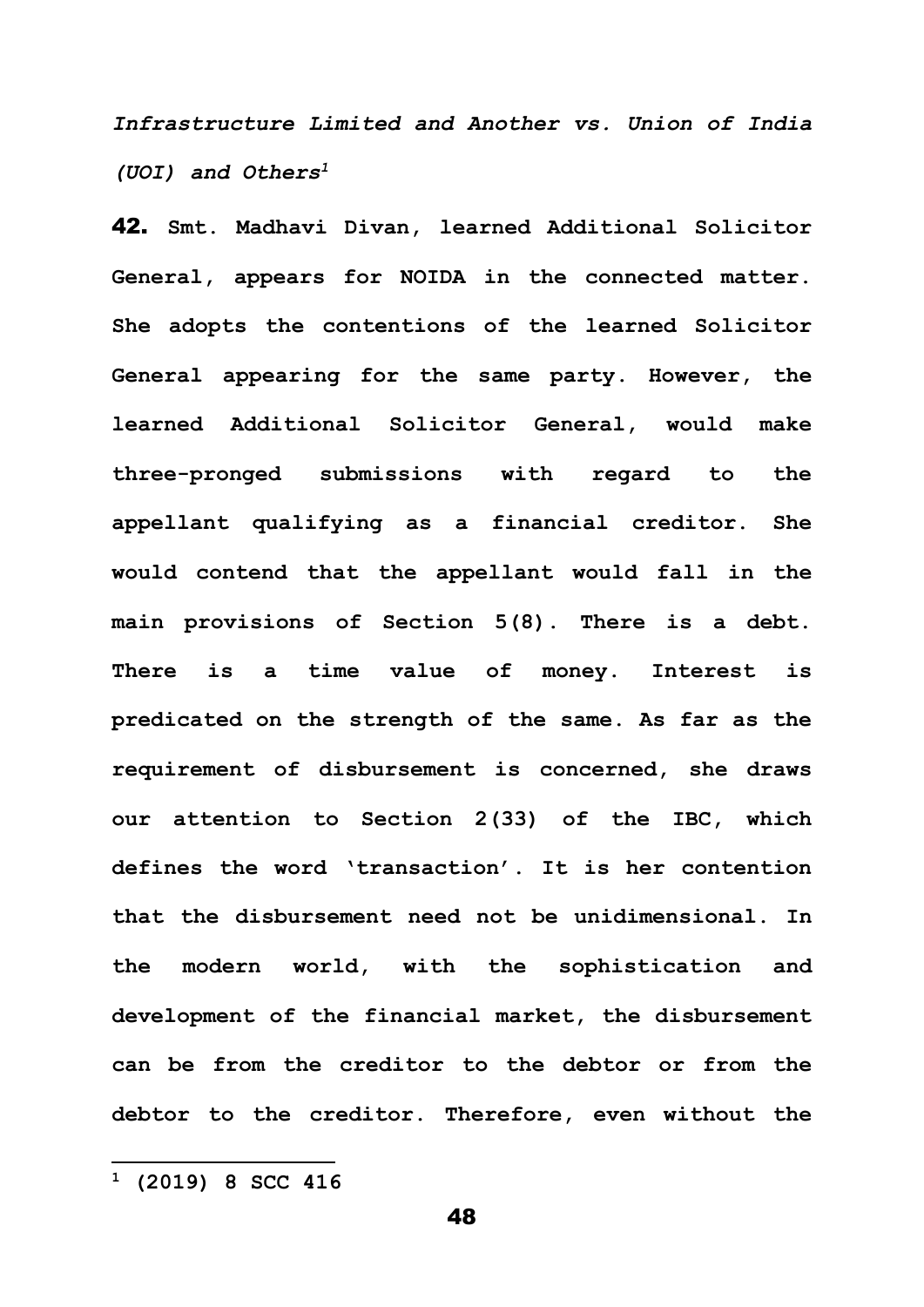*Infrastructure Limited and Another vs. Union of India (UOI) and Others<sup>1</sup>*

42. **Smt. Madhavi Divan, learned Additional Solicitor General, appears for NOIDA in the connected matter. She adopts the contentions of the learned Solicitor General appearing for the same party. However, the learned Additional Solicitor General, would make three-pronged submissions with regard to the appellant qualifying as a financial creditor. She would contend that the appellant would fall in the main provisions of Section 5(8). There is a debt. There is a time value of money. Interest is predicated on the strength of the same. As far as the requirement of disbursement is concerned, she draws our attention to Section 2(33) of the IBC, which defines the word 'transaction'. It is her contention that the disbursement need not be unidimensional. In the modern world, with the sophistication and development of the financial market, the disbursement can be from the creditor to the debtor or from the debtor to the creditor. Therefore, even without the** 

**<sup>1</sup> (2019) 8 SCC 416**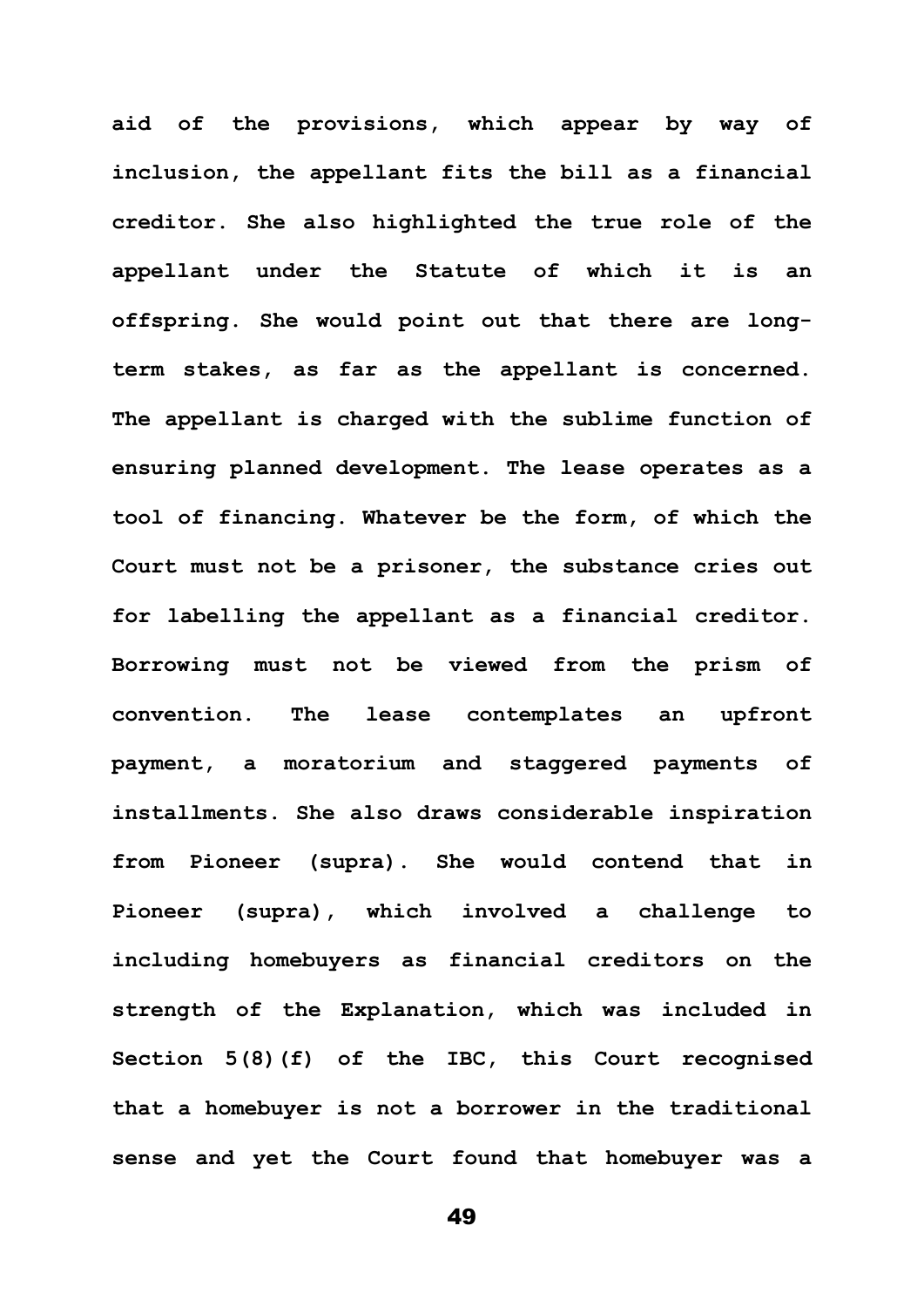**aid of the provisions, which appear by way of inclusion, the appellant fits the bill as a financial creditor. She also highlighted the true role of the appellant under the Statute of which it is an offspring. She would point out that there are longterm stakes, as far as the appellant is concerned. The appellant is charged with the sublime function of ensuring planned development. The lease operates as a tool of financing. Whatever be the form, of which the Court must not be a prisoner, the substance cries out for labelling the appellant as a financial creditor. Borrowing must not be viewed from the prism of convention. The lease contemplates an upfront payment, a moratorium and staggered payments of installments. She also draws considerable inspiration from Pioneer (supra). She would contend that in Pioneer (supra), which involved a challenge to including homebuyers as financial creditors on the strength of the Explanation, which was included in Section 5(8)(f) of the IBC, this Court recognised that a homebuyer is not a borrower in the traditional sense and yet the Court found that homebuyer was a**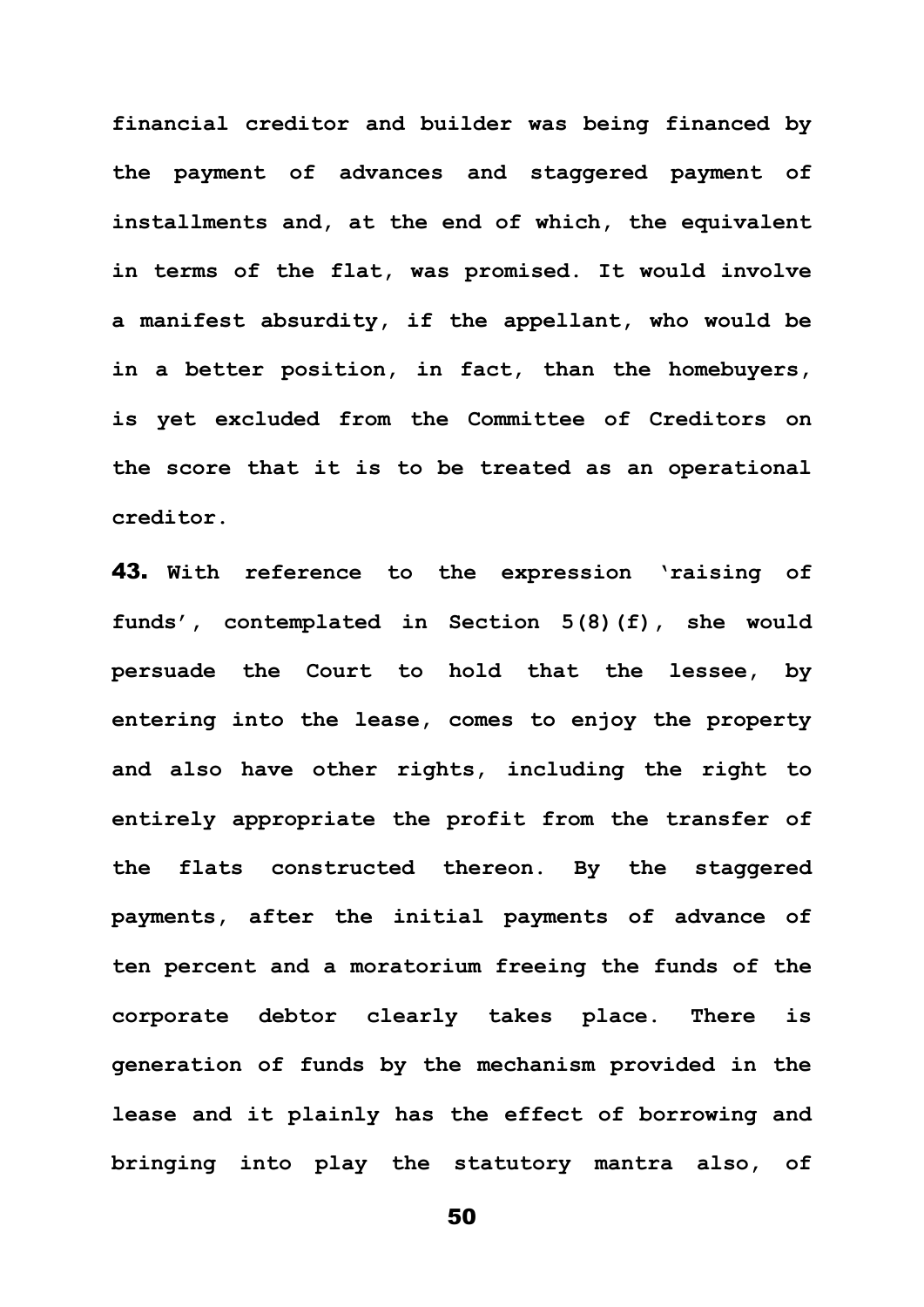**financial creditor and builder was being financed by the payment of advances and staggered payment of installments and, at the end of which, the equivalent in terms of the flat, was promised. It would involve a manifest absurdity, if the appellant, who would be in a better position, in fact, than the homebuyers, is yet excluded from the Committee of Creditors on the score that it is to be treated as an operational creditor.** 

43. **With reference to the expression 'raising of funds', contemplated in Section 5(8)(f), she would persuade the Court to hold that the lessee, by entering into the lease, comes to enjoy the property and also have other rights, including the right to entirely appropriate the profit from the transfer of the flats constructed thereon. By the staggered payments, after the initial payments of advance of ten percent and a moratorium freeing the funds of the corporate debtor clearly takes place. There is generation of funds by the mechanism provided in the lease and it plainly has the effect of borrowing and bringing into play the statutory mantra also, of**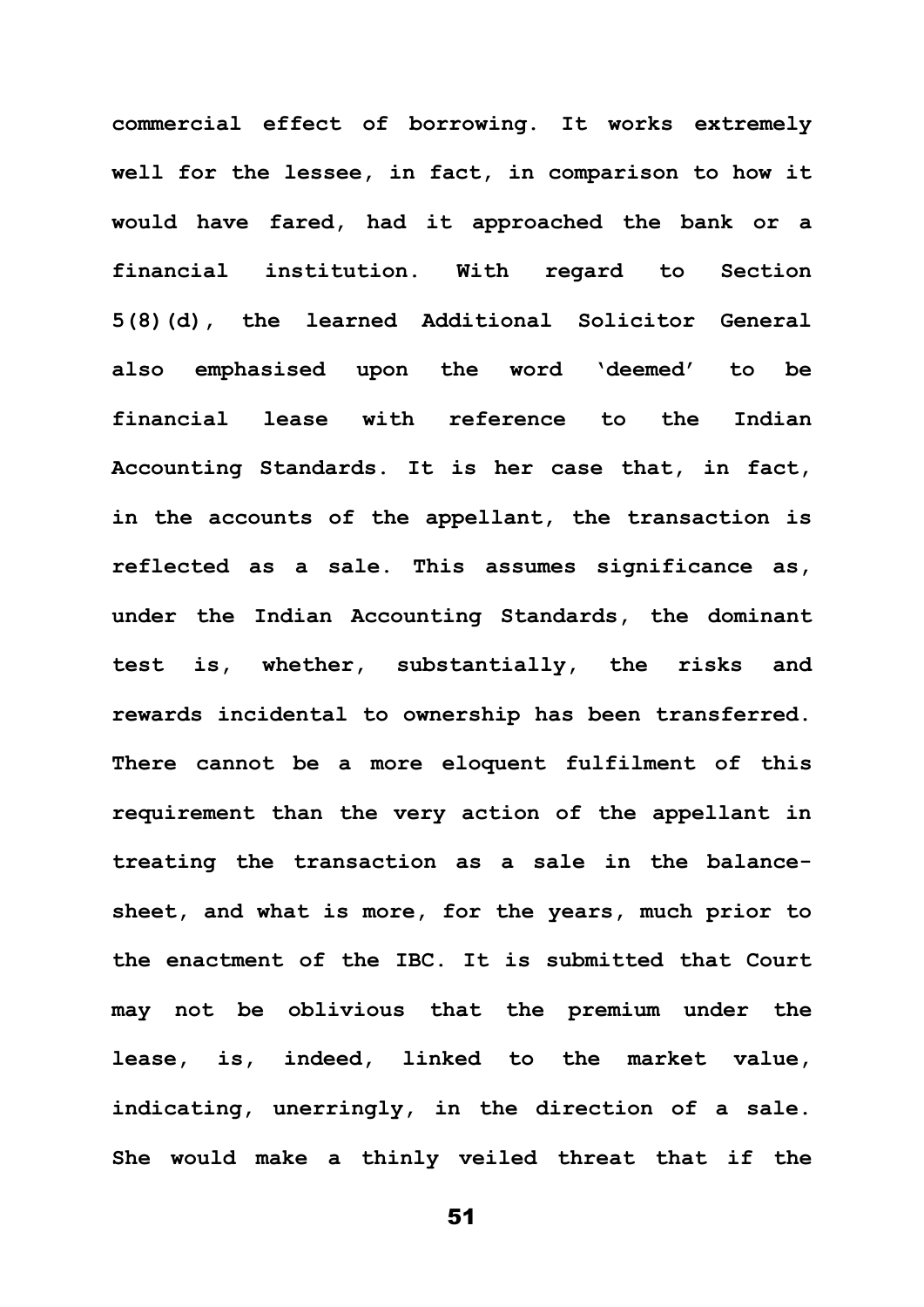**commercial effect of borrowing. It works extremely well for the lessee, in fact, in comparison to how it would have fared, had it approached the bank or a financial institution. With regard to Section 5(8)(d), the learned Additional Solicitor General also emphasised upon the word 'deemed' to be financial lease with reference to the Indian Accounting Standards. It is her case that, in fact, in the accounts of the appellant, the transaction is reflected as a sale. This assumes significance as, under the Indian Accounting Standards, the dominant test is, whether, substantially, the risks and rewards incidental to ownership has been transferred. There cannot be a more eloquent fulfilment of this requirement than the very action of the appellant in treating the transaction as a sale in the balancesheet, and what is more, for the years, much prior to the enactment of the IBC. It is submitted that Court may not be oblivious that the premium under the lease, is, indeed, linked to the market value, indicating, unerringly, in the direction of a sale. She would make a thinly veiled threat that if the**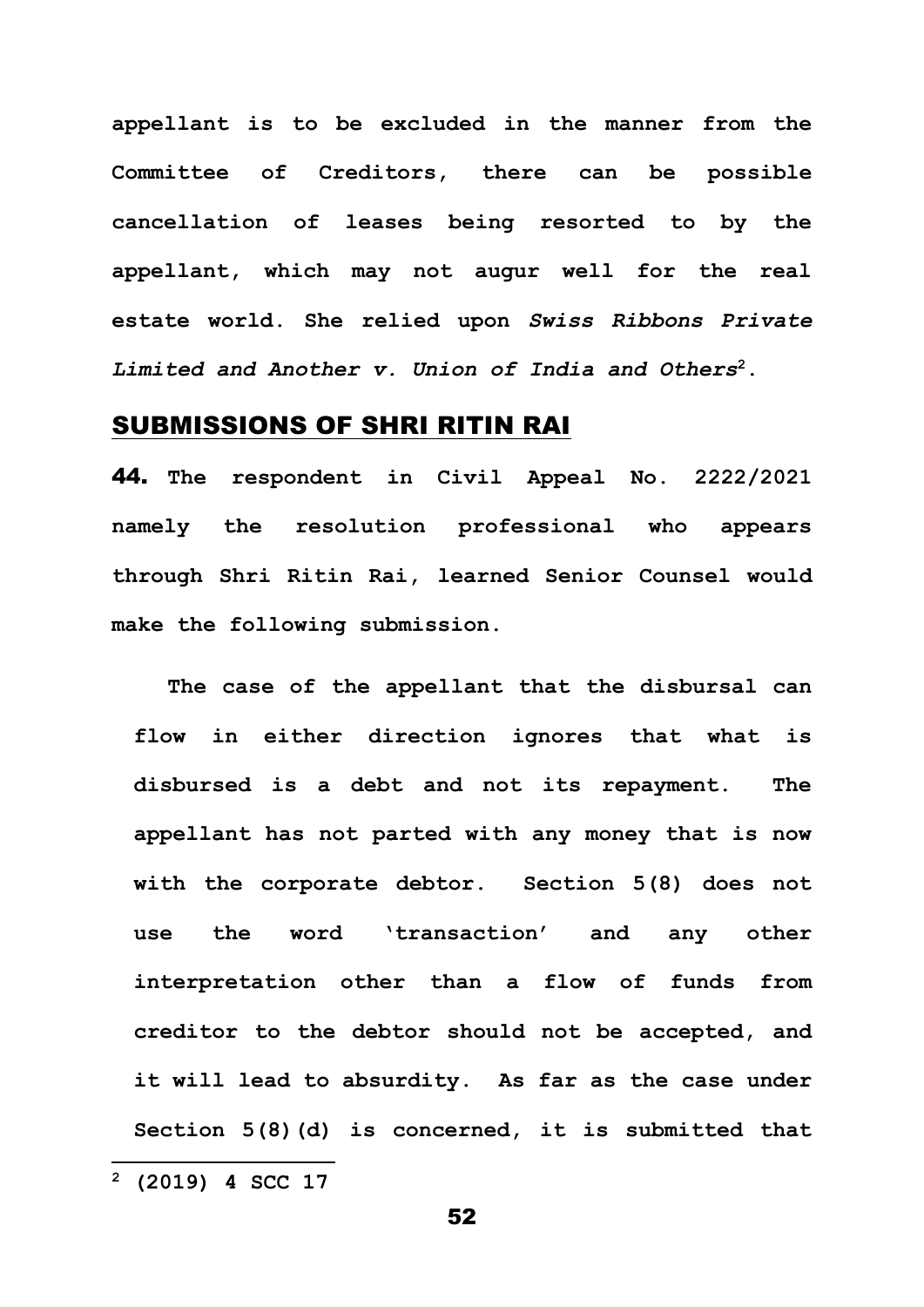**appellant is to be excluded in the manner from the Committee of Creditors, there can be possible cancellation of leases being resorted to by the appellant, which may not augur well for the real estate world. She relied upon** *Swiss Ribbons Private Limited and Another v. Union of India and Others***<sup>2</sup>.**

### SUBMISSIONS OF SHRI RITIN RAI

44. **The respondent in Civil Appeal No. 2222/2021 namely the resolution professional who appears through Shri Ritin Rai, learned Senior Counsel would make the following submission.**

**The case of the appellant that the disbursal can flow in either direction ignores that what is disbursed is a debt and not its repayment. The appellant has not parted with any money that is now with the corporate debtor. Section 5(8) does not use the word 'transaction' and any other interpretation other than a flow of funds from creditor to the debtor should not be accepted, and it will lead to absurdity. As far as the case under Section 5(8)(d) is concerned, it is submitted that** 

**<sup>2</sup> (2019) 4 SCC 17**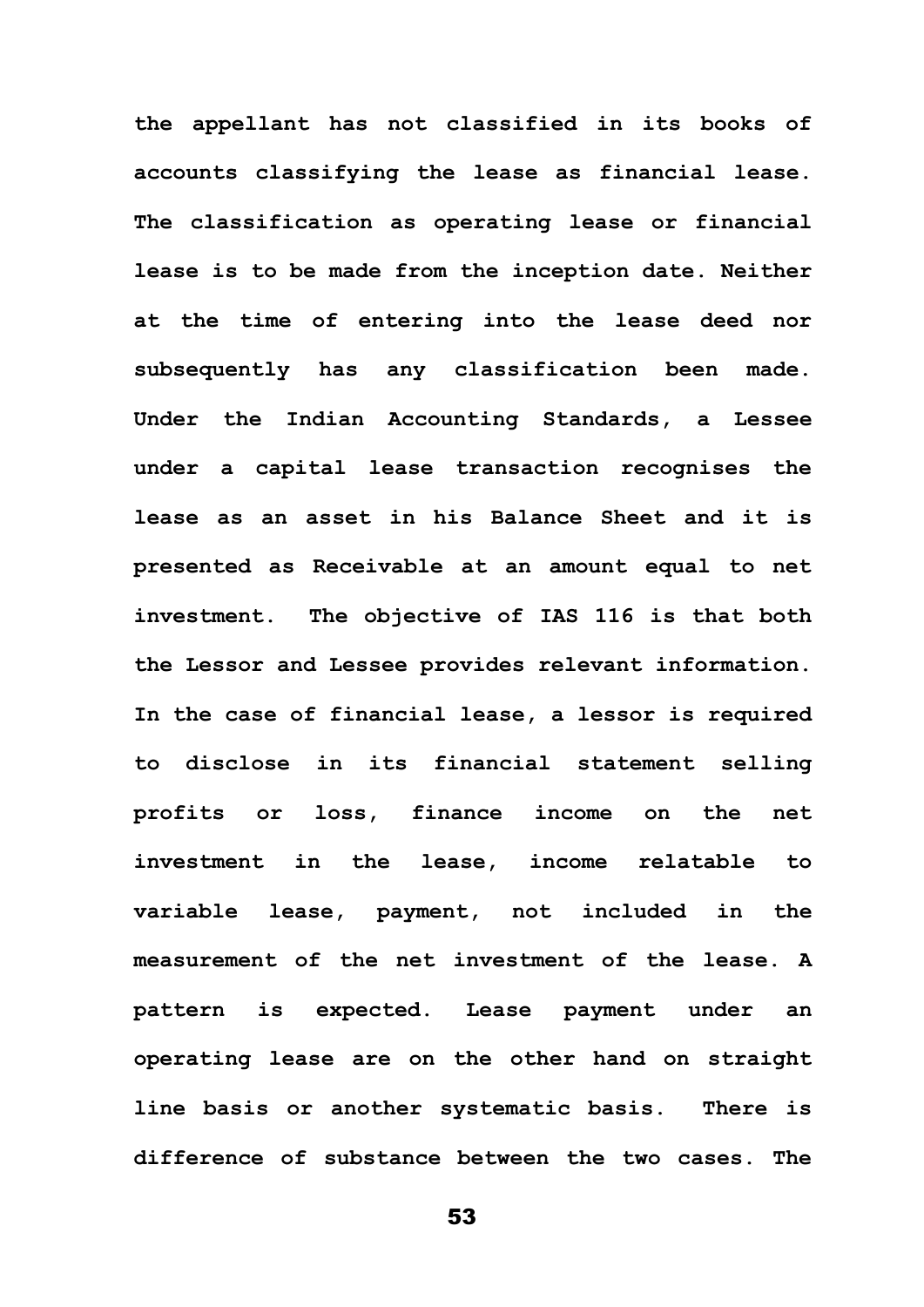**the appellant has not classified in its books of accounts classifying the lease as financial lease. The classification as operating lease or financial lease is to be made from the inception date. Neither at the time of entering into the lease deed nor subsequently has any classification been made. Under the Indian Accounting Standards, a Lessee under a capital lease transaction recognises the lease as an asset in his Balance Sheet and it is presented as Receivable at an amount equal to net investment. The objective of IAS 116 is that both the Lessor and Lessee provides relevant information. In the case of financial lease, a lessor is required to disclose in its financial statement selling profits or loss, finance income on the net investment in the lease, income relatable to variable lease, payment, not included in the measurement of the net investment of the lease. A pattern is expected. Lease payment under an operating lease are on the other hand on straight line basis or another systematic basis. There is difference of substance between the two cases. The**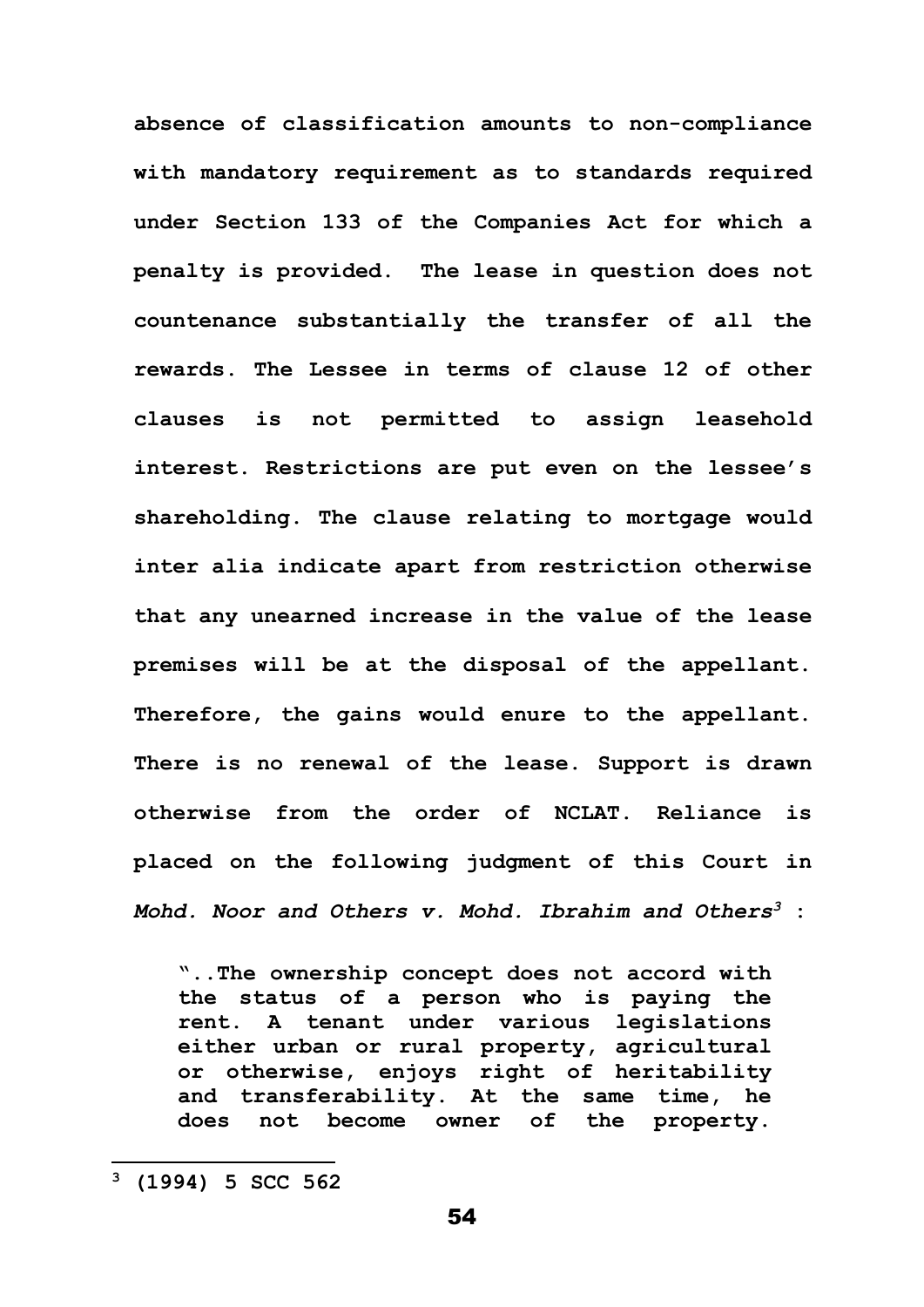**absence of classification amounts to non-compliance with mandatory requirement as to standards required under Section 133 of the Companies Act for which a penalty is provided. The lease in question does not countenance substantially the transfer of all the rewards. The Lessee in terms of clause 12 of other clauses is not permitted to assign leasehold interest. Restrictions are put even on the lessee's shareholding. The clause relating to mortgage would inter alia indicate apart from restriction otherwise that any unearned increase in the value of the lease premises will be at the disposal of the appellant. Therefore, the gains would enure to the appellant. There is no renewal of the lease. Support is drawn otherwise from the order of NCLAT. Reliance is placed on the following judgment of this Court in**  *Mohd. Noor and Others v. Mohd. Ibrahim and Others<sup>3</sup>* **:** 

**"..The ownership concept does not accord with the status of a person who is paying the rent. A tenant under various legislations either urban or rural property, agricultural or otherwise, enjoys right of heritability and transferability. At the same time, he does not become owner of the property.** 

**<sup>3</sup> (1994) 5 SCC 562**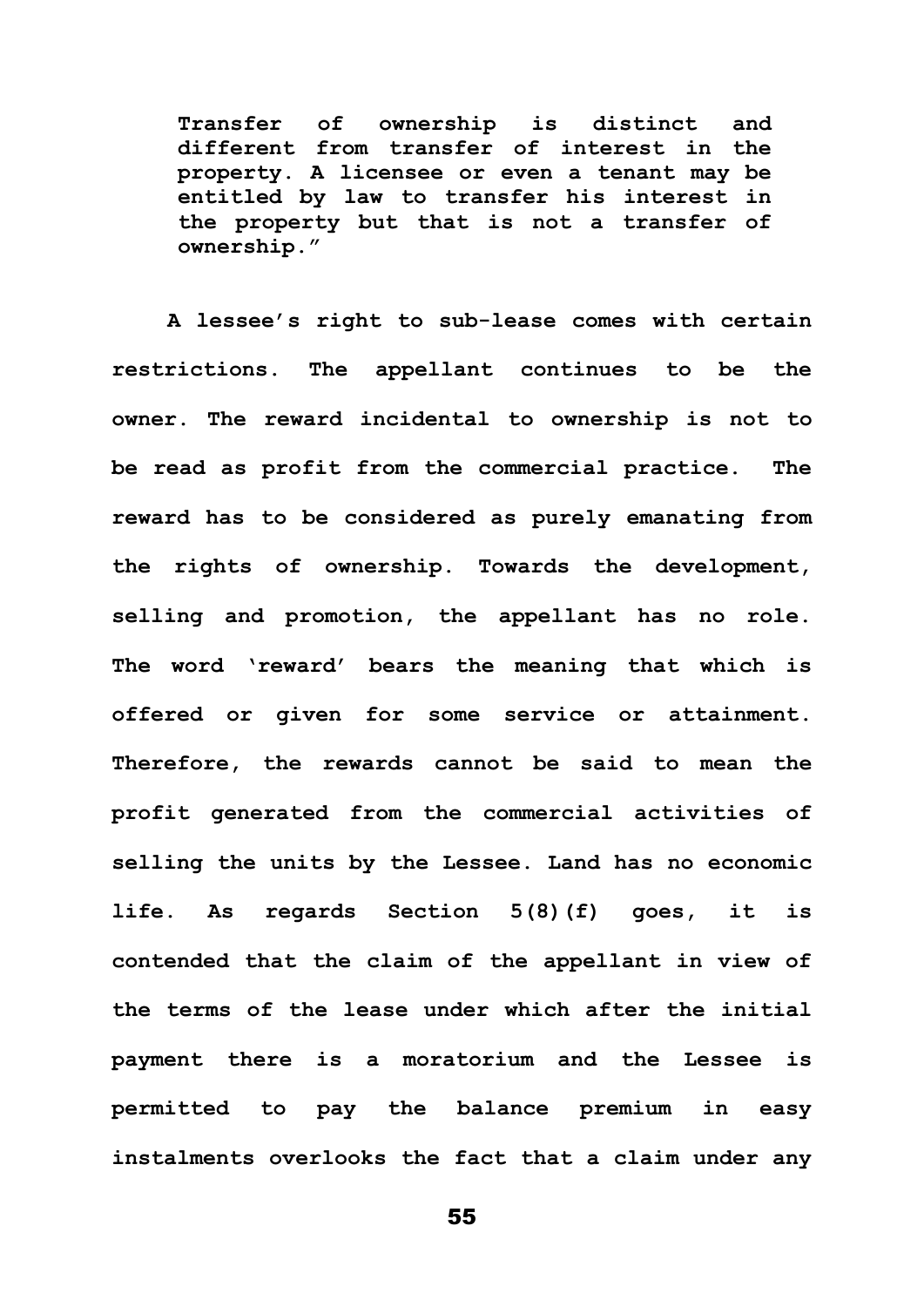**Transfer of ownership is distinct and different from transfer of interest in the property. A licensee or even a tenant may be entitled by law to transfer his interest in the property but that is not a transfer of ownership."**

**A lessee's right to sub-lease comes with certain restrictions. The appellant continues to be the owner. The reward incidental to ownership is not to be read as profit from the commercial practice. The reward has to be considered as purely emanating from the rights of ownership. Towards the development, selling and promotion, the appellant has no role. The word 'reward' bears the meaning that which is offered or given for some service or attainment. Therefore, the rewards cannot be said to mean the profit generated from the commercial activities of selling the units by the Lessee. Land has no economic life. As regards Section 5(8)(f) goes, it is contended that the claim of the appellant in view of the terms of the lease under which after the initial payment there is a moratorium and the Lessee is permitted to pay the balance premium in easy instalments overlooks the fact that a claim under any**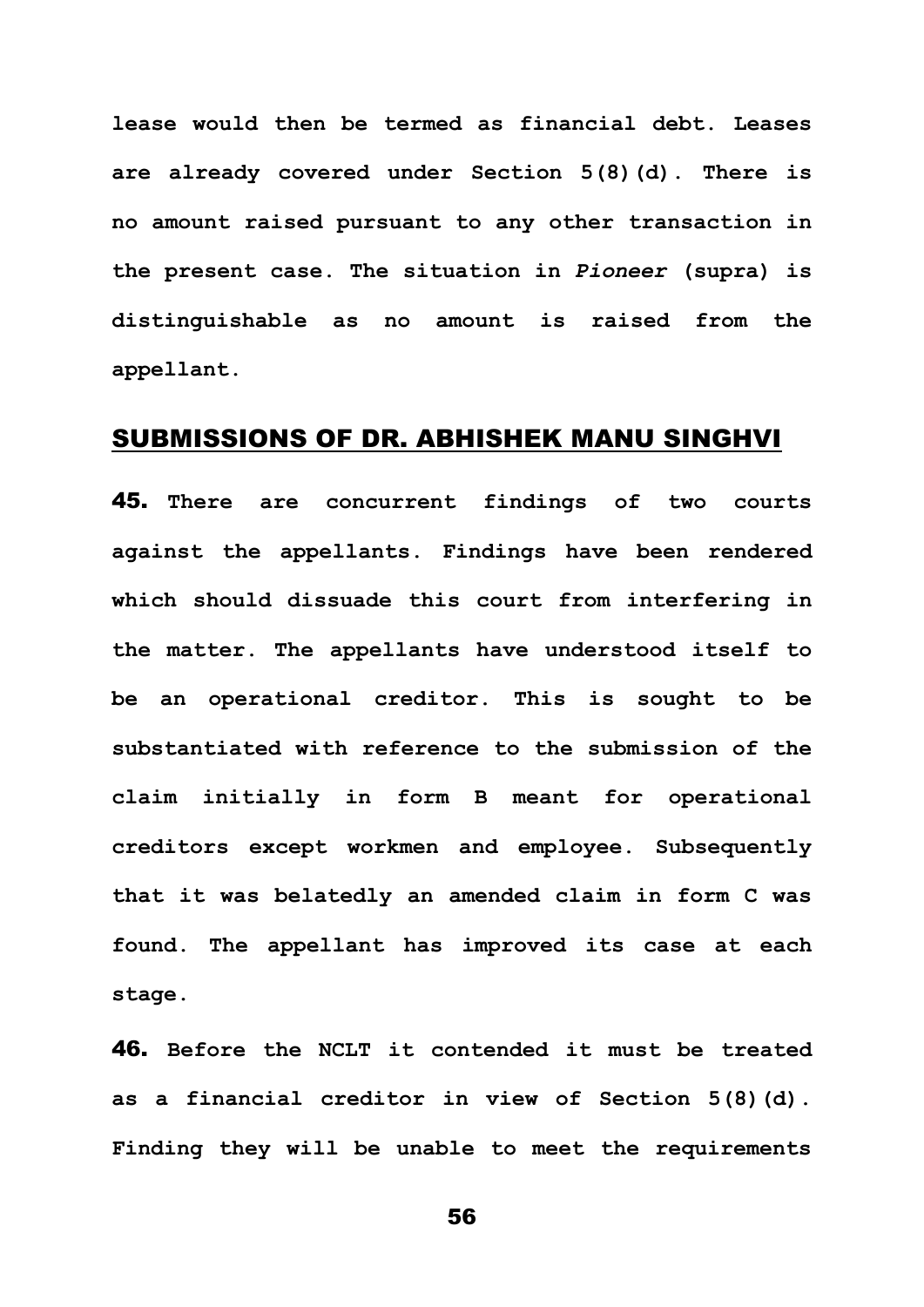**lease would then be termed as financial debt. Leases are already covered under Section 5(8)(d). There is no amount raised pursuant to any other transaction in the present case. The situation in** *Pioneer* **(supra) is distinguishable as no amount is raised from the appellant.** 

### SUBMISSIONS OF DR. ABHISHEK MANU SINGHVI

45. **There are concurrent findings of two courts against the appellants. Findings have been rendered which should dissuade this court from interfering in the matter. The appellants have understood itself to be an operational creditor. This is sought to be substantiated with reference to the submission of the claim initially in form B meant for operational creditors except workmen and employee. Subsequently that it was belatedly an amended claim in form C was found. The appellant has improved its case at each stage.** 

46. **Before the NCLT it contended it must be treated as a financial creditor in view of Section 5(8)(d). Finding they will be unable to meet the requirements**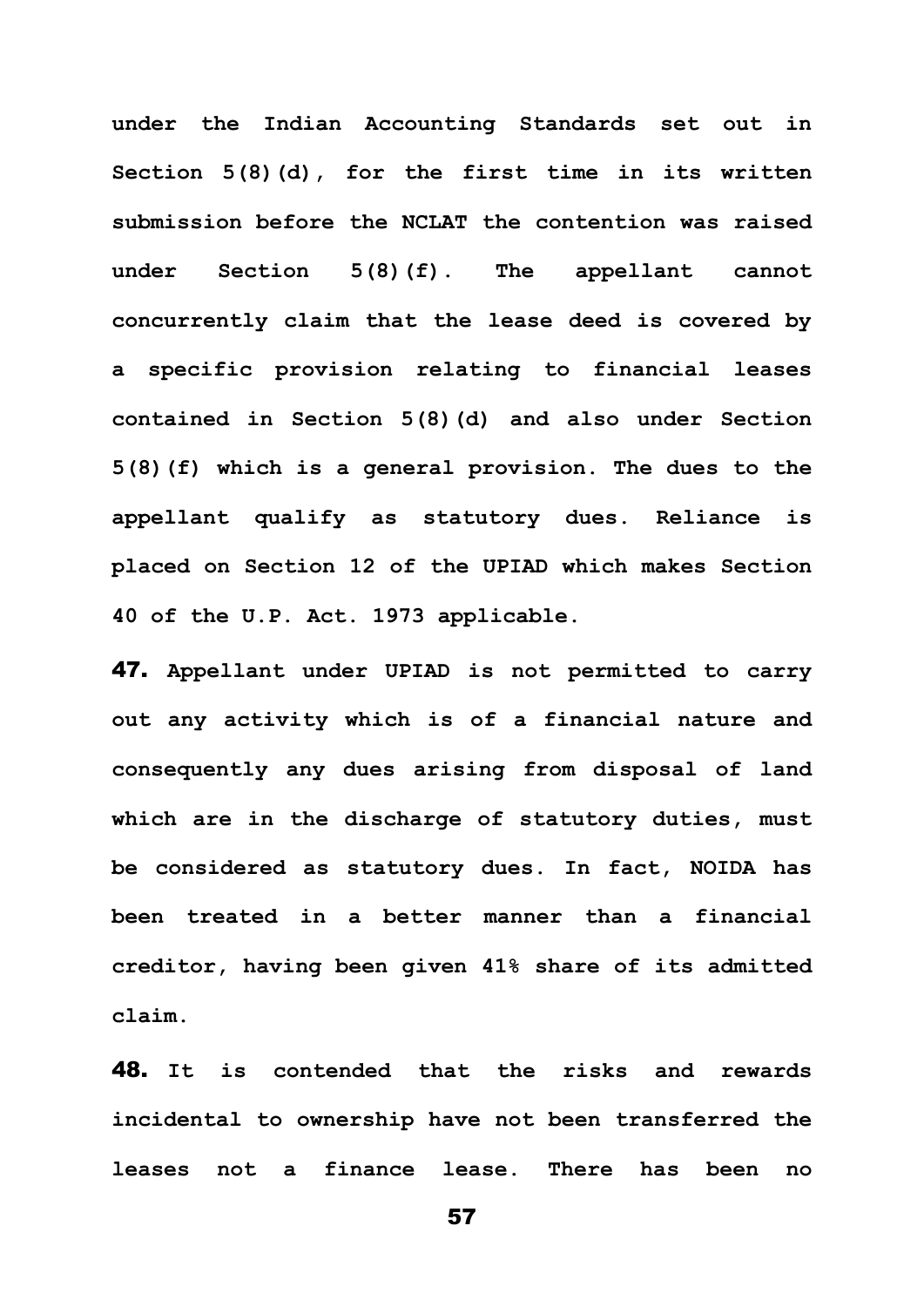**under the Indian Accounting Standards set out in Section 5(8)(d), for the first time in its written submission before the NCLAT the contention was raised under Section 5(8)(f). The appellant cannot concurrently claim that the lease deed is covered by a specific provision relating to financial leases contained in Section 5(8)(d) and also under Section 5(8)(f) which is a general provision. The dues to the appellant qualify as statutory dues. Reliance is placed on Section 12 of the UPIAD which makes Section 40 of the U.P. Act. 1973 applicable.** 

47. **Appellant under UPIAD is not permitted to carry out any activity which is of a financial nature and consequently any dues arising from disposal of land which are in the discharge of statutory duties, must be considered as statutory dues. In fact, NOIDA has been treated in a better manner than a financial creditor, having been given 41% share of its admitted claim.** 

48. **It is contended that the risks and rewards incidental to ownership have not been transferred the leases not a finance lease. There has been no**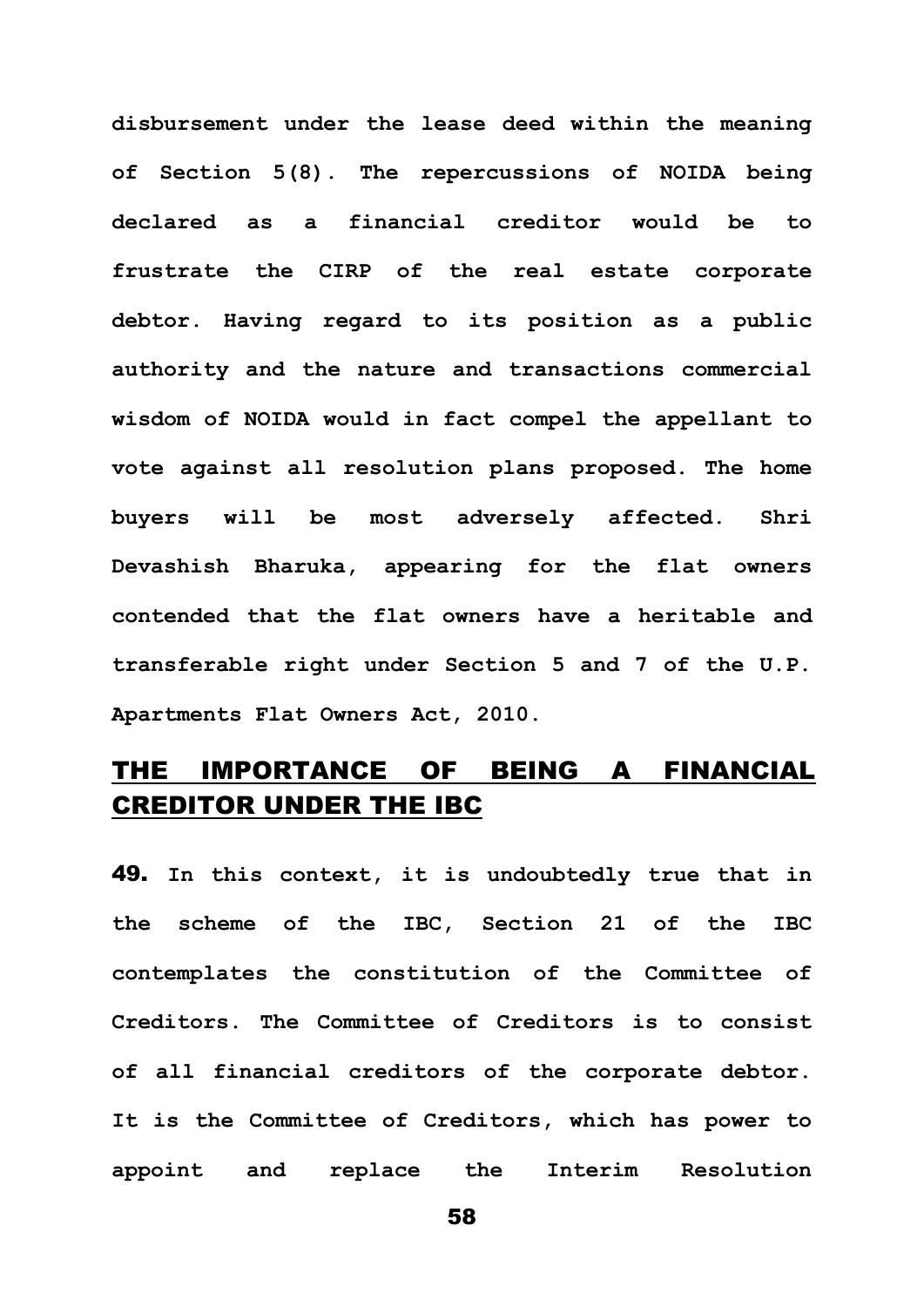**disbursement under the lease deed within the meaning of Section 5(8). The repercussions of NOIDA being declared as a financial creditor would be to frustrate the CIRP of the real estate corporate debtor. Having regard to its position as a public authority and the nature and transactions commercial wisdom of NOIDA would in fact compel the appellant to vote against all resolution plans proposed. The home buyers will be most adversely affected. Shri Devashish Bharuka, appearing for the flat owners contended that the flat owners have a heritable and transferable right under Section 5 and 7 of the U.P. Apartments Flat Owners Act, 2010.**

### THE IMPORTANCE OF BEING A FINANCIAL CREDITOR UNDER THE IBC

49. **In this context, it is undoubtedly true that in the scheme of the IBC, Section 21 of the IBC contemplates the constitution of the Committee of Creditors. The Committee of Creditors is to consist of all financial creditors of the corporate debtor. It is the Committee of Creditors, which has power to appoint and replace the Interim Resolution**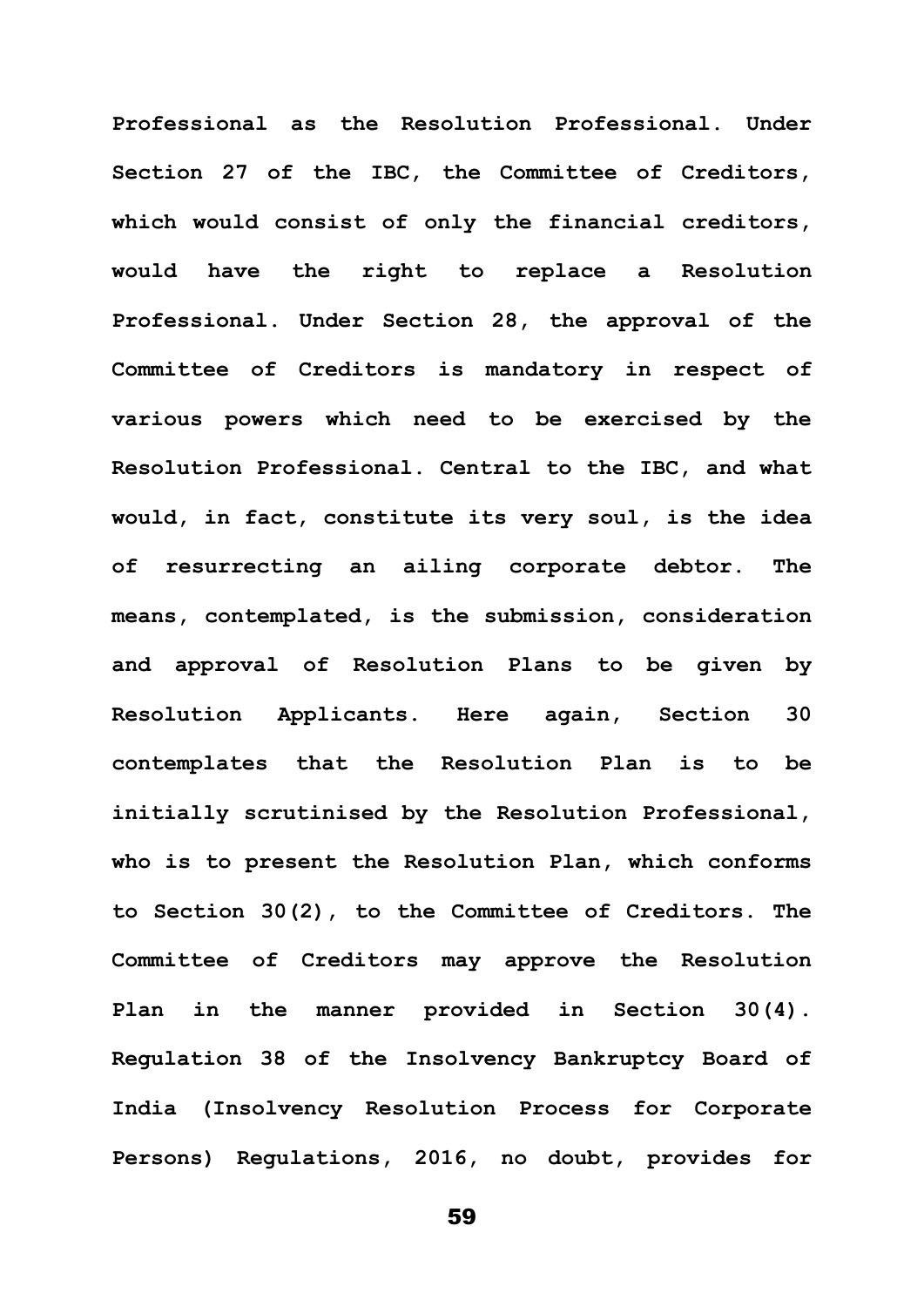**Professional as the Resolution Professional. Under Section 27 of the IBC, the Committee of Creditors, which would consist of only the financial creditors, would have the right to replace a Resolution Professional. Under Section 28, the approval of the Committee of Creditors is mandatory in respect of various powers which need to be exercised by the Resolution Professional. Central to the IBC, and what would, in fact, constitute its very soul, is the idea of resurrecting an ailing corporate debtor. The means, contemplated, is the submission, consideration and approval of Resolution Plans to be given by Resolution Applicants. Here again, Section 30 contemplates that the Resolution Plan is to be initially scrutinised by the Resolution Professional, who is to present the Resolution Plan, which conforms to Section 30(2), to the Committee of Creditors. The Committee of Creditors may approve the Resolution Plan in the manner provided in Section 30(4). Regulation 38 of the Insolvency Bankruptcy Board of India (Insolvency Resolution Process for Corporate Persons) Regulations, 2016, no doubt, provides for**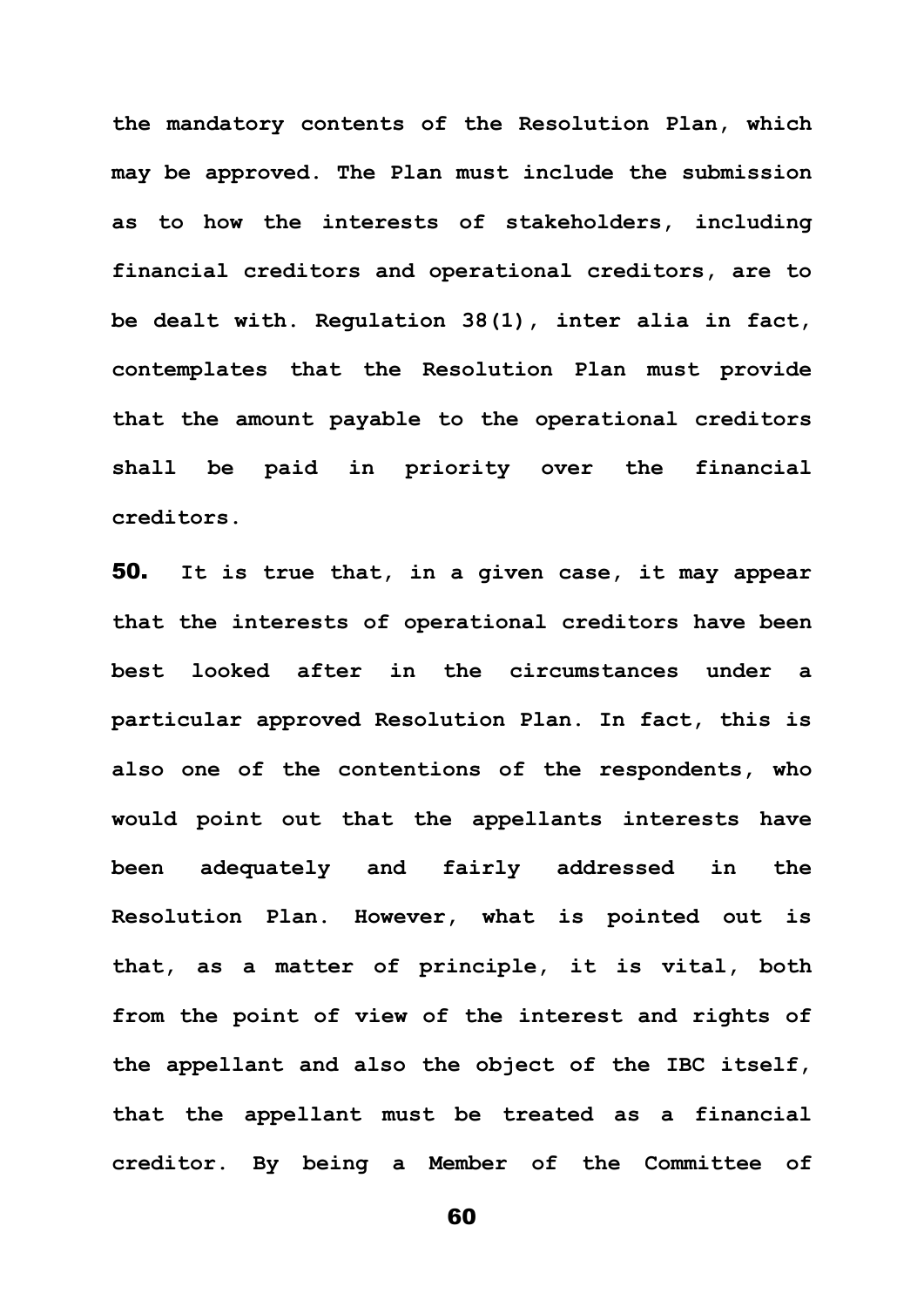**the mandatory contents of the Resolution Plan, which may be approved. The Plan must include the submission as to how the interests of stakeholders, including financial creditors and operational creditors, are to be dealt with. Regulation 38(1), inter alia in fact, contemplates that the Resolution Plan must provide that the amount payable to the operational creditors shall be paid in priority over the financial creditors.**

50. **It is true that, in a given case, it may appear that the interests of operational creditors have been best looked after in the circumstances under a particular approved Resolution Plan. In fact, this is also one of the contentions of the respondents, who would point out that the appellants interests have been adequately and fairly addressed in the Resolution Plan. However, what is pointed out is that, as a matter of principle, it is vital, both from the point of view of the interest and rights of the appellant and also the object of the IBC itself, that the appellant must be treated as a financial creditor. By being a Member of the Committee of**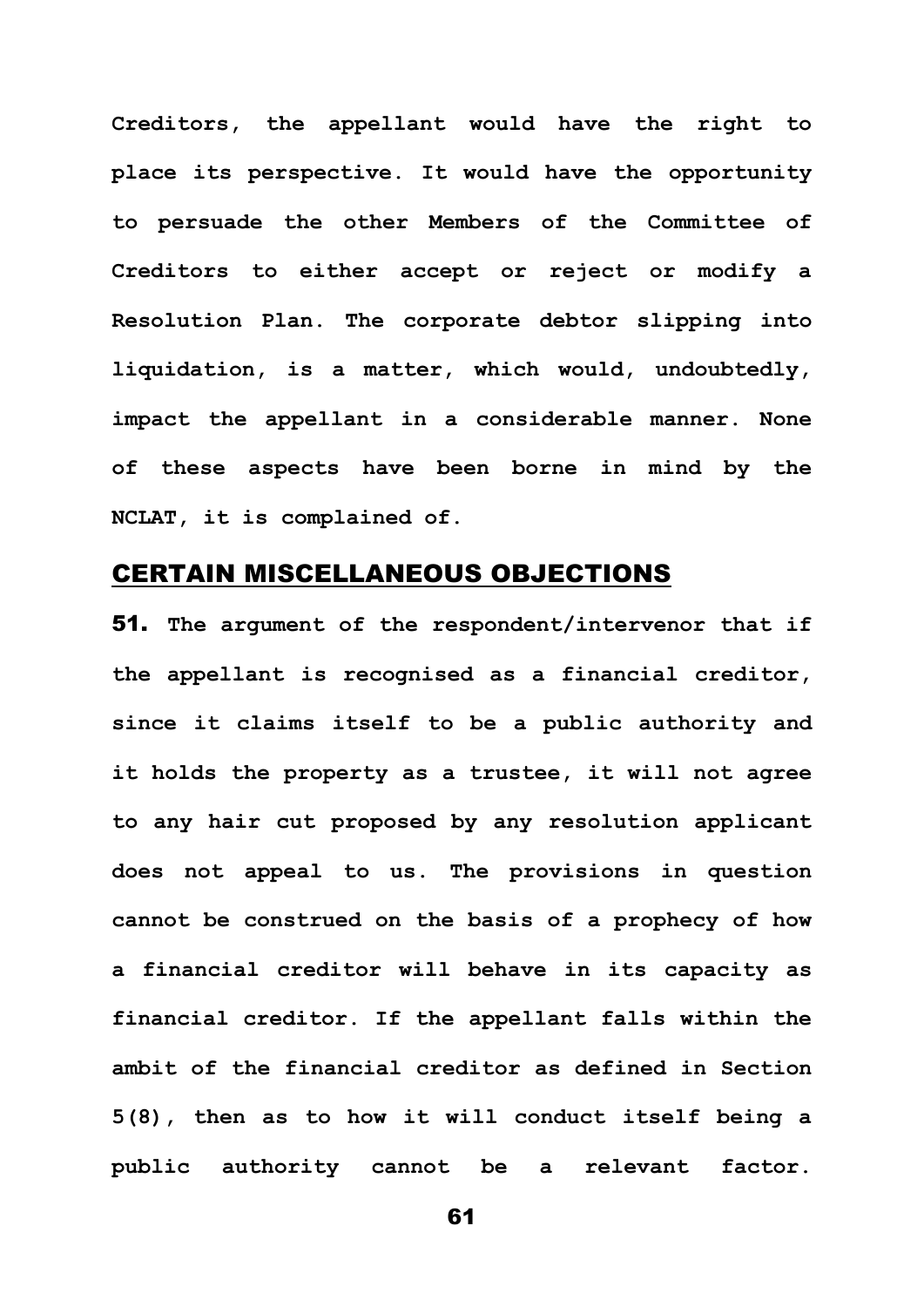**Creditors, the appellant would have the right to place its perspective. It would have the opportunity to persuade the other Members of the Committee of Creditors to either accept or reject or modify a Resolution Plan. The corporate debtor slipping into liquidation, is a matter, which would, undoubtedly, impact the appellant in a considerable manner. None of these aspects have been borne in mind by the NCLAT, it is complained of.**

### CERTAIN MISCELLANEOUS OBJECTIONS

51. **The argument of the respondent/intervenor that if the appellant is recognised as a financial creditor, since it claims itself to be a public authority and it holds the property as a trustee, it will not agree to any hair cut proposed by any resolution applicant does not appeal to us. The provisions in question cannot be construed on the basis of a prophecy of how a financial creditor will behave in its capacity as financial creditor. If the appellant falls within the ambit of the financial creditor as defined in Section 5(8), then as to how it will conduct itself being a public authority cannot be a relevant factor.**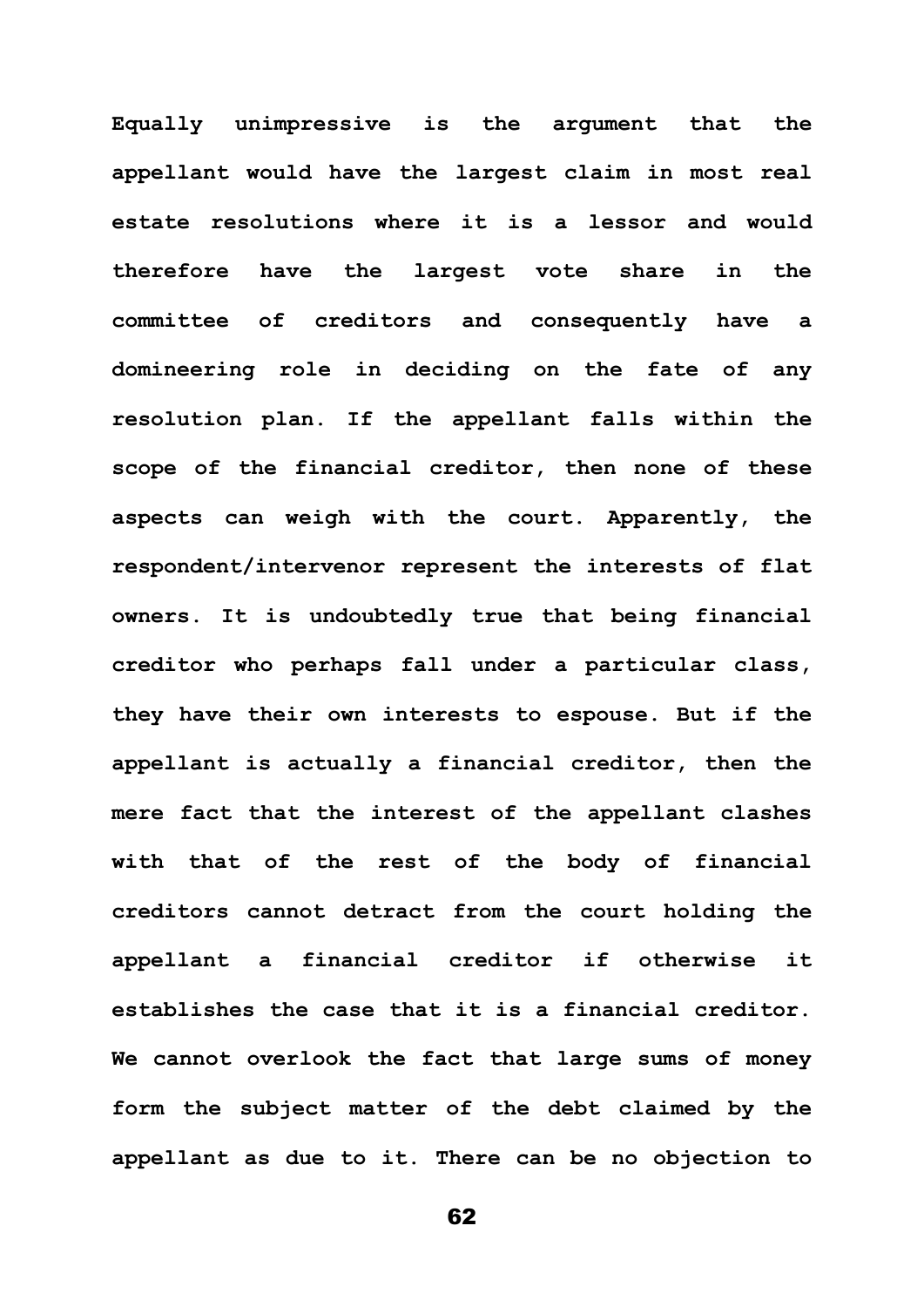**Equally unimpressive is the argument that the appellant would have the largest claim in most real estate resolutions where it is a lessor and would therefore have the largest vote share in the committee of creditors and consequently have a domineering role in deciding on the fate of any resolution plan. If the appellant falls within the scope of the financial creditor, then none of these aspects can weigh with the court. Apparently, the respondent/intervenor represent the interests of flat owners. It is undoubtedly true that being financial creditor who perhaps fall under a particular class, they have their own interests to espouse. But if the appellant is actually a financial creditor, then the mere fact that the interest of the appellant clashes with that of the rest of the body of financial creditors cannot detract from the court holding the appellant a financial creditor if otherwise it establishes the case that it is a financial creditor. We cannot overlook the fact that large sums of money form the subject matter of the debt claimed by the appellant as due to it. There can be no objection to**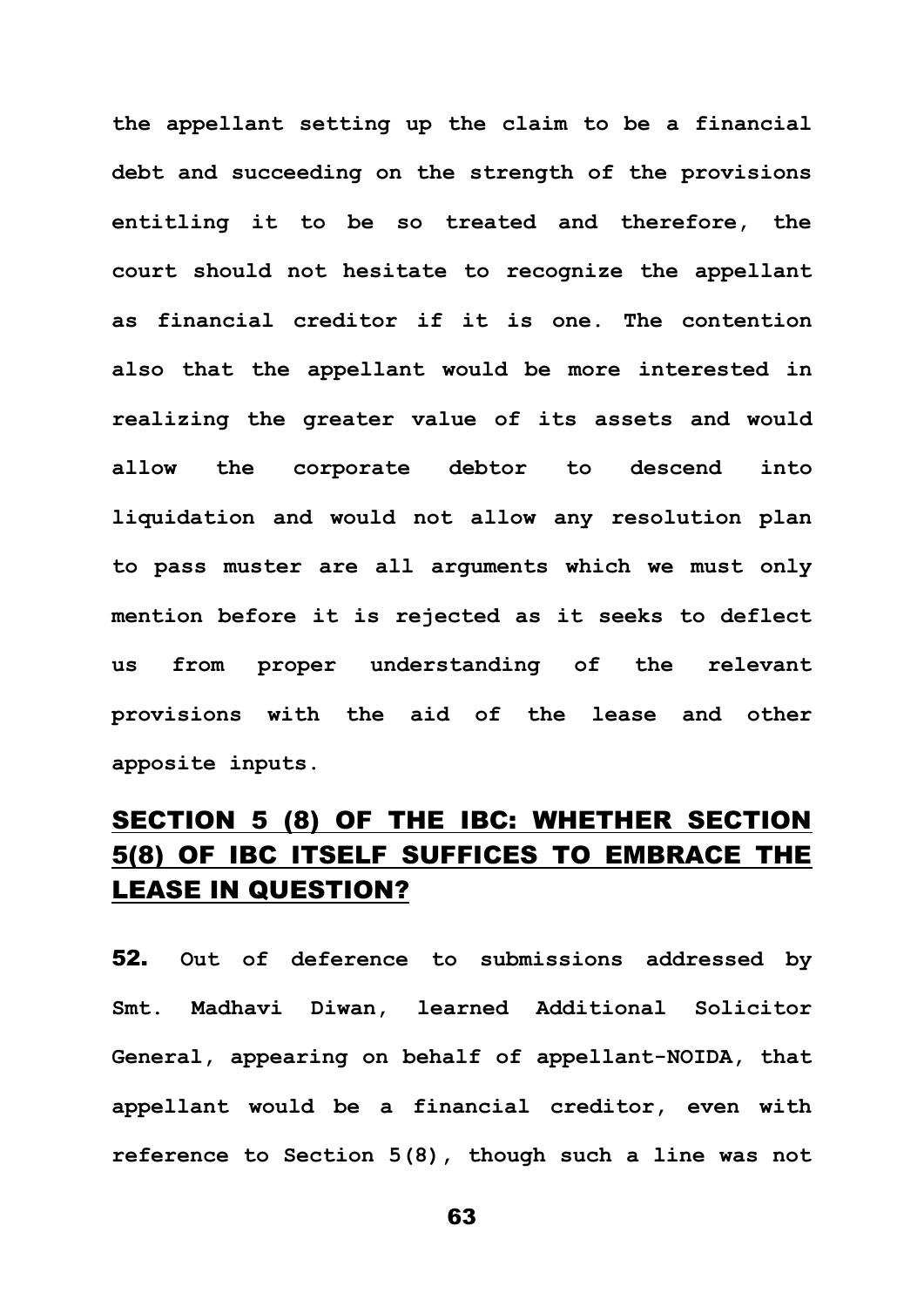**the appellant setting up the claim to be a financial debt and succeeding on the strength of the provisions entitling it to be so treated and therefore, the court should not hesitate to recognize the appellant as financial creditor if it is one. The contention also that the appellant would be more interested in realizing the greater value of its assets and would allow the corporate debtor to descend into liquidation and would not allow any resolution plan to pass muster are all arguments which we must only mention before it is rejected as it seeks to deflect us from proper understanding of the relevant provisions with the aid of the lease and other apposite inputs.**

## SECTION 5 (8) OF THE IBC: WHETHER SECTION 5(8) OF IBC ITSELF SUFFICES TO EMBRACE THE LEASE IN QUESTION?

52. **Out of deference to submissions addressed by Smt. Madhavi Diwan, learned Additional Solicitor General, appearing on behalf of appellant-NOIDA, that appellant would be a financial creditor, even with reference to Section 5(8), though such a line was not**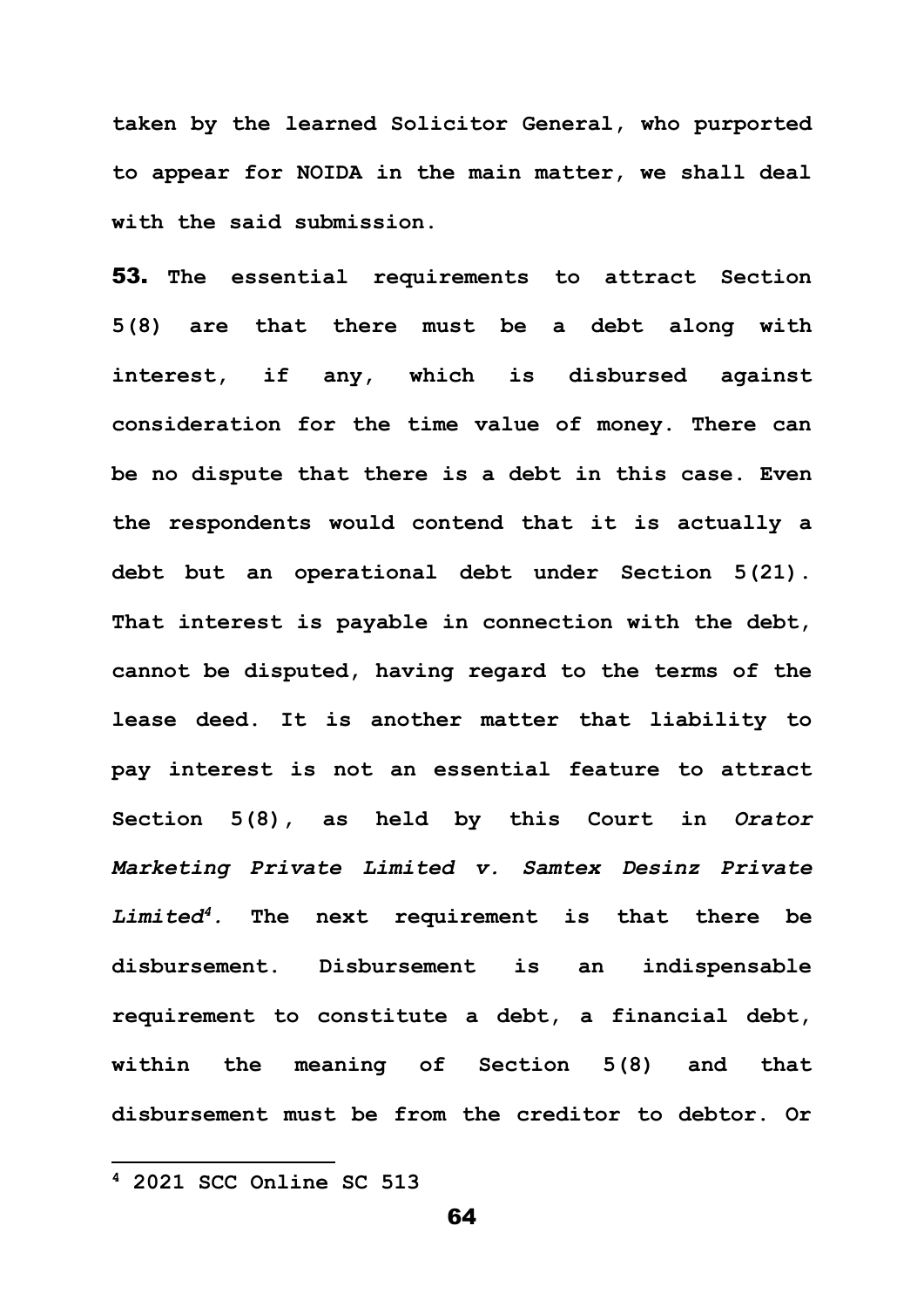**taken by the learned Solicitor General, who purported to appear for NOIDA in the main matter, we shall deal with the said submission.**

53. **The essential requirements to attract Section 5(8) are that there must be a debt along with interest, if any, which is disbursed against consideration for the time value of money. There can be no dispute that there is a debt in this case. Even the respondents would contend that it is actually a debt but an operational debt under Section 5(21). That interest is payable in connection with the debt, cannot be disputed, having regard to the terms of the lease deed. It is another matter that liability to pay interest is not an essential feature to attract Section 5(8), as held by this Court in** *Orator Marketing Private Limited v. Samtex Desinz Private Limited<sup>4</sup>.* **The next requirement is that there be disbursement. Disbursement is an indispensable requirement to constitute a debt, a financial debt, within the meaning of Section 5(8) and that disbursement must be from the creditor to debtor. Or** 

**<sup>4</sup> 2021 SCC Online SC 513**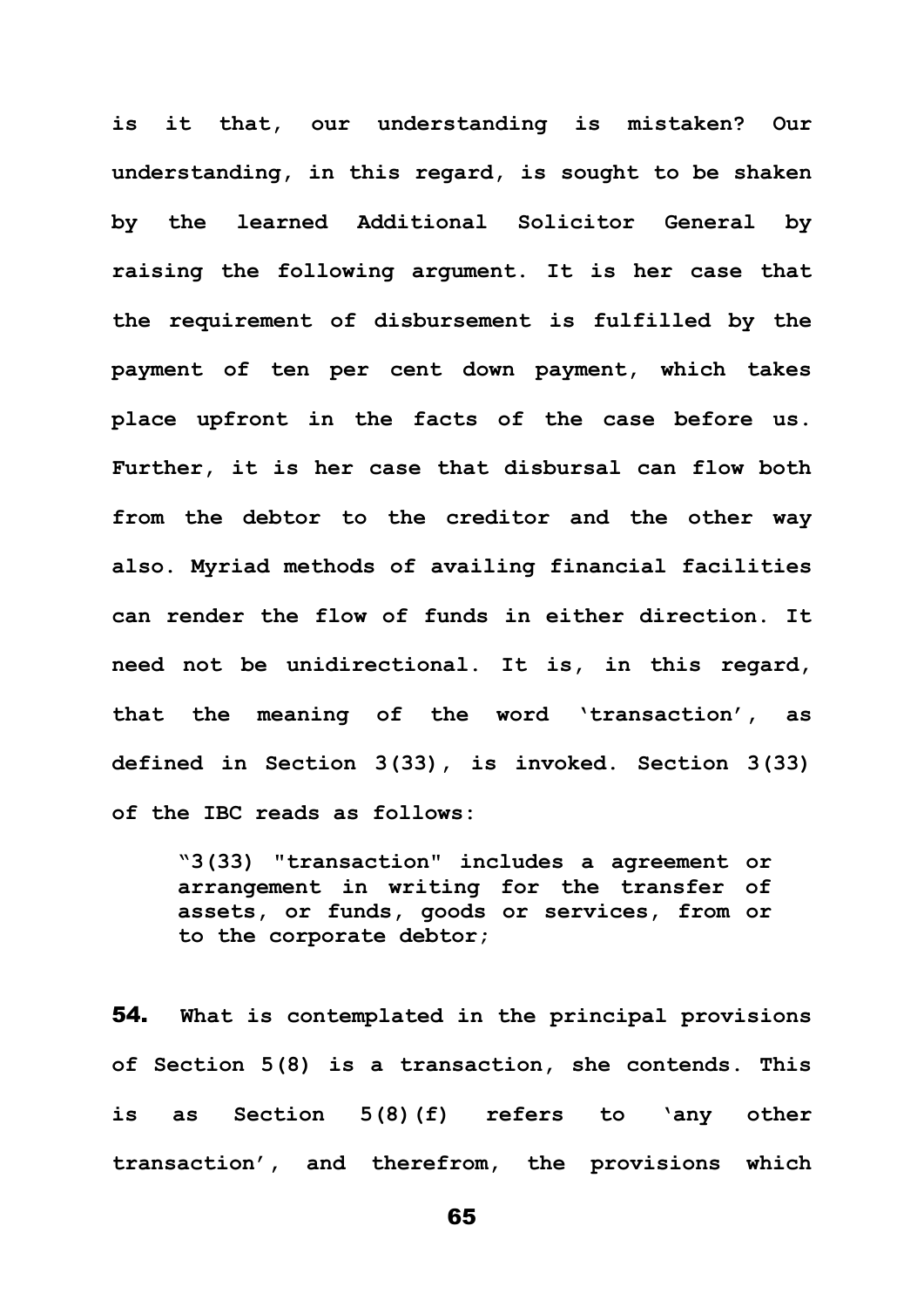**is it that, our understanding is mistaken? Our understanding, in this regard, is sought to be shaken by the learned Additional Solicitor General by raising the following argument. It is her case that the requirement of disbursement is fulfilled by the payment of ten per cent down payment, which takes place upfront in the facts of the case before us. Further, it is her case that disbursal can flow both from the debtor to the creditor and the other way also. Myriad methods of availing financial facilities can render the flow of funds in either direction. It need not be unidirectional. It is, in this regard, that the meaning of the word 'transaction', as defined in Section 3(33), is invoked. Section 3(33) of the IBC reads as follows:**

**"3(33) "transaction" includes a agreement or arrangement in writing for the transfer of assets, or funds, goods or services, from or to the corporate debtor;**

54. **What is contemplated in the principal provisions of Section 5(8) is a transaction, she contends. This is as Section 5(8)(f) refers to 'any other transaction', and therefrom, the provisions which**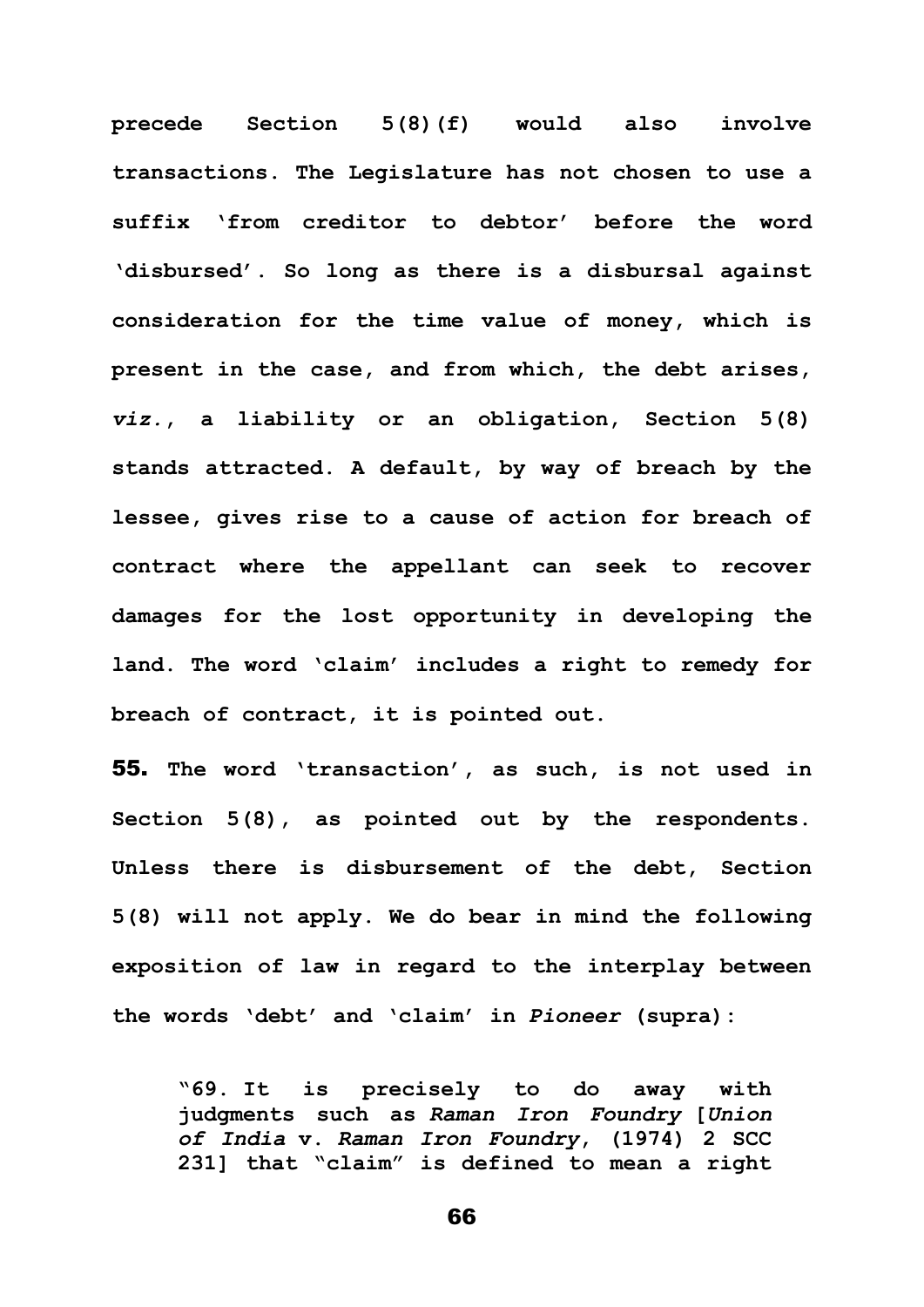**precede Section 5(8)(f) would also involve transactions. The Legislature has not chosen to use a suffix 'from creditor to debtor' before the word 'disbursed'. So long as there is a disbursal against consideration for the time value of money, which is present in the case, and from which, the debt arises,**  *viz.***, a liability or an obligation, Section 5(8) stands attracted. A default, by way of breach by the lessee, gives rise to a cause of action for breach of contract where the appellant can seek to recover damages for the lost opportunity in developing the land. The word 'claim' includes a right to remedy for breach of contract, it is pointed out.**

55. **The word 'transaction', as such, is not used in Section 5(8), as pointed out by the respondents. Unless there is disbursement of the debt, Section 5(8) will not apply. We do bear in mind the following exposition of law in regard to the interplay between the words 'debt' and 'claim' in** *Pioneer* **(supra):**

**"69. It is precisely to do away with judgments such as** *Raman Iron Foundry* **[***Union of India* **v.** *Raman Iron Foundry***, (1974) 2 SCC 231] that "claim" is defined to mean a right**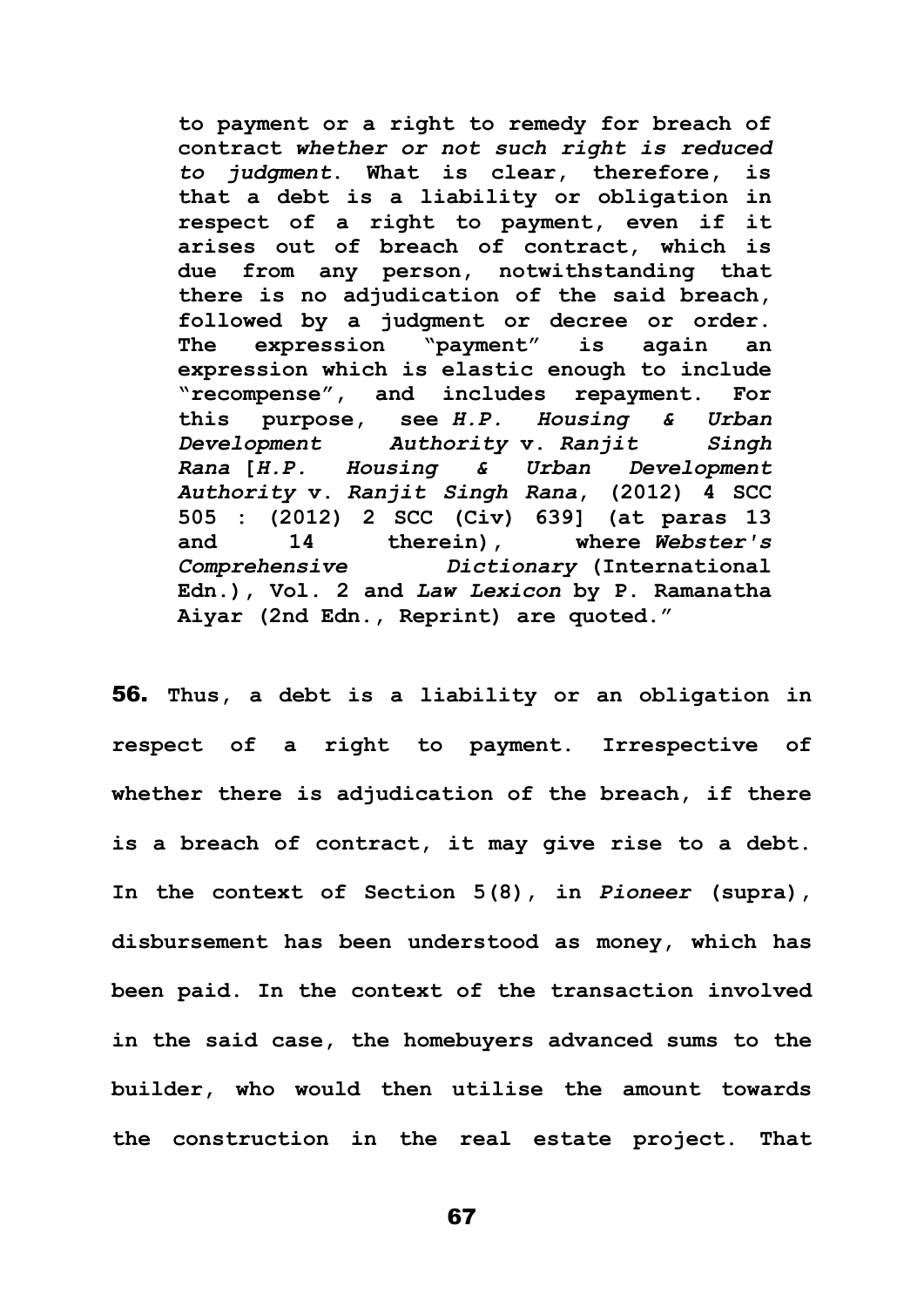**to payment or a right to remedy for breach of contract** *whether or not such right is reduced to judgment***. What is clear, therefore, is that a debt is a liability or obligation in respect of a right to payment, even if it arises out of breach of contract, which is due from any person, notwithstanding that there is no adjudication of the said breach, followed by a judgment or decree or order. The expression "payment" is again an expression which is elastic enough to include "recompense", and includes repayment. For this purpose, see** *H.P. Housing & Urban Development Authority* **v.** *Ranjit Singh Rana* **[***H.P. Housing & Urban Development Authority* **v.** *Ranjit Singh Rana***, (2012) 4 SCC 505 : (2012) 2 SCC (Civ) 639] (at paras 13 and 14 therein), where** *Webster's Comprehensive Dictionary* **(International Edn.), Vol. 2 and** *Law Lexicon* **by P. Ramanatha Aiyar (2nd Edn., Reprint) are quoted."**

56. **Thus, a debt is a liability or an obligation in respect of a right to payment. Irrespective of whether there is adjudication of the breach, if there is a breach of contract, it may give rise to a debt. In the context of Section 5(8), in** *Pioneer* **(supra), disbursement has been understood as money, which has been paid. In the context of the transaction involved in the said case, the homebuyers advanced sums to the builder, who would then utilise the amount towards the construction in the real estate project. That**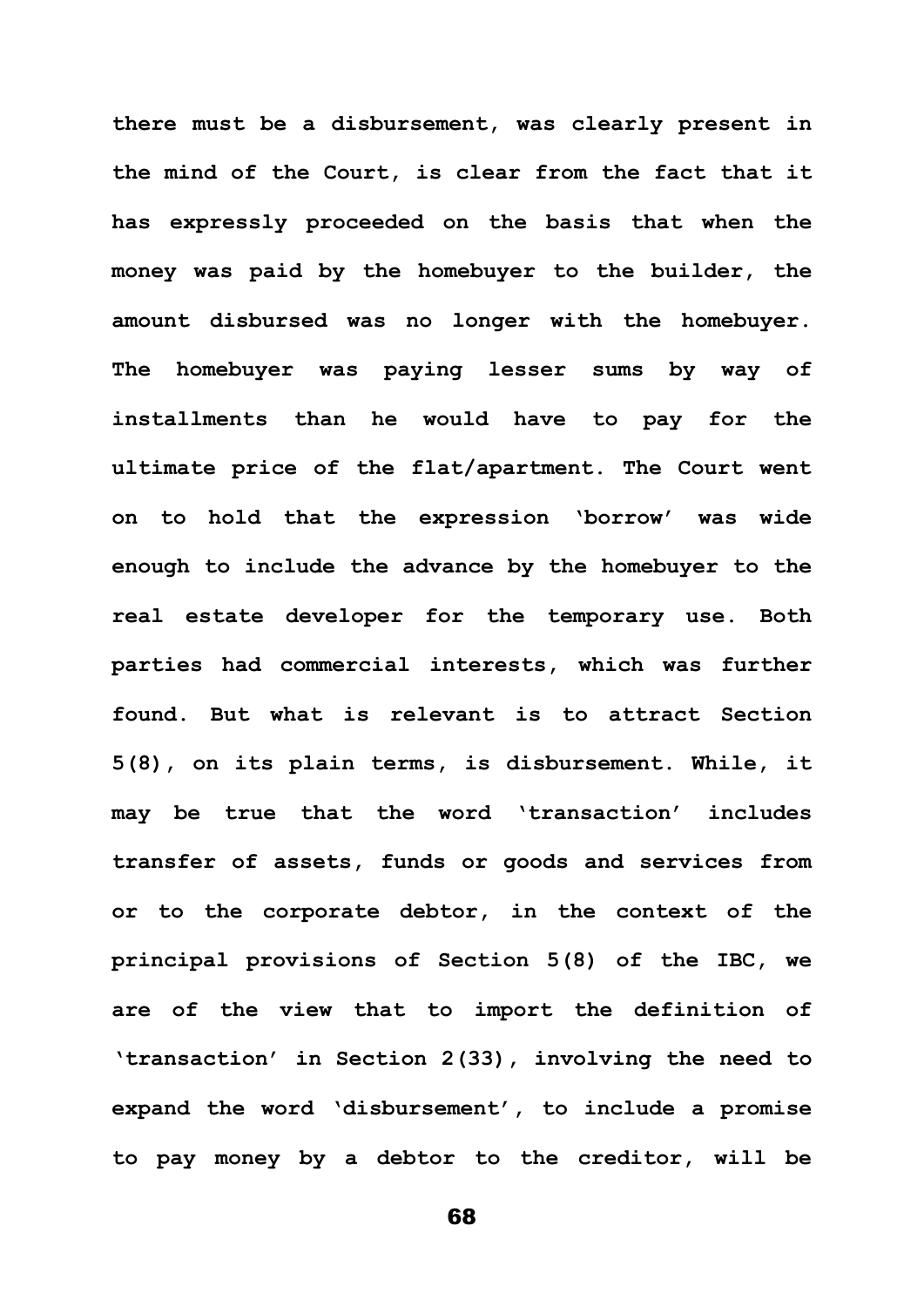**there must be a disbursement, was clearly present in the mind of the Court, is clear from the fact that it has expressly proceeded on the basis that when the money was paid by the homebuyer to the builder, the amount disbursed was no longer with the homebuyer. The homebuyer was paying lesser sums by way of installments than he would have to pay for the ultimate price of the flat/apartment. The Court went on to hold that the expression 'borrow' was wide enough to include the advance by the homebuyer to the real estate developer for the temporary use. Both parties had commercial interests, which was further found. But what is relevant is to attract Section 5(8), on its plain terms, is disbursement. While, it may be true that the word 'transaction' includes transfer of assets, funds or goods and services from or to the corporate debtor, in the context of the principal provisions of Section 5(8) of the IBC, we are of the view that to import the definition of 'transaction' in Section 2(33), involving the need to expand the word 'disbursement', to include a promise to pay money by a debtor to the creditor, will be**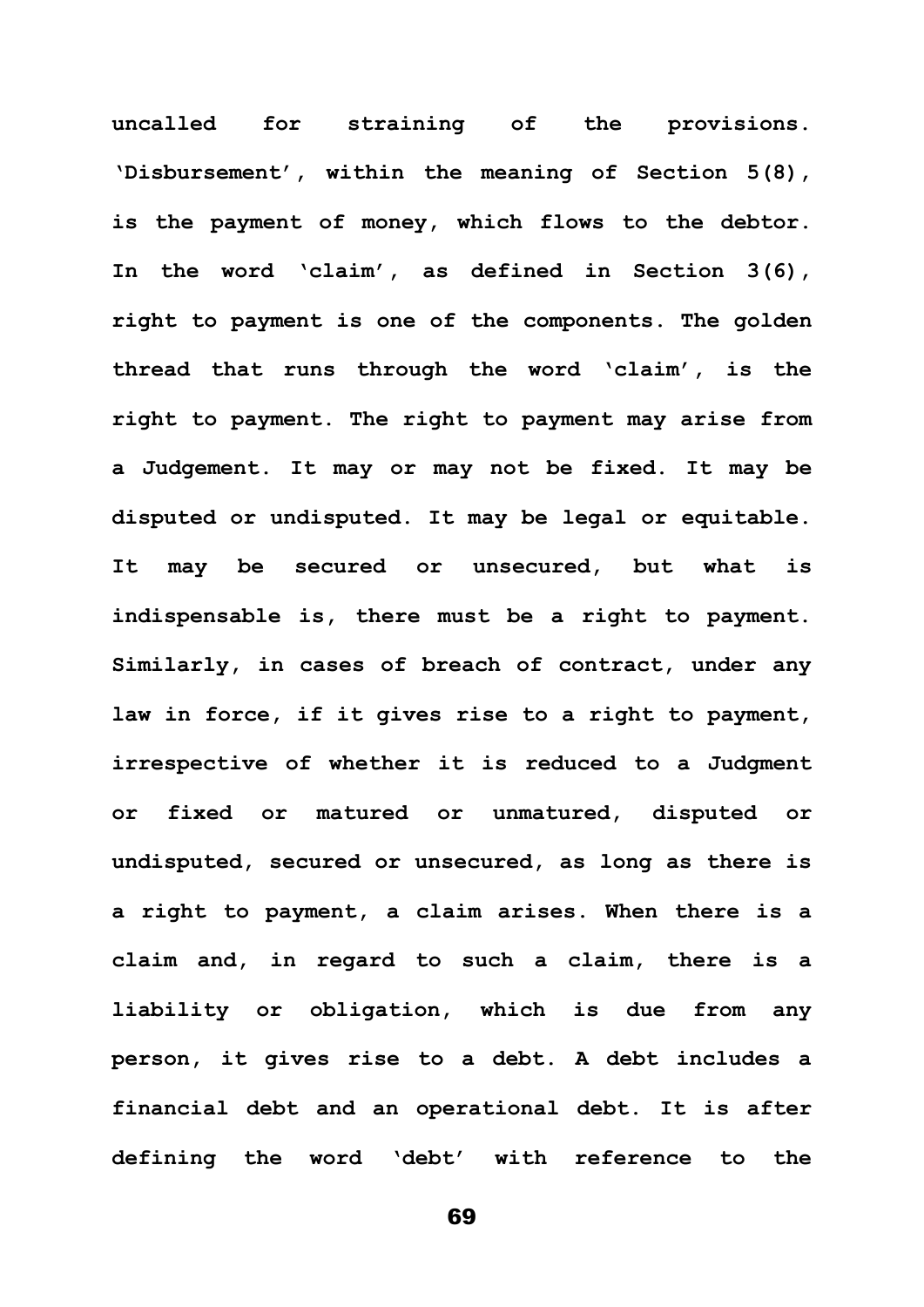**uncalled for straining of the provisions. 'Disbursement', within the meaning of Section 5(8), is the payment of money, which flows to the debtor. In the word 'claim', as defined in Section 3(6), right to payment is one of the components. The golden thread that runs through the word 'claim', is the right to payment. The right to payment may arise from a Judgement. It may or may not be fixed. It may be disputed or undisputed. It may be legal or equitable. It may be secured or unsecured, but what is indispensable is, there must be a right to payment. Similarly, in cases of breach of contract, under any law in force, if it gives rise to a right to payment, irrespective of whether it is reduced to a Judgment or fixed or matured or unmatured, disputed or undisputed, secured or unsecured, as long as there is a right to payment, a claim arises. When there is a claim and, in regard to such a claim, there is a liability or obligation, which is due from any person, it gives rise to a debt. A debt includes a financial debt and an operational debt. It is after defining the word 'debt' with reference to the**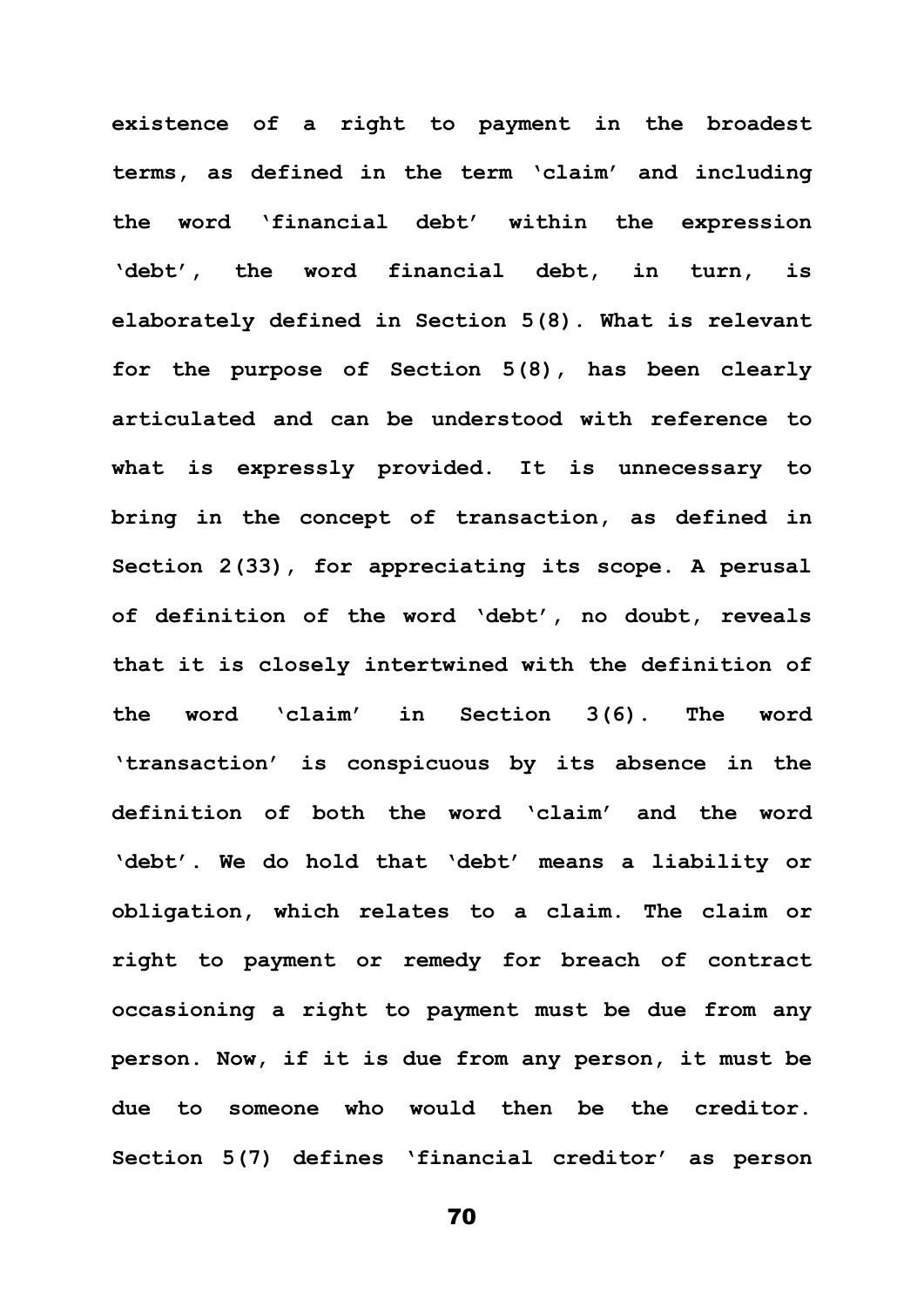**existence of a right to payment in the broadest terms, as defined in the term 'claim' and including the word 'financial debt' within the expression 'debt', the word financial debt, in turn, is elaborately defined in Section 5(8). What is relevant for the purpose of Section 5(8), has been clearly articulated and can be understood with reference to what is expressly provided. It is unnecessary to bring in the concept of transaction, as defined in Section 2(33), for appreciating its scope. A perusal of definition of the word 'debt', no doubt, reveals that it is closely intertwined with the definition of the word 'claim' in Section 3(6). The word 'transaction' is conspicuous by its absence in the definition of both the word 'claim' and the word 'debt'. We do hold that 'debt' means a liability or obligation, which relates to a claim. The claim or right to payment or remedy for breach of contract occasioning a right to payment must be due from any person. Now, if it is due from any person, it must be due to someone who would then be the creditor. Section 5(7) defines 'financial creditor' as person**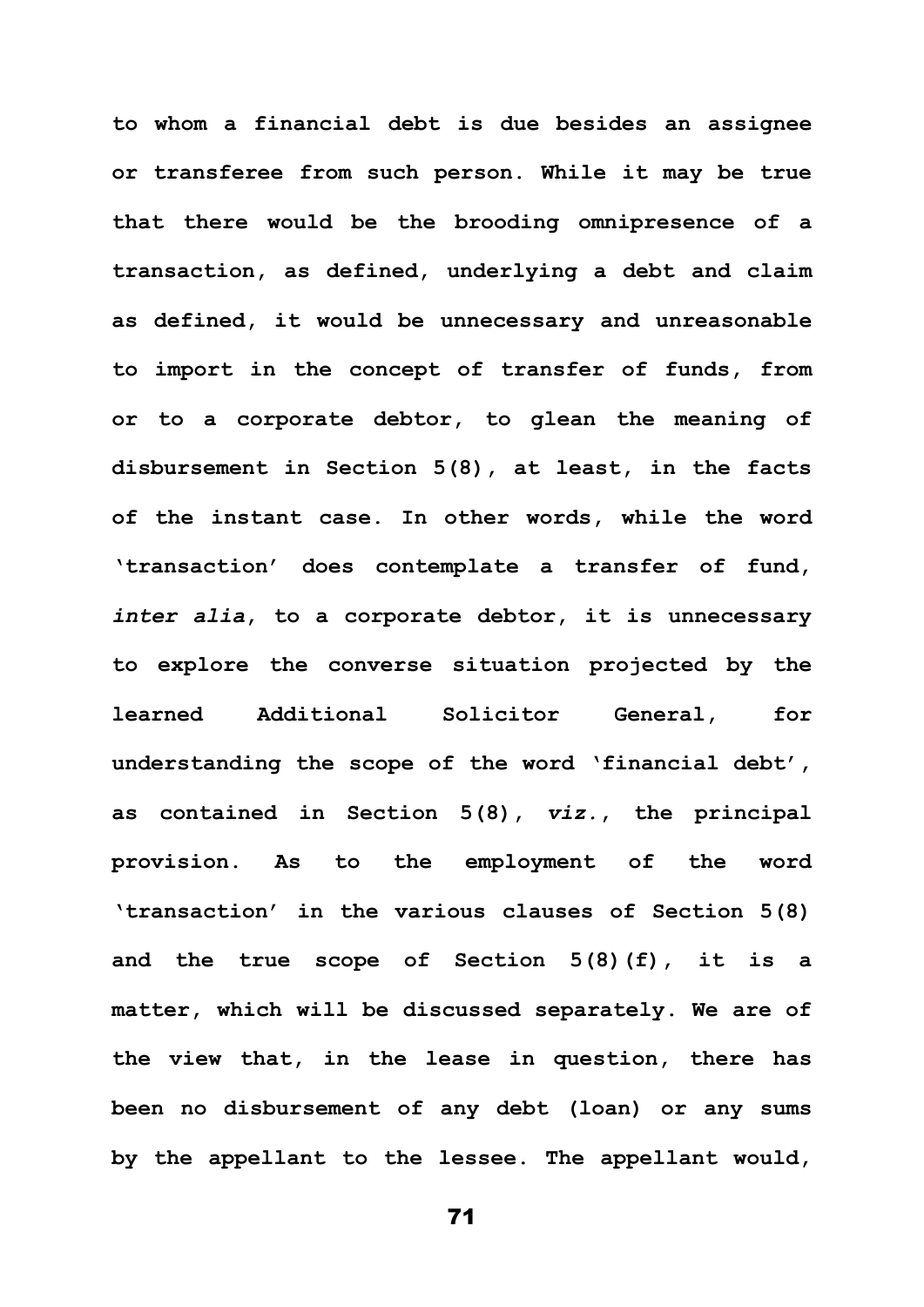**to whom a financial debt is due besides an assignee or transferee from such person. While it may be true that there would be the brooding omnipresence of a transaction, as defined, underlying a debt and claim as defined, it would be unnecessary and unreasonable to import in the concept of transfer of funds, from or to a corporate debtor, to glean the meaning of disbursement in Section 5(8), at least, in the facts of the instant case. In other words, while the word 'transaction' does contemplate a transfer of fund,**  *inter alia***, to a corporate debtor, it is unnecessary to explore the converse situation projected by the learned Additional Solicitor General, for understanding the scope of the word 'financial debt', as contained in Section 5(8),** *viz.***, the principal provision. As to the employment of the word 'transaction' in the various clauses of Section 5(8) and the true scope of Section 5(8)(f), it is a matter, which will be discussed separately. We are of the view that, in the lease in question, there has been no disbursement of any debt (loan) or any sums by the appellant to the lessee. The appellant would,**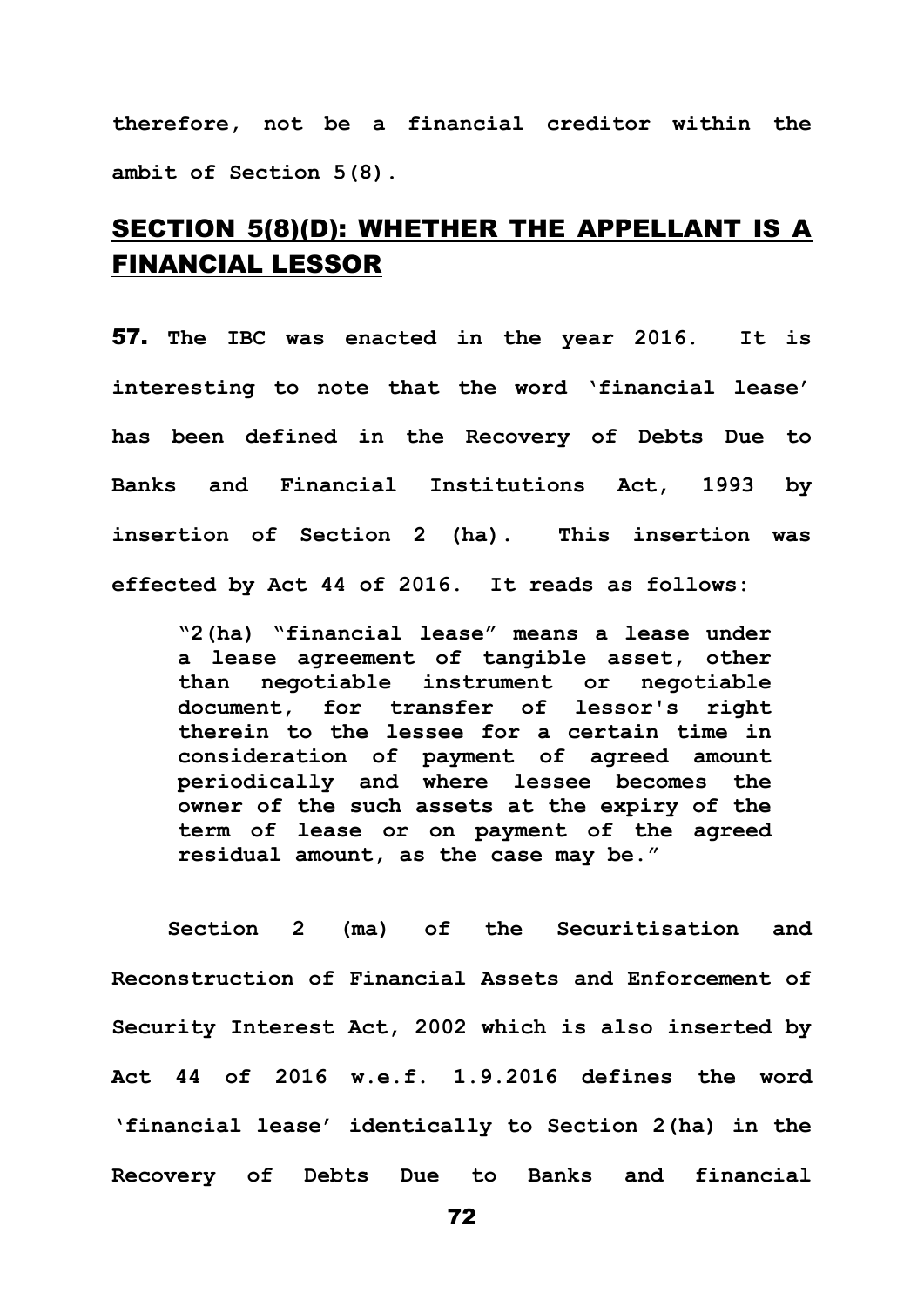**therefore, not be a financial creditor within the ambit of Section 5(8).**

## SECTION 5(8)(D): WHETHER THE APPELLANT IS A FINANCIAL LESSOR

57. **The IBC was enacted in the year 2016. It is interesting to note that the word 'financial lease' has been defined in the Recovery of Debts Due to Banks and Financial Institutions Act, 1993 by insertion of Section 2 (ha). This insertion was effected by Act 44 of 2016. It reads as follows:**

**"2(ha) "financial lease" means a lease under a lease agreement of tangible asset, other than negotiable instrument or negotiable document, for transfer of lessor's right therein to the lessee for a certain time in consideration of payment of agreed amount periodically and where lessee becomes the owner of the such assets at the expiry of the term of lease or on payment of the agreed residual amount, as the case may be."**

**Section 2 (ma) of the Securitisation and Reconstruction of Financial Assets and Enforcement of Security Interest Act, 2002 which is also inserted by Act 44 of 2016 w.e.f. 1.9.2016 defines the word 'financial lease' identically to Section 2(ha) in the Recovery of Debts Due to Banks and financial**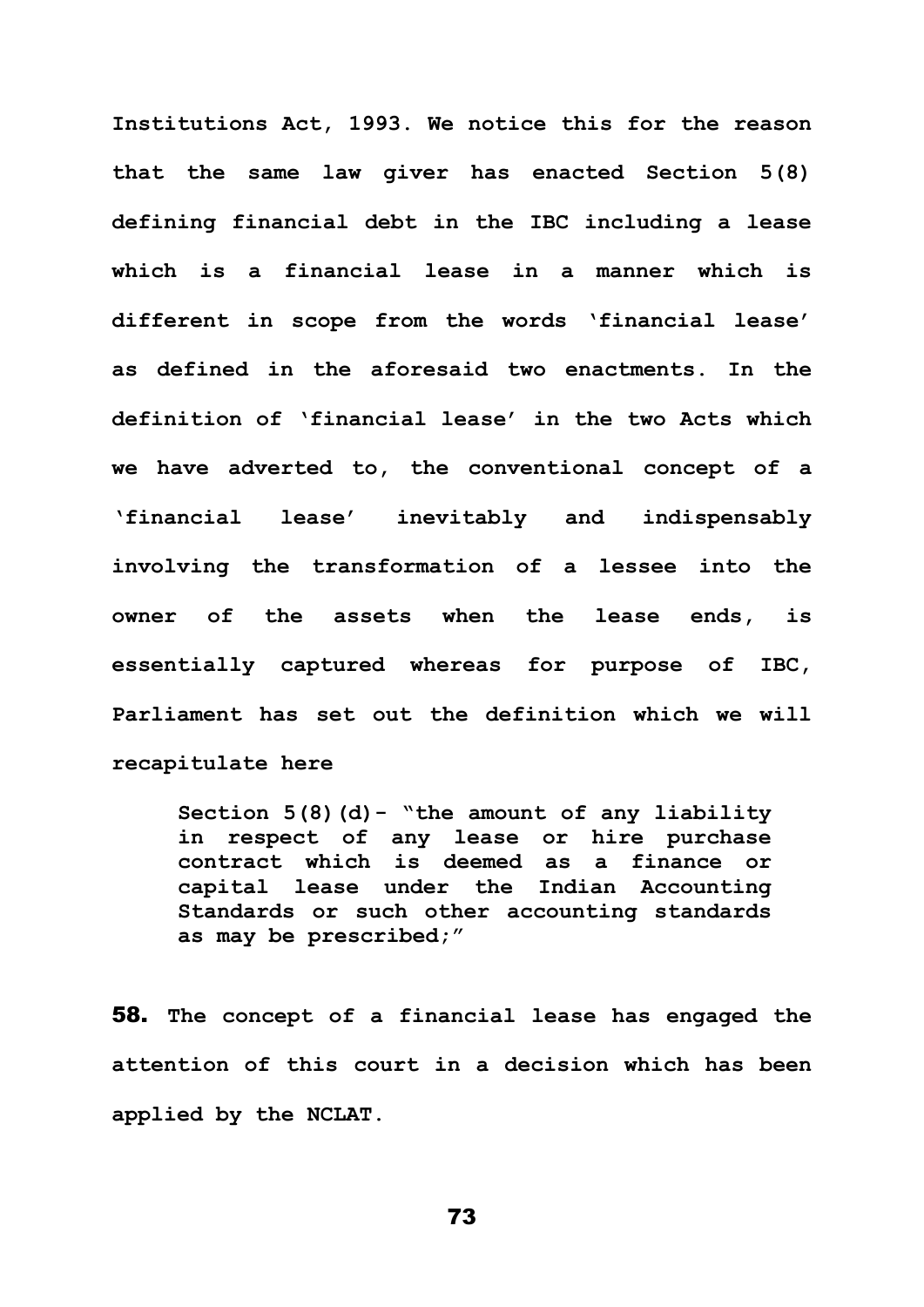**Institutions Act, 1993. We notice this for the reason that the same law giver has enacted Section 5(8) defining financial debt in the IBC including a lease which is a financial lease in a manner which is different in scope from the words 'financial lease' as defined in the aforesaid two enactments. In the definition of 'financial lease' in the two Acts which we have adverted to, the conventional concept of a 'financial lease' inevitably and indispensably involving the transformation of a lessee into the owner of the assets when the lease ends, is essentially captured whereas for purpose of IBC, Parliament has set out the definition which we will recapitulate here** 

**Section 5(8)(d)- "the amount of any liability in respect of any lease or hire purchase contract which is deemed as a finance or capital lease under the Indian Accounting Standards or such other accounting standards as may be prescribed;"**

58. **The concept of a financial lease has engaged the attention of this court in a decision which has been applied by the NCLAT.**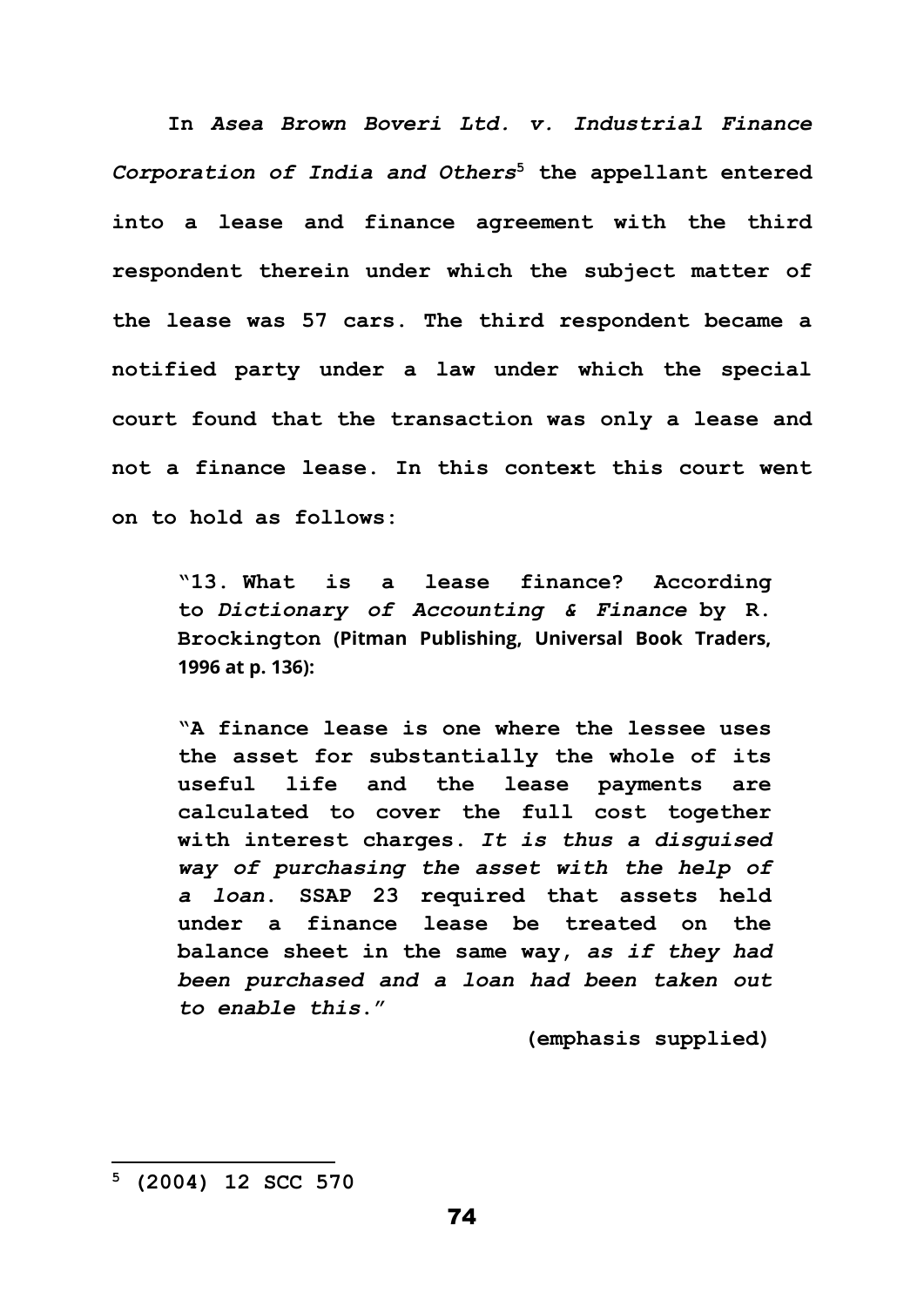**In** *Asea Brown Boveri Ltd. v. Industrial Finance Corporation of India and Others***<sup>5</sup> the appellant entered into a lease and finance agreement with the third respondent therein under which the subject matter of the lease was 57 cars. The third respondent became a notified party under a law under which the special court found that the transaction was only a lease and not a finance lease. In this context this court went on to hold as follows:**

**"13. What is a lease finance? According to** *Dictionary of Accounting & Finance* **by R. Brockington (Pitman Publishing, Universal Book Traders, 1996 at p. 136):**

**"A finance lease is one where the lessee uses the asset for substantially the whole of its useful life and the lease payments are calculated to cover the full cost together with interest charges.** *It is thus a disguised way of purchasing the asset with the help of a loan***. SSAP 23 required that assets held under a finance lease be treated on the balance sheet in the same way,** *as if they had been purchased and a loan had been taken out to enable this***."**

**(emphasis supplied)**

**<sup>5</sup> (2004) 12 SCC 570**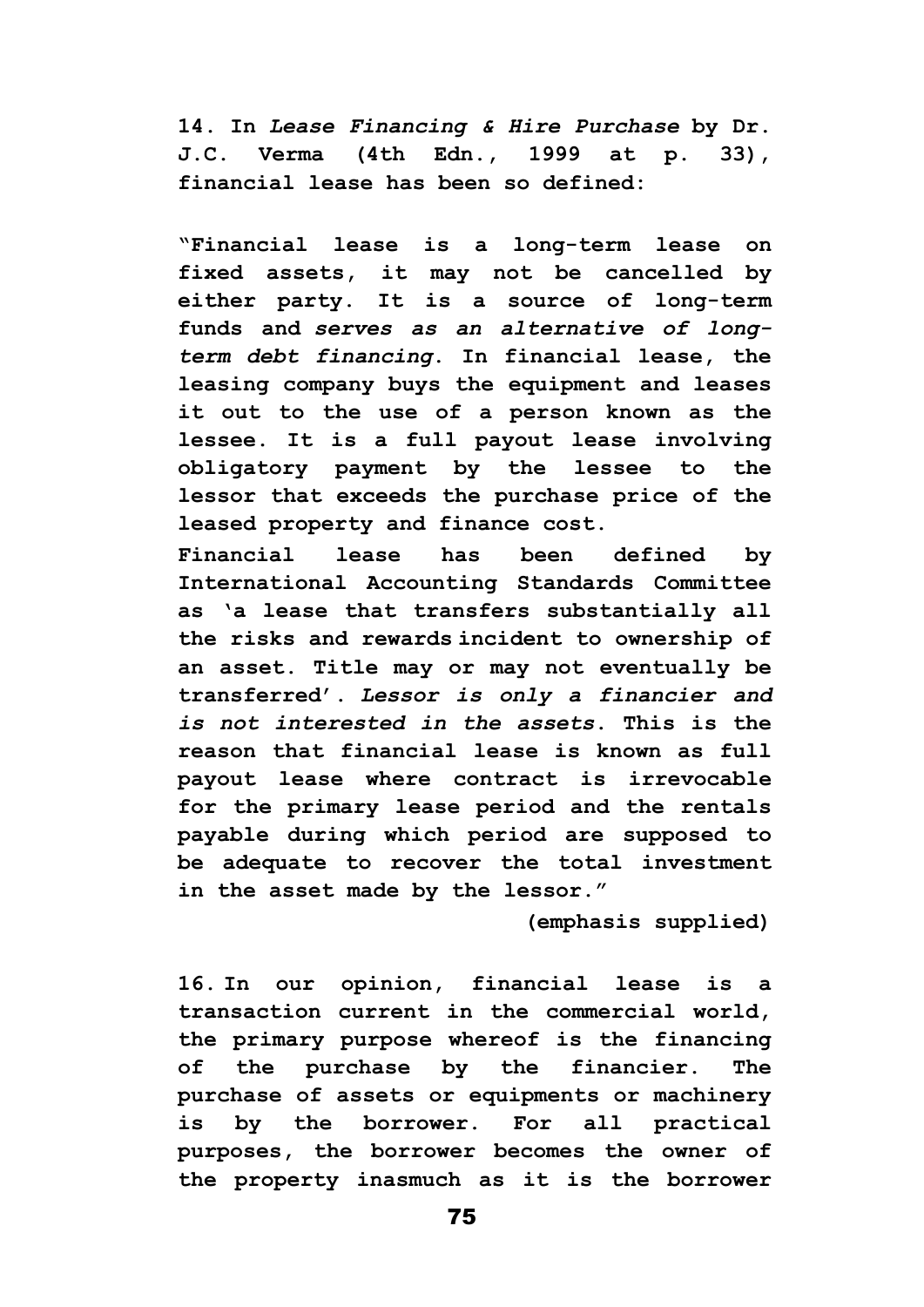**14. In** *Lease Financing & Hire Purchase* **by Dr. J.C. Verma (4th Edn., 1999 at p. 33), financial lease has been so defined:**

**"Financial lease is a long-term lease on fixed assets, it may not be cancelled by either party. It is a source of long-term funds and** *serves as an alternative of longterm debt financing***. In financial lease, the leasing company buys the equipment and leases it out to the use of a person known as the lessee. It is a full payout lease involving obligatory payment by the lessee to the lessor that exceeds the purchase price of the leased property and finance cost.**

**Financial lease has been defined by International Accounting Standards Committee as 'a lease that transfers substantially all the risks and rewards incident to ownership of an asset. Title may or may not eventually be transferred'.** *Lessor is only a financier and is not interested in the assets***. This is the reason that financial lease is known as full payout lease where contract is irrevocable for the primary lease period and the rentals payable during which period are supposed to be adequate to recover the total investment in the asset made by the lessor."**

**(emphasis supplied)**

**16. In our opinion, financial lease is a transaction current in the commercial world, the primary purpose whereof is the financing of the purchase by the financier. The purchase of assets or equipments or machinery is by the borrower. For all practical purposes, the borrower becomes the owner of the property inasmuch as it is the borrower**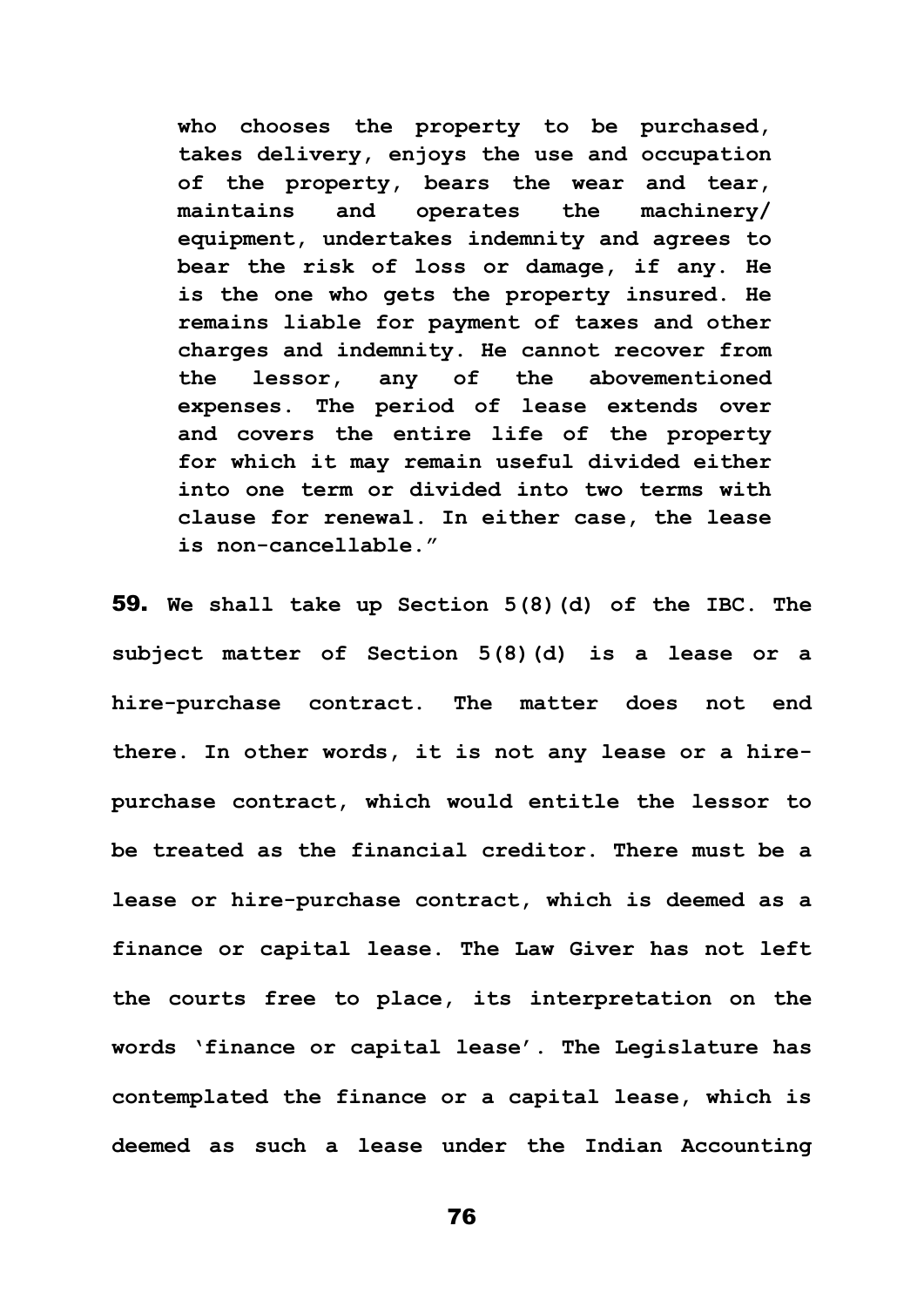**who chooses the property to be purchased, takes delivery, enjoys the use and occupation of the property, bears the wear and tear, maintains and operates the machinery/ equipment, undertakes indemnity and agrees to bear the risk of loss or damage, if any. He is the one who gets the property insured. He remains liable for payment of taxes and other charges and indemnity. He cannot recover from the lessor, any of the abovementioned expenses. The period of lease extends over and covers the entire life of the property for which it may remain useful divided either into one term or divided into two terms with clause for renewal. In either case, the lease is non-cancellable."**

59. **We shall take up Section 5(8)(d) of the IBC. The subject matter of Section 5(8)(d) is a lease or a hire-purchase contract. The matter does not end there. In other words, it is not any lease or a hirepurchase contract, which would entitle the lessor to be treated as the financial creditor. There must be a lease or hire-purchase contract, which is deemed as a finance or capital lease. The Law Giver has not left the courts free to place, its interpretation on the words 'finance or capital lease'. The Legislature has contemplated the finance or a capital lease, which is deemed as such a lease under the Indian Accounting**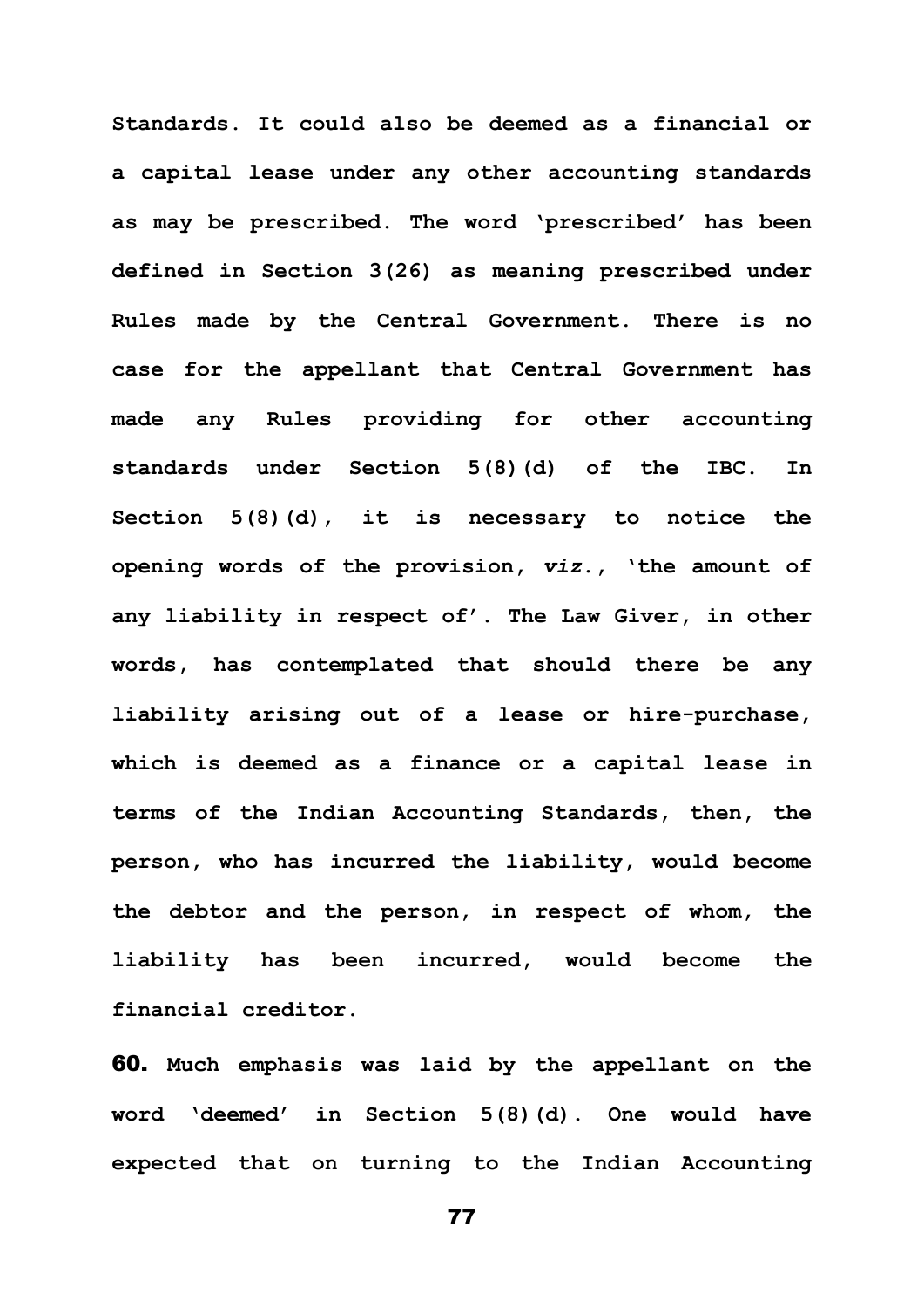**Standards. It could also be deemed as a financial or a capital lease under any other accounting standards as may be prescribed. The word 'prescribed' has been defined in Section 3(26) as meaning prescribed under Rules made by the Central Government. There is no case for the appellant that Central Government has made any Rules providing for other accounting standards under Section 5(8)(d) of the IBC. In Section 5(8)(d), it is necessary to notice the opening words of the provision,** *viz***., 'the amount of any liability in respect of'. The Law Giver, in other words, has contemplated that should there be any liability arising out of a lease or hire-purchase, which is deemed as a finance or a capital lease in terms of the Indian Accounting Standards, then, the person, who has incurred the liability, would become the debtor and the person, in respect of whom, the liability has been incurred, would become the financial creditor.** 

60. **Much emphasis was laid by the appellant on the word 'deemed' in Section 5(8)(d). One would have expected that on turning to the Indian Accounting**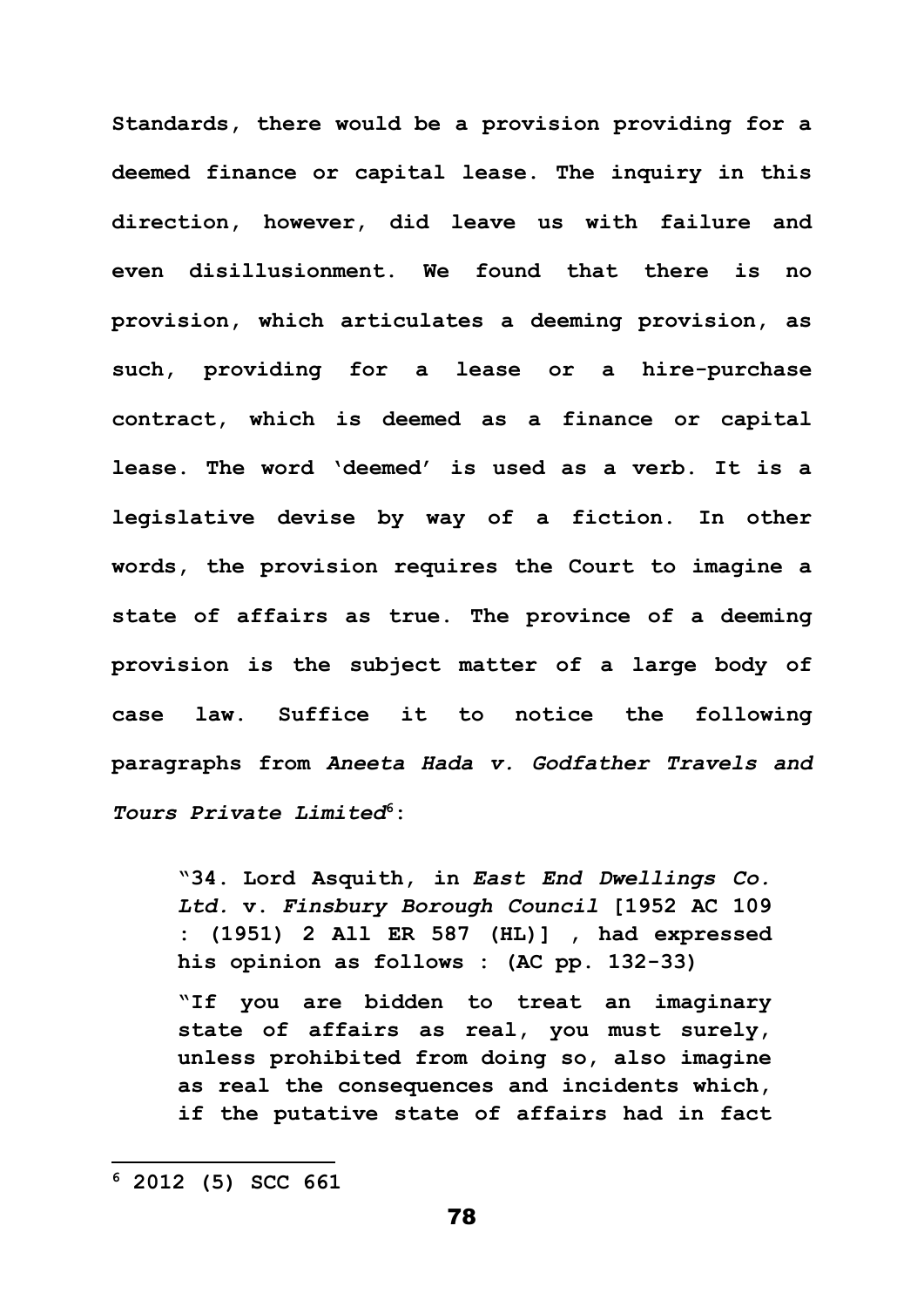**Standards, there would be a provision providing for a deemed finance or capital lease. The inquiry in this direction, however, did leave us with failure and even disillusionment. We found that there is no provision, which articulates a deeming provision, as such, providing for a lease or a hire-purchase contract, which is deemed as a finance or capital lease. The word 'deemed' is used as a verb. It is a legislative devise by way of a fiction. In other words, the provision requires the Court to imagine a state of affairs as true. The province of a deeming provision is the subject matter of a large body of case law. Suffice it to notice the following paragraphs from** *Aneeta Hada v. Godfather Travels and Tours Private Limited***<sup>6</sup>:**

**"34. Lord Asquith, in** *East End Dwellings Co. Ltd.* **v.** *Finsbury Borough Council* **[1952 AC 109 : (1951) 2 All ER 587 (HL)] , had expressed his opinion as follows : (AC pp. 132-33)**

**"If you are bidden to treat an imaginary state of affairs as real, you must surely, unless prohibited from doing so, also imagine as real the consequences and incidents which, if the putative state of affairs had in fact** 

**<sup>6</sup> 2012 (5) SCC 661**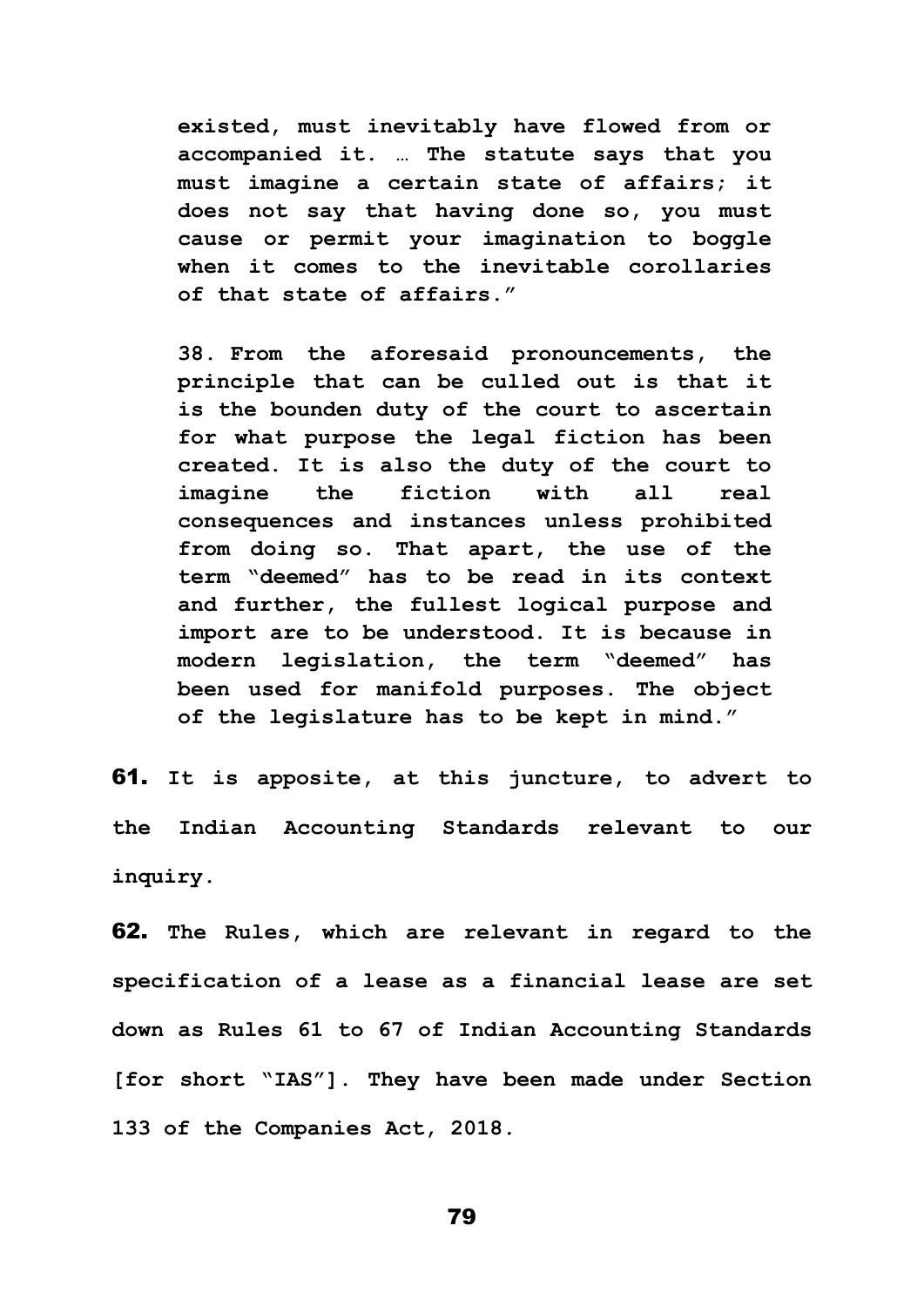**existed, must inevitably have flowed from or accompanied it. … The statute says that you must imagine a certain state of affairs; it does not say that having done so, you must cause or permit your imagination to boggle when it comes to the inevitable corollaries of that state of affairs."**

**38. From the aforesaid pronouncements, the principle that can be culled out is that it is the bounden duty of the court to ascertain for what purpose the legal fiction has been created. It is also the duty of the court to imagine the fiction with all real consequences and instances unless prohibited from doing so. That apart, the use of the term "deemed" has to be read in its context and further, the fullest logical purpose and import are to be understood. It is because in modern legislation, the term "deemed" has been used for manifold purposes. The object of the legislature has to be kept in mind."**

61. **It is apposite, at this juncture, to advert to the Indian Accounting Standards relevant to our inquiry.** 

62. **The Rules, which are relevant in regard to the specification of a lease as a financial lease are set down as Rules 61 to 67 of Indian Accounting Standards [for short "IAS"]. They have been made under Section 133 of the Companies Act, 2018.**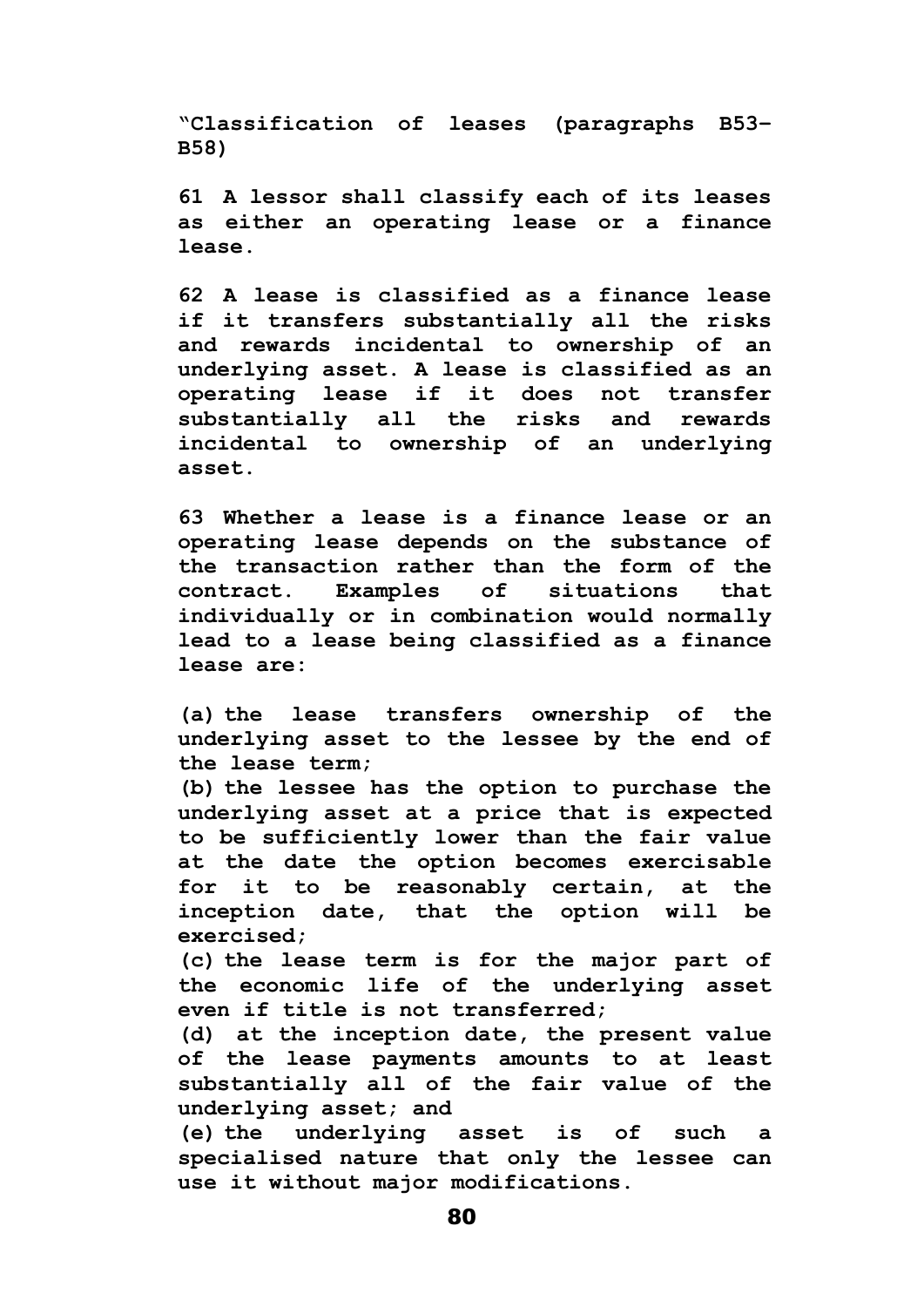**"Classification of leases (paragraphs B53– B58)**

**61 A lessor shall classify each of its leases as either an operating lease or a finance lease.**

**62 A lease is classified as a finance lease if it transfers substantially all the risks and rewards incidental to ownership of an underlying asset. A lease is classified as an operating lease if it does not transfer substantially all the risks and rewards incidental to ownership of an underlying asset.**

**63 Whether a lease is a finance lease or an operating lease depends on the substance of the transaction rather than the form of the contract. Examples of situations that individually or in combination would normally lead to a lease being classified as a finance lease are:**

**(a) the lease transfers ownership of the underlying asset to the lessee by the end of the lease term;** 

**(b) the lessee has the option to purchase the underlying asset at a price that is expected to be sufficiently lower than the fair value at the date the option becomes exercisable for it to be reasonably certain, at the inception date, that the option will be exercised;**

**(c) the lease term is for the major part of the economic life of the underlying asset even if title is not transferred;**

**(d) at the inception date, the present value of the lease payments amounts to at least substantially all of the fair value of the underlying asset; and**

**(e) the underlying asset is of such a specialised nature that only the lessee can use it without major modifications.**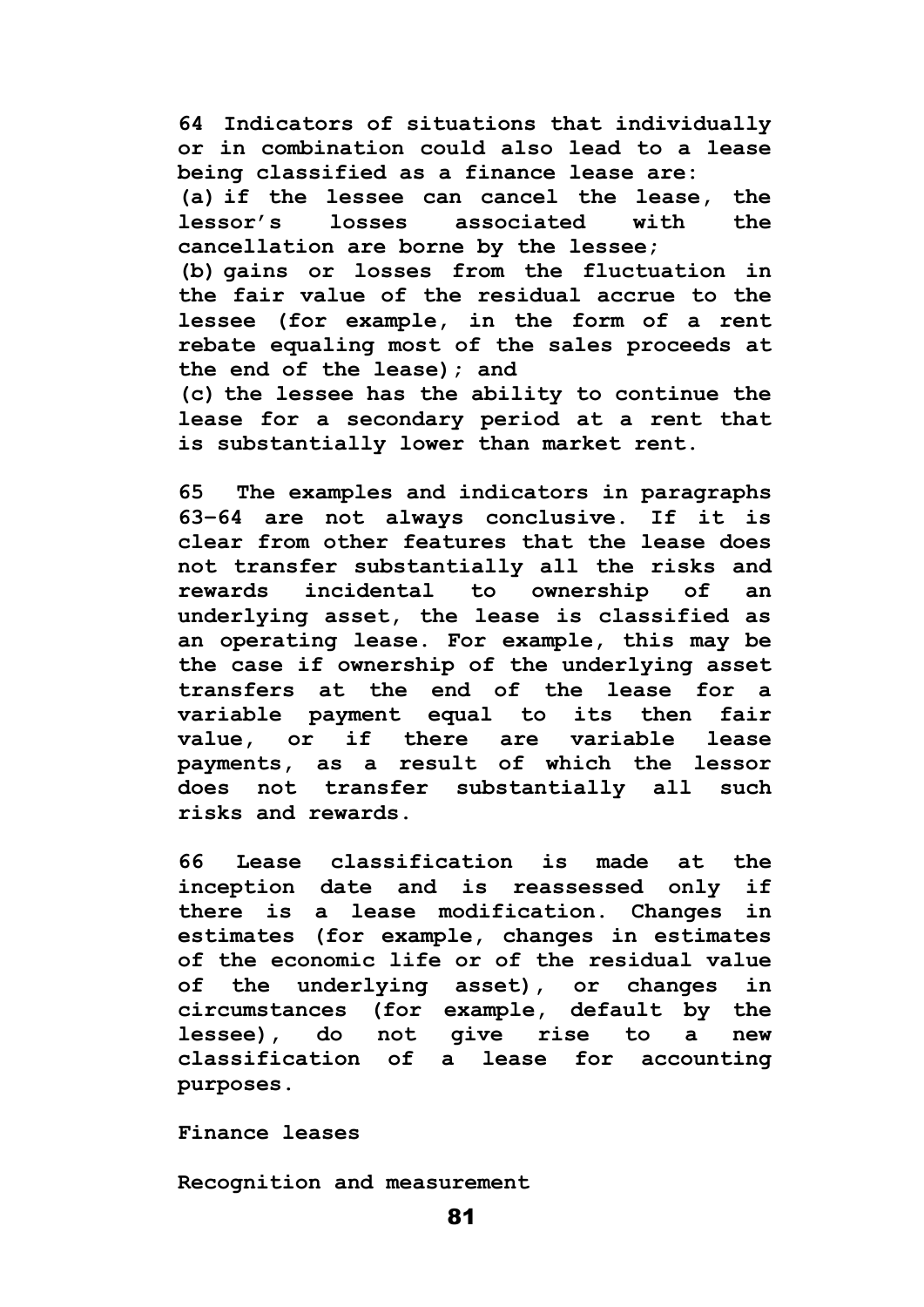**64 Indicators of situations that individually or in combination could also lead to a lease being classified as a finance lease are: (a) if the lessee can cancel the lease, the lessor's losses associated with the cancellation are borne by the lessee; (b) gains or losses from the fluctuation in the fair value of the residual accrue to the lessee (for example, in the form of a rent rebate equaling most of the sales proceeds at the end of the lease); and (c) the lessee has the ability to continue the lease for a secondary period at a rent that is substantially lower than market rent.**

**65 The examples and indicators in paragraphs 63–64 are not always conclusive. If it is clear from other features that the lease does not transfer substantially all the risks and rewards incidental to ownership of an underlying asset, the lease is classified as an operating lease. For example, this may be the case if ownership of the underlying asset transfers at the end of the lease for a variable payment equal to its then fair value, or if there are variable lease payments, as a result of which the lessor does not transfer substantially all such risks and rewards.**

**66 Lease classification is made at the inception date and is reassessed only if there is a lease modification. Changes in estimates (for example, changes in estimates of the economic life or of the residual value of the underlying asset), or changes in circumstances (for example, default by the lessee), do not give rise to a new classification of a lease for accounting purposes.**

**Finance leases**

**Recognition and measurement**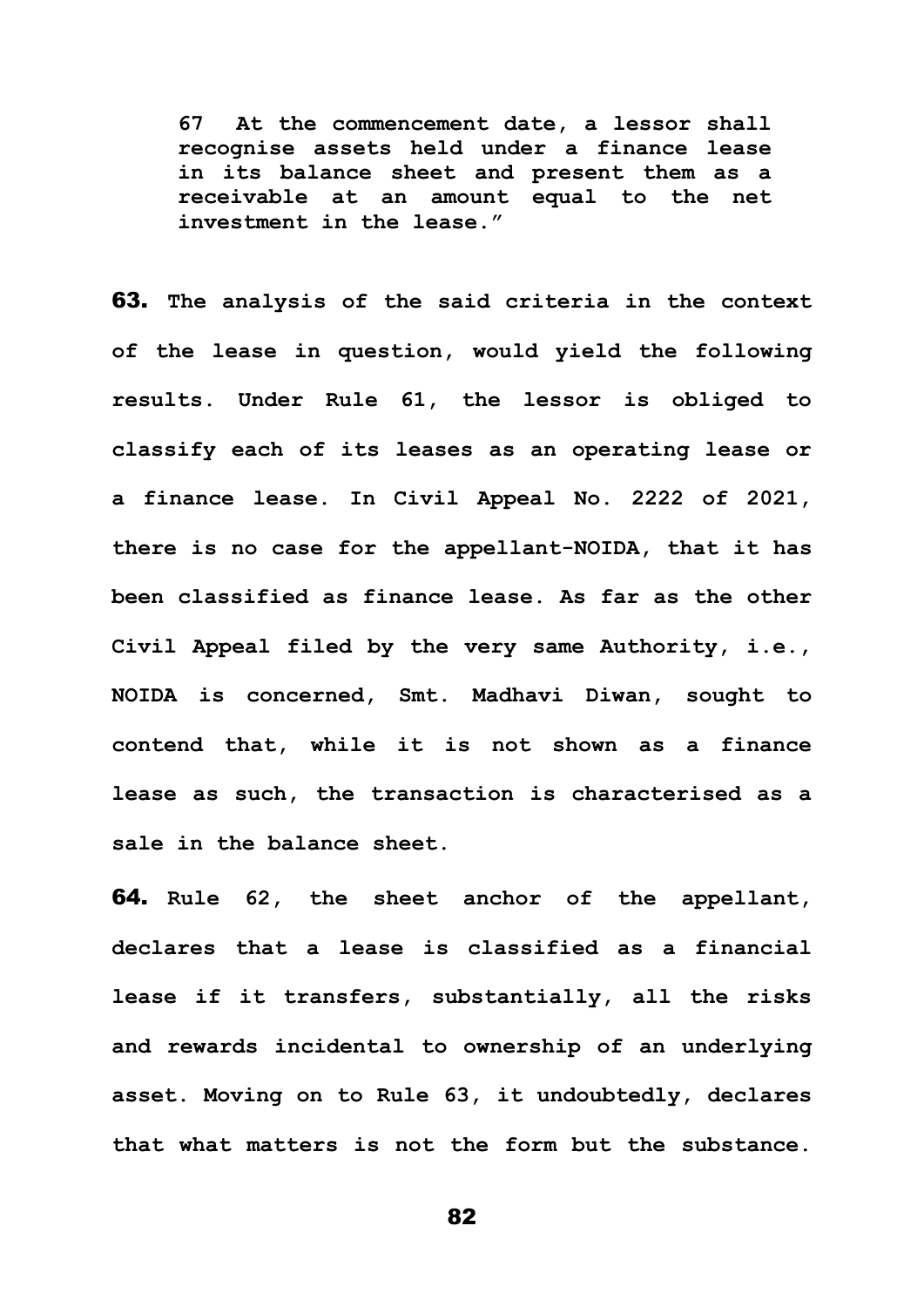**67 At the commencement date, a lessor shall recognise assets held under a finance lease in its balance sheet and present them as a receivable at an amount equal to the net investment in the lease."**

63. **The analysis of the said criteria in the context of the lease in question, would yield the following results. Under Rule 61, the lessor is obliged to classify each of its leases as an operating lease or a finance lease. In Civil Appeal No. 2222 of 2021, there is no case for the appellant-NOIDA, that it has been classified as finance lease. As far as the other Civil Appeal filed by the very same Authority, i.e., NOIDA is concerned, Smt. Madhavi Diwan, sought to contend that, while it is not shown as a finance lease as such, the transaction is characterised as a sale in the balance sheet.**

64. **Rule 62, the sheet anchor of the appellant, declares that a lease is classified as a financial lease if it transfers, substantially, all the risks and rewards incidental to ownership of an underlying asset. Moving on to Rule 63, it undoubtedly, declares that what matters is not the form but the substance.**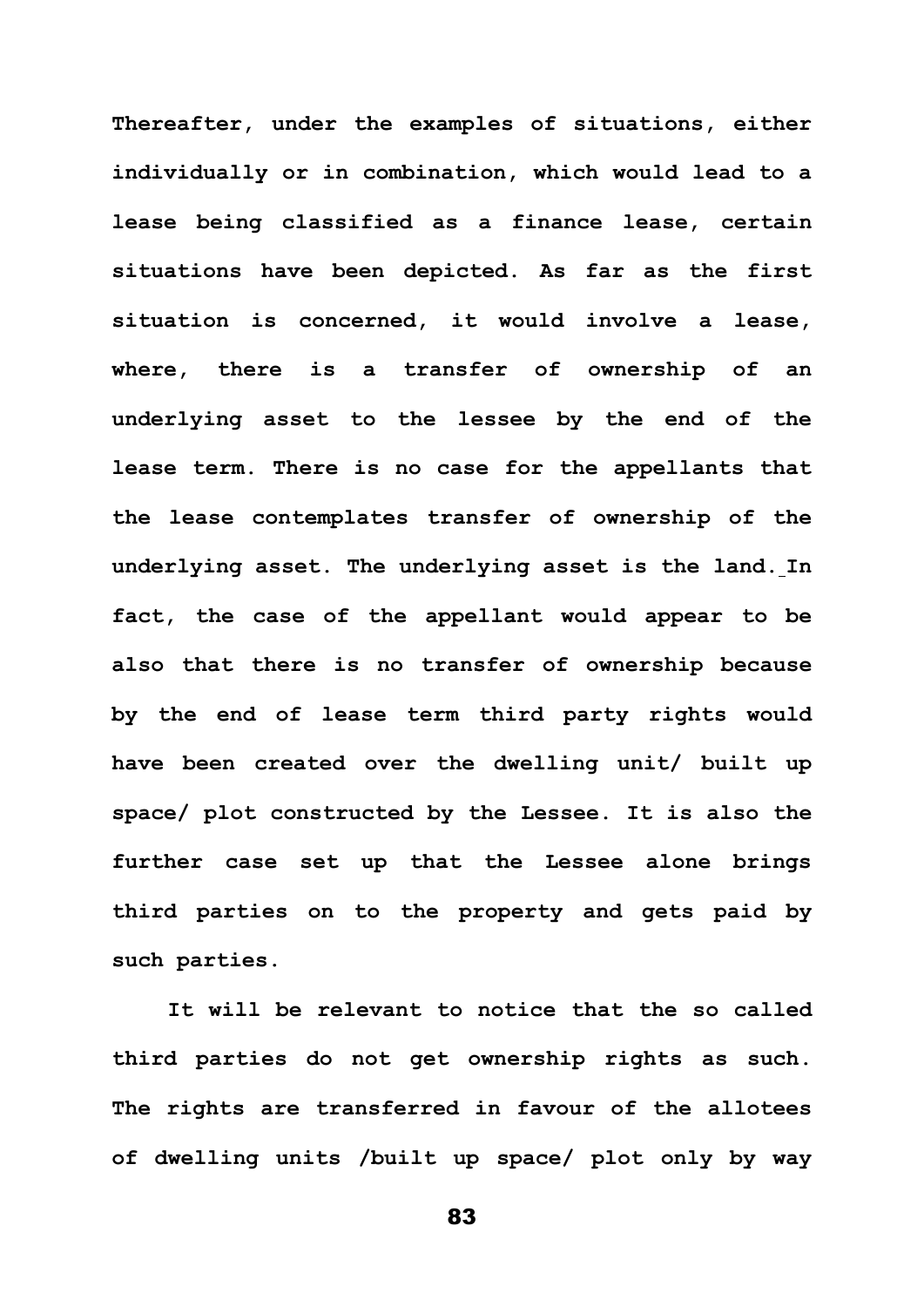**Thereafter, under the examples of situations, either individually or in combination, which would lead to a lease being classified as a finance lease, certain situations have been depicted. As far as the first situation is concerned, it would involve a lease, where, there is a transfer of ownership of an underlying asset to the lessee by the end of the lease term. There is no case for the appellants that the lease contemplates transfer of ownership of the underlying asset. The underlying asset is the land. In fact, the case of the appellant would appear to be also that there is no transfer of ownership because by the end of lease term third party rights would have been created over the dwelling unit/ built up space/ plot constructed by the Lessee. It is also the further case set up that the Lessee alone brings third parties on to the property and gets paid by such parties.**

**It will be relevant to notice that the so called third parties do not get ownership rights as such. The rights are transferred in favour of the allotees of dwelling units /built up space/ plot only by way**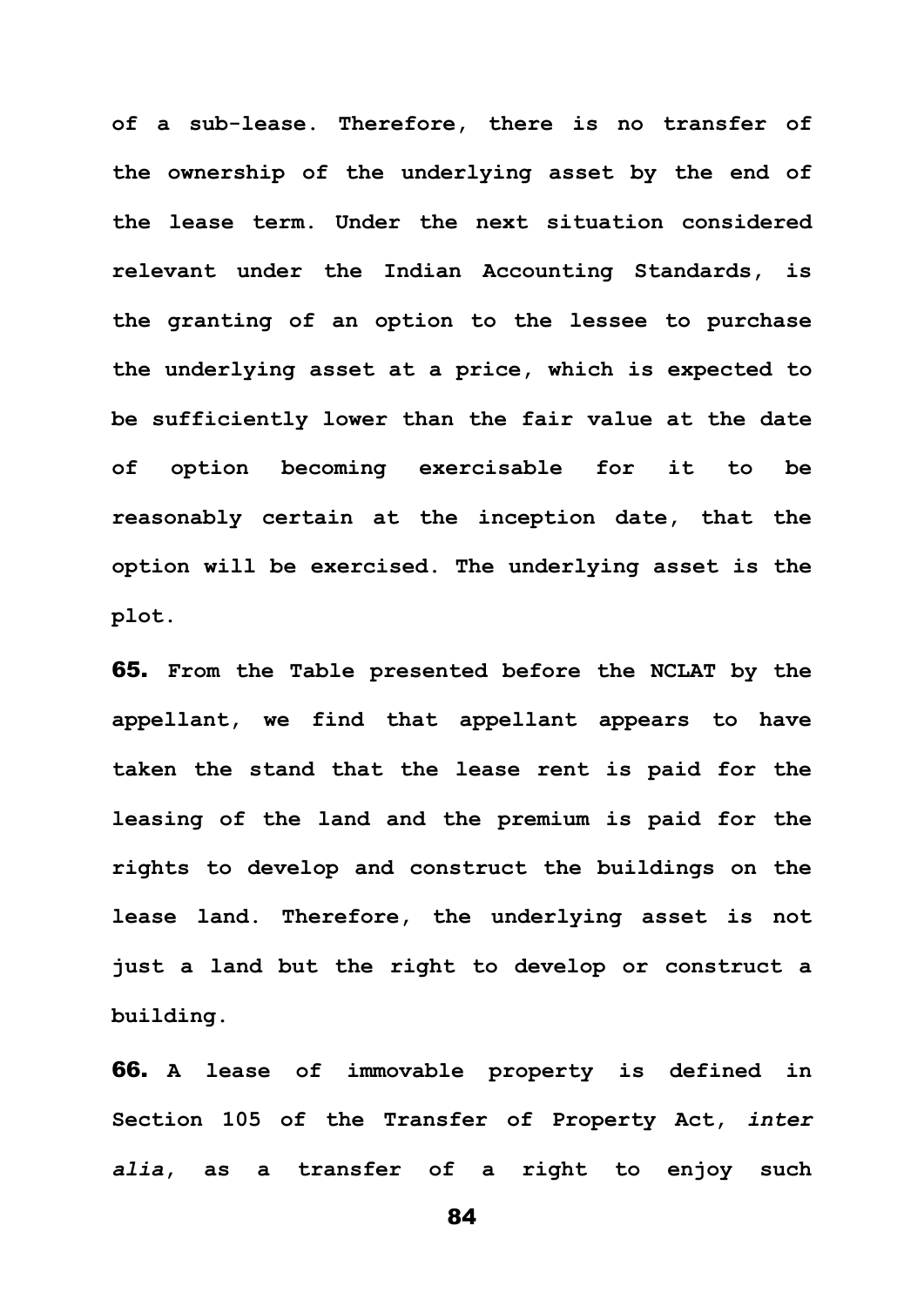**of a sub-lease. Therefore, there is no transfer of the ownership of the underlying asset by the end of the lease term. Under the next situation considered relevant under the Indian Accounting Standards, is the granting of an option to the lessee to purchase the underlying asset at a price, which is expected to be sufficiently lower than the fair value at the date of option becoming exercisable for it to be reasonably certain at the inception date, that the option will be exercised. The underlying asset is the plot.**

65. **From the Table presented before the NCLAT by the appellant, we find that appellant appears to have taken the stand that the lease rent is paid for the leasing of the land and the premium is paid for the rights to develop and construct the buildings on the lease land. Therefore, the underlying asset is not just a land but the right to develop or construct a building.** 

66. **A lease of immovable property is defined in Section 105 of the Transfer of Property Act,** *inter alia***, as a transfer of a right to enjoy such**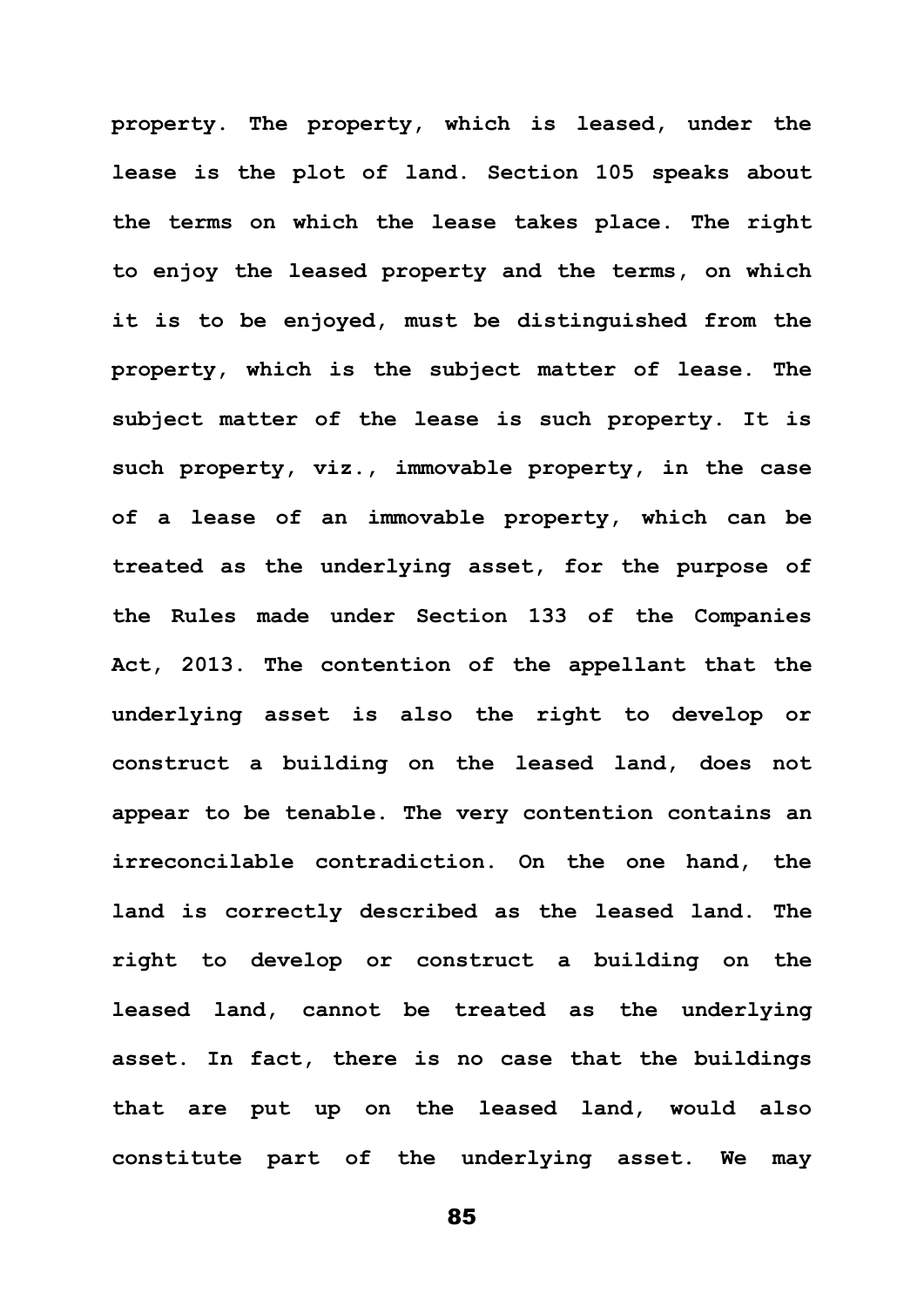**property. The property, which is leased, under the lease is the plot of land. Section 105 speaks about the terms on which the lease takes place. The right to enjoy the leased property and the terms, on which it is to be enjoyed, must be distinguished from the property, which is the subject matter of lease. The subject matter of the lease is such property. It is such property, viz., immovable property, in the case of a lease of an immovable property, which can be treated as the underlying asset, for the purpose of the Rules made under Section 133 of the Companies Act, 2013. The contention of the appellant that the underlying asset is also the right to develop or construct a building on the leased land, does not appear to be tenable. The very contention contains an irreconcilable contradiction. On the one hand, the land is correctly described as the leased land. The right to develop or construct a building on the leased land, cannot be treated as the underlying asset. In fact, there is no case that the buildings that are put up on the leased land, would also constitute part of the underlying asset. We may**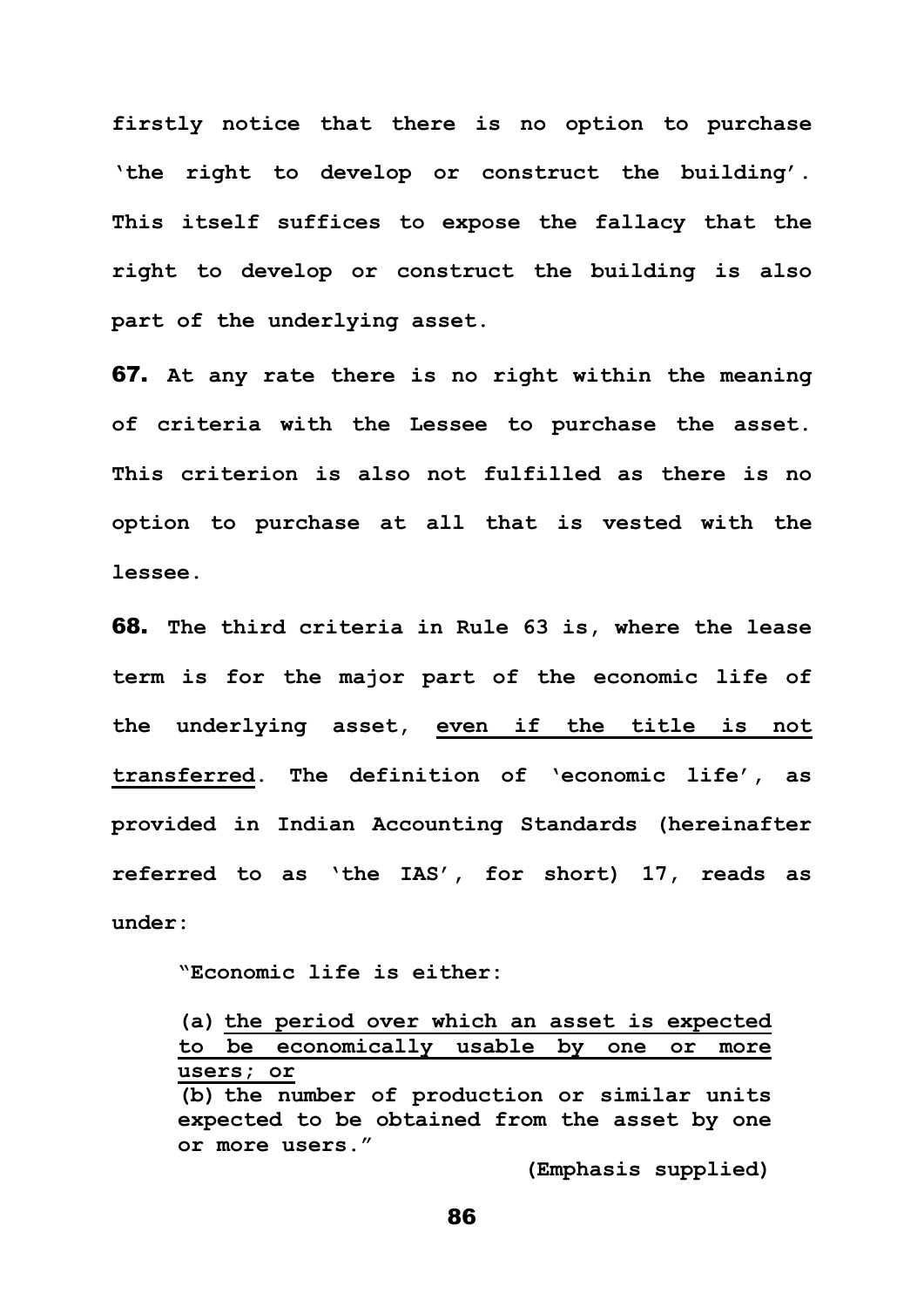**firstly notice that there is no option to purchase 'the right to develop or construct the building'. This itself suffices to expose the fallacy that the right to develop or construct the building is also part of the underlying asset.** 

67. **At any rate there is no right within the meaning of criteria with the Lessee to purchase the asset. This criterion is also not fulfilled as there is no option to purchase at all that is vested with the lessee.**

68. **The third criteria in Rule 63 is, where the lease term is for the major part of the economic life of the underlying asset, even if the title is not transferred. The definition of 'economic life', as provided in Indian Accounting Standards (hereinafter referred to as 'the IAS', for short) 17, reads as under:**

**"Economic life is either:**

**(a) the period over which an asset is expected to be economically usable by one or more users; or (b) the number of production or similar units expected to be obtained from the asset by one or more users."** 

**(Emphasis supplied)**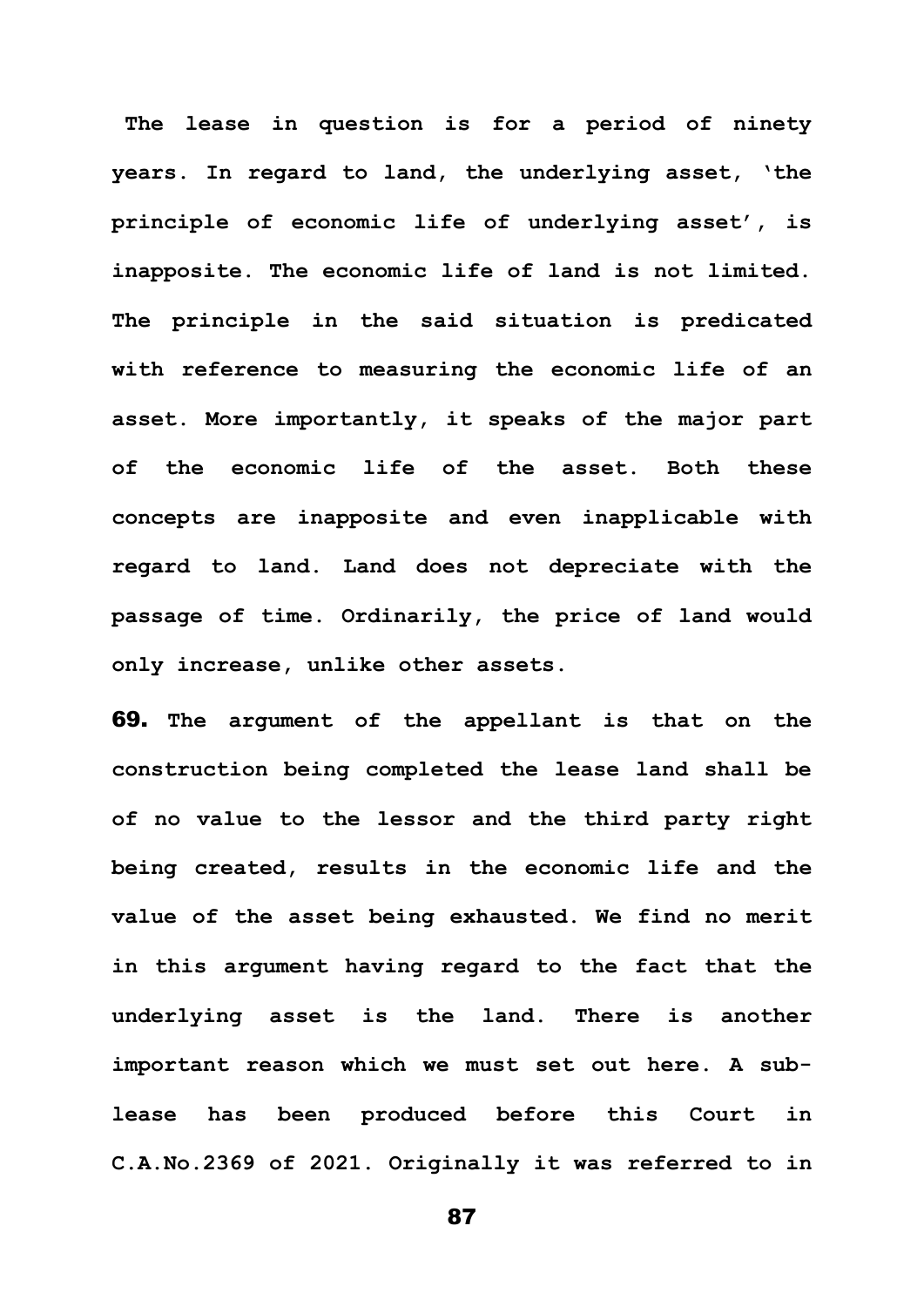**The lease in question is for a period of ninety years. In regard to land, the underlying asset, 'the principle of economic life of underlying asset', is inapposite. The economic life of land is not limited. The principle in the said situation is predicated with reference to measuring the economic life of an asset. More importantly, it speaks of the major part of the economic life of the asset. Both these concepts are inapposite and even inapplicable with regard to land. Land does not depreciate with the passage of time. Ordinarily, the price of land would only increase, unlike other assets.** 

69. **The argument of the appellant is that on the construction being completed the lease land shall be of no value to the lessor and the third party right being created, results in the economic life and the value of the asset being exhausted. We find no merit in this argument having regard to the fact that the underlying asset is the land. There is another important reason which we must set out here. A sublease has been produced before this Court in C.A.No.2369 of 2021. Originally it was referred to in**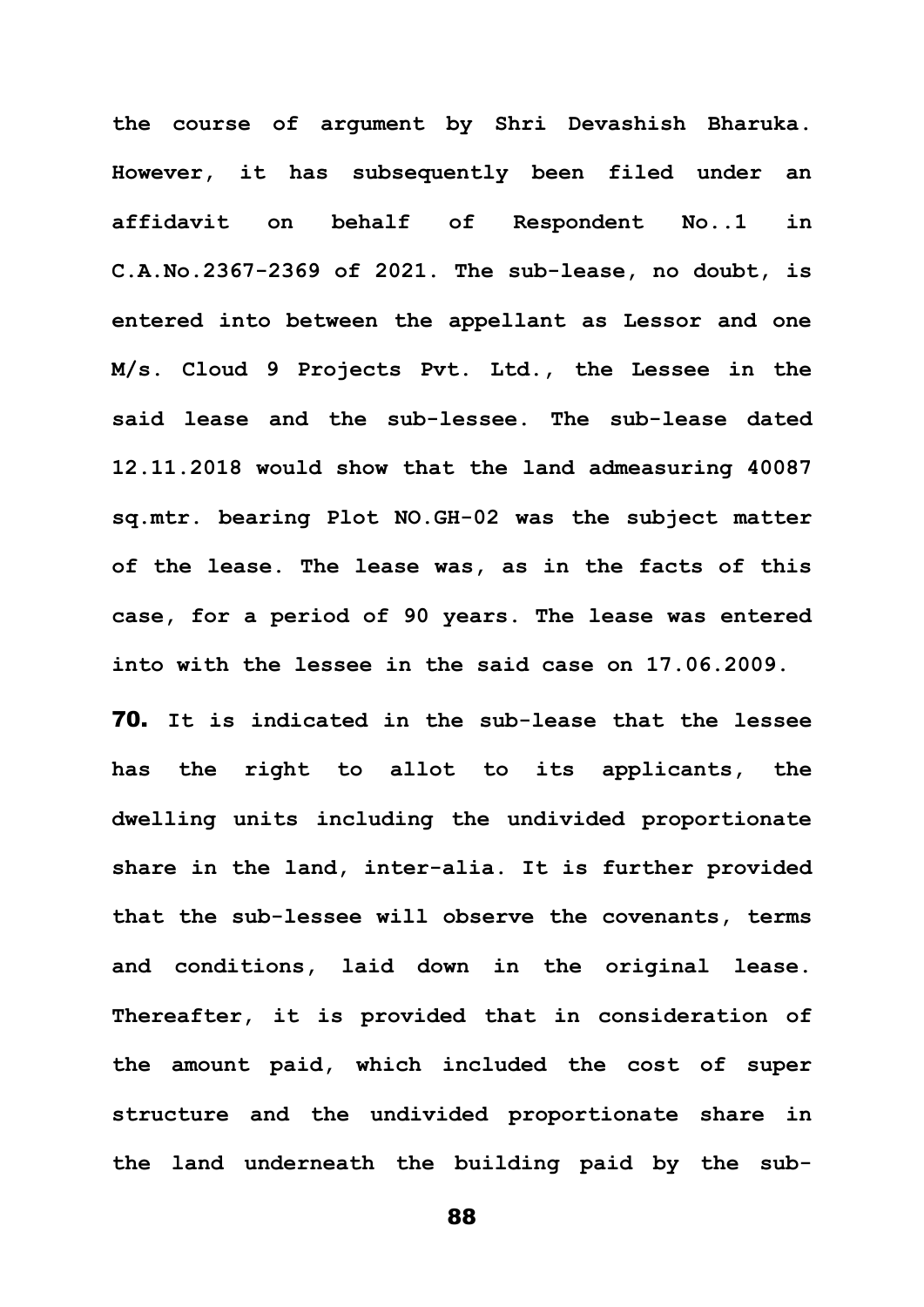**the course of argument by Shri Devashish Bharuka. However, it has subsequently been filed under an affidavit on behalf of Respondent No..1 in C.A.No.2367-2369 of 2021. The sub-lease, no doubt, is entered into between the appellant as Lessor and one M/s. Cloud 9 Projects Pvt. Ltd., the Lessee in the said lease and the sub-lessee. The sub-lease dated 12.11.2018 would show that the land admeasuring 40087 sq.mtr. bearing Plot NO.GH-02 was the subject matter of the lease. The lease was, as in the facts of this case, for a period of 90 years. The lease was entered into with the lessee in the said case on 17.06.2009.**

70. **It is indicated in the sub-lease that the lessee has the right to allot to its applicants, the dwelling units including the undivided proportionate share in the land, inter-alia. It is further provided that the sub-lessee will observe the covenants, terms and conditions, laid down in the original lease. Thereafter, it is provided that in consideration of the amount paid, which included the cost of super structure and the undivided proportionate share in the land underneath the building paid by the sub-**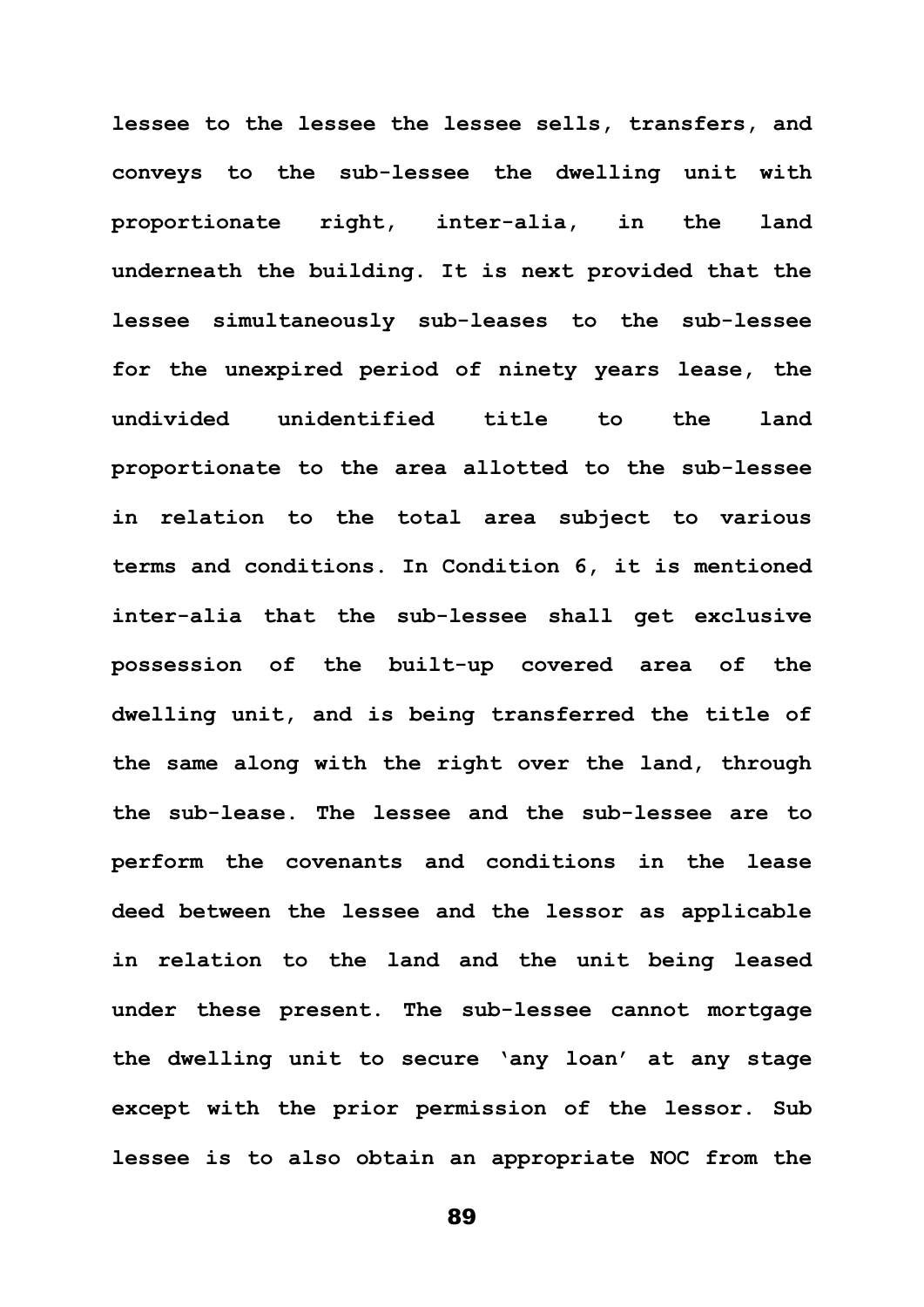**lessee to the lessee the lessee sells, transfers, and conveys to the sub-lessee the dwelling unit with proportionate right, inter-alia, in the land underneath the building. It is next provided that the lessee simultaneously sub-leases to the sub-lessee for the unexpired period of ninety years lease, the undivided unidentified title to the land proportionate to the area allotted to the sub-lessee in relation to the total area subject to various terms and conditions. In Condition 6, it is mentioned inter-alia that the sub-lessee shall get exclusive possession of the built-up covered area of the dwelling unit, and is being transferred the title of the same along with the right over the land, through the sub-lease. The lessee and the sub-lessee are to perform the covenants and conditions in the lease deed between the lessee and the lessor as applicable in relation to the land and the unit being leased under these present. The sub-lessee cannot mortgage the dwelling unit to secure 'any loan' at any stage except with the prior permission of the lessor. Sub lessee is to also obtain an appropriate NOC from the**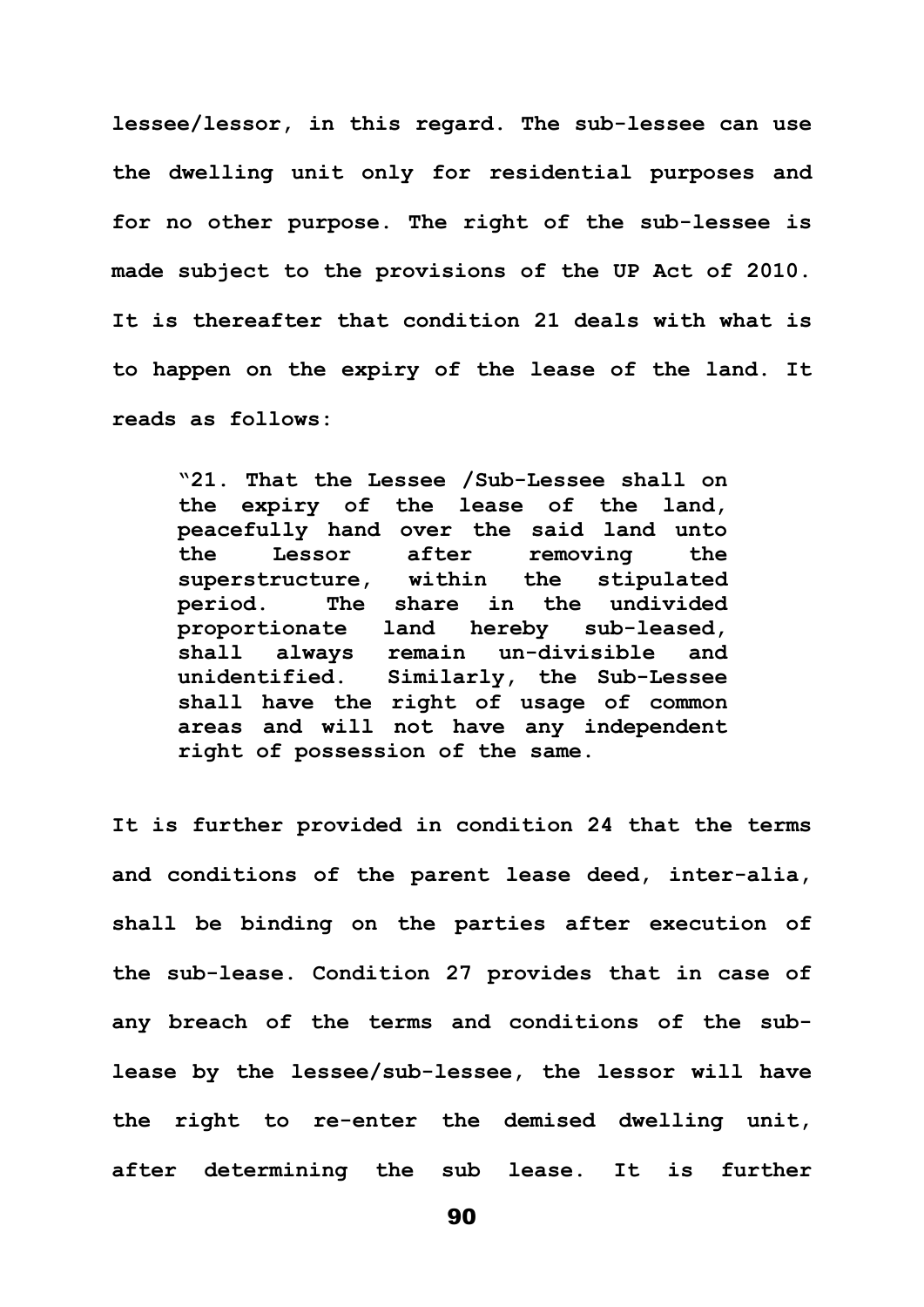**lessee/lessor, in this regard. The sub-lessee can use the dwelling unit only for residential purposes and for no other purpose. The right of the sub-lessee is made subject to the provisions of the UP Act of 2010. It is thereafter that condition 21 deals with what is to happen on the expiry of the lease of the land. It reads as follows:**

**"21. That the Lessee /Sub-Lessee shall on the expiry of the lease of the land, peacefully hand over the said land unto the Lessor after removing the superstructure, within the stipulated period. The share in the undivided proportionate land hereby sub-leased, shall always remain un-divisible and unidentified. Similarly, the Sub-Lessee shall have the right of usage of common areas and will not have any independent right of possession of the same.**

**It is further provided in condition 24 that the terms and conditions of the parent lease deed, inter-alia, shall be binding on the parties after execution of the sub-lease. Condition 27 provides that in case of any breach of the terms and conditions of the sublease by the lessee/sub-lessee, the lessor will have the right to re-enter the demised dwelling unit, after determining the sub lease. It is further**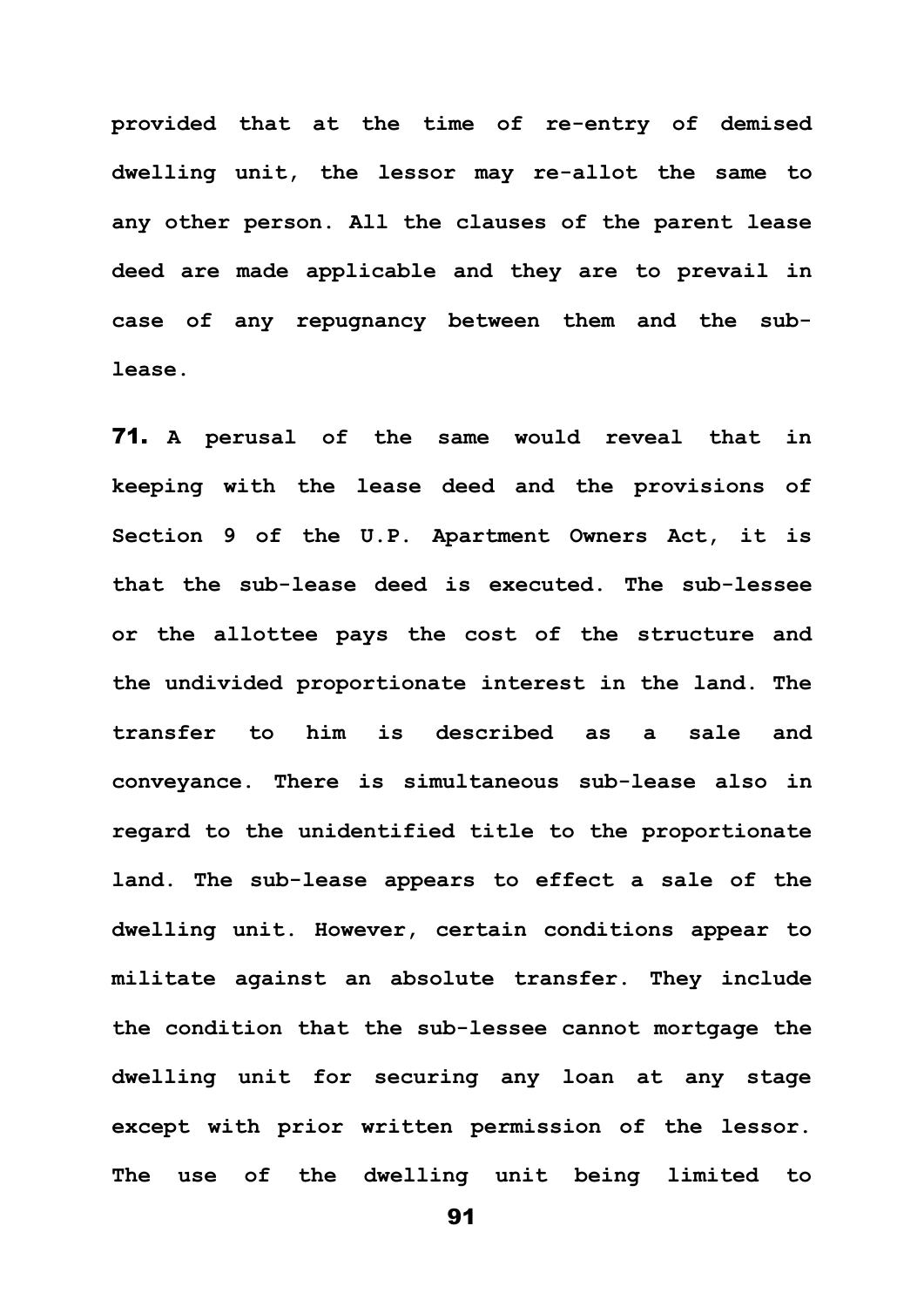**provided that at the time of re-entry of demised dwelling unit, the lessor may re-allot the same to any other person. All the clauses of the parent lease deed are made applicable and they are to prevail in case of any repugnancy between them and the sublease.**

71. **A perusal of the same would reveal that in keeping with the lease deed and the provisions of Section 9 of the U.P. Apartment Owners Act, it is that the sub-lease deed is executed. The sub-lessee or the allottee pays the cost of the structure and the undivided proportionate interest in the land. The transfer to him is described as a sale and conveyance. There is simultaneous sub-lease also in regard to the unidentified title to the proportionate land. The sub-lease appears to effect a sale of the dwelling unit. However, certain conditions appear to militate against an absolute transfer. They include the condition that the sub-lessee cannot mortgage the dwelling unit for securing any loan at any stage except with prior written permission of the lessor. The use of the dwelling unit being limited to**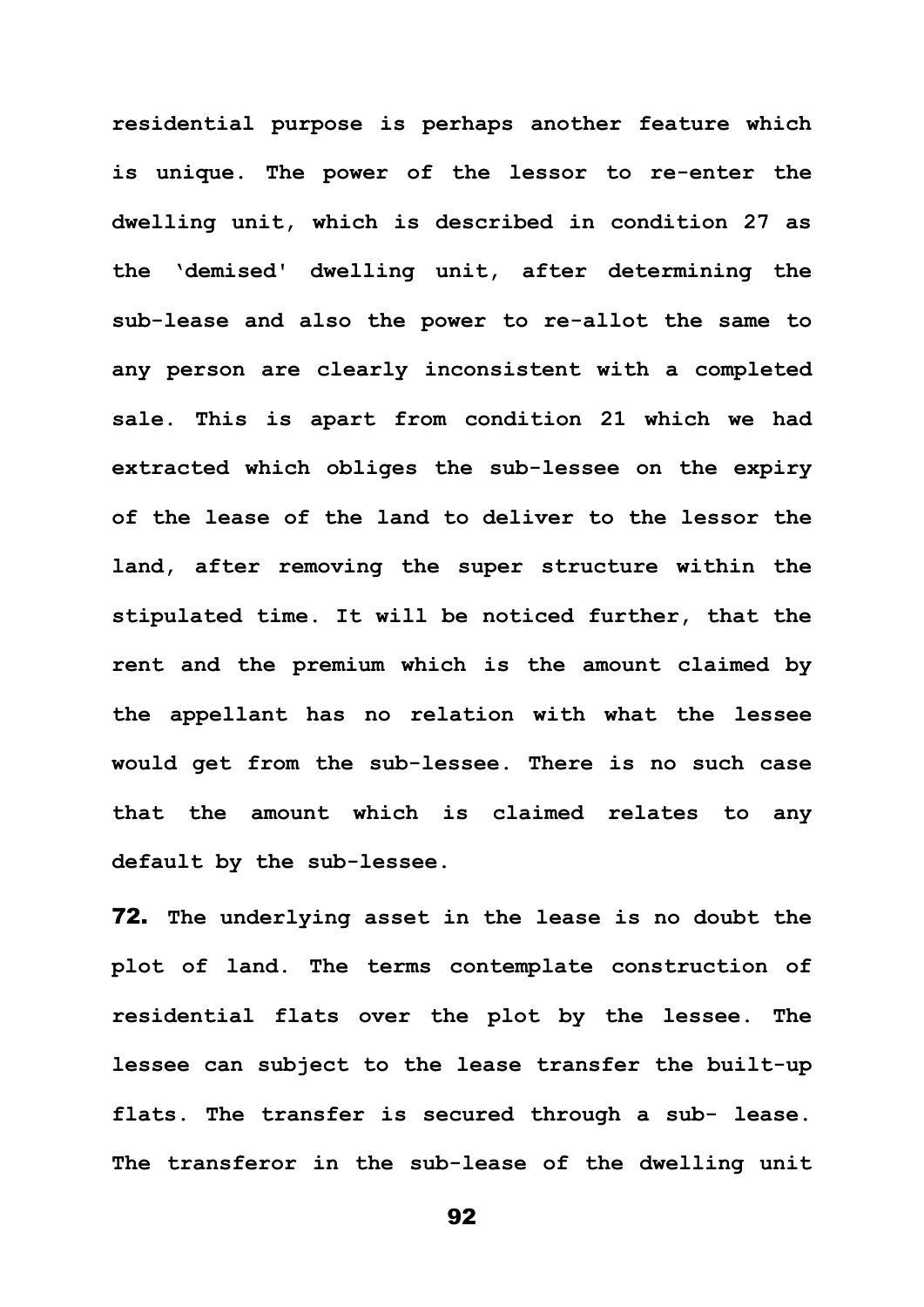**residential purpose is perhaps another feature which is unique. The power of the lessor to re-enter the dwelling unit, which is described in condition 27 as the 'demised' dwelling unit, after determining the sub-lease and also the power to re-allot the same to any person are clearly inconsistent with a completed sale. This is apart from condition 21 which we had extracted which obliges the sub-lessee on the expiry of the lease of the land to deliver to the lessor the land, after removing the super structure within the stipulated time. It will be noticed further, that the rent and the premium which is the amount claimed by the appellant has no relation with what the lessee would get from the sub-lessee. There is no such case that the amount which is claimed relates to any default by the sub-lessee.**

72. **The underlying asset in the lease is no doubt the plot of land. The terms contemplate construction of residential flats over the plot by the lessee. The lessee can subject to the lease transfer the built-up flats. The transfer is secured through a sub- lease. The transferor in the sub-lease of the dwelling unit**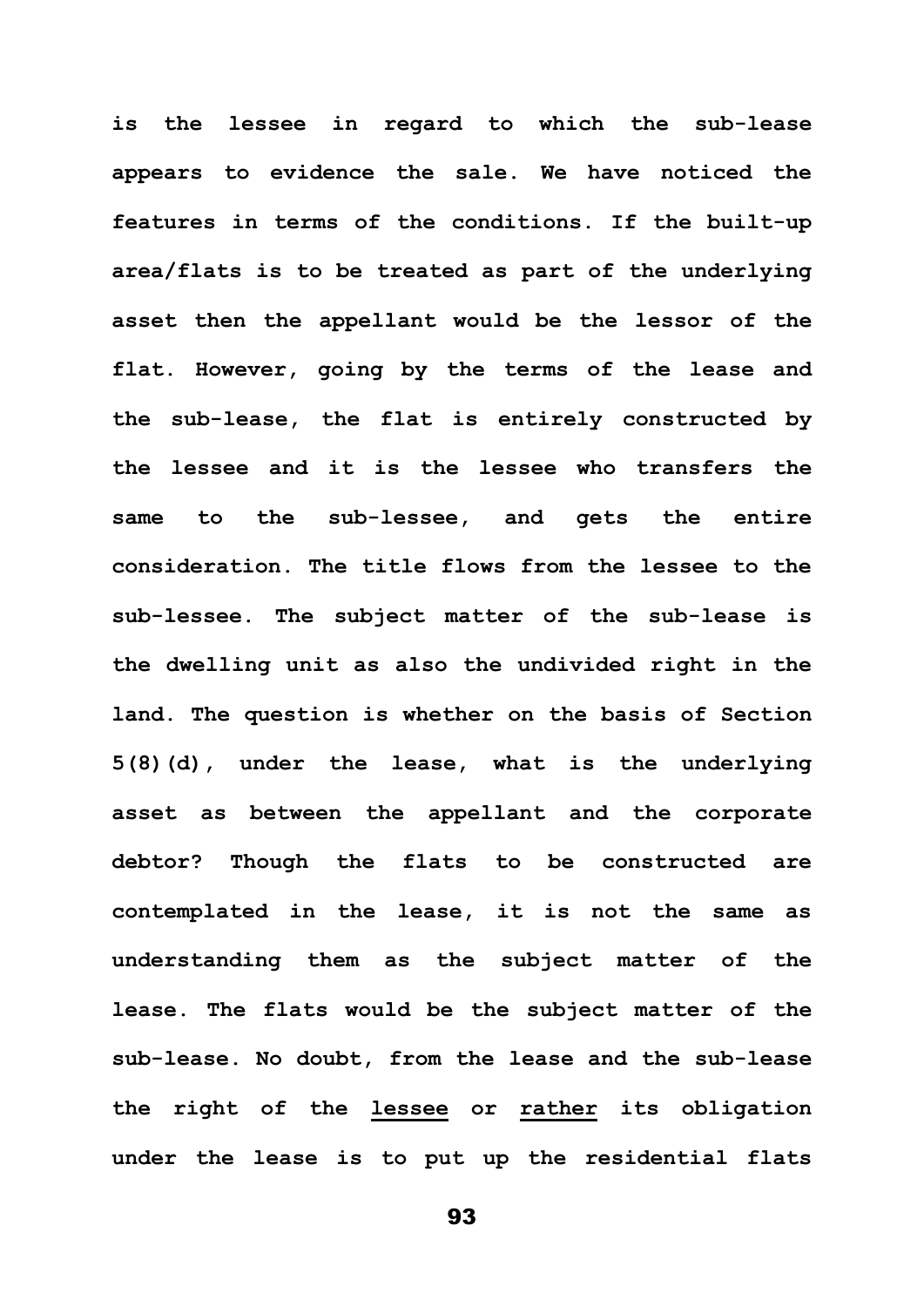**is the lessee in regard to which the sub-lease appears to evidence the sale. We have noticed the features in terms of the conditions. If the built-up area/flats is to be treated as part of the underlying asset then the appellant would be the lessor of the flat. However, going by the terms of the lease and the sub-lease, the flat is entirely constructed by the lessee and it is the lessee who transfers the same to the sub-lessee, and gets the entire consideration. The title flows from the lessee to the sub-lessee. The subject matter of the sub-lease is the dwelling unit as also the undivided right in the land. The question is whether on the basis of Section 5(8)(d), under the lease, what is the underlying asset as between the appellant and the corporate debtor? Though the flats to be constructed are contemplated in the lease, it is not the same as understanding them as the subject matter of the lease. The flats would be the subject matter of the sub-lease. No doubt, from the lease and the sub-lease the right of the lessee or rather its obligation under the lease is to put up the residential flats**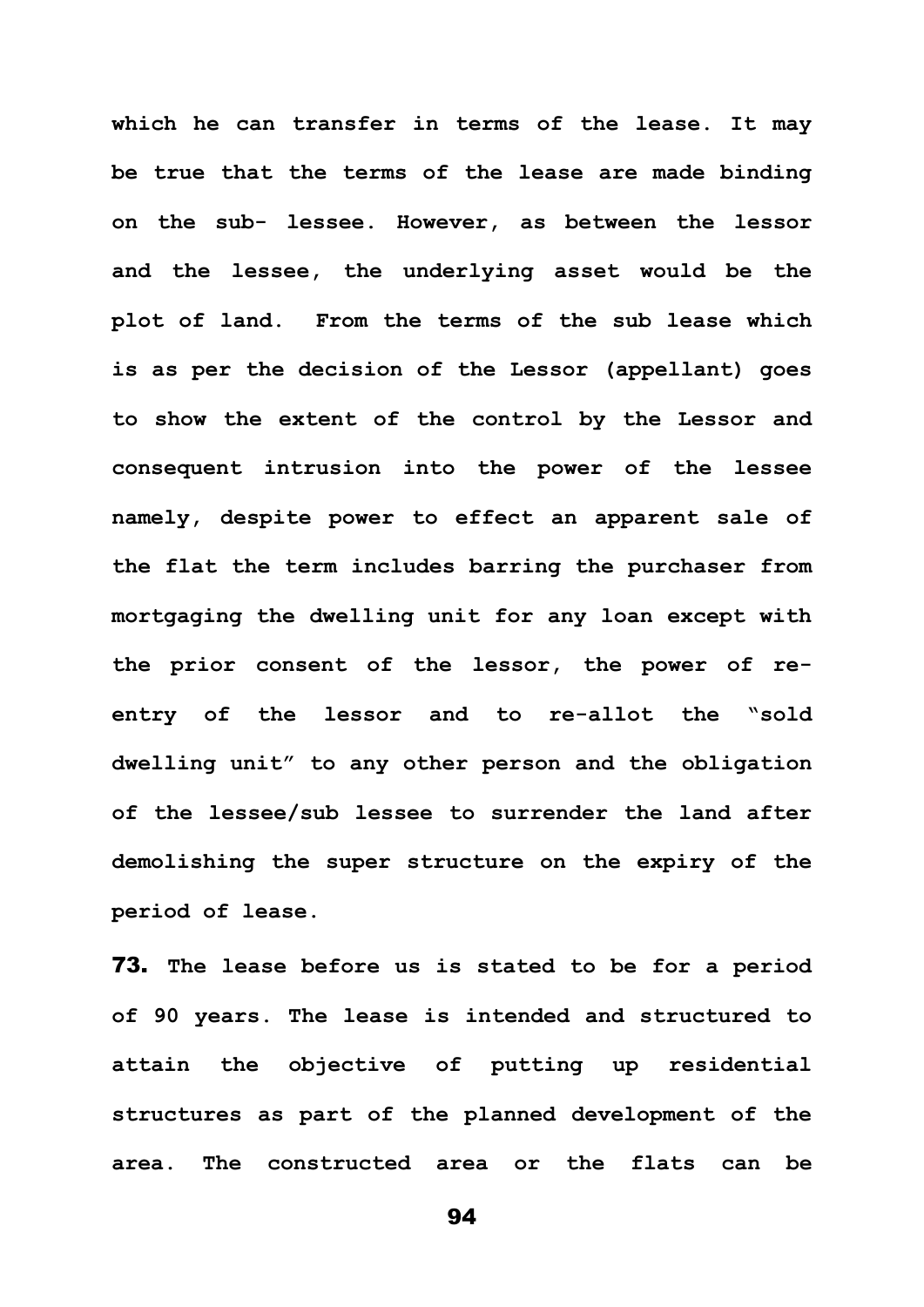**which he can transfer in terms of the lease. It may be true that the terms of the lease are made binding on the sub- lessee. However, as between the lessor and the lessee, the underlying asset would be the plot of land. From the terms of the sub lease which is as per the decision of the Lessor (appellant) goes to show the extent of the control by the Lessor and consequent intrusion into the power of the lessee namely, despite power to effect an apparent sale of the flat the term includes barring the purchaser from mortgaging the dwelling unit for any loan except with the prior consent of the lessor, the power of reentry of the lessor and to re-allot the "sold dwelling unit" to any other person and the obligation of the lessee/sub lessee to surrender the land after demolishing the super structure on the expiry of the period of lease.**

73. **The lease before us is stated to be for a period of 90 years. The lease is intended and structured to attain the objective of putting up residential structures as part of the planned development of the area. The constructed area or the flats can be**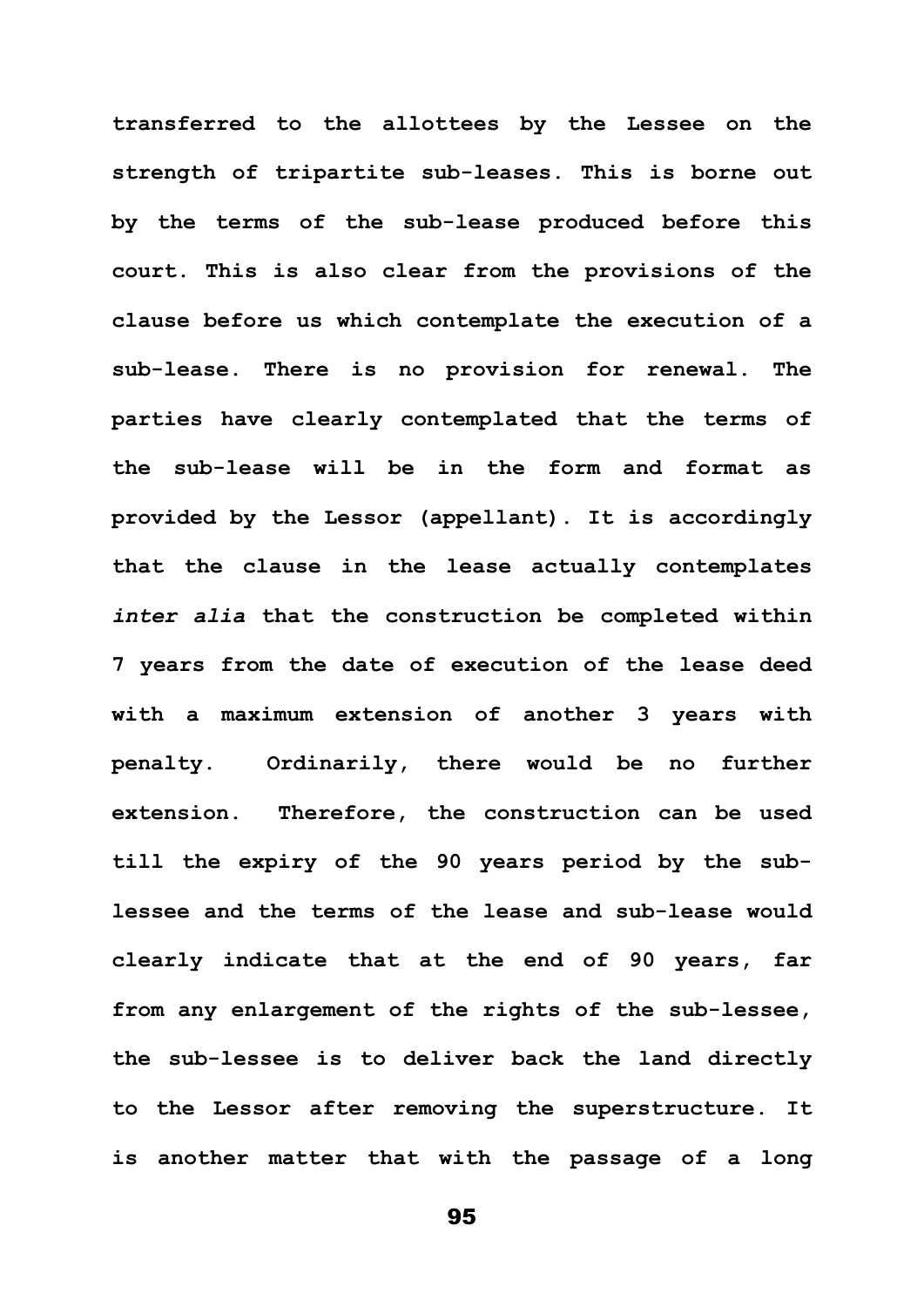**transferred to the allottees by the Lessee on the strength of tripartite sub-leases. This is borne out by the terms of the sub-lease produced before this court. This is also clear from the provisions of the clause before us which contemplate the execution of a sub-lease. There is no provision for renewal. The parties have clearly contemplated that the terms of the sub-lease will be in the form and format as provided by the Lessor (appellant). It is accordingly that the clause in the lease actually contemplates**  *inter alia* **that the construction be completed within 7 years from the date of execution of the lease deed with a maximum extension of another 3 years with penalty. Ordinarily, there would be no further extension. Therefore, the construction can be used till the expiry of the 90 years period by the sublessee and the terms of the lease and sub-lease would clearly indicate that at the end of 90 years, far from any enlargement of the rights of the sub-lessee, the sub-lessee is to deliver back the land directly to the Lessor after removing the superstructure. It is another matter that with the passage of a long**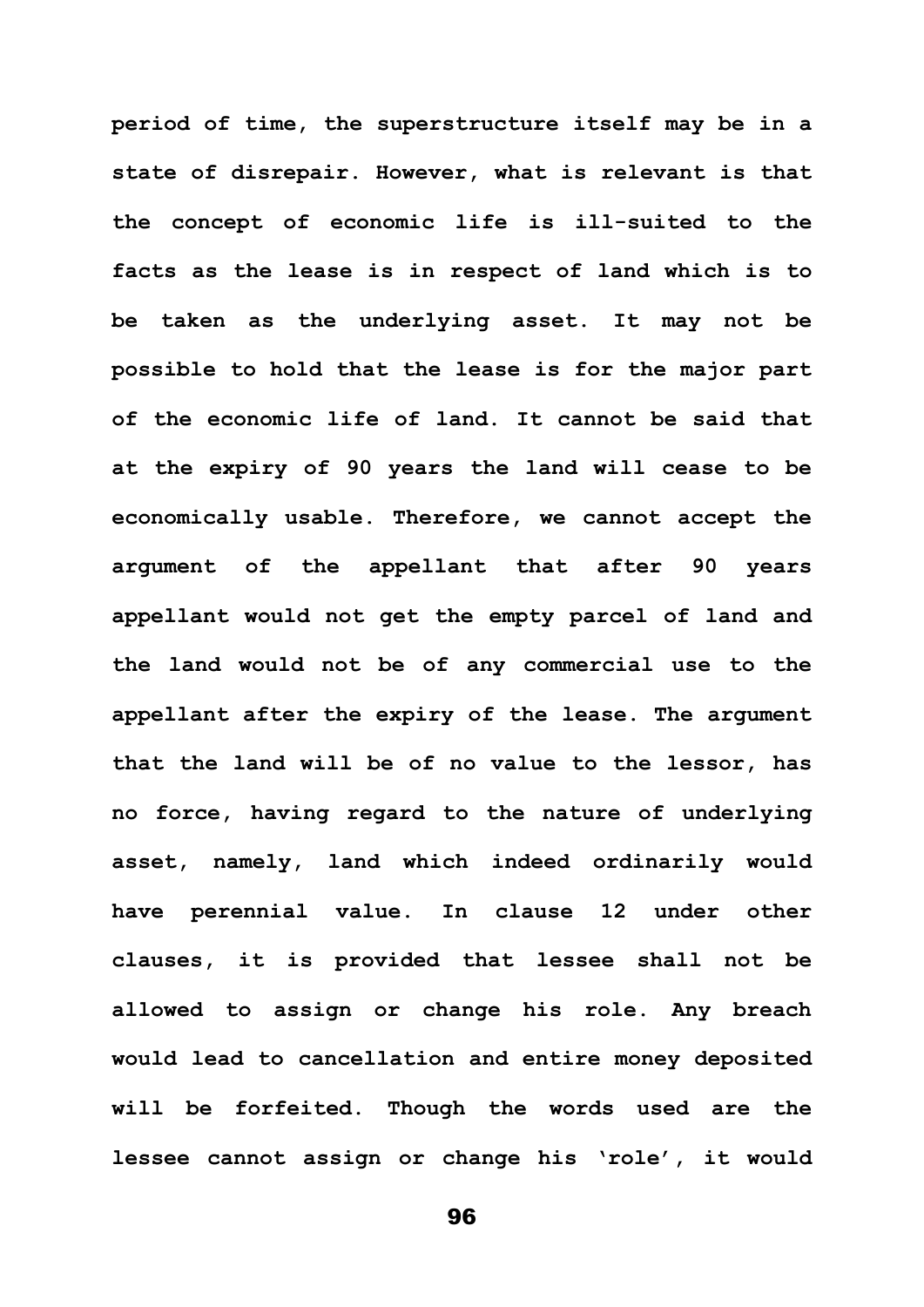**period of time, the superstructure itself may be in a state of disrepair. However, what is relevant is that the concept of economic life is ill-suited to the facts as the lease is in respect of land which is to be taken as the underlying asset. It may not be possible to hold that the lease is for the major part of the economic life of land. It cannot be said that at the expiry of 90 years the land will cease to be economically usable. Therefore, we cannot accept the argument of the appellant that after 90 years appellant would not get the empty parcel of land and the land would not be of any commercial use to the appellant after the expiry of the lease. The argument that the land will be of no value to the lessor, has no force, having regard to the nature of underlying asset, namely, land which indeed ordinarily would have perennial value. In clause 12 under other clauses, it is provided that lessee shall not be allowed to assign or change his role. Any breach would lead to cancellation and entire money deposited will be forfeited. Though the words used are the lessee cannot assign or change his 'role', it would**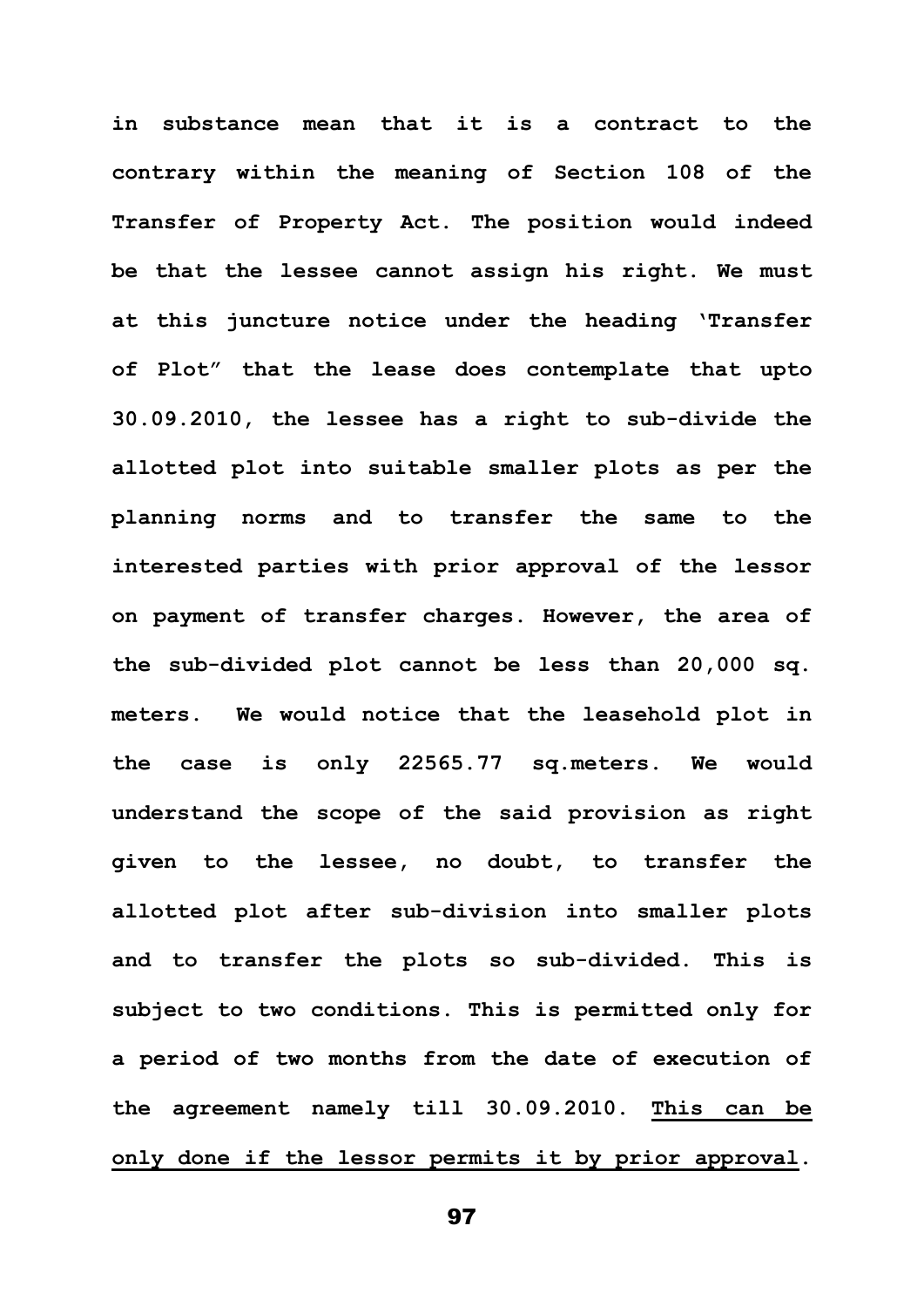**in substance mean that it is a contract to the contrary within the meaning of Section 108 of the Transfer of Property Act. The position would indeed be that the lessee cannot assign his right. We must at this juncture notice under the heading 'Transfer of Plot" that the lease does contemplate that upto 30.09.2010, the lessee has a right to sub-divide the allotted plot into suitable smaller plots as per the planning norms and to transfer the same to the interested parties with prior approval of the lessor on payment of transfer charges. However, the area of the sub-divided plot cannot be less than 20,000 sq. meters. We would notice that the leasehold plot in the case is only 22565.77 sq.meters. We would understand the scope of the said provision as right given to the lessee, no doubt, to transfer the allotted plot after sub-division into smaller plots and to transfer the plots so sub-divided. This is subject to two conditions. This is permitted only for a period of two months from the date of execution of the agreement namely till 30.09.2010. This can be only done if the lessor permits it by prior approval.**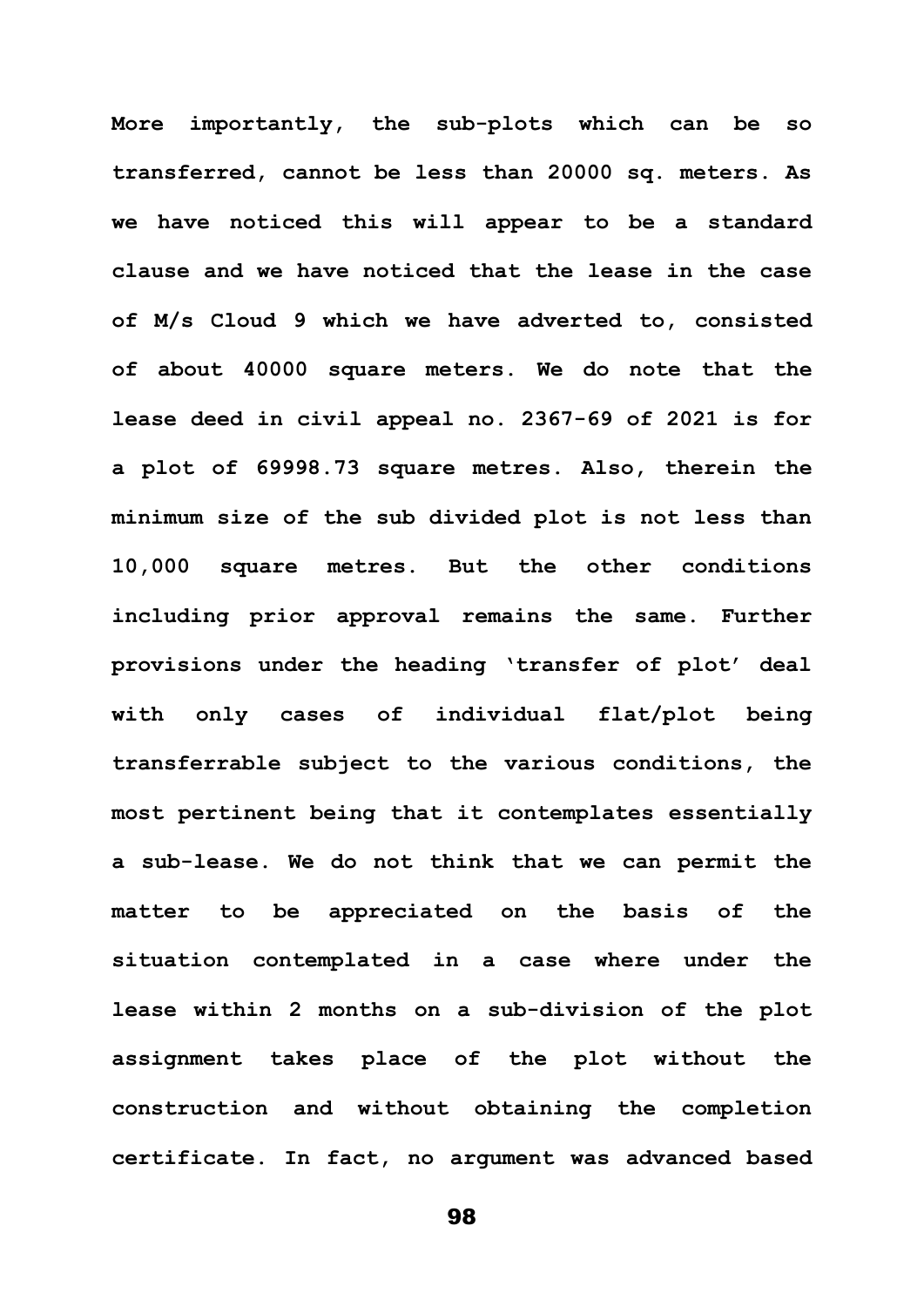**More importantly, the sub-plots which can be so transferred, cannot be less than 20000 sq. meters. As we have noticed this will appear to be a standard clause and we have noticed that the lease in the case of M/s Cloud 9 which we have adverted to, consisted of about 40000 square meters. We do note that the lease deed in civil appeal no. 2367-69 of 2021 is for a plot of 69998.73 square metres. Also, therein the minimum size of the sub divided plot is not less than 10,000 square metres. But the other conditions including prior approval remains the same. Further provisions under the heading 'transfer of plot' deal with only cases of individual flat/plot being transferrable subject to the various conditions, the most pertinent being that it contemplates essentially a sub-lease. We do not think that we can permit the matter to be appreciated on the basis of the situation contemplated in a case where under the lease within 2 months on a sub-division of the plot assignment takes place of the plot without the construction and without obtaining the completion certificate. In fact, no argument was advanced based**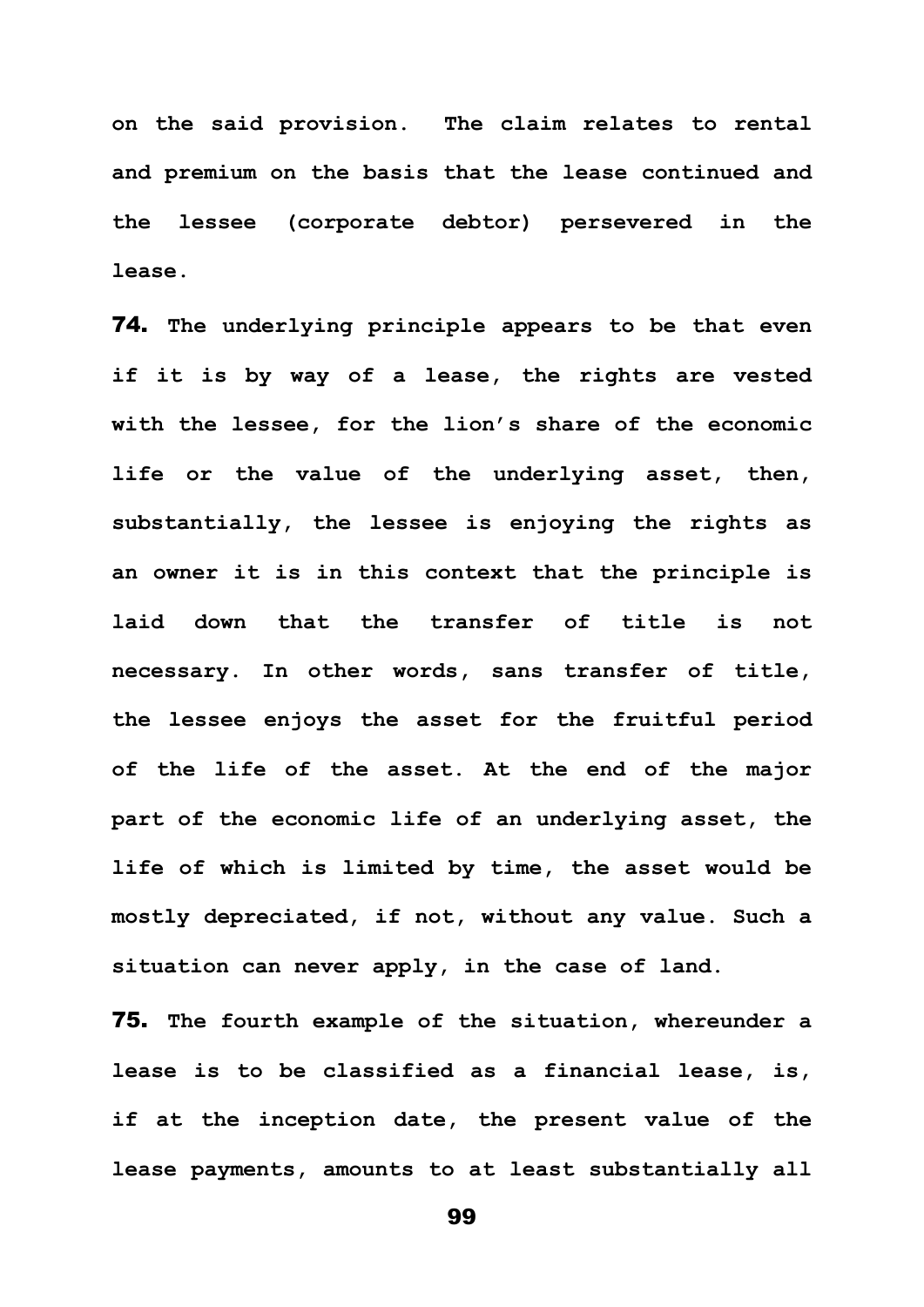**on the said provision. The claim relates to rental and premium on the basis that the lease continued and the lessee (corporate debtor) persevered in the lease.**

74. **The underlying principle appears to be that even if it is by way of a lease, the rights are vested with the lessee, for the lion's share of the economic life or the value of the underlying asset, then, substantially, the lessee is enjoying the rights as an owner it is in this context that the principle is laid down that the transfer of title is not necessary. In other words, sans transfer of title, the lessee enjoys the asset for the fruitful period of the life of the asset. At the end of the major part of the economic life of an underlying asset, the life of which is limited by time, the asset would be mostly depreciated, if not, without any value. Such a situation can never apply, in the case of land.**

75. **The fourth example of the situation, whereunder a lease is to be classified as a financial lease, is, if at the inception date, the present value of the lease payments, amounts to at least substantially all**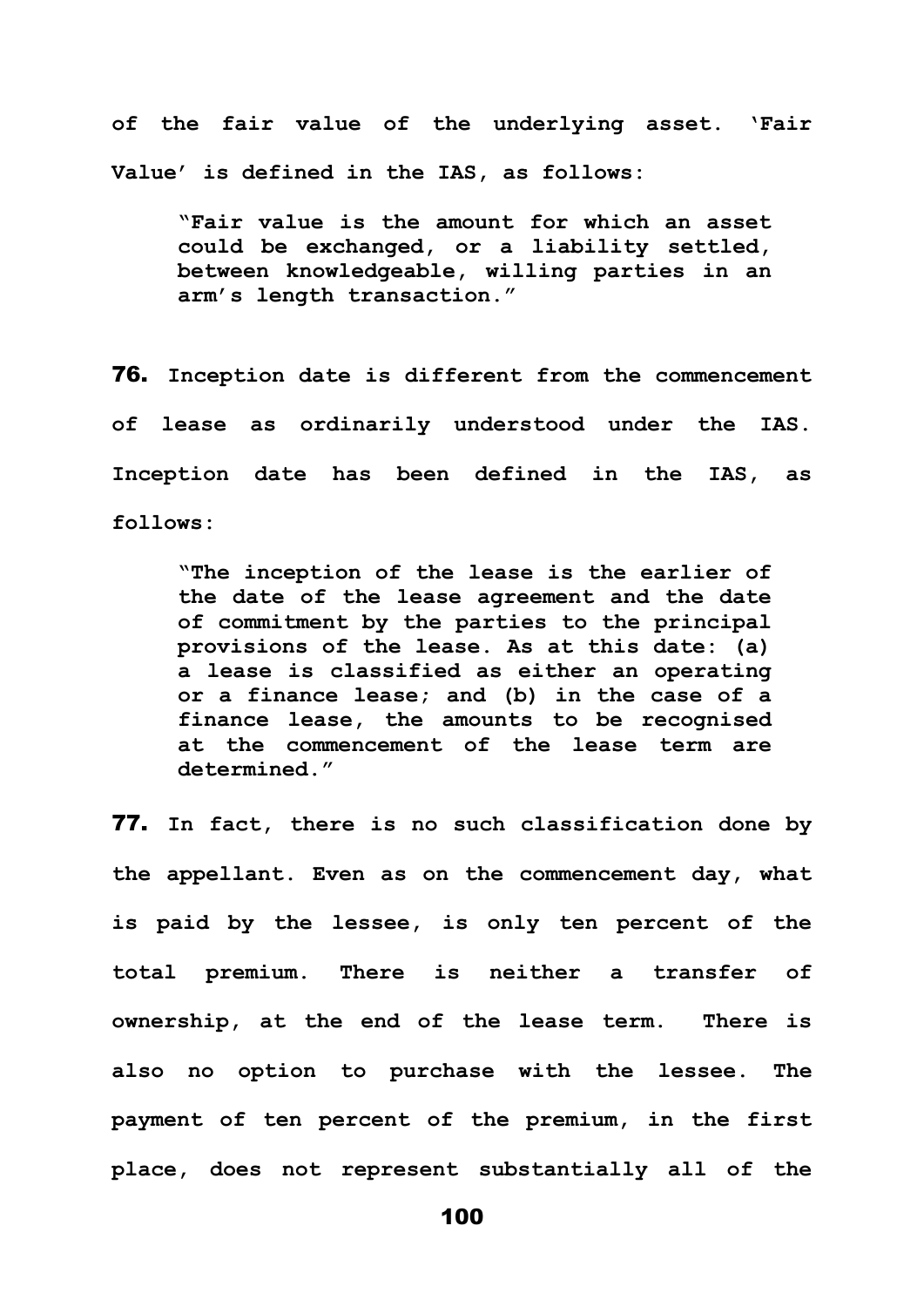**of the fair value of the underlying asset. 'Fair Value' is defined in the IAS, as follows:** 

**"Fair value is the amount for which an asset could be exchanged, or a liability settled, between knowledgeable, willing parties in an arm's length transaction."**

76. **Inception date is different from the commencement of lease as ordinarily understood under the IAS. Inception date has been defined in the IAS, as follows:** 

**"The inception of the lease is the earlier of the date of the lease agreement and the date of commitment by the parties to the principal provisions of the lease. As at this date: (a) a lease is classified as either an operating or a finance lease; and (b) in the case of a finance lease, the amounts to be recognised at the commencement of the lease term are determined."**

77. **In fact, there is no such classification done by the appellant. Even as on the commencement day, what is paid by the lessee, is only ten percent of the total premium. There is neither a transfer of ownership, at the end of the lease term. There is also no option to purchase with the lessee. The payment of ten percent of the premium, in the first place, does not represent substantially all of the**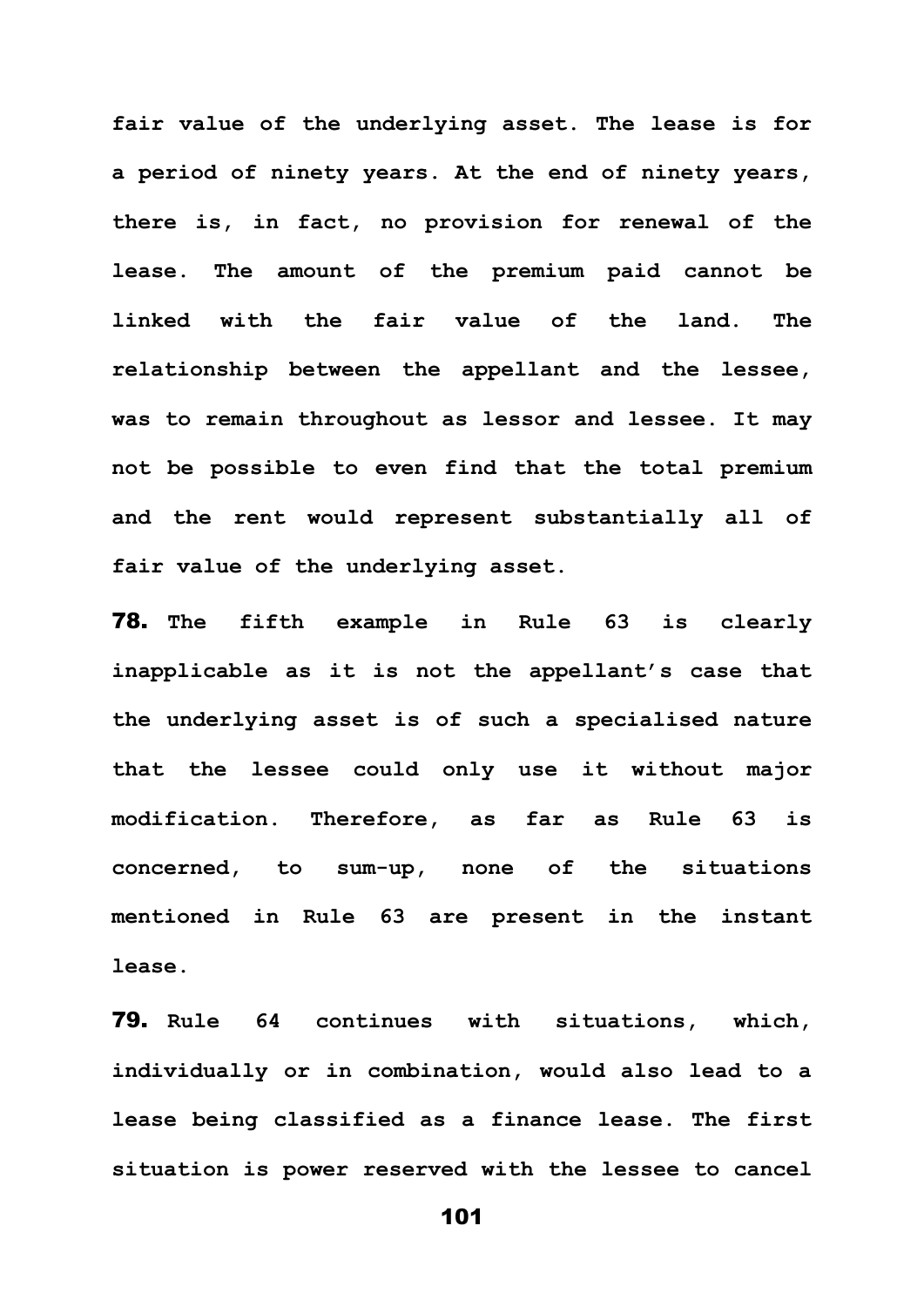**fair value of the underlying asset. The lease is for a period of ninety years. At the end of ninety years, there is, in fact, no provision for renewal of the lease. The amount of the premium paid cannot be linked with the fair value of the land. The relationship between the appellant and the lessee, was to remain throughout as lessor and lessee. It may not be possible to even find that the total premium and the rent would represent substantially all of fair value of the underlying asset.** 

78. **The fifth example in Rule 63 is clearly inapplicable as it is not the appellant's case that the underlying asset is of such a specialised nature that the lessee could only use it without major modification. Therefore, as far as Rule 63 is concerned, to sum-up, none of the situations mentioned in Rule 63 are present in the instant lease.** 

79. **Rule 64 continues with situations, which, individually or in combination, would also lead to a lease being classified as a finance lease. The first situation is power reserved with the lessee to cancel**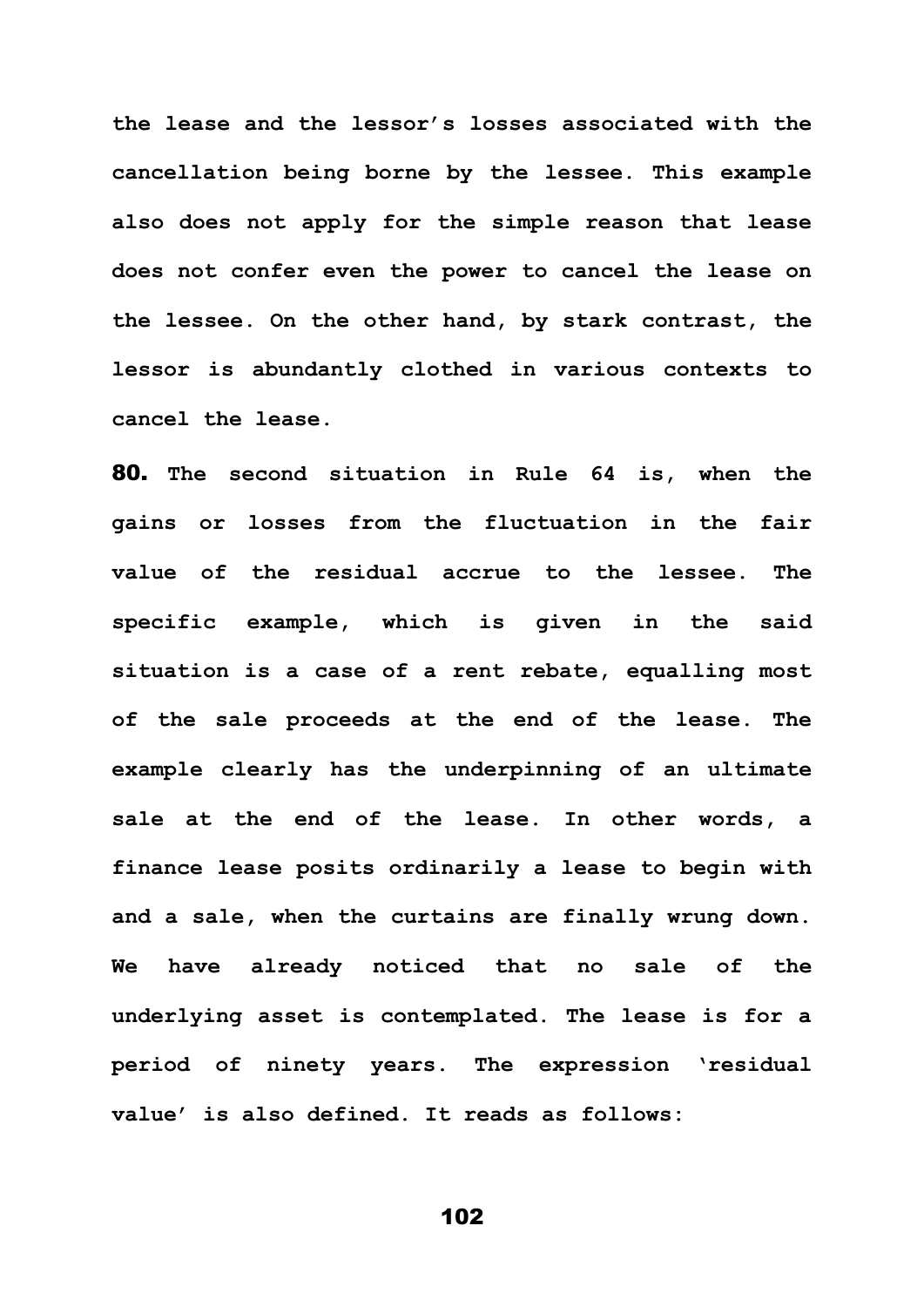**the lease and the lessor's losses associated with the cancellation being borne by the lessee. This example also does not apply for the simple reason that lease does not confer even the power to cancel the lease on the lessee. On the other hand, by stark contrast, the lessor is abundantly clothed in various contexts to cancel the lease.**

80. **The second situation in Rule 64 is, when the gains or losses from the fluctuation in the fair value of the residual accrue to the lessee. The specific example, which is given in the said situation is a case of a rent rebate, equalling most of the sale proceeds at the end of the lease. The example clearly has the underpinning of an ultimate sale at the end of the lease. In other words, a finance lease posits ordinarily a lease to begin with and a sale, when the curtains are finally wrung down. We have already noticed that no sale of the underlying asset is contemplated. The lease is for a period of ninety years. The expression 'residual value' is also defined. It reads as follows:**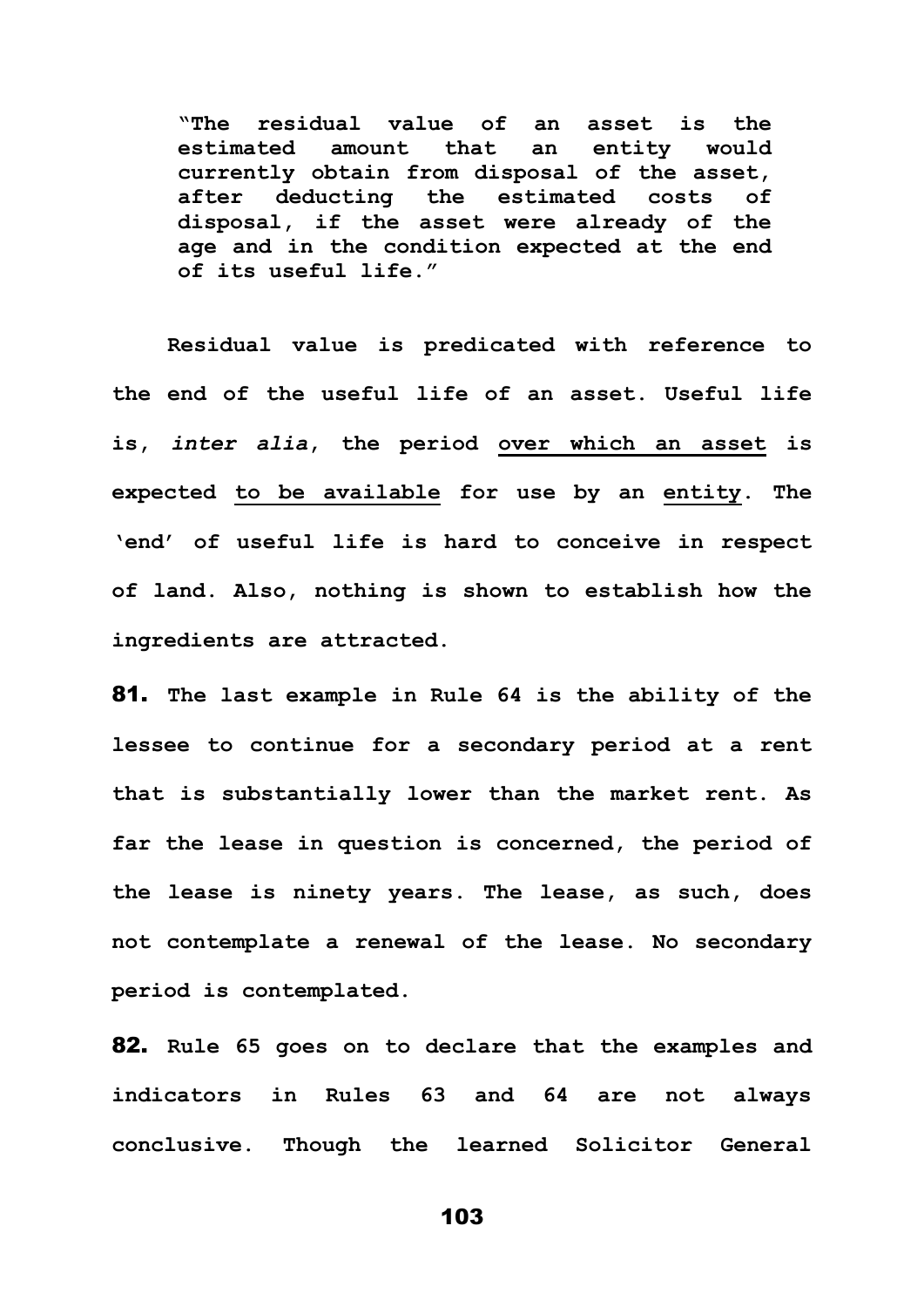**"The residual value of an asset is the estimated amount that an entity would currently obtain from disposal of the asset, after deducting the estimated costs of disposal, if the asset were already of the age and in the condition expected at the end of its useful life."**

**Residual value is predicated with reference to the end of the useful life of an asset. Useful life is,** *inter alia***, the period over which an asset is expected to be available for use by an entity. The 'end' of useful life is hard to conceive in respect of land. Also, nothing is shown to establish how the ingredients are attracted.**

81. **The last example in Rule 64 is the ability of the lessee to continue for a secondary period at a rent that is substantially lower than the market rent. As far the lease in question is concerned, the period of the lease is ninety years. The lease, as such, does not contemplate a renewal of the lease. No secondary period is contemplated.** 

82. **Rule 65 goes on to declare that the examples and indicators in Rules 63 and 64 are not always conclusive. Though the learned Solicitor General**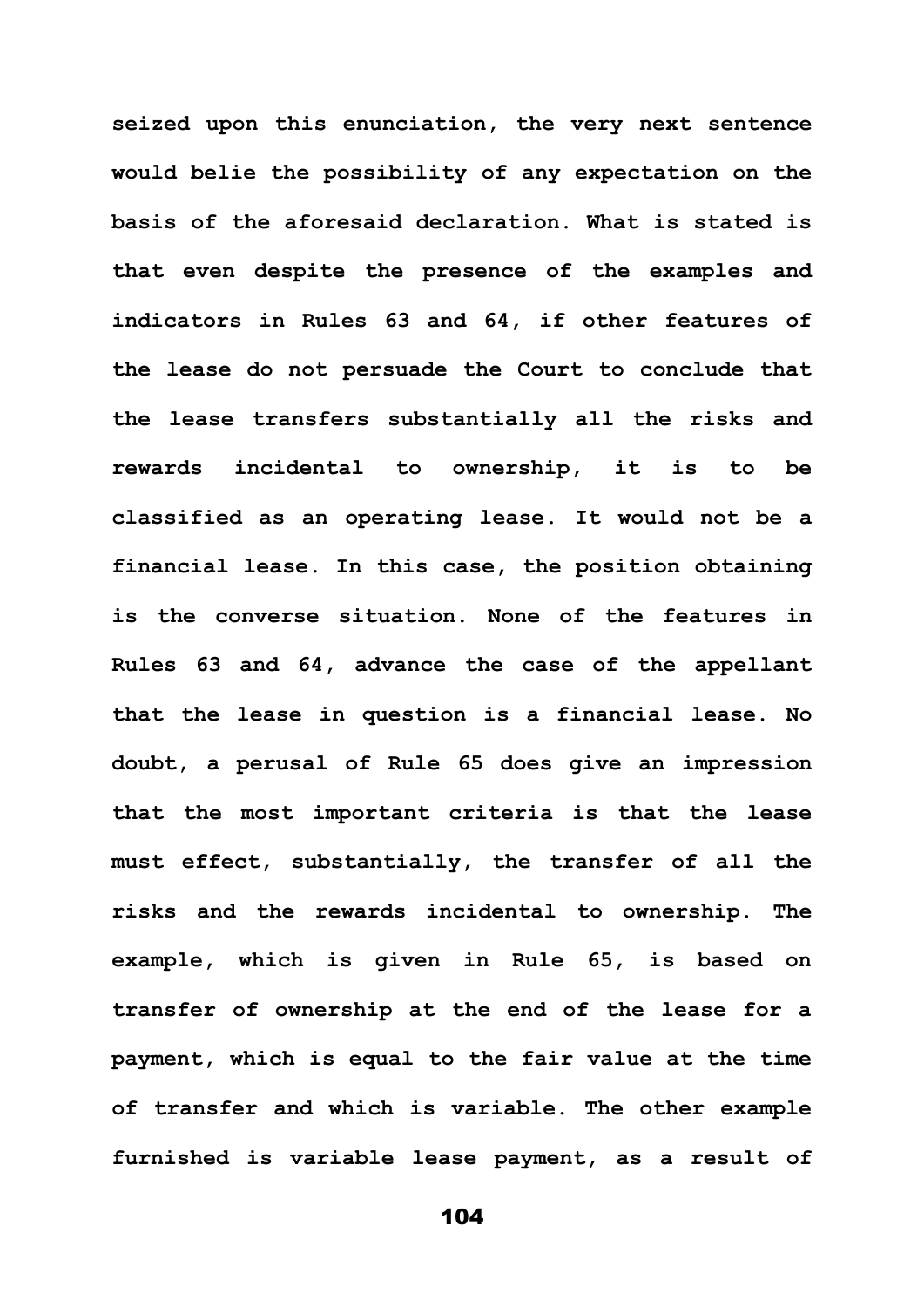**seized upon this enunciation, the very next sentence would belie the possibility of any expectation on the basis of the aforesaid declaration. What is stated is that even despite the presence of the examples and indicators in Rules 63 and 64, if other features of the lease do not persuade the Court to conclude that the lease transfers substantially all the risks and rewards incidental to ownership, it is to be classified as an operating lease. It would not be a financial lease. In this case, the position obtaining is the converse situation. None of the features in Rules 63 and 64, advance the case of the appellant that the lease in question is a financial lease. No doubt, a perusal of Rule 65 does give an impression that the most important criteria is that the lease must effect, substantially, the transfer of all the risks and the rewards incidental to ownership. The example, which is given in Rule 65, is based on transfer of ownership at the end of the lease for a payment, which is equal to the fair value at the time of transfer and which is variable. The other example furnished is variable lease payment, as a result of**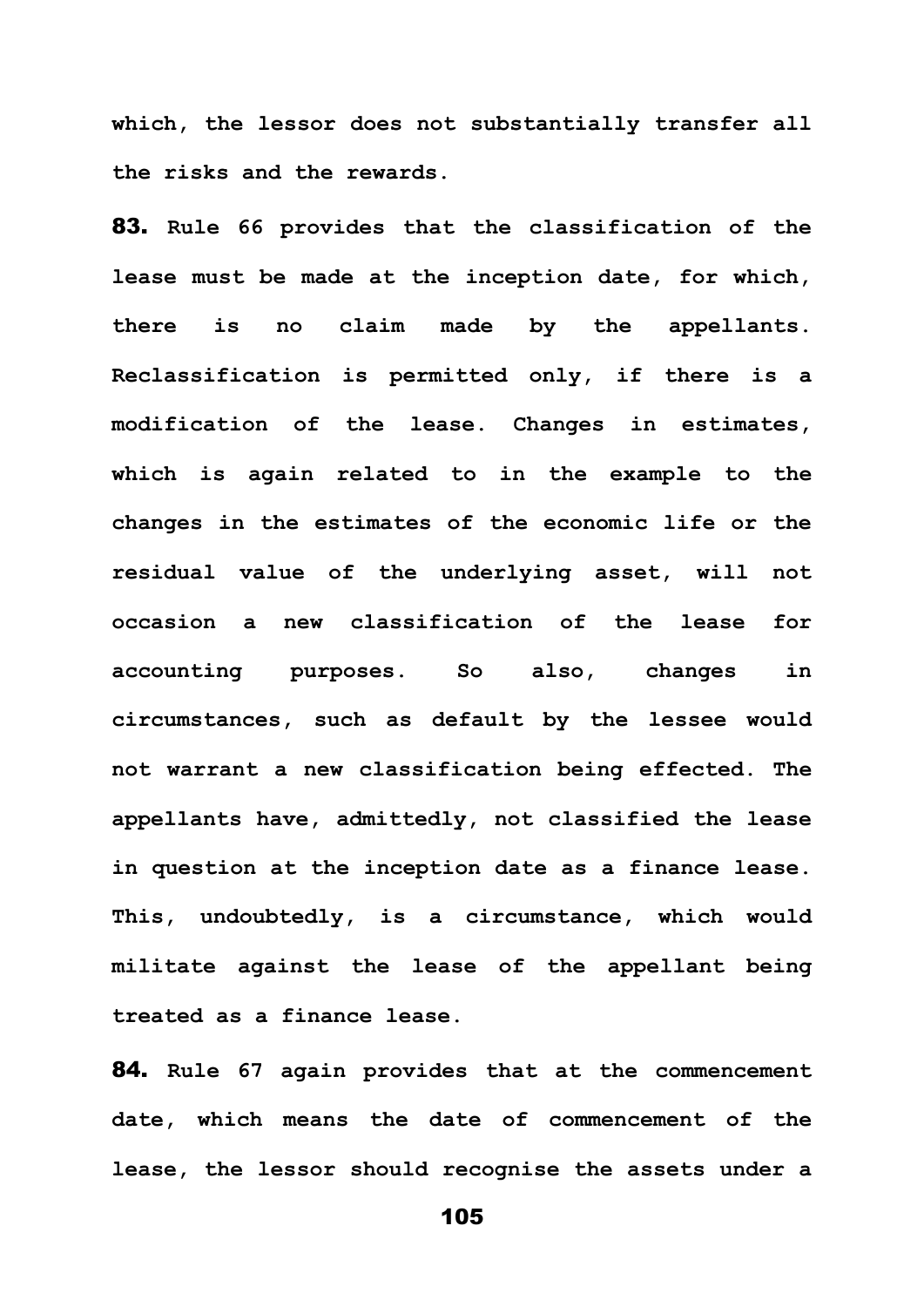**which, the lessor does not substantially transfer all the risks and the rewards.** 

83. **Rule 66 provides that the classification of the lease must be made at the inception date, for which, there is no claim made by the appellants. Reclassification is permitted only, if there is a modification of the lease. Changes in estimates, which is again related to in the example to the changes in the estimates of the economic life or the residual value of the underlying asset, will not occasion a new classification of the lease for accounting purposes. So also, changes in circumstances, such as default by the lessee would not warrant a new classification being effected. The appellants have, admittedly, not classified the lease in question at the inception date as a finance lease. This, undoubtedly, is a circumstance, which would militate against the lease of the appellant being treated as a finance lease.** 

84. **Rule 67 again provides that at the commencement date, which means the date of commencement of the lease, the lessor should recognise the assets under a**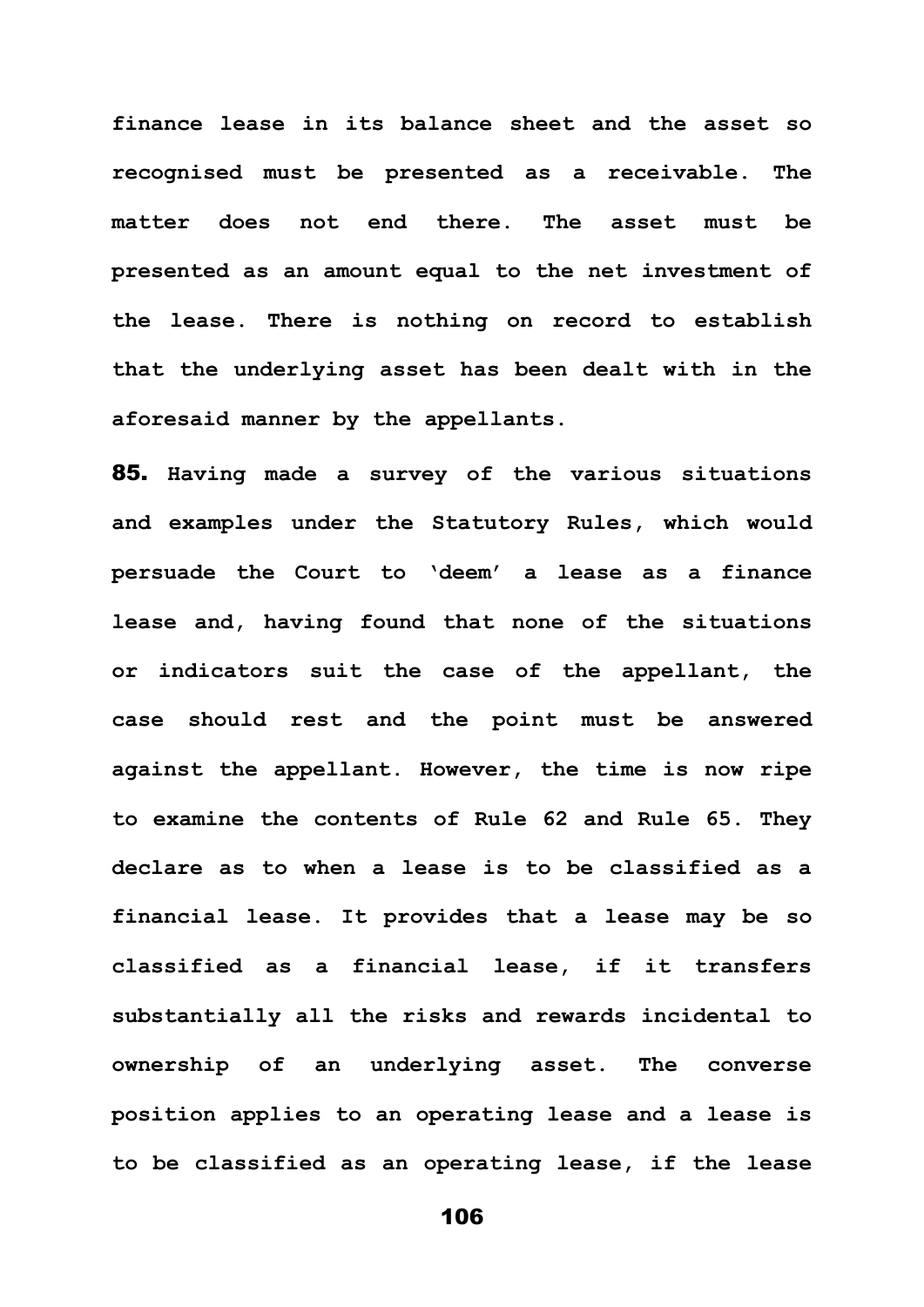**finance lease in its balance sheet and the asset so recognised must be presented as a receivable. The matter does not end there. The asset must be presented as an amount equal to the net investment of the lease. There is nothing on record to establish that the underlying asset has been dealt with in the aforesaid manner by the appellants.** 

85. **Having made a survey of the various situations and examples under the Statutory Rules, which would persuade the Court to 'deem' a lease as a finance lease and, having found that none of the situations or indicators suit the case of the appellant, the case should rest and the point must be answered against the appellant. However, the time is now ripe to examine the contents of Rule 62 and Rule 65. They declare as to when a lease is to be classified as a financial lease. It provides that a lease may be so classified as a financial lease, if it transfers substantially all the risks and rewards incidental to ownership of an underlying asset. The converse position applies to an operating lease and a lease is to be classified as an operating lease, if the lease**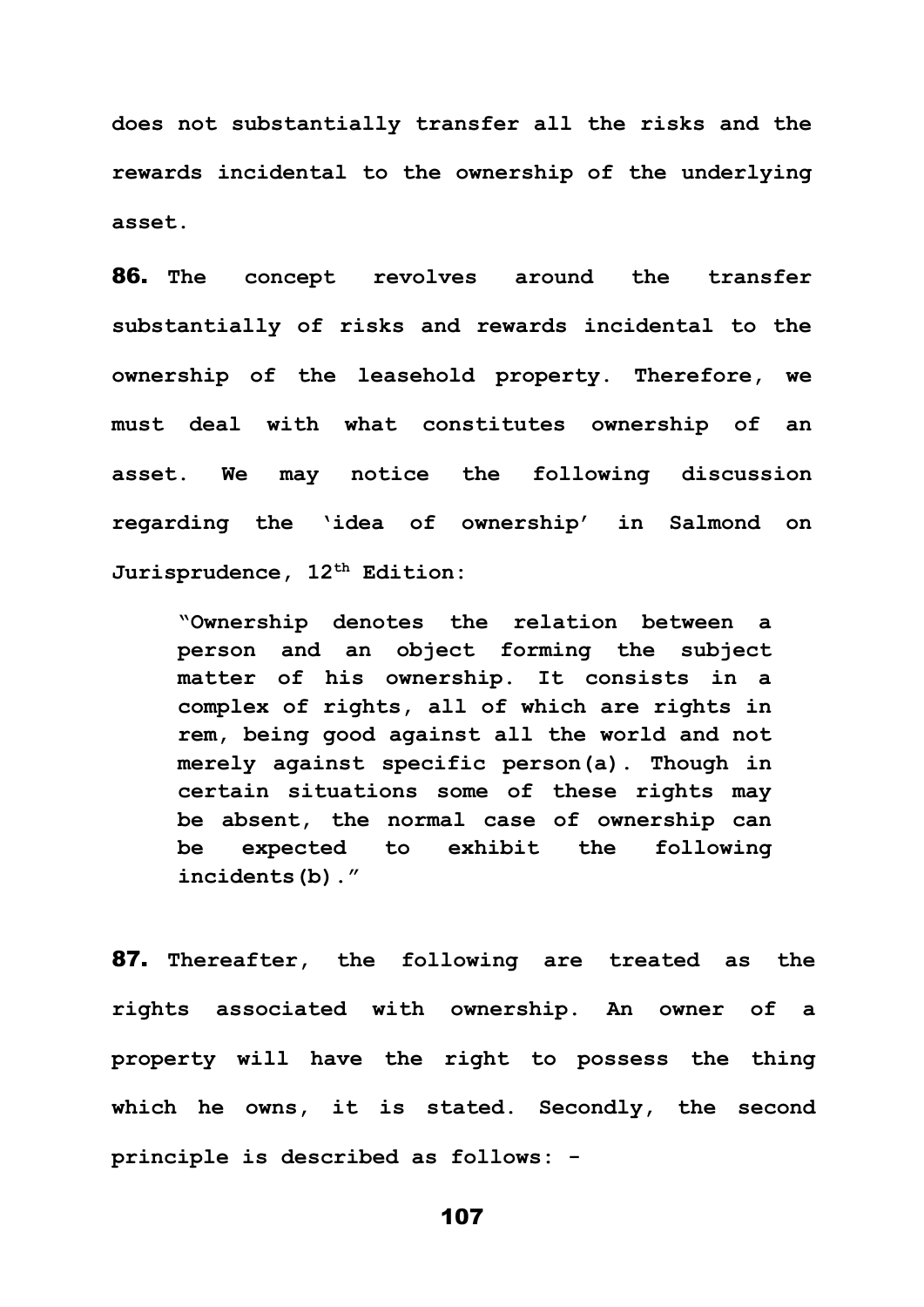**does not substantially transfer all the risks and the rewards incidental to the ownership of the underlying asset.** 

86. **The concept revolves around the transfer substantially of risks and rewards incidental to the ownership of the leasehold property. Therefore, we must deal with what constitutes ownership of an asset. We may notice the following discussion regarding the 'idea of ownership' in Salmond on Jurisprudence, 12th Edition:** 

**"Ownership denotes the relation between a person and an object forming the subject matter of his ownership. It consists in a complex of rights, all of which are rights in rem, being good against all the world and not merely against specific person(a). Though in certain situations some of these rights may be absent, the normal case of ownership can be expected to exhibit the following incidents(b)."** 

87. **Thereafter, the following are treated as the rights associated with ownership. An owner of a property will have the right to possess the thing which he owns, it is stated. Secondly, the second principle is described as follows: -**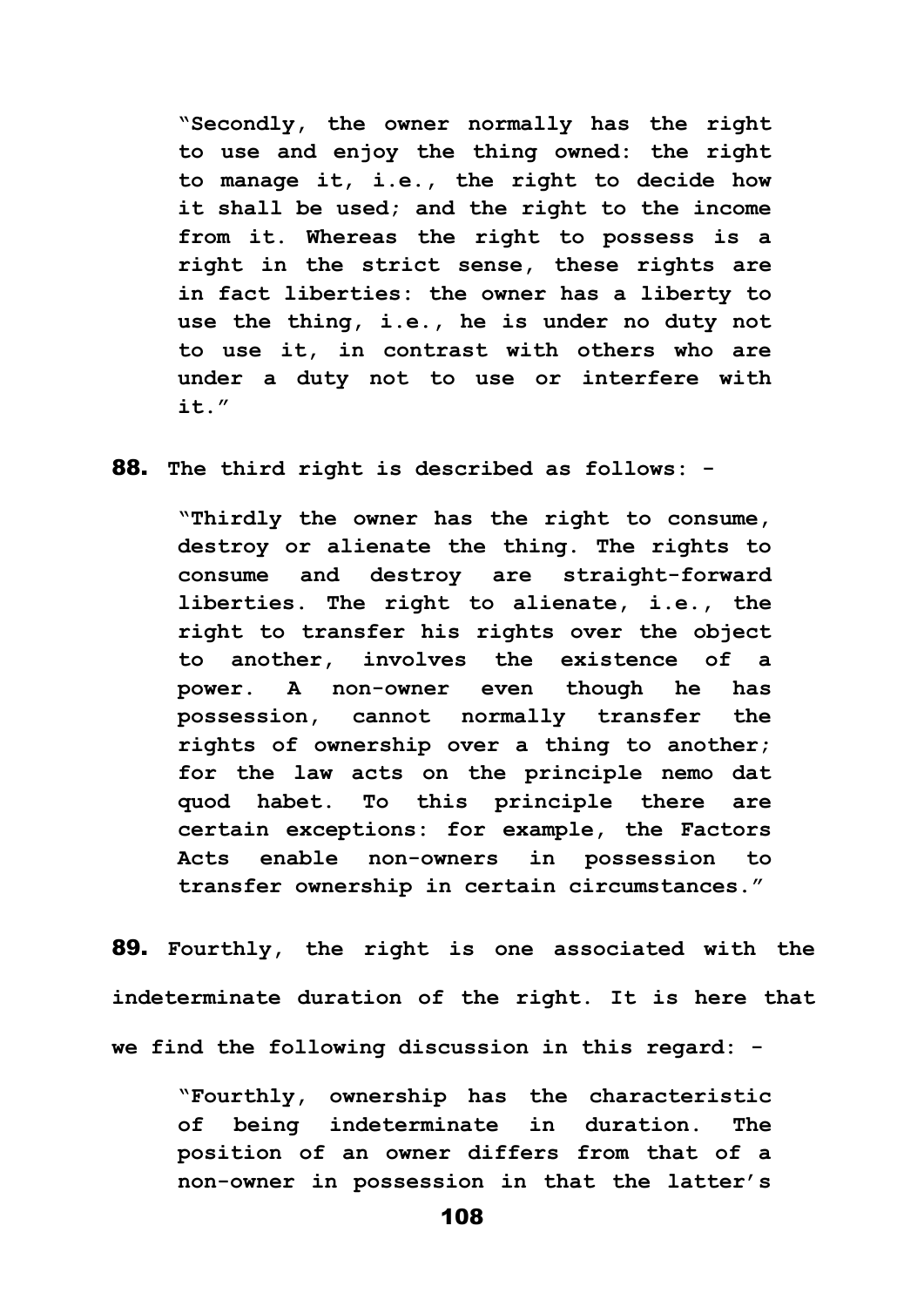**"Secondly, the owner normally has the right to use and enjoy the thing owned: the right to manage it, i.e., the right to decide how it shall be used; and the right to the income from it. Whereas the right to possess is a right in the strict sense, these rights are in fact liberties: the owner has a liberty to use the thing, i.e., he is under no duty not to use it, in contrast with others who are under a duty not to use or interfere with it."**

88. **The third right is described as follows: -**

**"Thirdly the owner has the right to consume, destroy or alienate the thing. The rights to consume and destroy are straight-forward liberties. The right to alienate, i.e., the right to transfer his rights over the object to another, involves the existence of a power. A non-owner even though he has possession, cannot normally transfer the rights of ownership over a thing to another; for the law acts on the principle nemo dat quod habet. To this principle there are certain exceptions: for example, the Factors Acts enable non-owners in possession to transfer ownership in certain circumstances."**

89. **Fourthly, the right is one associated with the indeterminate duration of the right. It is here that we find the following discussion in this regard: -**

**"Fourthly, ownership has the characteristic of being indeterminate in duration. The position of an owner differs from that of a non-owner in possession in that the latter's**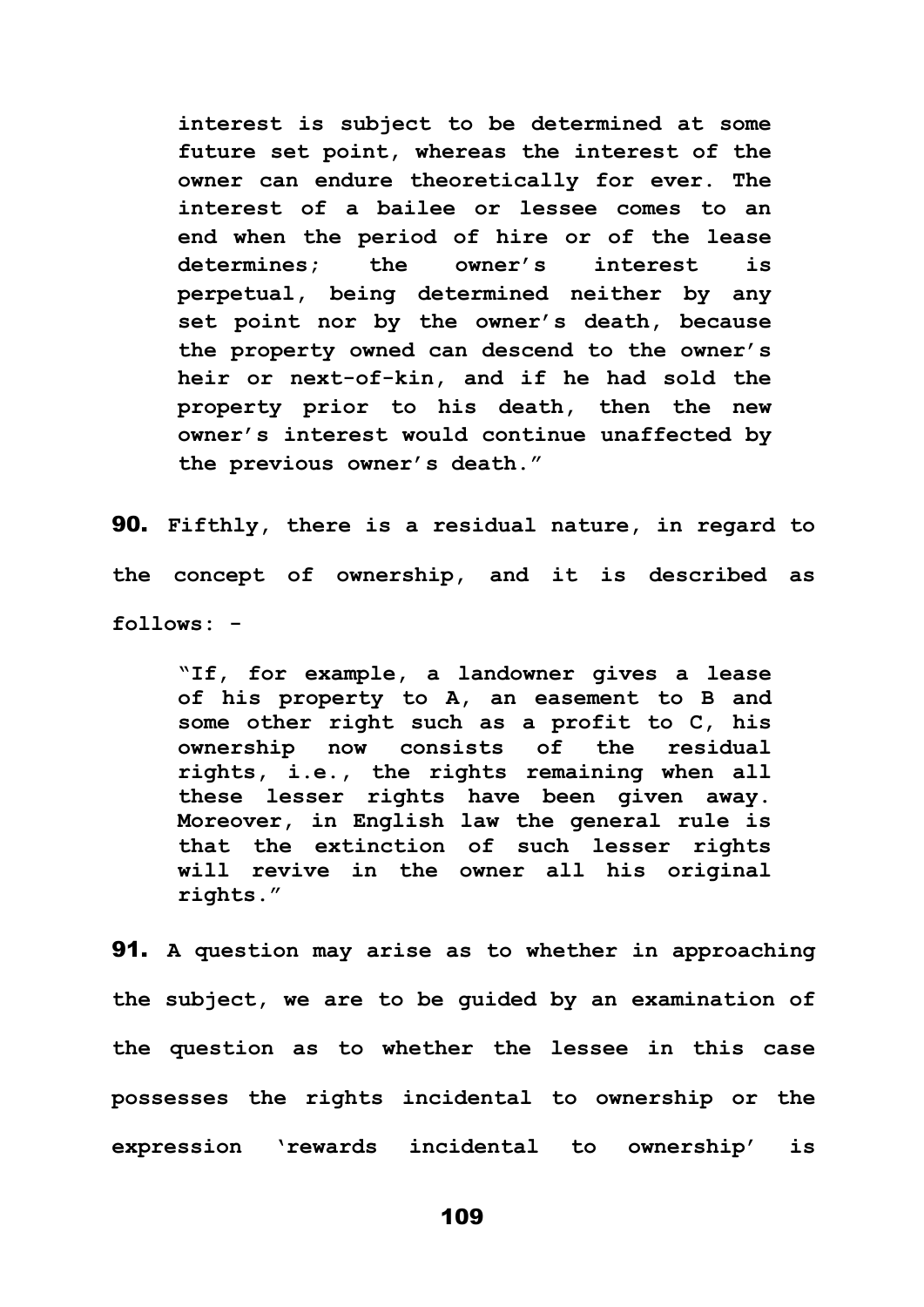**interest is subject to be determined at some future set point, whereas the interest of the owner can endure theoretically for ever. The interest of a bailee or lessee comes to an end when the period of hire or of the lease determines; the owner's interest is perpetual, being determined neither by any set point nor by the owner's death, because the property owned can descend to the owner's heir or next-of-kin, and if he had sold the property prior to his death, then the new owner's interest would continue unaffected by the previous owner's death."**

90. **Fifthly, there is a residual nature, in regard to the concept of ownership, and it is described as follows: -**

**"If, for example, a landowner gives a lease of his property to A, an easement to B and some other right such as a profit to C, his ownership now consists of the residual rights, i.e., the rights remaining when all these lesser rights have been given away. Moreover, in English law the general rule is that the extinction of such lesser rights will revive in the owner all his original rights."**

91. **A question may arise as to whether in approaching the subject, we are to be guided by an examination of the question as to whether the lessee in this case possesses the rights incidental to ownership or the expression 'rewards incidental to ownership' is**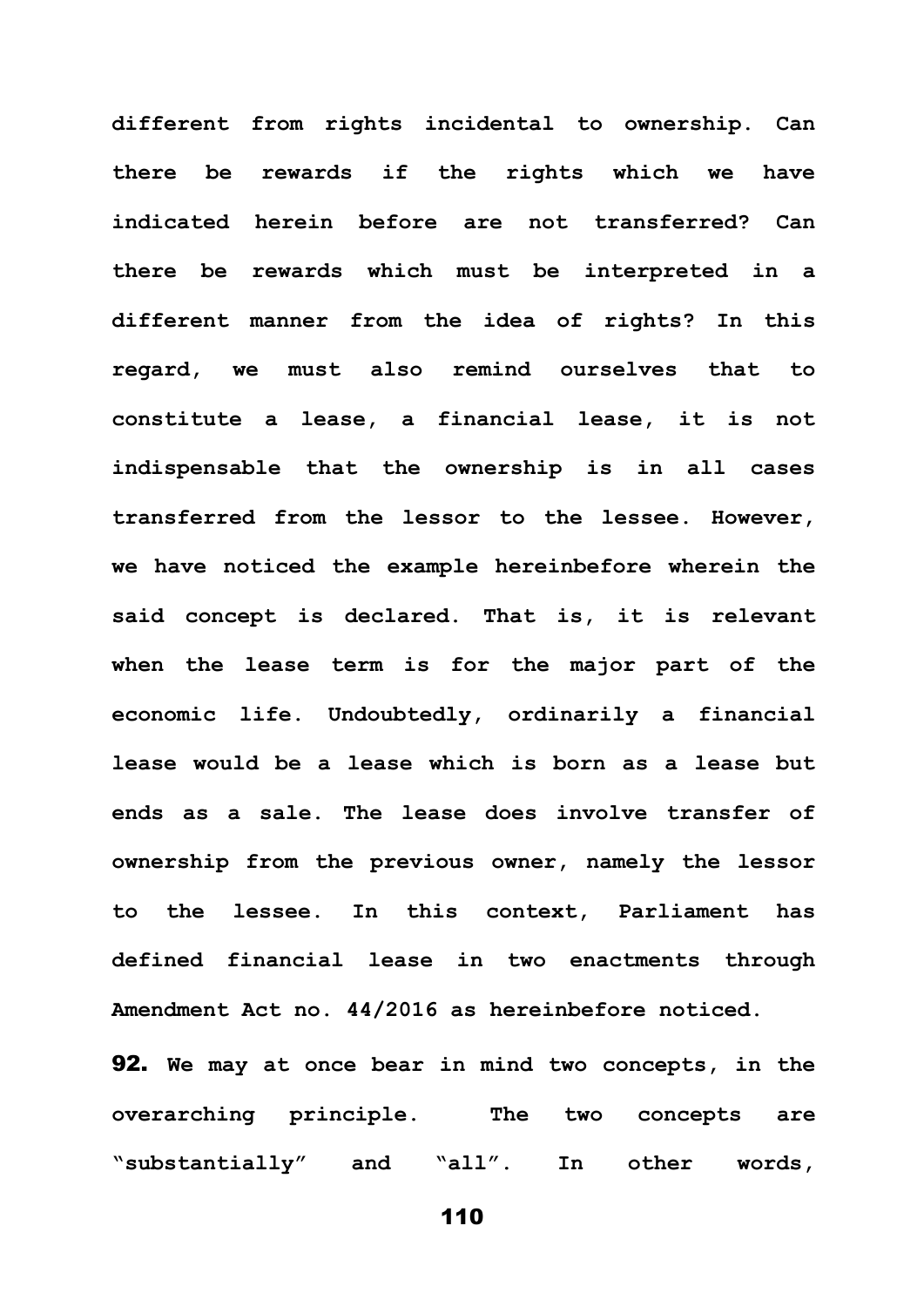**different from rights incidental to ownership. Can there be rewards if the rights which we have indicated herein before are not transferred? Can there be rewards which must be interpreted in a different manner from the idea of rights? In this regard, we must also remind ourselves that to constitute a lease, a financial lease, it is not indispensable that the ownership is in all cases transferred from the lessor to the lessee. However, we have noticed the example hereinbefore wherein the said concept is declared. That is, it is relevant when the lease term is for the major part of the economic life. Undoubtedly, ordinarily a financial lease would be a lease which is born as a lease but ends as a sale. The lease does involve transfer of ownership from the previous owner, namely the lessor to the lessee. In this context, Parliament has defined financial lease in two enactments through Amendment Act no. 44/2016 as hereinbefore noticed.**

92. **We may at once bear in mind two concepts, in the overarching principle. The two concepts are "substantially" and "all". In other words,**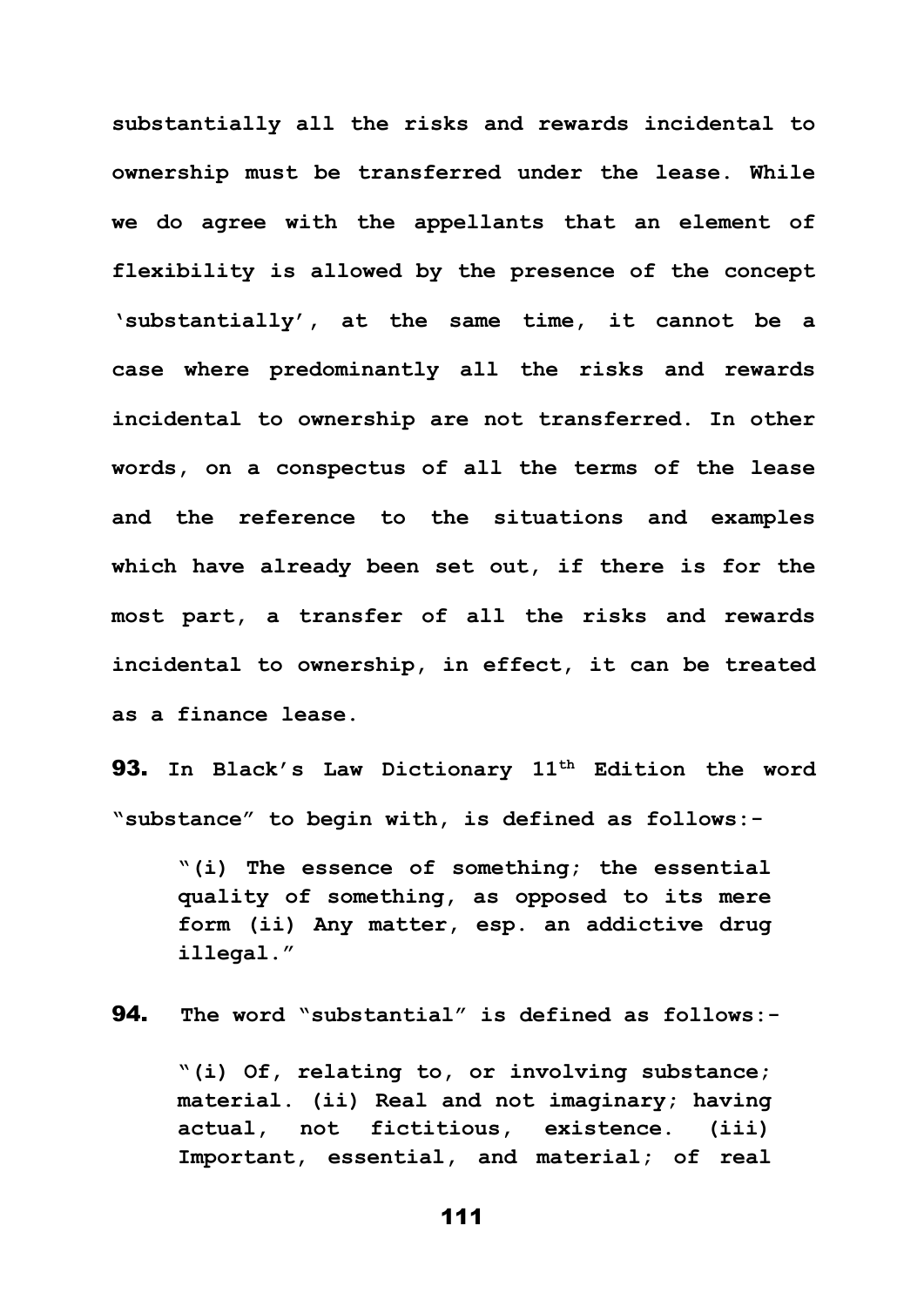**substantially all the risks and rewards incidental to ownership must be transferred under the lease. While we do agree with the appellants that an element of flexibility is allowed by the presence of the concept 'substantially', at the same time, it cannot be a case where predominantly all the risks and rewards incidental to ownership are not transferred. In other words, on a conspectus of all the terms of the lease and the reference to the situations and examples which have already been set out, if there is for the most part, a transfer of all the risks and rewards incidental to ownership, in effect, it can be treated as a finance lease.** 

93. **In Black's Law Dictionary 11th Edition the word "substance" to begin with, is defined as follows:-**

**"(i) The essence of something; the essential quality of something, as opposed to its mere form (ii) Any matter, esp. an addictive drug illegal."**

94. **The word "substantial" is defined as follows:-**

**"(i) Of, relating to, or involving substance; material. (ii) Real and not imaginary; having actual, not fictitious, existence. (iii) Important, essential, and material; of real**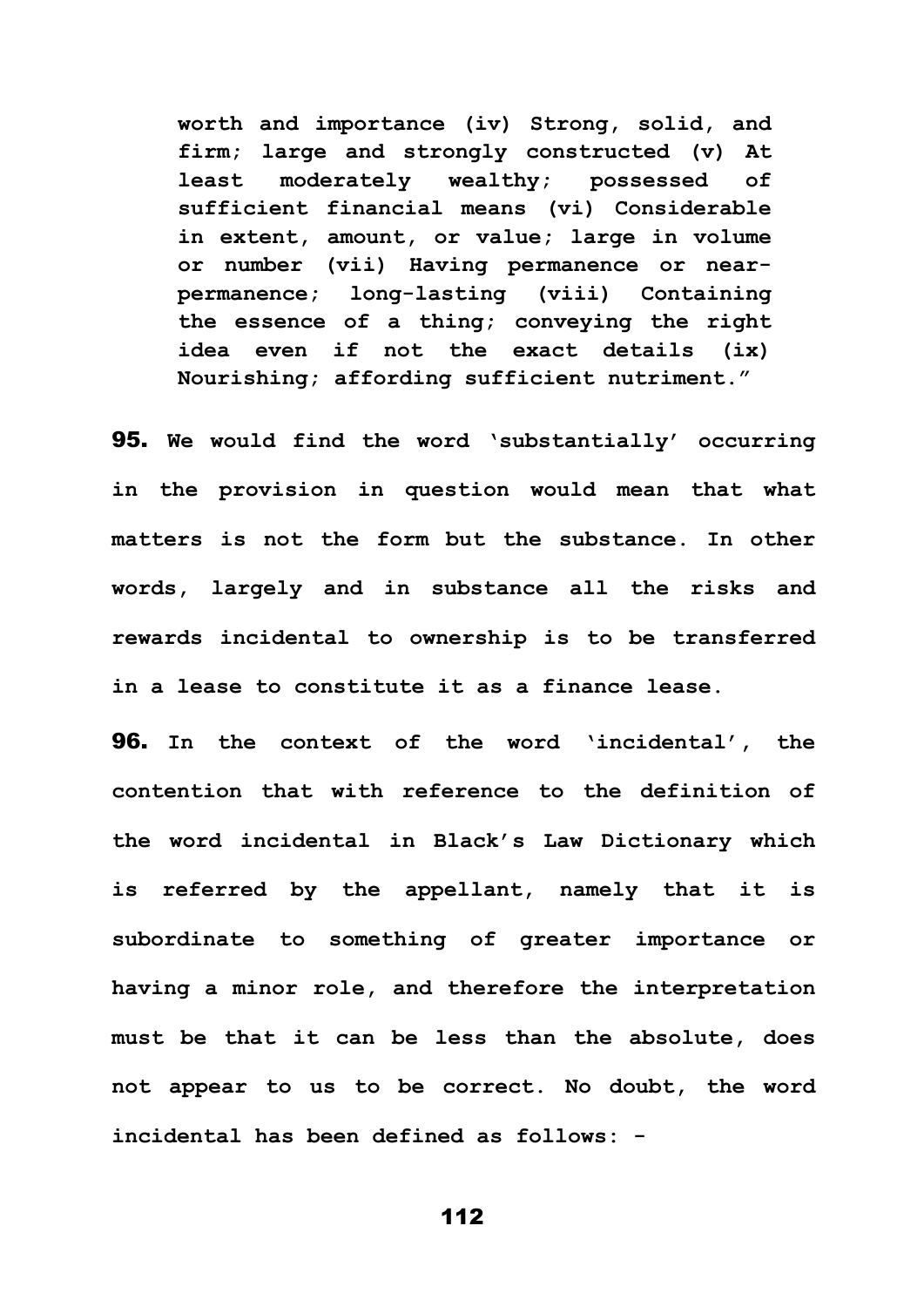**worth and importance (iv) Strong, solid, and firm; large and strongly constructed (v) At least moderately wealthy; possessed of sufficient financial means (vi) Considerable in extent, amount, or value; large in volume or number (vii) Having permanence or nearpermanence; long-lasting (viii) Containing the essence of a thing; conveying the right idea even if not the exact details (ix) Nourishing; affording sufficient nutriment."**

95. **We would find the word 'substantially' occurring in the provision in question would mean that what matters is not the form but the substance. In other words, largely and in substance all the risks and rewards incidental to ownership is to be transferred in a lease to constitute it as a finance lease.**

96. **In the context of the word 'incidental', the contention that with reference to the definition of the word incidental in Black's Law Dictionary which is referred by the appellant, namely that it is subordinate to something of greater importance or having a minor role, and therefore the interpretation must be that it can be less than the absolute, does not appear to us to be correct. No doubt, the word incidental has been defined as follows: -**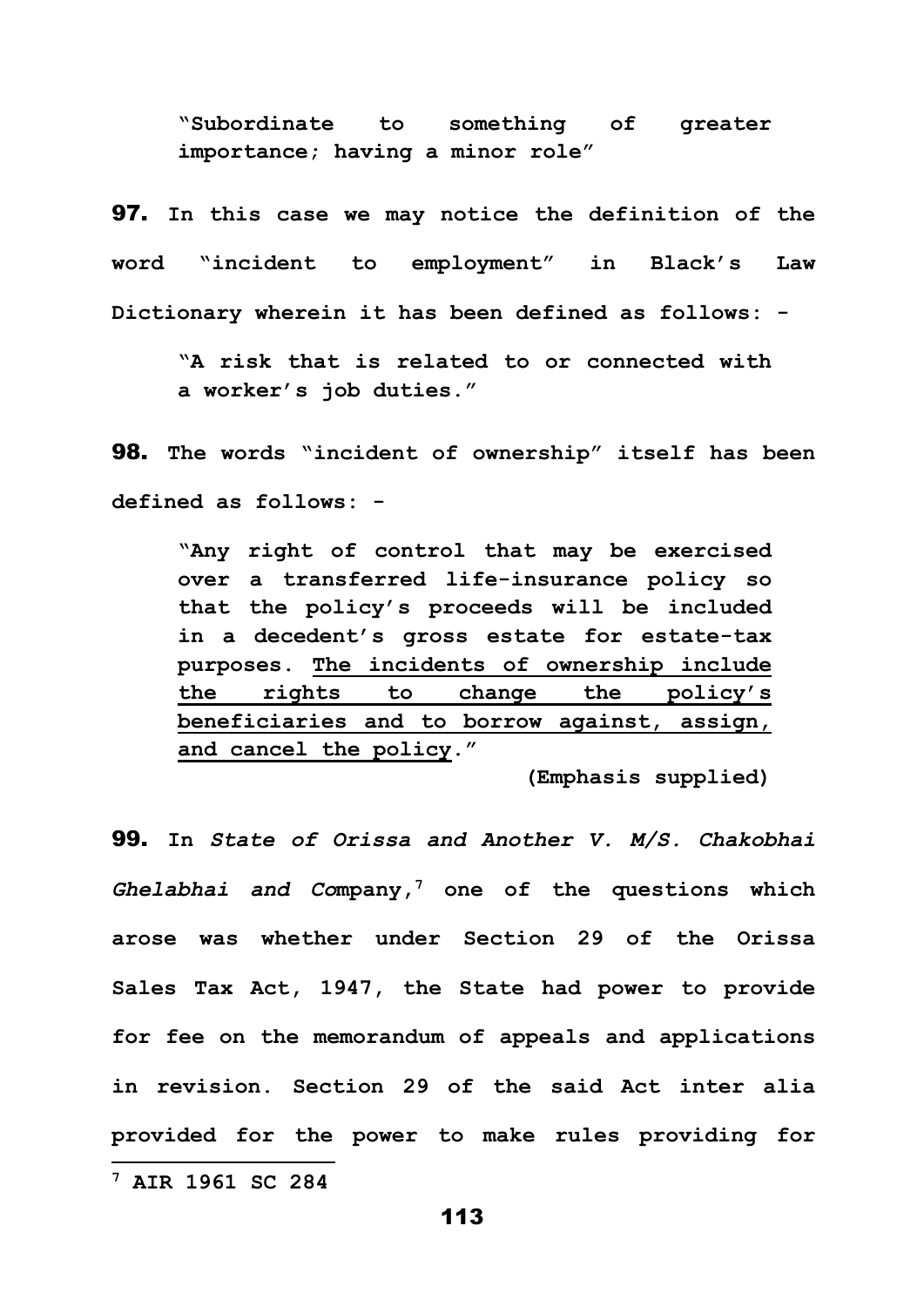**"Subordinate to something of greater importance; having a minor role"**

97. **In this case we may notice the definition of the word "incident to employment" in Black's Law Dictionary wherein it has been defined as follows: -**

**"A risk that is related to or connected with a worker's job duties."**

98. **The words "incident of ownership" itself has been defined as follows: -**

**"Any right of control that may be exercised over a transferred life-insurance policy so that the policy's proceeds will be included in a decedent's gross estate for estate-tax purposes. The incidents of ownership include the rights to change the policy's beneficiaries and to borrow against, assign, and cancel the policy."**

**(Emphasis supplied)**

99. **In** *State of Orissa and Another V. M/S. Chakobhai Ghelabhai and Co***mpany, <sup>7</sup> one of the questions which arose was whether under Section 29 of the Orissa Sales Tax Act, 1947, the State had power to provide for fee on the memorandum of appeals and applications in revision. Section 29 of the said Act inter alia provided for the power to make rules providing for** 

**<sup>7</sup> AIR 1961 SC 284**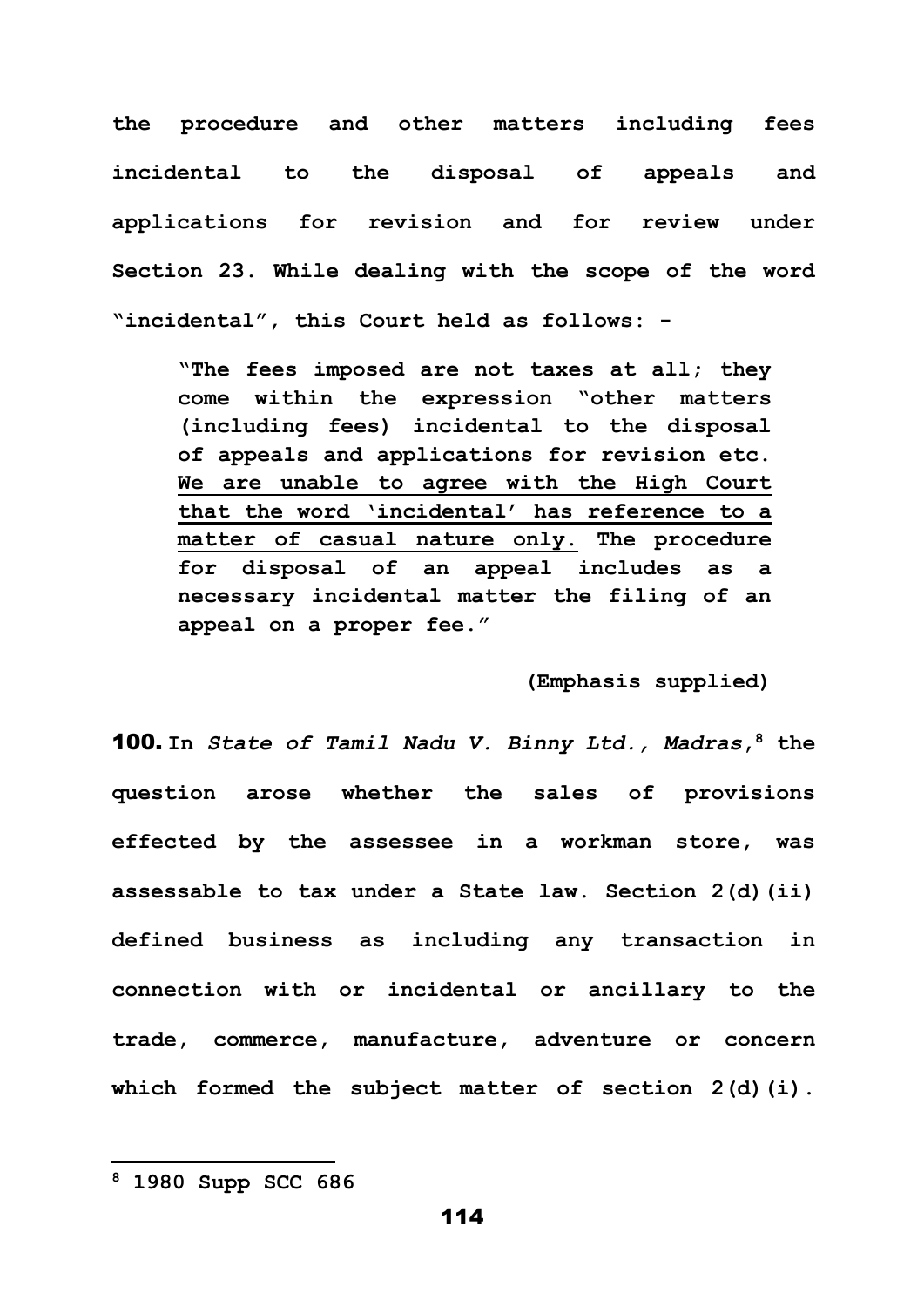**the procedure and other matters including fees incidental to the disposal of appeals and applications for revision and for review under Section 23. While dealing with the scope of the word "incidental", this Court held as follows: -**

**"The fees imposed are not taxes at all; they come within the expression "other matters (including fees) incidental to the disposal of appeals and applications for revision etc. We are unable to agree with the High Court that the word 'incidental' has reference to a matter of casual nature only. The procedure for disposal of an appeal includes as a necessary incidental matter the filing of an appeal on a proper fee."**

**(Emphasis supplied)**

100. **In** *State of Tamil Nadu V. Binny Ltd., Madras***, <sup>8</sup> the question arose whether the sales of provisions effected by the assessee in a workman store, was assessable to tax under a State law. Section 2(d)(ii) defined business as including any transaction in connection with or incidental or ancillary to the trade, commerce, manufacture, adventure or concern which formed the subject matter of section 2(d)(i).** 

**<sup>8</sup> 1980 Supp SCC 686**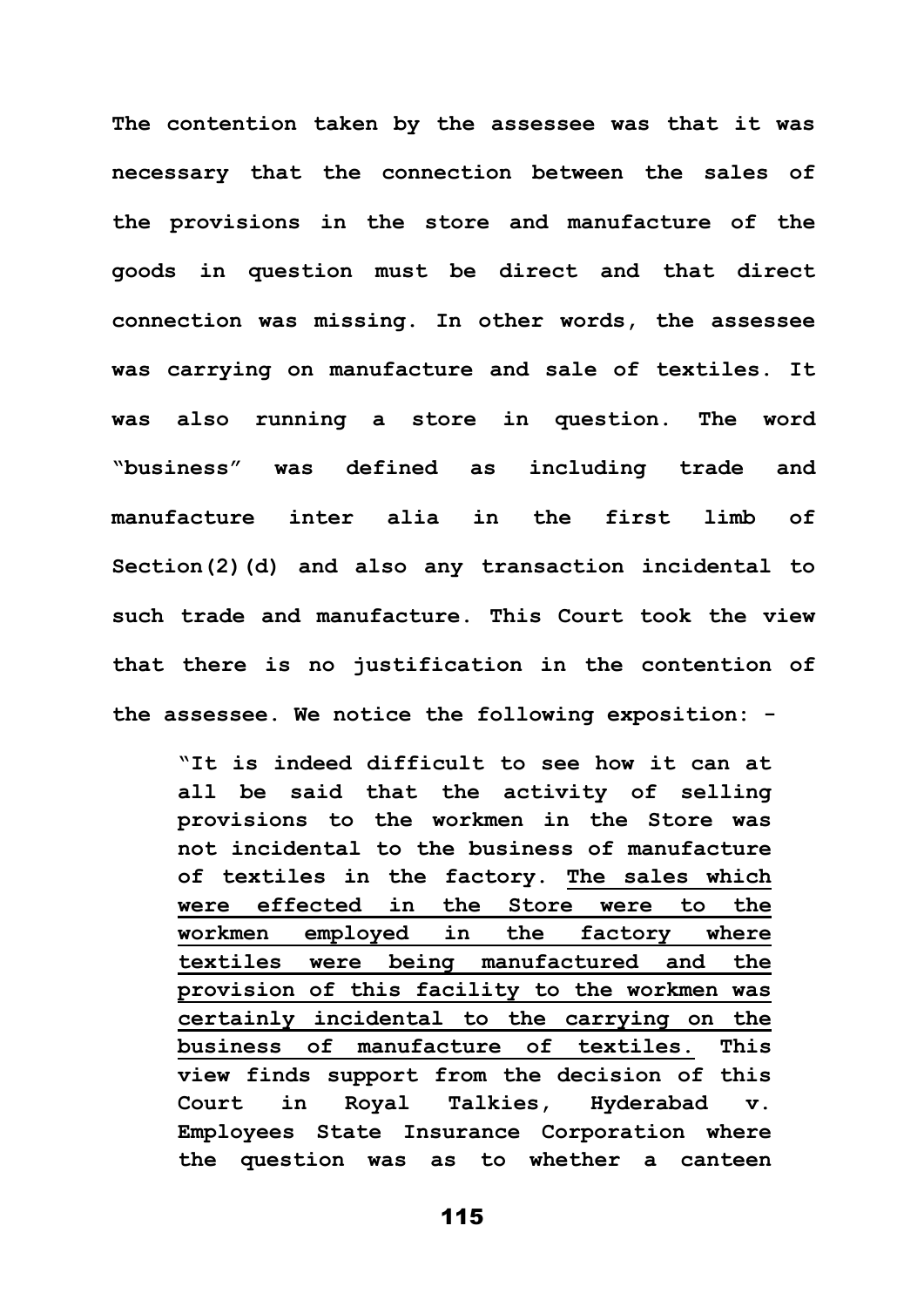**The contention taken by the assessee was that it was necessary that the connection between the sales of the provisions in the store and manufacture of the goods in question must be direct and that direct connection was missing. In other words, the assessee was carrying on manufacture and sale of textiles. It was also running a store in question. The word "business" was defined as including trade and manufacture inter alia in the first limb of Section(2)(d) and also any transaction incidental to such trade and manufacture. This Court took the view that there is no justification in the contention of the assessee. We notice the following exposition: -**

**"It is indeed difficult to see how it can at all be said that the activity of selling provisions to the workmen in the Store was not incidental to the business of manufacture of textiles in the factory. The sales which were effected in the Store were to the workmen employed in the factory where textiles were being manufactured and the provision of this facility to the workmen was certainly incidental to the carrying on the business of manufacture of textiles. This view finds support from the decision of this Court in Royal Talkies, Hyderabad v. Employees State Insurance Corporation where the question was as to whether a canteen**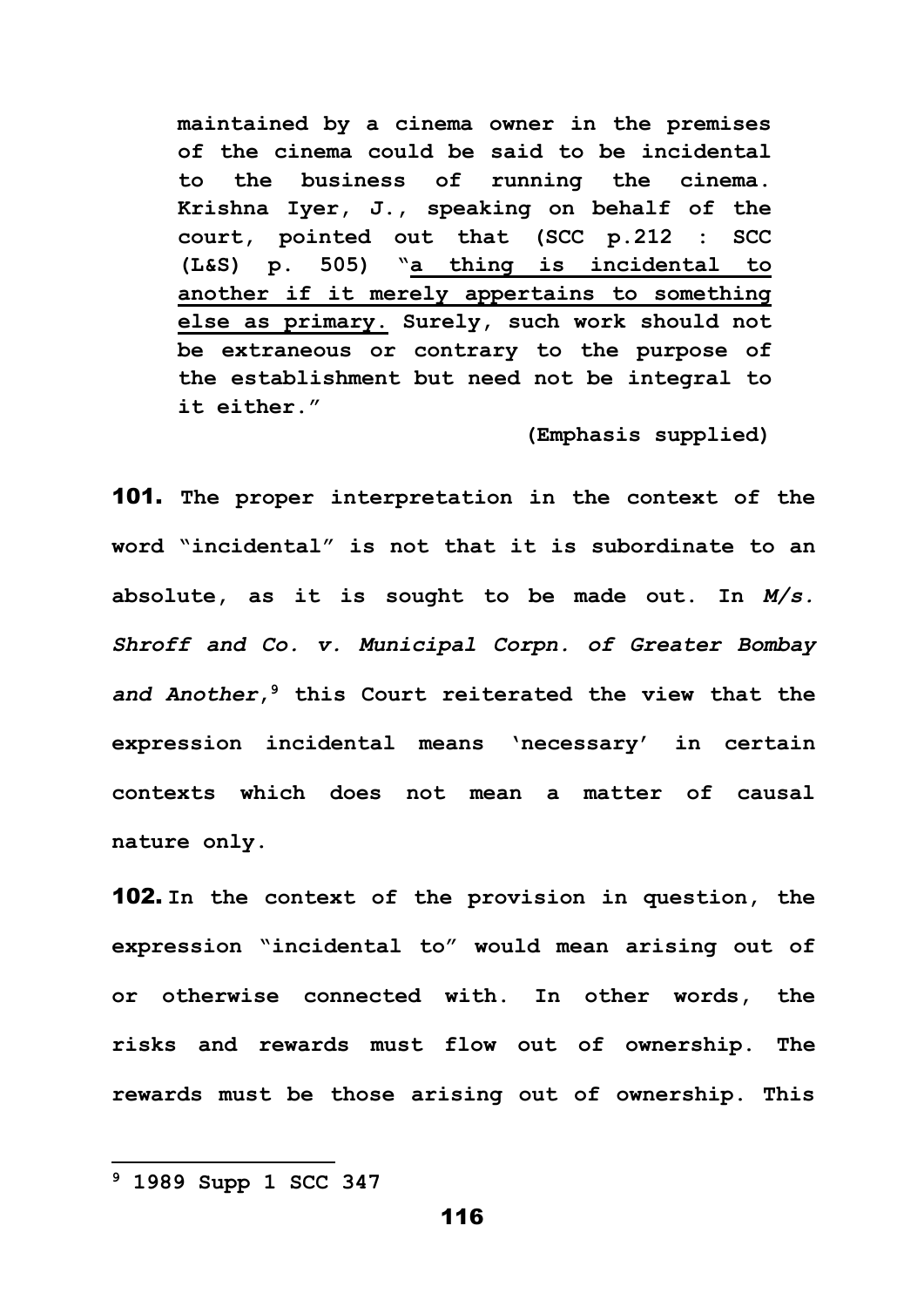**maintained by a cinema owner in the premises of the cinema could be said to be incidental to the business of running the cinema. Krishna Iyer, J., speaking on behalf of the court, pointed out that (SCC p.212 : SCC (L&S) p. 505) "a thing is incidental to another if it merely appertains to something else as primary. Surely, such work should not be extraneous or contrary to the purpose of the establishment but need not be integral to it either."**

**(Emphasis supplied)**

101. **The proper interpretation in the context of the word "incidental" is not that it is subordinate to an absolute, as it is sought to be made out. In** *M/s. Shroff and Co. v. Municipal Corpn. of Greater Bombay and Another***, <sup>9</sup> this Court reiterated the view that the expression incidental means 'necessary' in certain contexts which does not mean a matter of causal nature only.**

102. **In the context of the provision in question, the expression "incidental to" would mean arising out of or otherwise connected with. In other words, the risks and rewards must flow out of ownership. The rewards must be those arising out of ownership. This** 

**<sup>9</sup> 1989 Supp 1 SCC 347**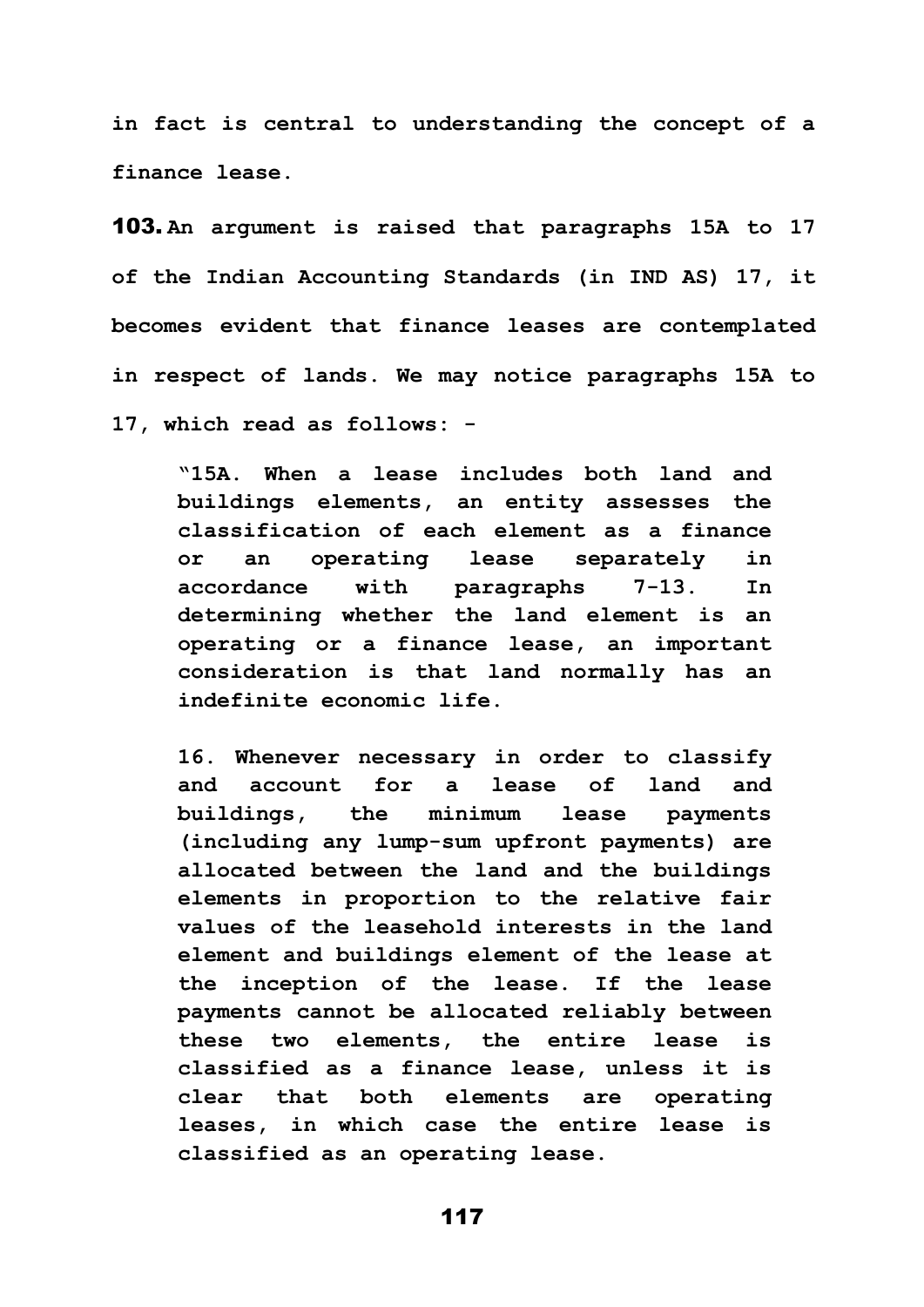**in fact is central to understanding the concept of a finance lease.** 

103. **An argument is raised that paragraphs 15A to 17 of the Indian Accounting Standards (in IND AS) 17, it becomes evident that finance leases are contemplated in respect of lands. We may notice paragraphs 15A to 17, which read as follows: -**

**"15A. When a lease includes both land and buildings elements, an entity assesses the classification of each element as a finance or an operating lease separately in accordance with paragraphs 7-13. In determining whether the land element is an operating or a finance lease, an important consideration is that land normally has an indefinite economic life.** 

**16. Whenever necessary in order to classify and account for a lease of land and buildings, the minimum lease payments (including any lump-sum upfront payments) are allocated between the land and the buildings elements in proportion to the relative fair values of the leasehold interests in the land element and buildings element of the lease at the inception of the lease. If the lease payments cannot be allocated reliably between these two elements, the entire lease is classified as a finance lease, unless it is clear that both elements are operating leases, in which case the entire lease is classified as an operating lease.**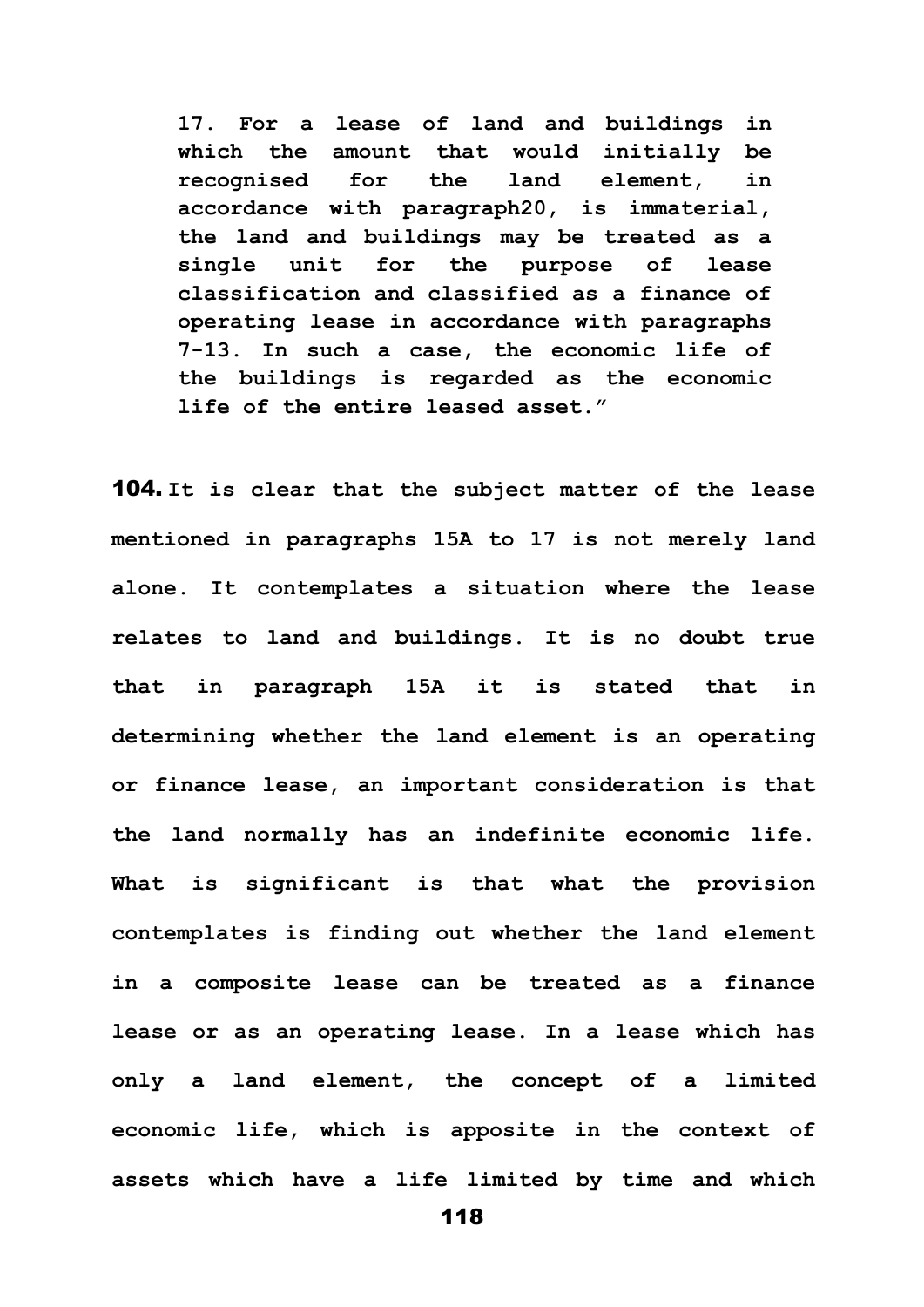**17. For a lease of land and buildings in which the amount that would initially be recognised for the land element, in accordance with paragraph20, is immaterial, the land and buildings may be treated as a single unit for the purpose of lease classification and classified as a finance of operating lease in accordance with paragraphs 7-13. In such a case, the economic life of the buildings is regarded as the economic life of the entire leased asset."** 

104. **It is clear that the subject matter of the lease mentioned in paragraphs 15A to 17 is not merely land alone. It contemplates a situation where the lease relates to land and buildings. It is no doubt true that in paragraph 15A it is stated that in determining whether the land element is an operating or finance lease, an important consideration is that the land normally has an indefinite economic life. What is significant is that what the provision contemplates is finding out whether the land element in a composite lease can be treated as a finance lease or as an operating lease. In a lease which has only a land element, the concept of a limited economic life, which is apposite in the context of assets which have a life limited by time and which**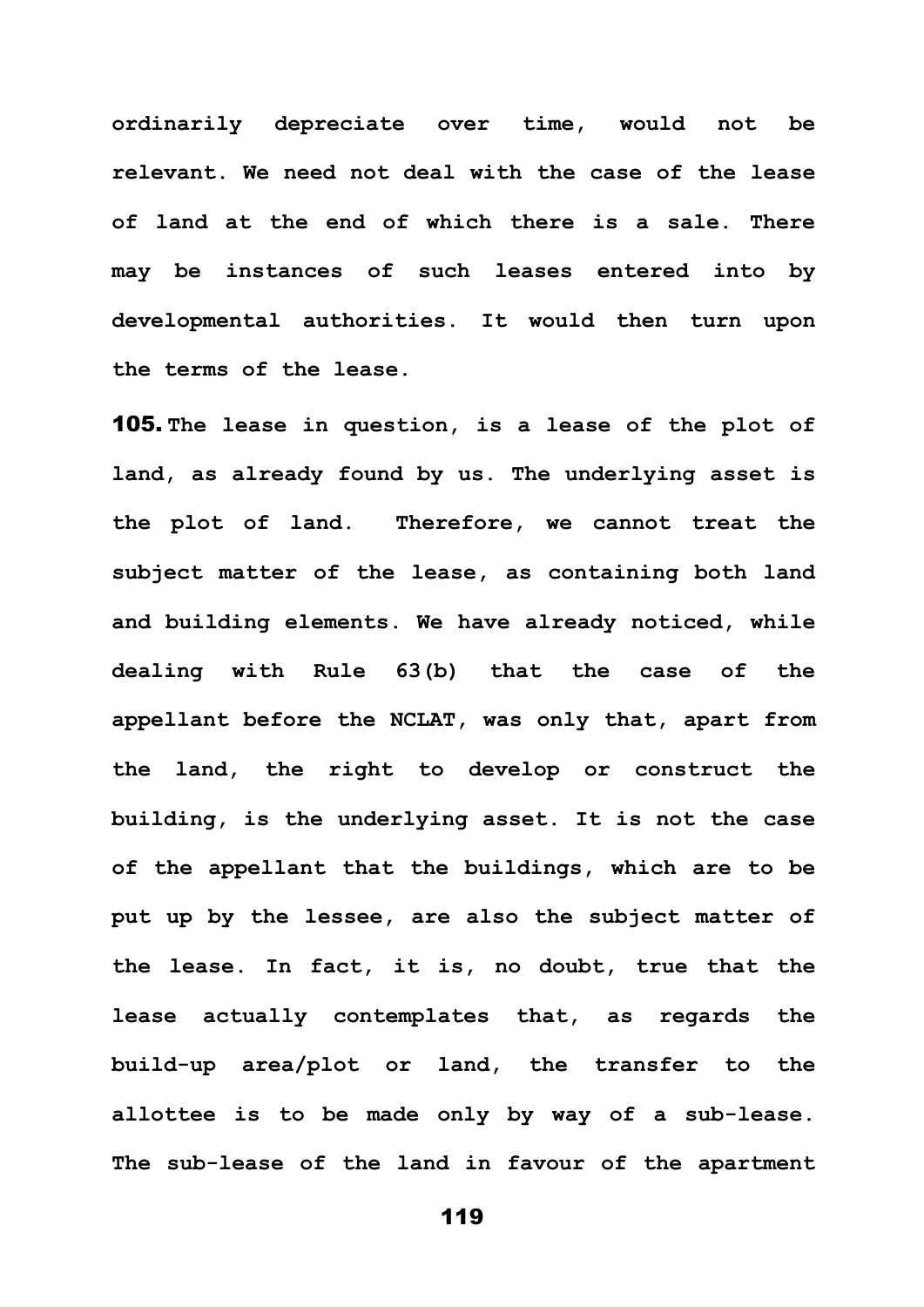**ordinarily depreciate over time, would not be relevant. We need not deal with the case of the lease of land at the end of which there is a sale. There may be instances of such leases entered into by developmental authorities. It would then turn upon the terms of the lease.**

105. **The lease in question, is a lease of the plot of land, as already found by us. The underlying asset is the plot of land. Therefore, we cannot treat the subject matter of the lease, as containing both land and building elements. We have already noticed, while dealing with Rule 63(b) that the case of the appellant before the NCLAT, was only that, apart from the land, the right to develop or construct the building, is the underlying asset. It is not the case of the appellant that the buildings, which are to be put up by the lessee, are also the subject matter of the lease. In fact, it is, no doubt, true that the lease actually contemplates that, as regards the build-up area/plot or land, the transfer to the allottee is to be made only by way of a sub-lease. The sub-lease of the land in favour of the apartment**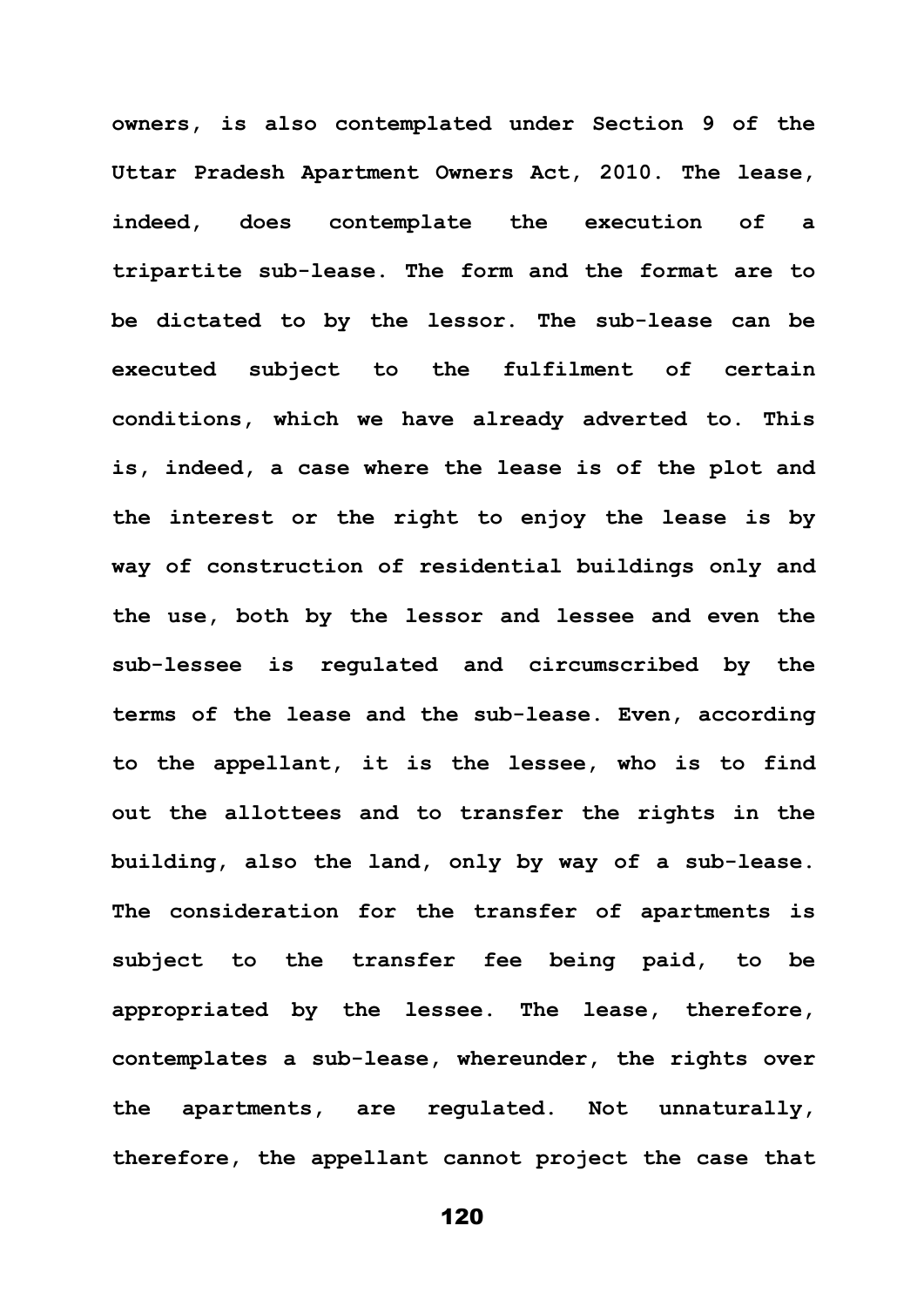**owners, is also contemplated under Section 9 of the Uttar Pradesh Apartment Owners Act, 2010. The lease, indeed, does contemplate the execution of a tripartite sub-lease. The form and the format are to be dictated to by the lessor. The sub-lease can be executed subject to the fulfilment of certain conditions, which we have already adverted to. This is, indeed, a case where the lease is of the plot and the interest or the right to enjoy the lease is by way of construction of residential buildings only and the use, both by the lessor and lessee and even the sub-lessee is regulated and circumscribed by the terms of the lease and the sub-lease. Even, according to the appellant, it is the lessee, who is to find out the allottees and to transfer the rights in the building, also the land, only by way of a sub-lease. The consideration for the transfer of apartments is subject to the transfer fee being paid, to be appropriated by the lessee. The lease, therefore, contemplates a sub-lease, whereunder, the rights over the apartments, are regulated. Not unnaturally, therefore, the appellant cannot project the case that**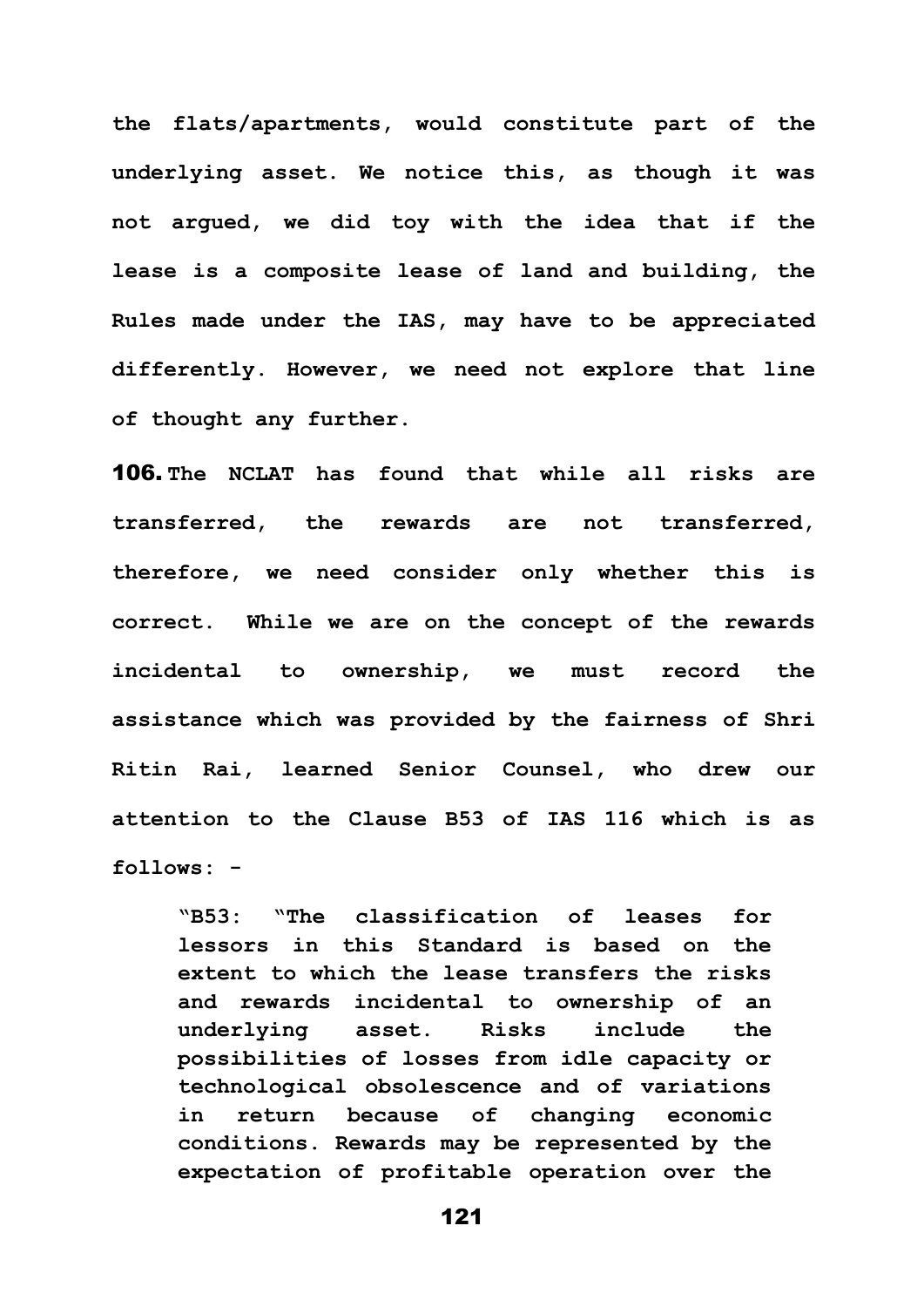**the flats/apartments, would constitute part of the underlying asset. We notice this, as though it was not argued, we did toy with the idea that if the lease is a composite lease of land and building, the Rules made under the IAS, may have to be appreciated differently. However, we need not explore that line of thought any further.**

106. **The NCLAT has found that while all risks are transferred, the rewards are not transferred, therefore, we need consider only whether this is correct. While we are on the concept of the rewards incidental to ownership, we must record the assistance which was provided by the fairness of Shri Ritin Rai, learned Senior Counsel, who drew our attention to the Clause B53 of IAS 116 which is as follows: -**

**"B53: "The classification of leases for lessors in this Standard is based on the extent to which the lease transfers the risks and rewards incidental to ownership of an underlying asset. Risks include the possibilities of losses from idle capacity or technological obsolescence and of variations in return because of changing economic conditions. Rewards may be represented by the expectation of profitable operation over the**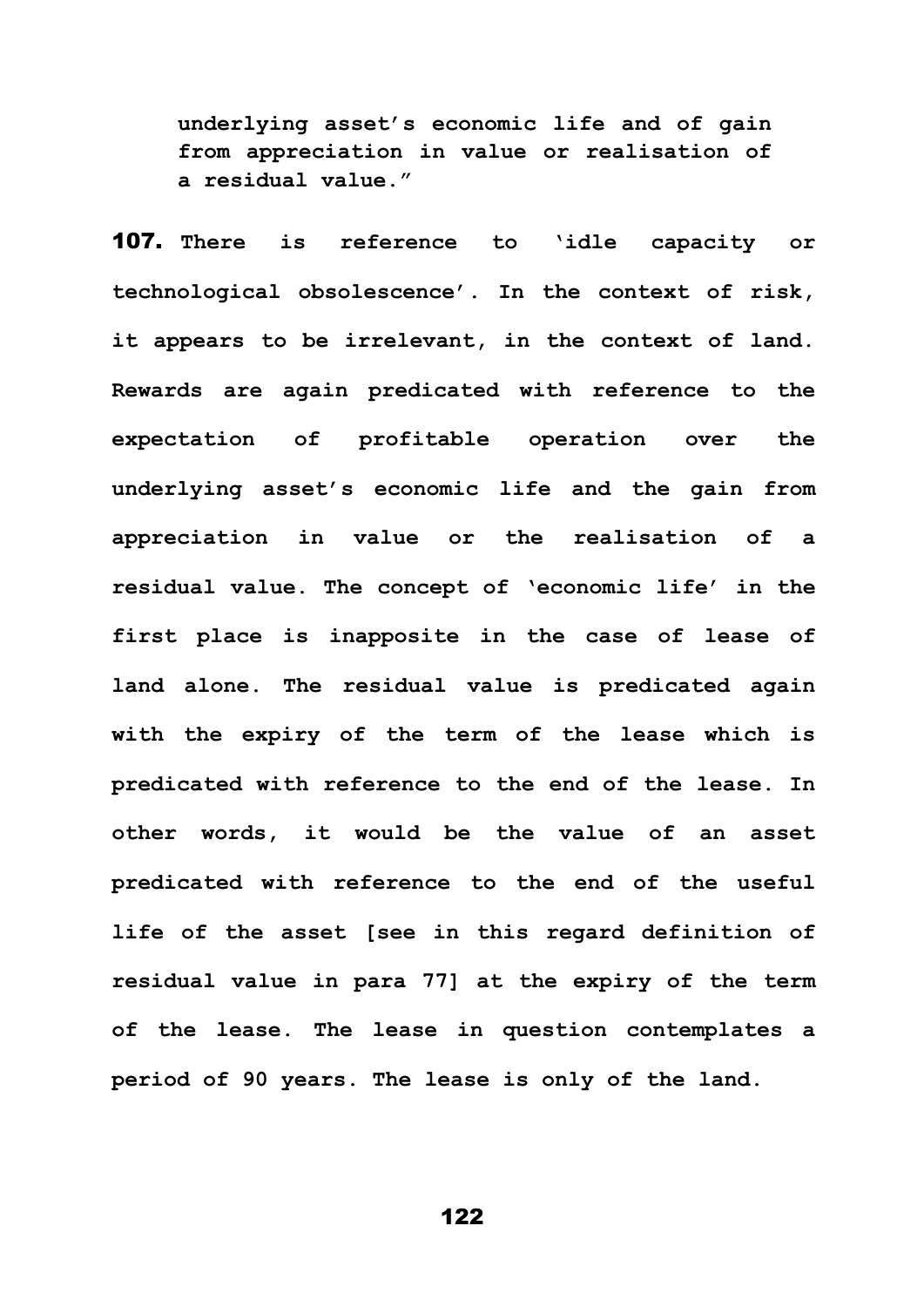**underlying asset's economic life and of gain from appreciation in value or realisation of a residual value."**

107. **There is reference to 'idle capacity or technological obsolescence'. In the context of risk, it appears to be irrelevant, in the context of land. Rewards are again predicated with reference to the expectation of profitable operation over the underlying asset's economic life and the gain from appreciation in value or the realisation of a residual value. The concept of 'economic life' in the first place is inapposite in the case of lease of land alone. The residual value is predicated again with the expiry of the term of the lease which is predicated with reference to the end of the lease. In other words, it would be the value of an asset predicated with reference to the end of the useful life of the asset [see in this regard definition of residual value in para 77] at the expiry of the term of the lease. The lease in question contemplates a period of 90 years. The lease is only of the land.**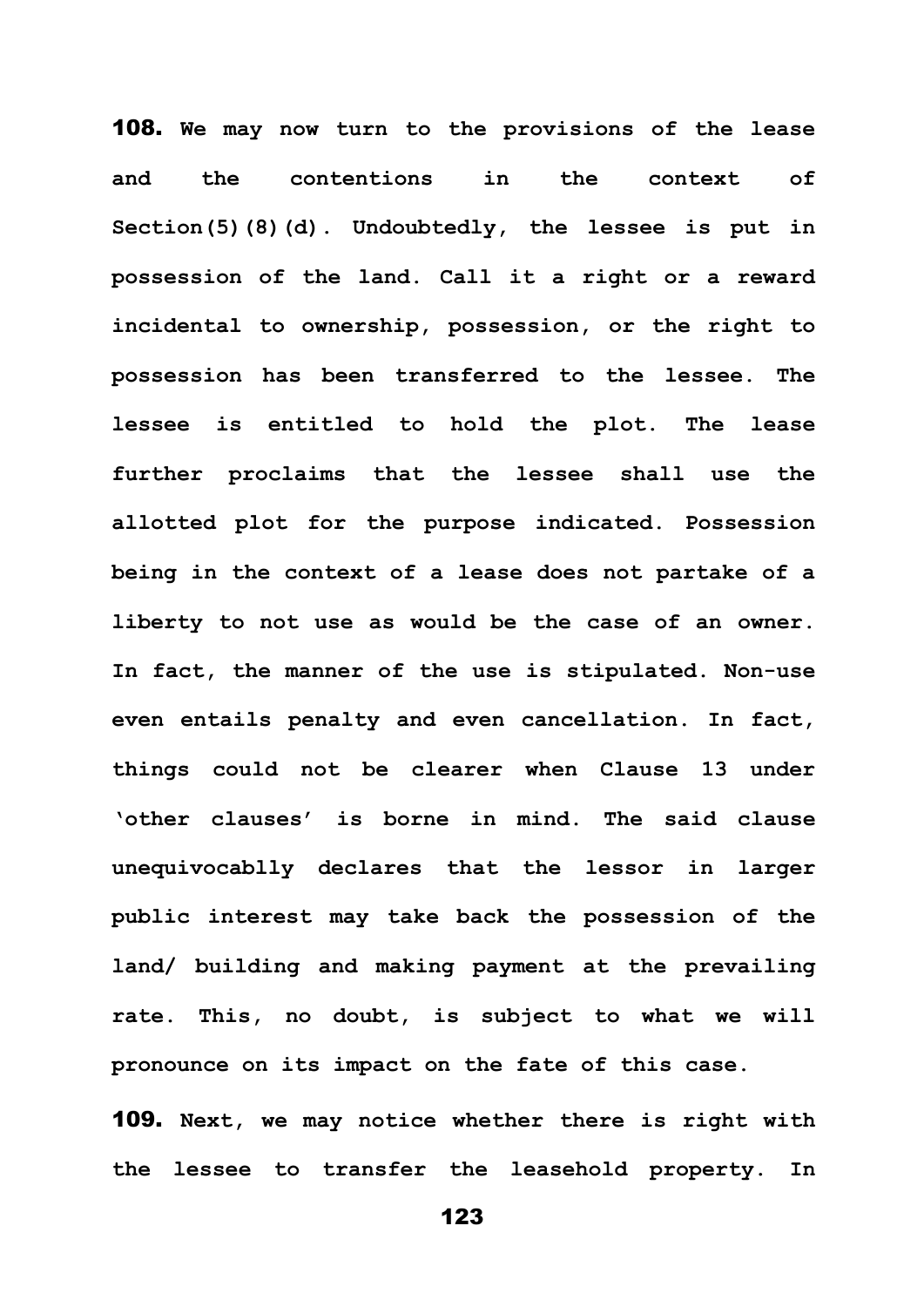108. **We may now turn to the provisions of the lease and the contentions in the context of Section(5)(8)(d). Undoubtedly, the lessee is put in possession of the land. Call it a right or a reward incidental to ownership, possession, or the right to possession has been transferred to the lessee. The lessee is entitled to hold the plot. The lease further proclaims that the lessee shall use the allotted plot for the purpose indicated. Possession being in the context of a lease does not partake of a liberty to not use as would be the case of an owner. In fact, the manner of the use is stipulated. Non-use even entails penalty and even cancellation. In fact, things could not be clearer when Clause 13 under 'other clauses' is borne in mind. The said clause unequivocablly declares that the lessor in larger public interest may take back the possession of the land/ building and making payment at the prevailing rate. This, no doubt, is subject to what we will pronounce on its impact on the fate of this case.**

109. **Next, we may notice whether there is right with the lessee to transfer the leasehold property. In**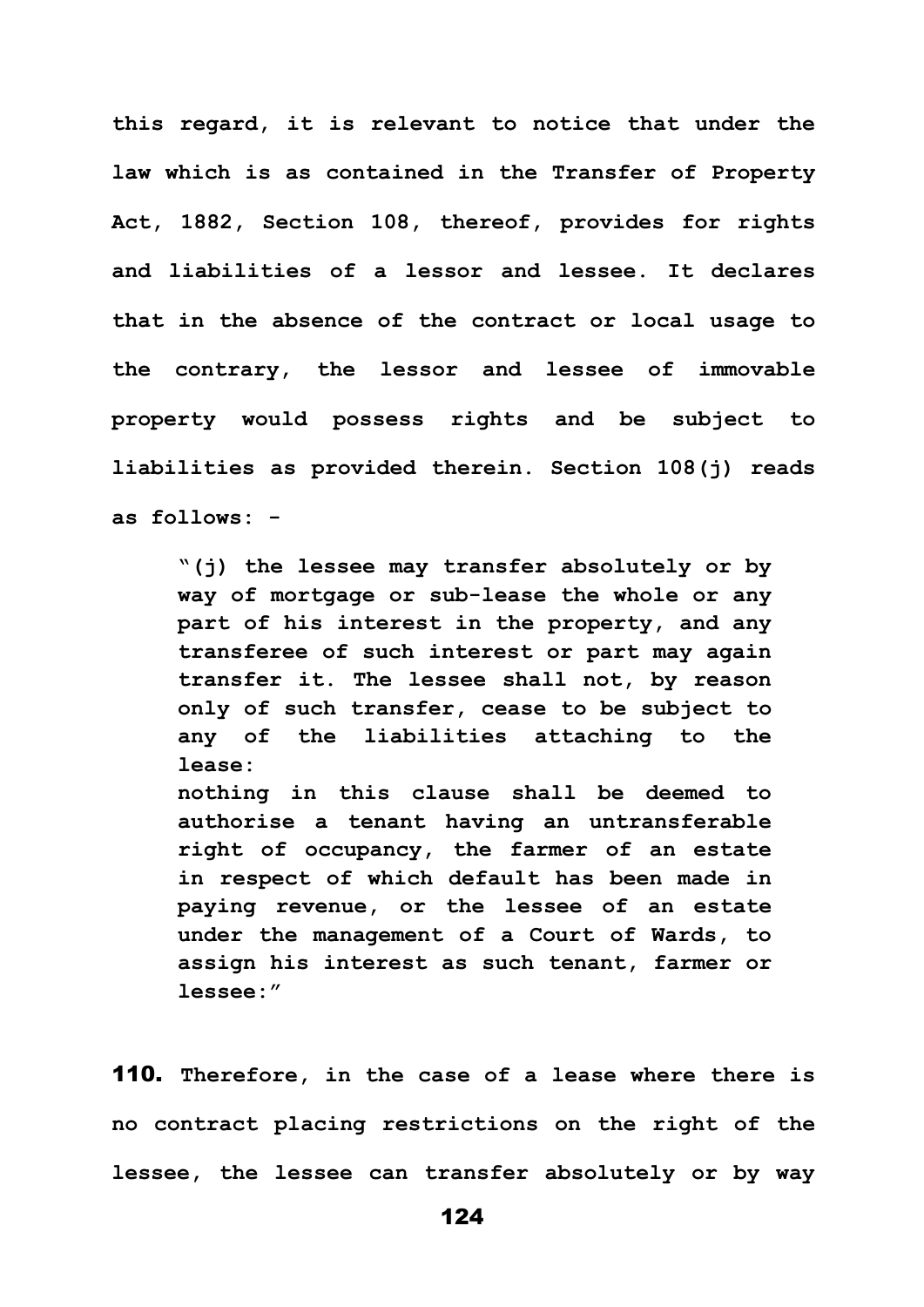**this regard, it is relevant to notice that under the law which is as contained in the Transfer of Property Act, 1882, Section 108, thereof, provides for rights and liabilities of a lessor and lessee. It declares that in the absence of the contract or local usage to the contrary, the lessor and lessee of immovable property would possess rights and be subject to liabilities as provided therein. Section 108(j) reads as follows: -**

**"(j) the lessee may transfer absolutely or by way of mortgage or sub-lease the whole or any part of his interest in the property, and any transferee of such interest or part may again transfer it. The lessee shall not, by reason only of such transfer, cease to be subject to any of the liabilities attaching to the lease: nothing in this clause shall be deemed to authorise a tenant having an untransferable right of occupancy, the farmer of an estate in respect of which default has been made in paying revenue, or the lessee of an estate under the management of a Court of Wards, to assign his interest as such tenant, farmer or** 

**lessee:"**

110. **Therefore, in the case of a lease where there is no contract placing restrictions on the right of the lessee, the lessee can transfer absolutely or by way**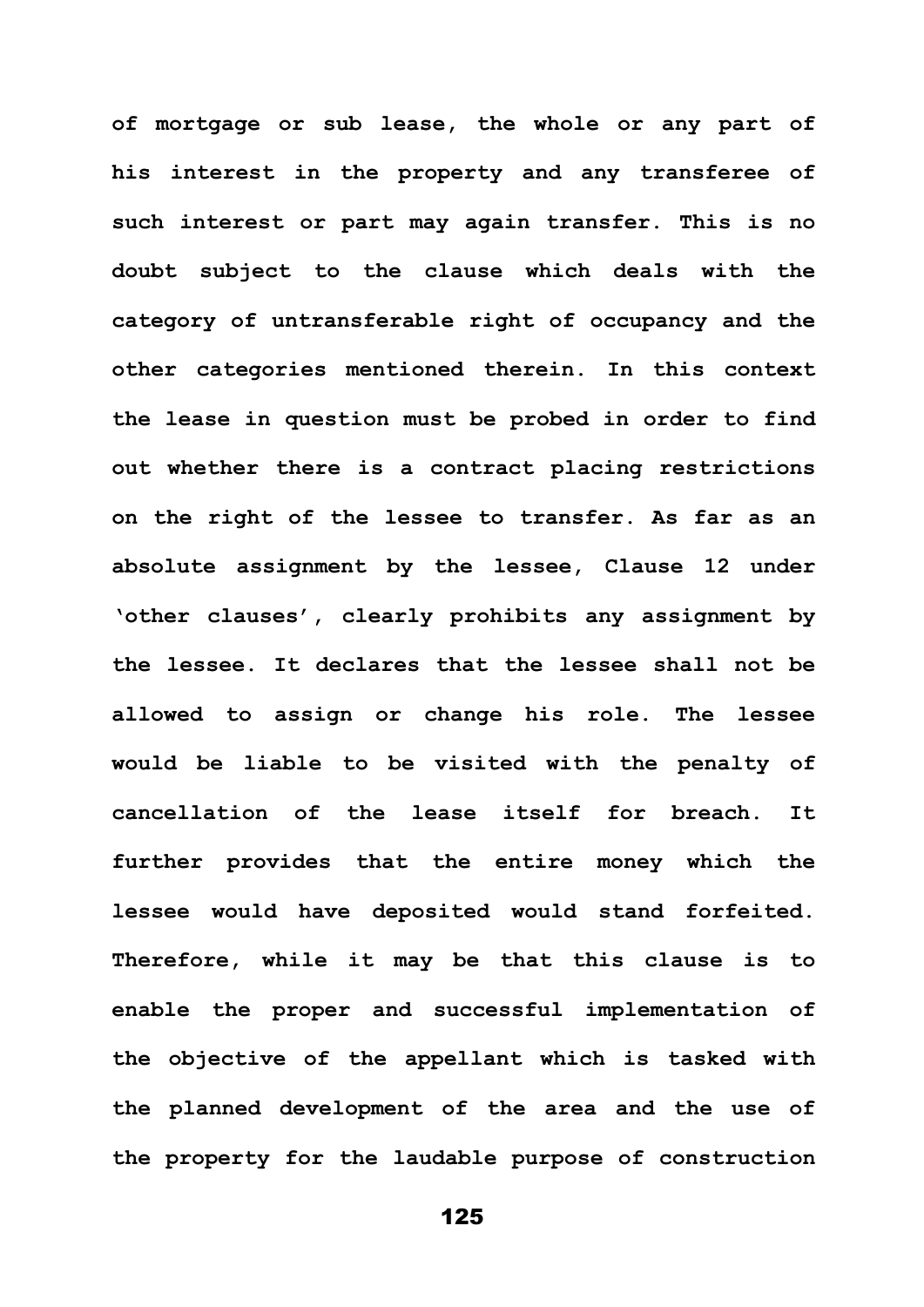**of mortgage or sub lease, the whole or any part of his interest in the property and any transferee of such interest or part may again transfer. This is no doubt subject to the clause which deals with the category of untransferable right of occupancy and the other categories mentioned therein. In this context the lease in question must be probed in order to find out whether there is a contract placing restrictions on the right of the lessee to transfer. As far as an absolute assignment by the lessee, Clause 12 under 'other clauses', clearly prohibits any assignment by the lessee. It declares that the lessee shall not be allowed to assign or change his role. The lessee would be liable to be visited with the penalty of cancellation of the lease itself for breach. It further provides that the entire money which the lessee would have deposited would stand forfeited. Therefore, while it may be that this clause is to enable the proper and successful implementation of the objective of the appellant which is tasked with the planned development of the area and the use of the property for the laudable purpose of construction**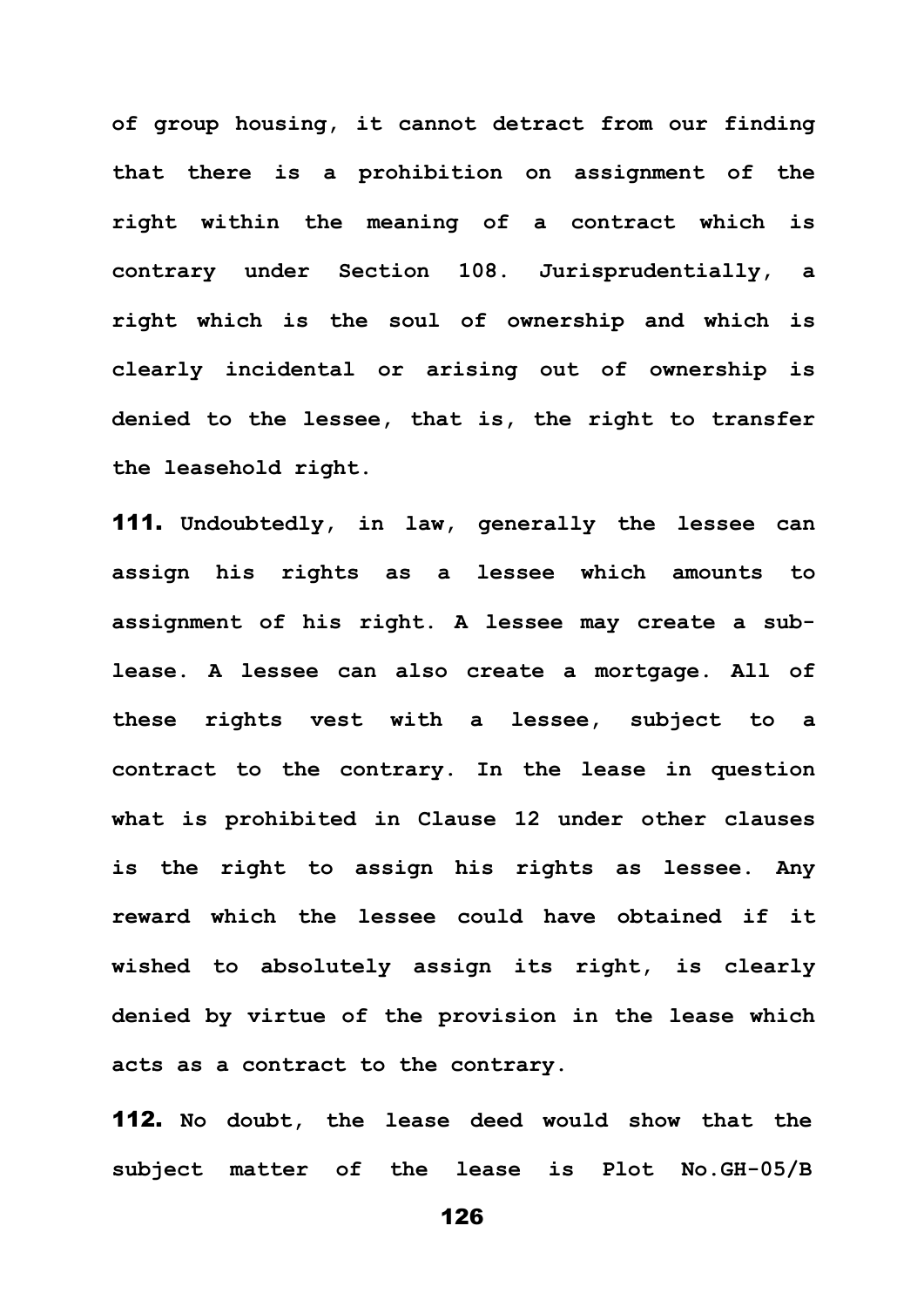**of group housing, it cannot detract from our finding that there is a prohibition on assignment of the right within the meaning of a contract which is contrary under Section 108. Jurisprudentially, a right which is the soul of ownership and which is clearly incidental or arising out of ownership is denied to the lessee, that is, the right to transfer the leasehold right.** 

111. **Undoubtedly, in law, generally the lessee can assign his rights as a lessee which amounts to assignment of his right. A lessee may create a sublease. A lessee can also create a mortgage. All of these rights vest with a lessee, subject to a contract to the contrary. In the lease in question what is prohibited in Clause 12 under other clauses is the right to assign his rights as lessee. Any reward which the lessee could have obtained if it wished to absolutely assign its right, is clearly denied by virtue of the provision in the lease which acts as a contract to the contrary.** 

112. **No doubt, the lease deed would show that the subject matter of the lease is Plot No.GH-05/B**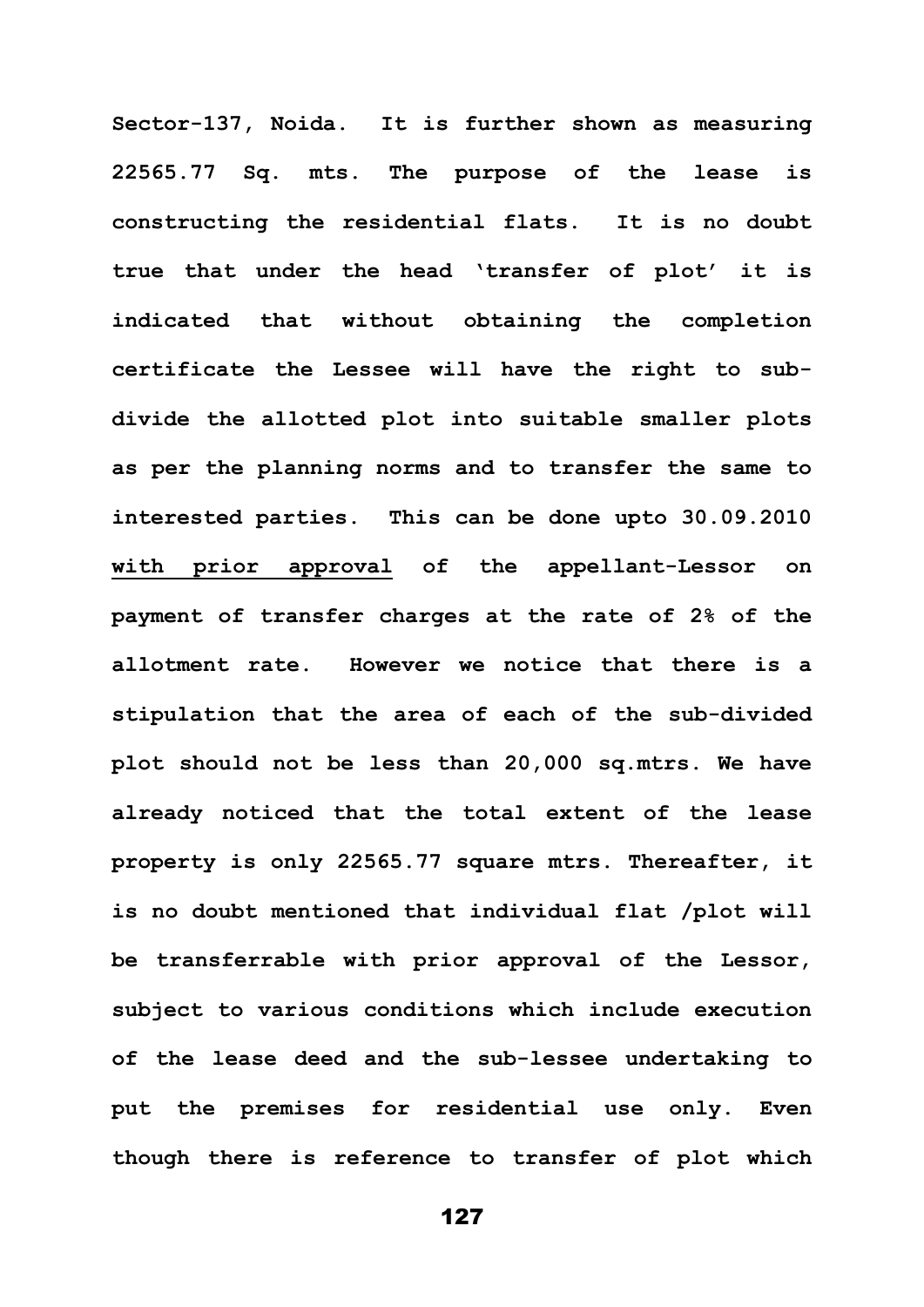**Sector-137, Noida. It is further shown as measuring 22565.77 Sq. mts. The purpose of the lease is constructing the residential flats. It is no doubt true that under the head 'transfer of plot' it is indicated that without obtaining the completion certificate the Lessee will have the right to subdivide the allotted plot into suitable smaller plots as per the planning norms and to transfer the same to interested parties. This can be done upto 30.09.2010 with prior approval of the appellant-Lessor on payment of transfer charges at the rate of 2% of the allotment rate. However we notice that there is a stipulation that the area of each of the sub-divided plot should not be less than 20,000 sq.mtrs. We have already noticed that the total extent of the lease property is only 22565.77 square mtrs. Thereafter, it is no doubt mentioned that individual flat /plot will be transferrable with prior approval of the Lessor, subject to various conditions which include execution of the lease deed and the sub-lessee undertaking to put the premises for residential use only. Even though there is reference to transfer of plot which**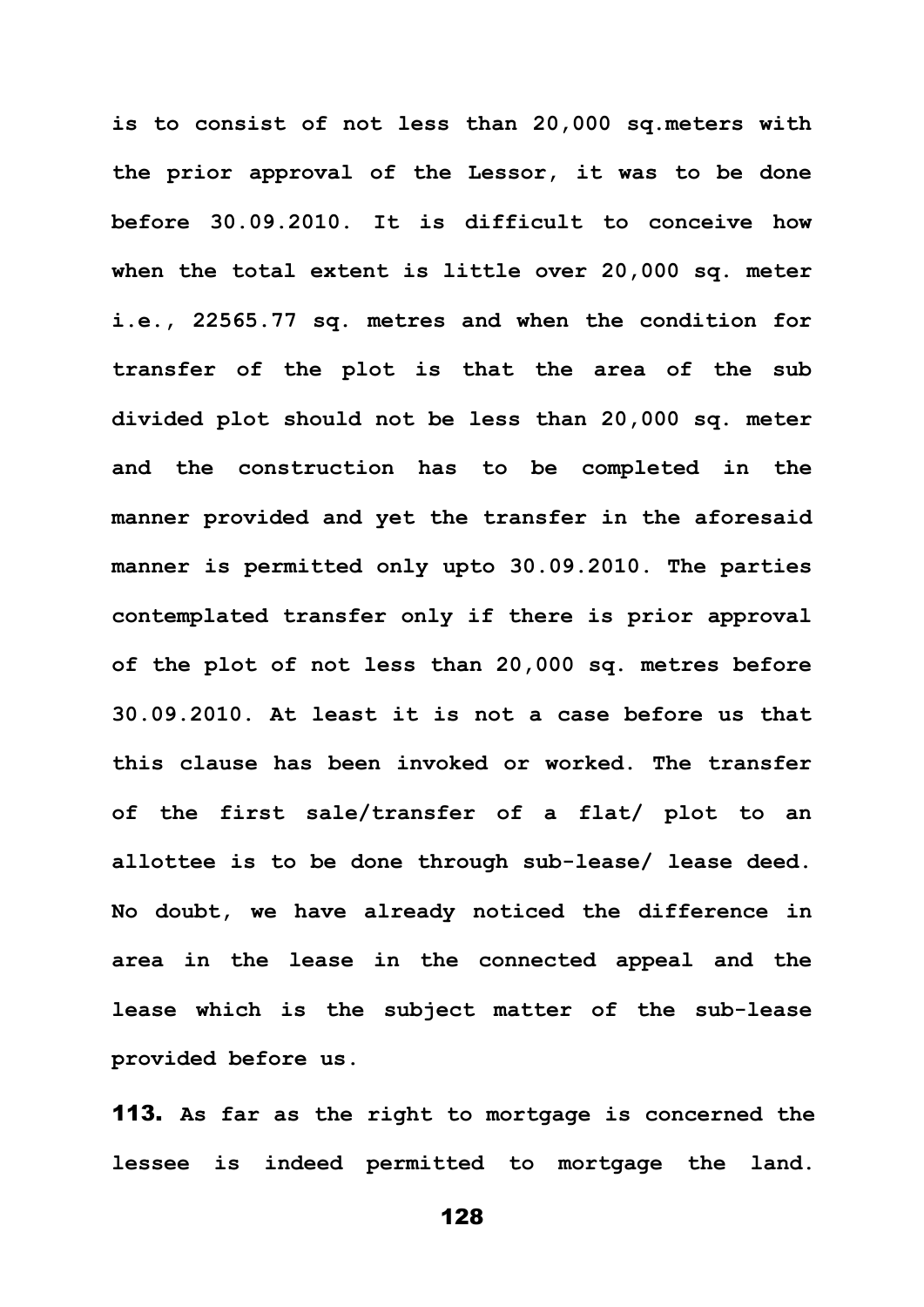**is to consist of not less than 20,000 sq.meters with the prior approval of the Lessor, it was to be done before 30.09.2010. It is difficult to conceive how when the total extent is little over 20,000 sq. meter i.e., 22565.77 sq. metres and when the condition for transfer of the plot is that the area of the sub divided plot should not be less than 20,000 sq. meter and the construction has to be completed in the manner provided and yet the transfer in the aforesaid manner is permitted only upto 30.09.2010. The parties contemplated transfer only if there is prior approval of the plot of not less than 20,000 sq. metres before 30.09.2010. At least it is not a case before us that this clause has been invoked or worked. The transfer of the first sale/transfer of a flat/ plot to an allottee is to be done through sub-lease/ lease deed. No doubt, we have already noticed the difference in area in the lease in the connected appeal and the lease which is the subject matter of the sub-lease provided before us.**

113. **As far as the right to mortgage is concerned the lessee is indeed permitted to mortgage the land.**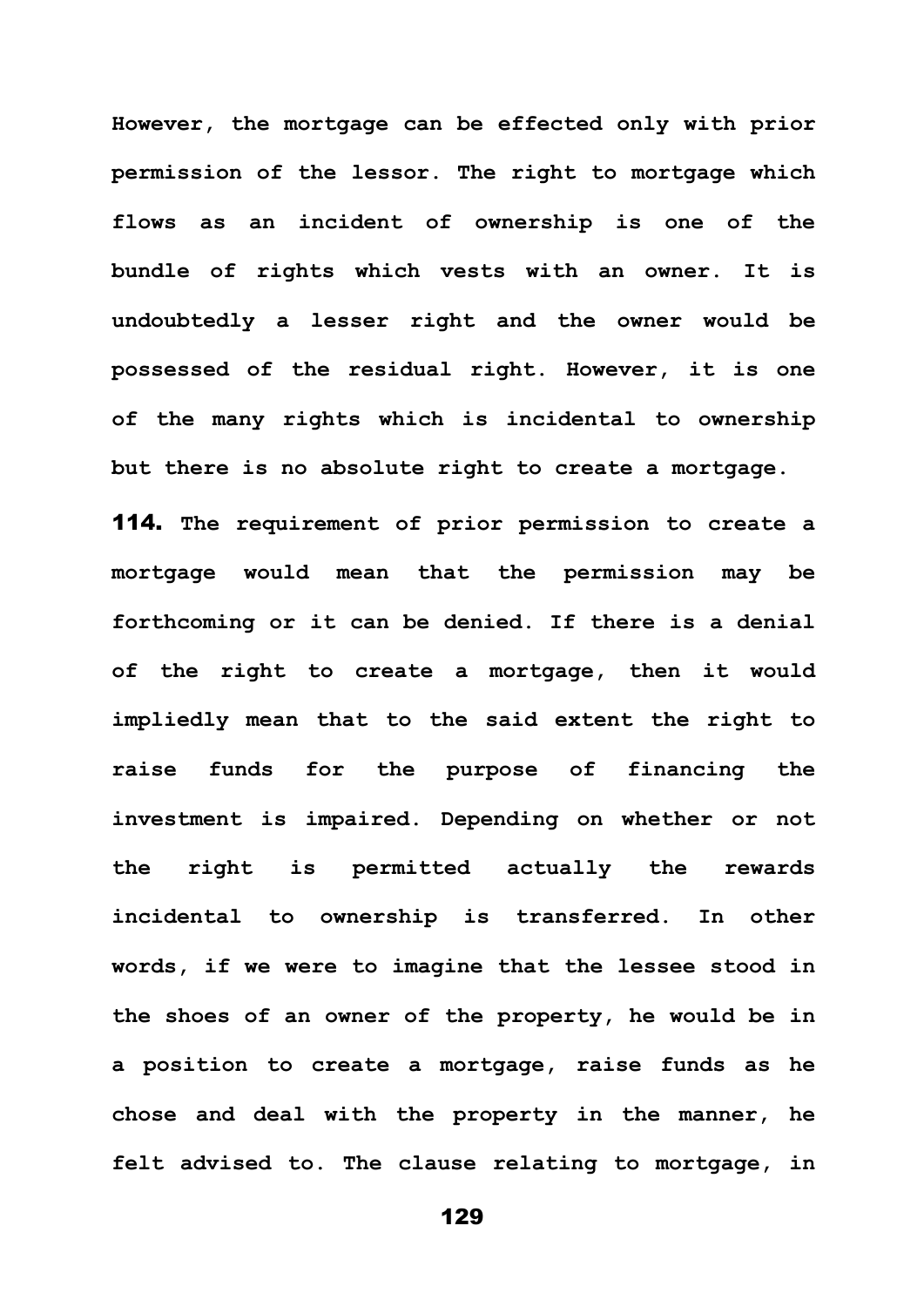**However, the mortgage can be effected only with prior permission of the lessor. The right to mortgage which flows as an incident of ownership is one of the bundle of rights which vests with an owner. It is undoubtedly a lesser right and the owner would be possessed of the residual right. However, it is one of the many rights which is incidental to ownership but there is no absolute right to create a mortgage.** 

114. **The requirement of prior permission to create a mortgage would mean that the permission may be forthcoming or it can be denied. If there is a denial of the right to create a mortgage, then it would impliedly mean that to the said extent the right to raise funds for the purpose of financing the investment is impaired. Depending on whether or not the right is permitted actually the rewards incidental to ownership is transferred. In other words, if we were to imagine that the lessee stood in the shoes of an owner of the property, he would be in a position to create a mortgage, raise funds as he chose and deal with the property in the manner, he felt advised to. The clause relating to mortgage, in**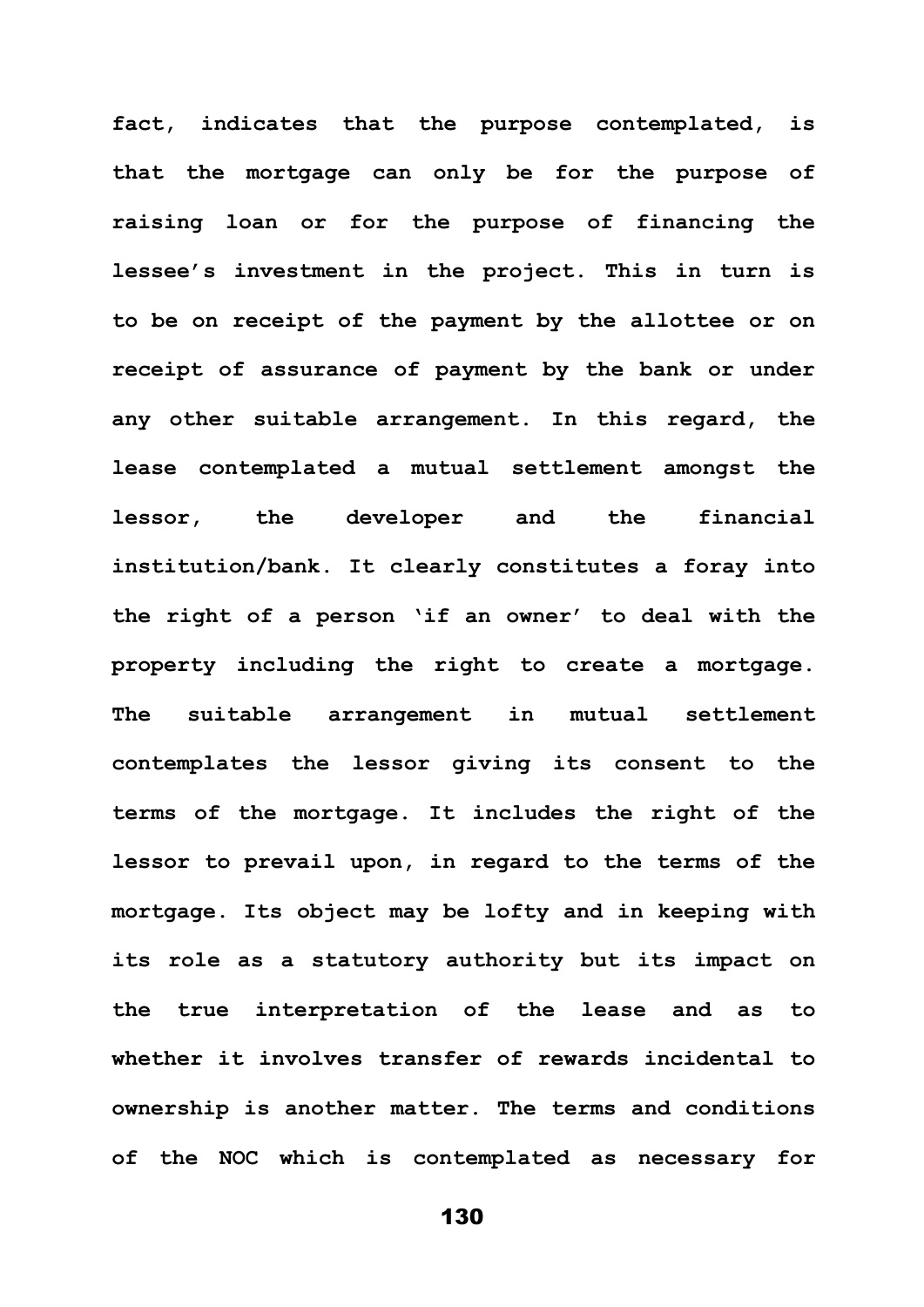**fact, indicates that the purpose contemplated, is that the mortgage can only be for the purpose of raising loan or for the purpose of financing the lessee's investment in the project. This in turn is to be on receipt of the payment by the allottee or on receipt of assurance of payment by the bank or under any other suitable arrangement. In this regard, the lease contemplated a mutual settlement amongst the lessor, the developer and the financial institution/bank. It clearly constitutes a foray into the right of a person 'if an owner' to deal with the property including the right to create a mortgage. The suitable arrangement in mutual settlement contemplates the lessor giving its consent to the terms of the mortgage. It includes the right of the lessor to prevail upon, in regard to the terms of the mortgage. Its object may be lofty and in keeping with its role as a statutory authority but its impact on the true interpretation of the lease and as to whether it involves transfer of rewards incidental to ownership is another matter. The terms and conditions of the NOC which is contemplated as necessary for**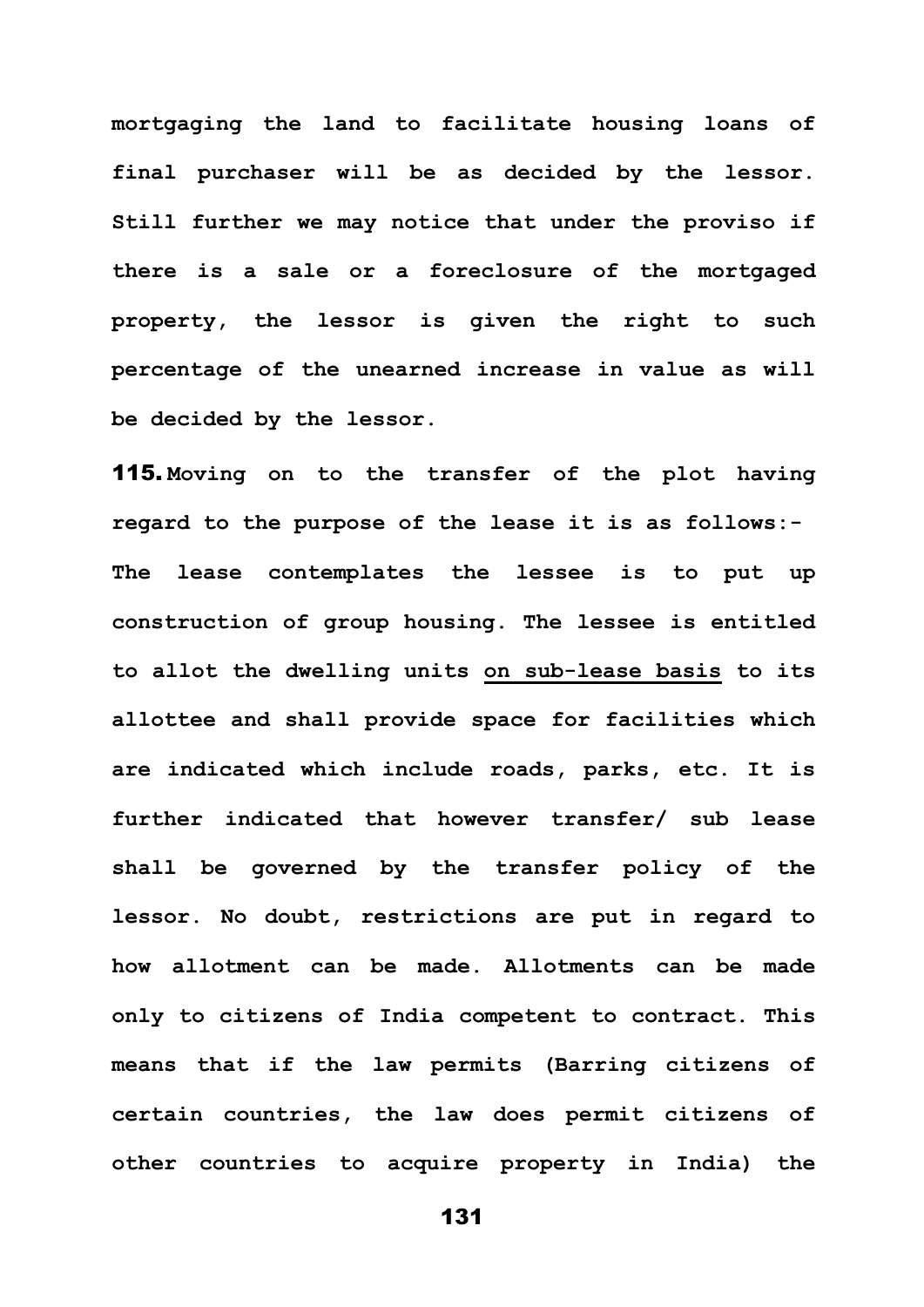**mortgaging the land to facilitate housing loans of final purchaser will be as decided by the lessor. Still further we may notice that under the proviso if there is a sale or a foreclosure of the mortgaged property, the lessor is given the right to such percentage of the unearned increase in value as will be decided by the lessor.**

115. **Moving on to the transfer of the plot having regard to the purpose of the lease it is as follows:- The lease contemplates the lessee is to put up construction of group housing. The lessee is entitled to allot the dwelling units on sub-lease basis to its allottee and shall provide space for facilities which are indicated which include roads, parks, etc. It is further indicated that however transfer/ sub lease shall be governed by the transfer policy of the lessor. No doubt, restrictions are put in regard to how allotment can be made. Allotments can be made only to citizens of India competent to contract. This means that if the law permits (Barring citizens of certain countries, the law does permit citizens of other countries to acquire property in India) the**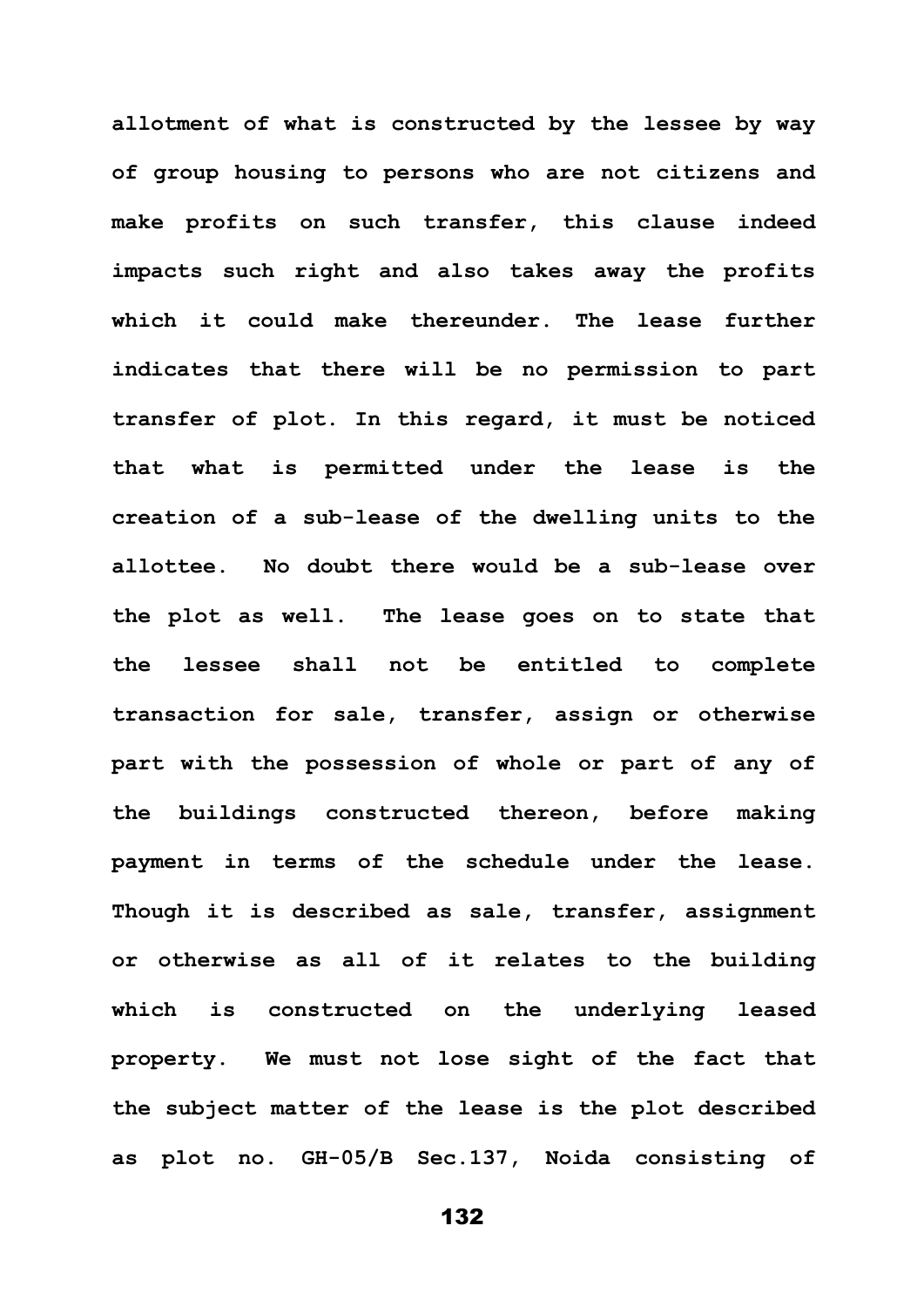**allotment of what is constructed by the lessee by way of group housing to persons who are not citizens and make profits on such transfer, this clause indeed impacts such right and also takes away the profits which it could make thereunder. The lease further indicates that there will be no permission to part transfer of plot. In this regard, it must be noticed that what is permitted under the lease is the creation of a sub-lease of the dwelling units to the allottee. No doubt there would be a sub-lease over the plot as well. The lease goes on to state that the lessee shall not be entitled to complete transaction for sale, transfer, assign or otherwise part with the possession of whole or part of any of the buildings constructed thereon, before making payment in terms of the schedule under the lease. Though it is described as sale, transfer, assignment or otherwise as all of it relates to the building which is constructed on the underlying leased property. We must not lose sight of the fact that the subject matter of the lease is the plot described as plot no. GH-05/B Sec.137, Noida consisting of**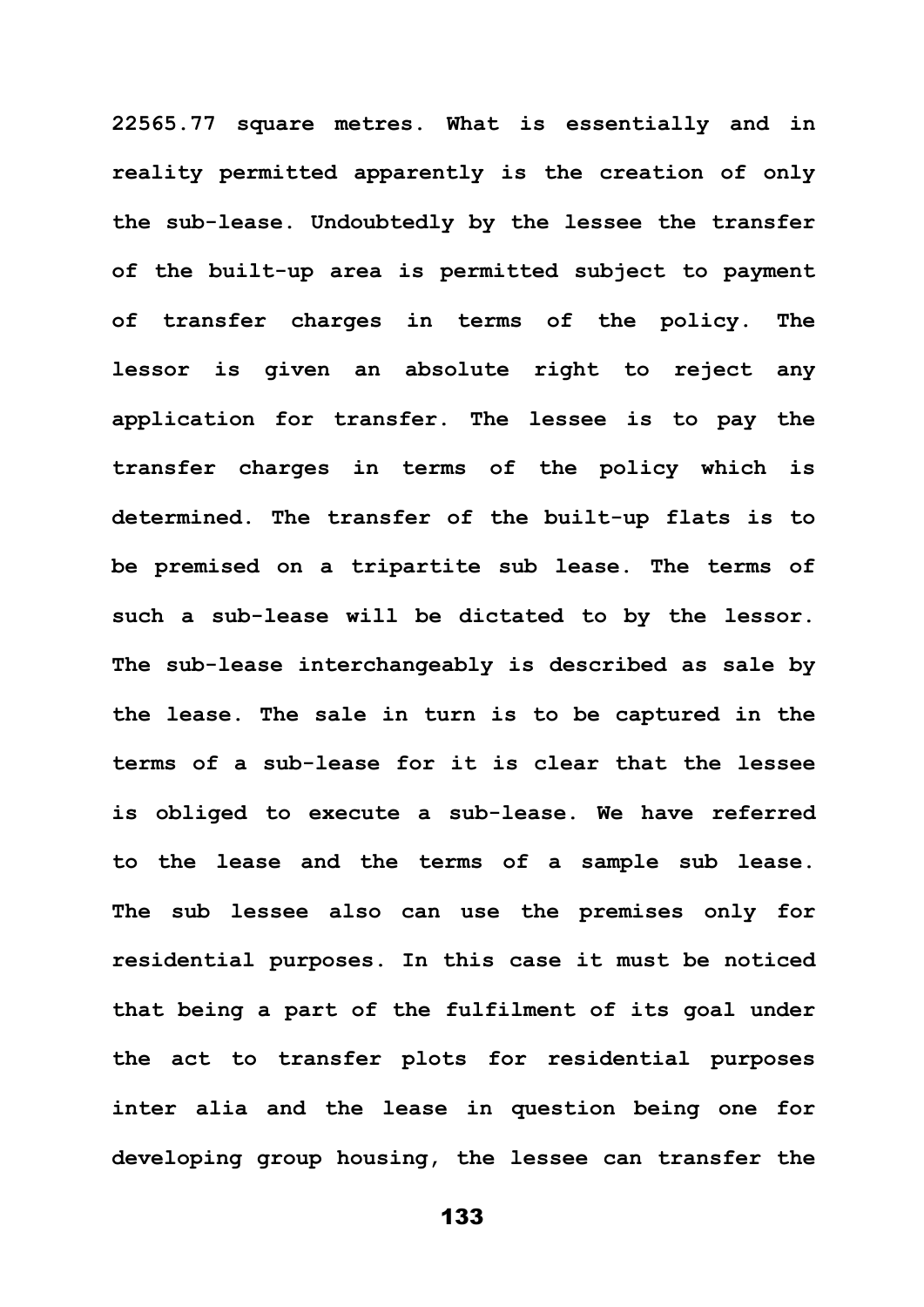**22565.77 square metres. What is essentially and in reality permitted apparently is the creation of only the sub-lease. Undoubtedly by the lessee the transfer of the built-up area is permitted subject to payment of transfer charges in terms of the policy. The lessor is given an absolute right to reject any application for transfer. The lessee is to pay the transfer charges in terms of the policy which is determined. The transfer of the built-up flats is to be premised on a tripartite sub lease. The terms of such a sub-lease will be dictated to by the lessor. The sub-lease interchangeably is described as sale by the lease. The sale in turn is to be captured in the terms of a sub-lease for it is clear that the lessee is obliged to execute a sub-lease. We have referred to the lease and the terms of a sample sub lease. The sub lessee also can use the premises only for residential purposes. In this case it must be noticed that being a part of the fulfilment of its goal under the act to transfer plots for residential purposes inter alia and the lease in question being one for developing group housing, the lessee can transfer the**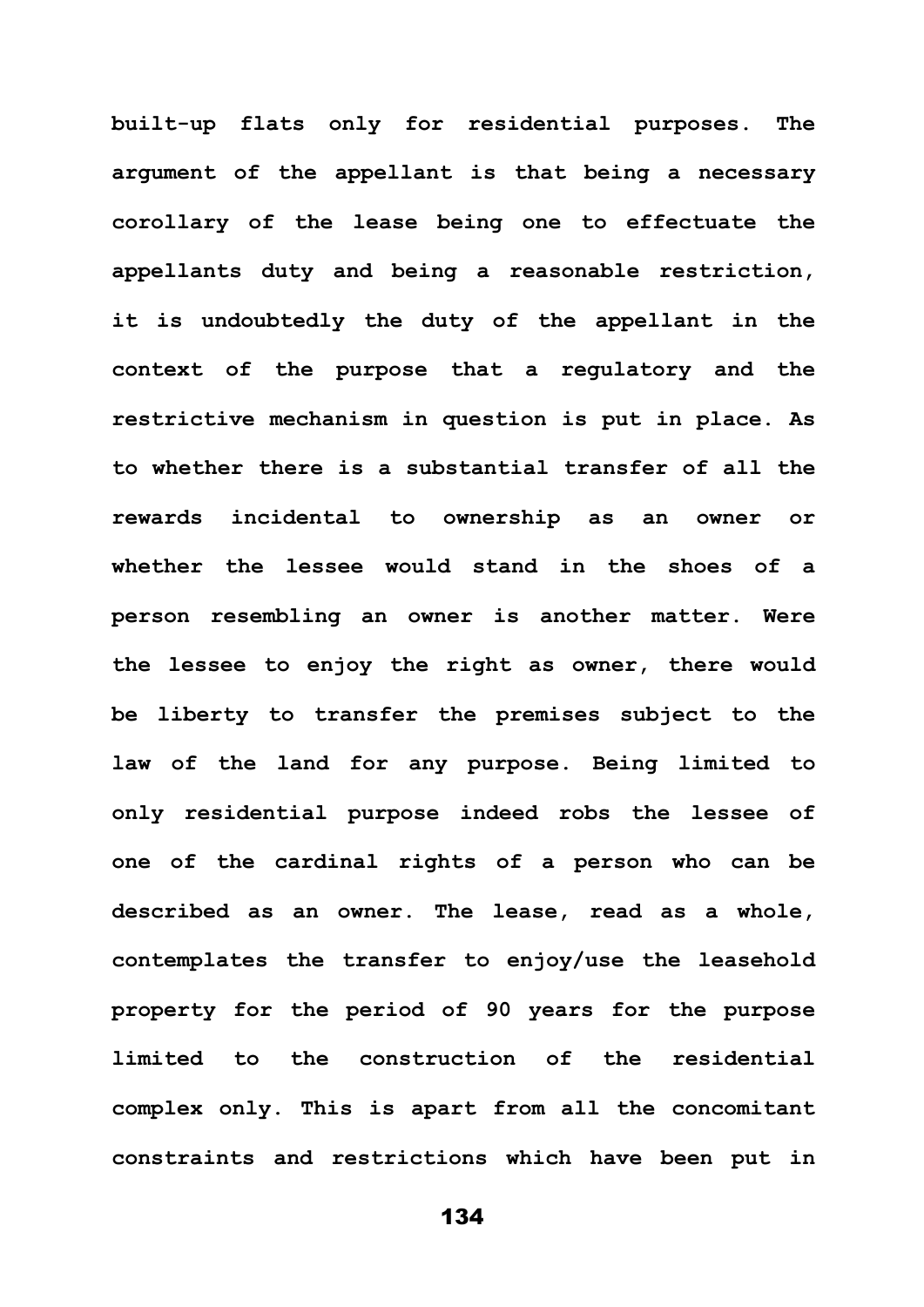**built-up flats only for residential purposes. The argument of the appellant is that being a necessary corollary of the lease being one to effectuate the appellants duty and being a reasonable restriction, it is undoubtedly the duty of the appellant in the context of the purpose that a regulatory and the restrictive mechanism in question is put in place. As to whether there is a substantial transfer of all the rewards incidental to ownership as an owner or whether the lessee would stand in the shoes of a person resembling an owner is another matter. Were the lessee to enjoy the right as owner, there would be liberty to transfer the premises subject to the law of the land for any purpose. Being limited to only residential purpose indeed robs the lessee of one of the cardinal rights of a person who can be described as an owner. The lease, read as a whole, contemplates the transfer to enjoy/use the leasehold property for the period of 90 years for the purpose limited to the construction of the residential complex only. This is apart from all the concomitant constraints and restrictions which have been put in**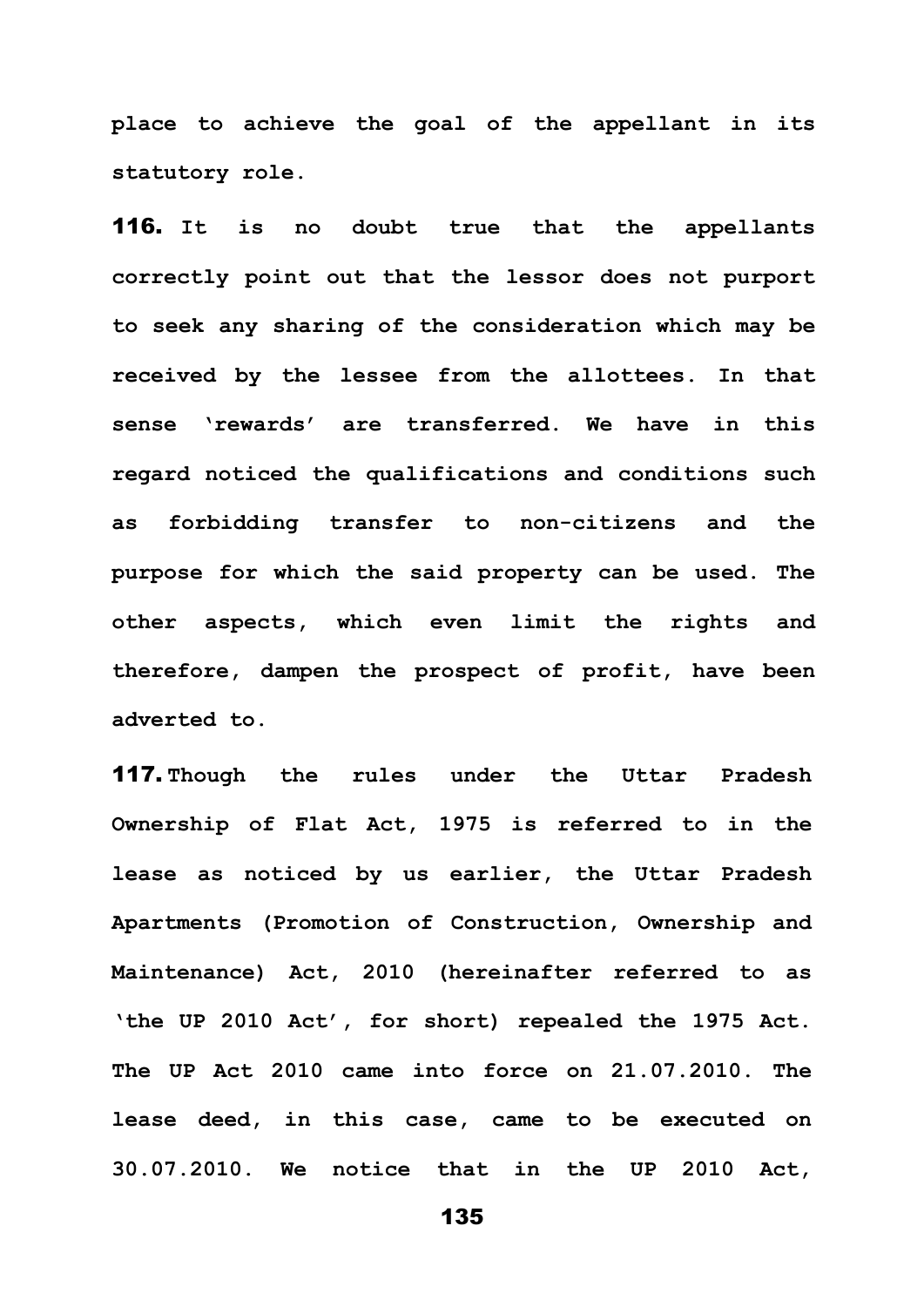**place to achieve the goal of the appellant in its statutory role.** 

116. **It is no doubt true that the appellants correctly point out that the lessor does not purport to seek any sharing of the consideration which may be received by the lessee from the allottees. In that sense 'rewards' are transferred. We have in this regard noticed the qualifications and conditions such as forbidding transfer to non-citizens and the purpose for which the said property can be used. The other aspects, which even limit the rights and therefore, dampen the prospect of profit, have been adverted to.** 

117. **Though the rules under the Uttar Pradesh Ownership of Flat Act, 1975 is referred to in the lease as noticed by us earlier, the Uttar Pradesh Apartments (Promotion of Construction, Ownership and Maintenance) Act, 2010 (hereinafter referred to as 'the UP 2010 Act', for short) repealed the 1975 Act. The UP Act 2010 came into force on 21.07.2010. The lease deed, in this case, came to be executed on 30.07.2010. We notice that in the UP 2010 Act,**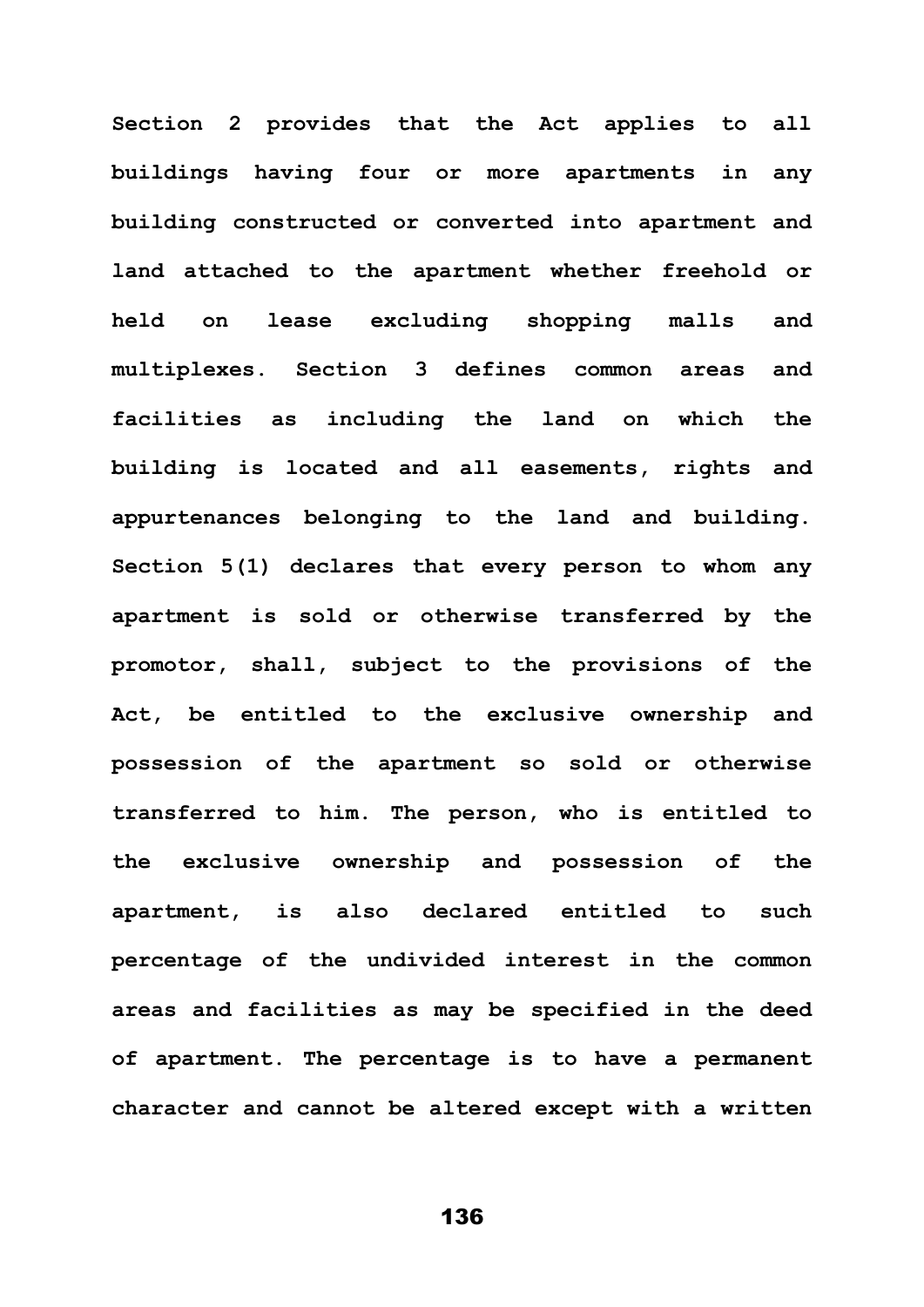**Section 2 provides that the Act applies to all buildings having four or more apartments in any building constructed or converted into apartment and land attached to the apartment whether freehold or held on lease excluding shopping malls and multiplexes. Section 3 defines common areas and facilities as including the land on which the building is located and all easements, rights and appurtenances belonging to the land and building. Section 5(1) declares that every person to whom any apartment is sold or otherwise transferred by the promotor, shall, subject to the provisions of the Act, be entitled to the exclusive ownership and possession of the apartment so sold or otherwise transferred to him. The person, who is entitled to the exclusive ownership and possession of the apartment, is also declared entitled to such percentage of the undivided interest in the common areas and facilities as may be specified in the deed of apartment. The percentage is to have a permanent character and cannot be altered except with a written**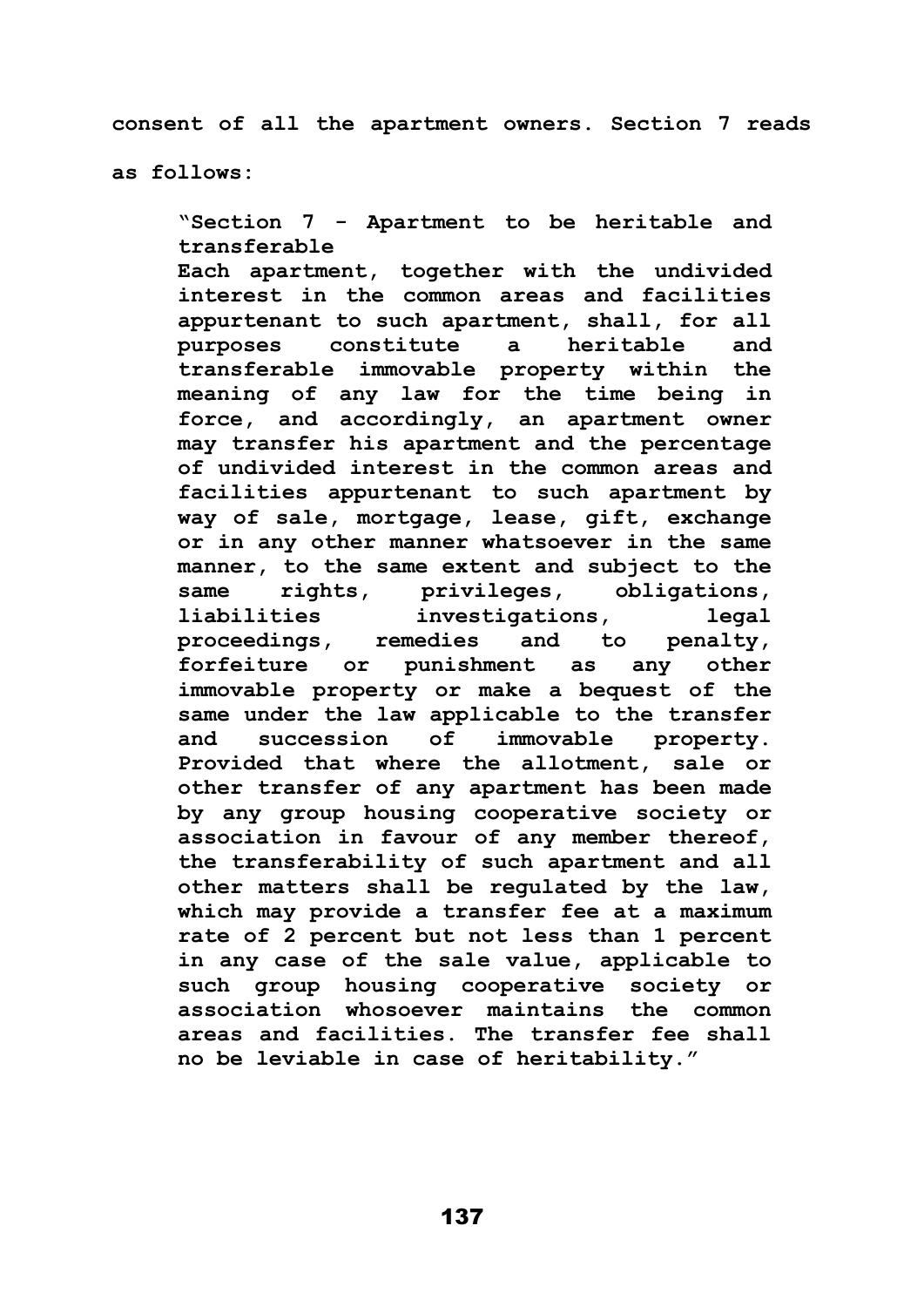**consent of all the apartment owners. Section 7 reads** 

**as follows:**

**"Section 7 - Apartment to be heritable and transferable Each apartment, together with the undivided interest in the common areas and facilities appurtenant to such apartment, shall, for all purposes constitute a heritable and transferable immovable property within the meaning of any law for the time being in force, and accordingly, an apartment owner may transfer his apartment and the percentage of undivided interest in the common areas and facilities appurtenant to such apartment by way of sale, mortgage, lease, gift, exchange or in any other manner whatsoever in the same manner, to the same extent and subject to the same rights, privileges, obligations, liabilities investigations, legal proceedings, remedies and to penalty, forfeiture or punishment as any other immovable property or make a bequest of the same under the law applicable to the transfer and succession of immovable property. Provided that where the allotment, sale or other transfer of any apartment has been made by any group housing cooperative society or association in favour of any member thereof, the transferability of such apartment and all other matters shall be regulated by the law, which may provide a transfer fee at a maximum rate of 2 percent but not less than 1 percent in any case of the sale value, applicable to such group housing cooperative society or association whosoever maintains the common areas and facilities. The transfer fee shall no be leviable in case of heritability."**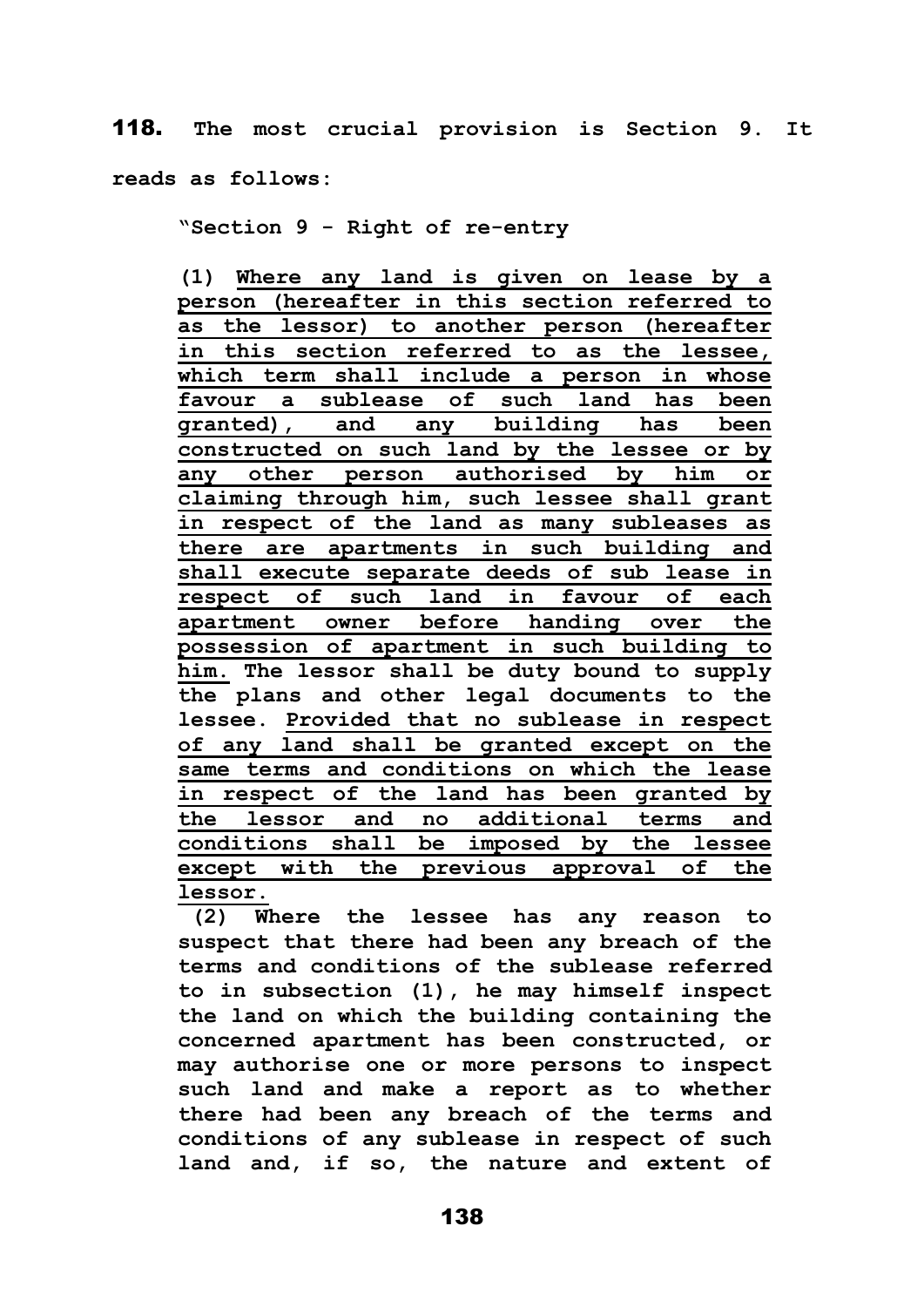118. **The most crucial provision is Section 9. It reads as follows:**

**"Section 9 - Right of re-entry**

**(1) Where any land is given on lease by a person (hereafter in this section referred to as the lessor) to another person (hereafter in this section referred to as the lessee, which term shall include a person in whose favour a sublease of such land has been granted), and any building has been constructed on such land by the lessee or by any other person authorised by him or claiming through him, such lessee shall grant in respect of the land as many subleases as there are apartments in such building and shall execute separate deeds of sub lease in respect of such land in favour of each apartment owner before handing over the possession of apartment in such building to him. The lessor shall be duty bound to supply the plans and other legal documents to the lessee. Provided that no sublease in respect of any land shall be granted except on the same terms and conditions on which the lease in respect of the land has been granted by the lessor and no additional terms and conditions shall be imposed by the lessee except with the previous approval of the lessor.**

**(2) Where the lessee has any reason to suspect that there had been any breach of the terms and conditions of the sublease referred to in subsection (1), he may himself inspect the land on which the building containing the concerned apartment has been constructed, or may authorise one or more persons to inspect such land and make a report as to whether there had been any breach of the terms and conditions of any sublease in respect of such land and, if so, the nature and extent of**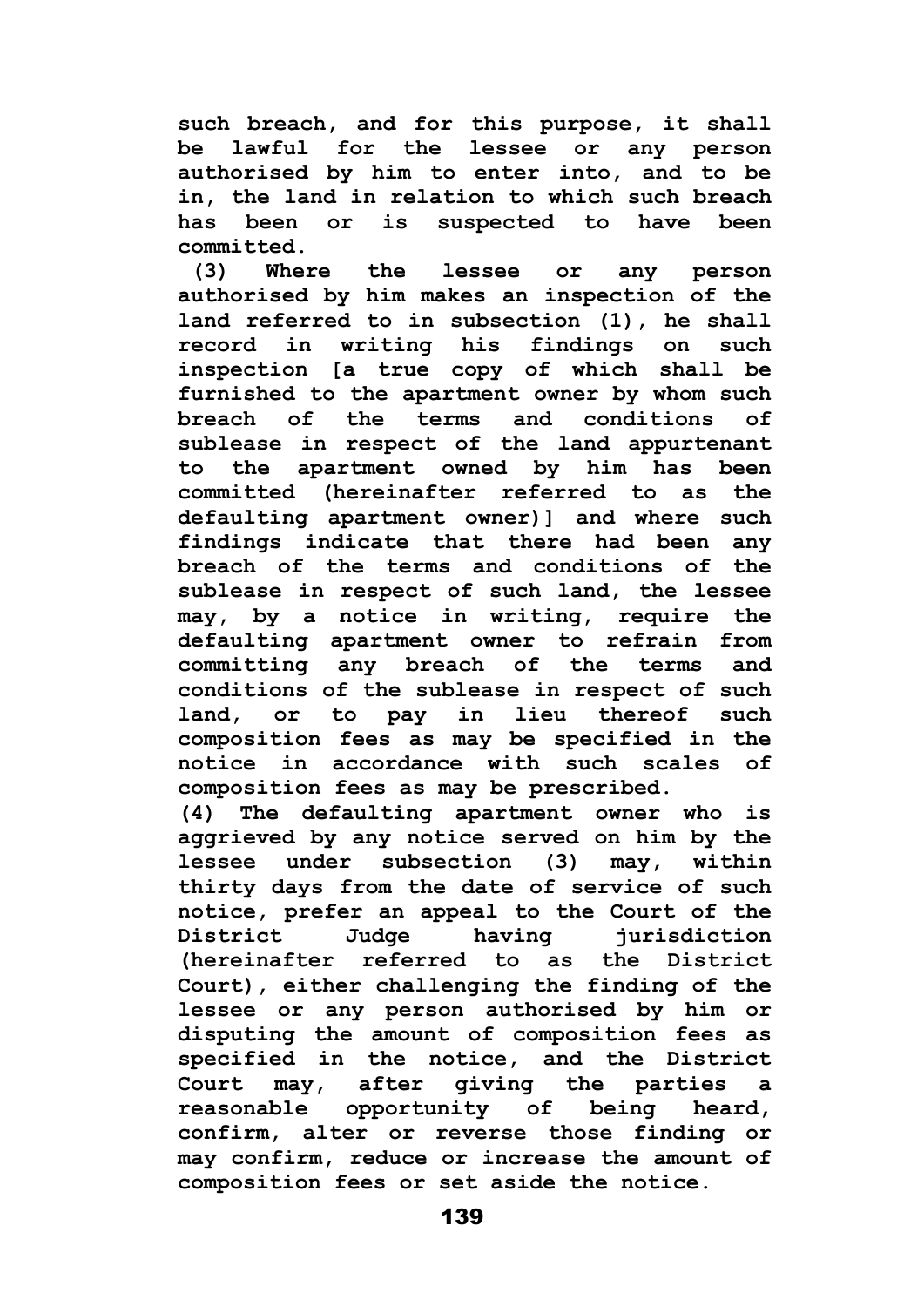**such breach, and for this purpose, it shall be lawful for the lessee or any person authorised by him to enter into, and to be in, the land in relation to which such breach has been or is suspected to have been committed.**

**(3) Where the lessee or any person authorised by him makes an inspection of the land referred to in subsection (1), he shall record in writing his findings on such inspection [a true copy of which shall be furnished to the apartment owner by whom such breach of the terms and conditions of sublease in respect of the land appurtenant to the apartment owned by him has been committed (hereinafter referred to as the defaulting apartment owner)] and where such findings indicate that there had been any breach of the terms and conditions of the sublease in respect of such land, the lessee may, by a notice in writing, require the defaulting apartment owner to refrain from committing any breach of the terms and conditions of the sublease in respect of such land, or to pay in lieu thereof such composition fees as may be specified in the notice in accordance with such scales of composition fees as may be prescribed.**

**(4) The defaulting apartment owner who is aggrieved by any notice served on him by the lessee under subsection (3) may, within thirty days from the date of service of such notice, prefer an appeal to the Court of the District Judge having jurisdiction (hereinafter referred to as the District Court), either challenging the finding of the lessee or any person authorised by him or disputing the amount of composition fees as specified in the notice, and the District Court may, after giving the parties a reasonable opportunity of being heard, confirm, alter or reverse those finding or may confirm, reduce or increase the amount of composition fees or set aside the notice.**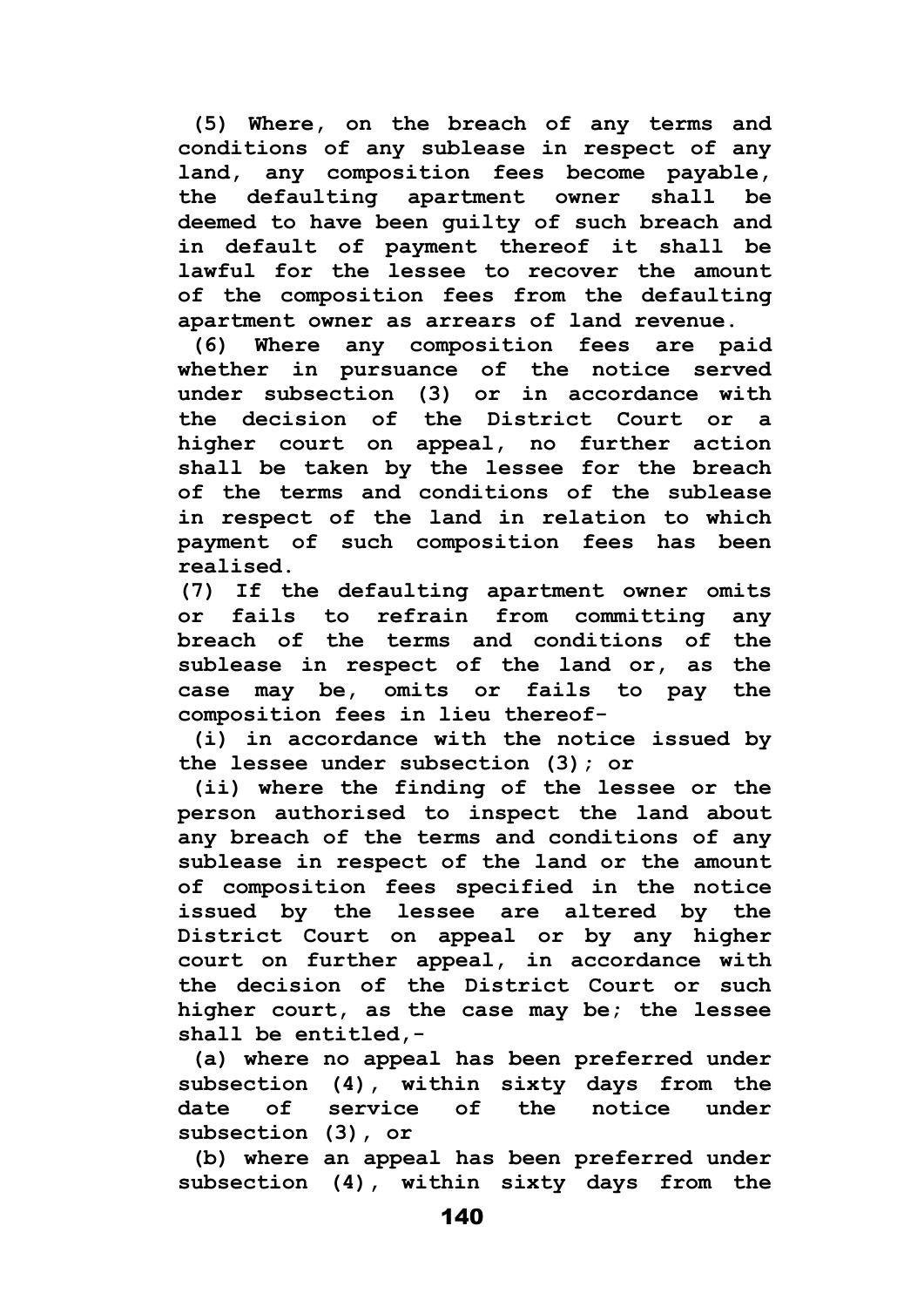**(5) Where, on the breach of any terms and conditions of any sublease in respect of any land, any composition fees become payable, the defaulting apartment owner shall be deemed to have been guilty of such breach and in default of payment thereof it shall be lawful for the lessee to recover the amount of the composition fees from the defaulting apartment owner as arrears of land revenue.**

**(6) Where any composition fees are paid whether in pursuance of the notice served under subsection (3) or in accordance with the decision of the District Court or a higher court on appeal, no further action shall be taken by the lessee for the breach of the terms and conditions of the sublease in respect of the land in relation to which payment of such composition fees has been realised.** 

**(7) If the defaulting apartment owner omits or fails to refrain from committing any breach of the terms and conditions of the sublease in respect of the land or, as the case may be, omits or fails to pay the composition fees in lieu thereof-**

**(i) in accordance with the notice issued by the lessee under subsection (3); or**

**(ii) where the finding of the lessee or the person authorised to inspect the land about any breach of the terms and conditions of any sublease in respect of the land or the amount of composition fees specified in the notice issued by the lessee are altered by the District Court on appeal or by any higher court on further appeal, in accordance with the decision of the District Court or such higher court, as the case may be; the lessee shall be entitled,-**

**(a) where no appeal has been preferred under subsection (4), within sixty days from the date of service of the notice under subsection (3), or**

**(b) where an appeal has been preferred under subsection (4), within sixty days from the**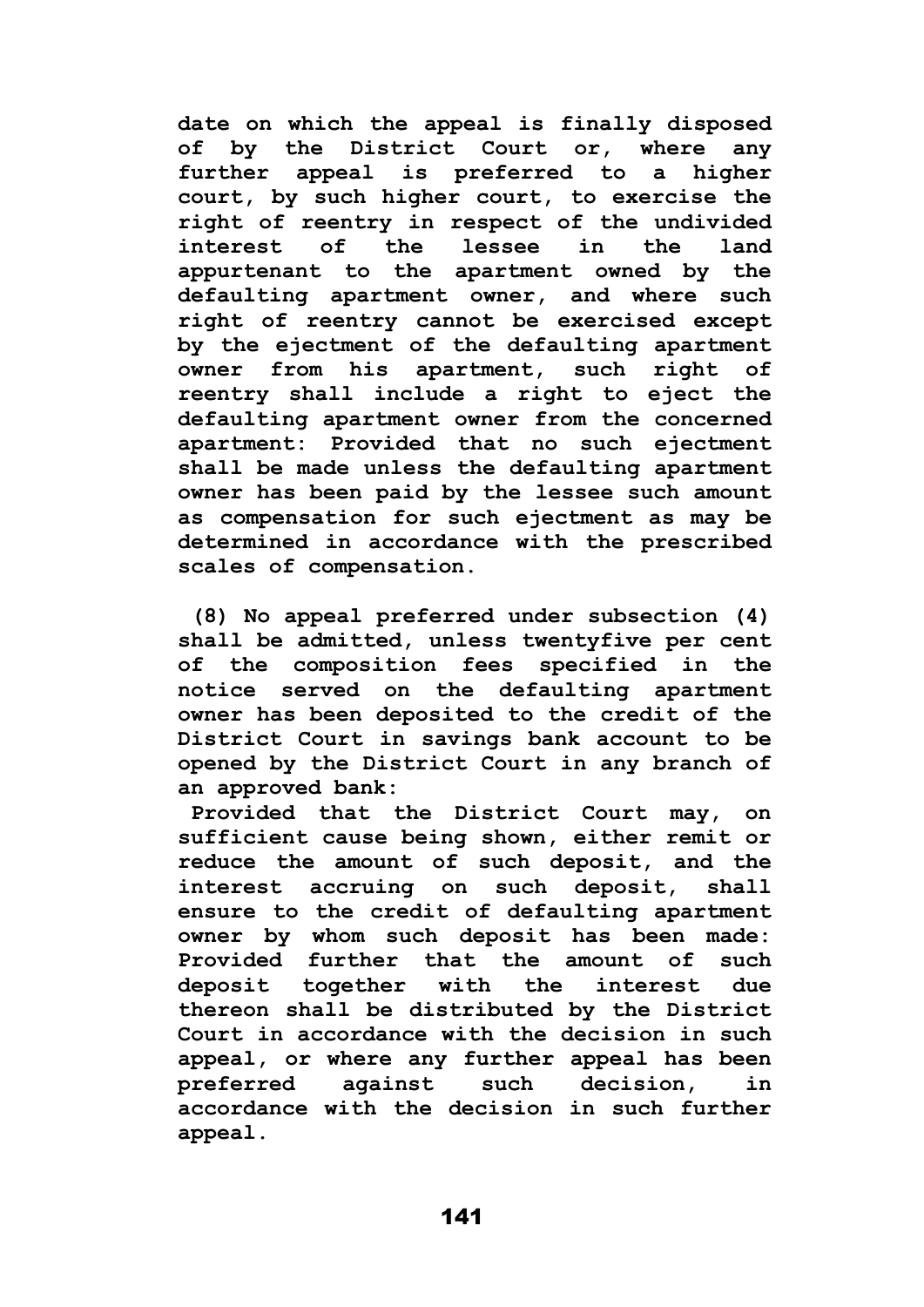**date on which the appeal is finally disposed of by the District Court or, where any further appeal is preferred to a higher court, by such higher court, to exercise the right of reentry in respect of the undivided interest of the lessee in the land appurtenant to the apartment owned by the defaulting apartment owner, and where such right of reentry cannot be exercised except by the ejectment of the defaulting apartment owner from his apartment, such right of reentry shall include a right to eject the defaulting apartment owner from the concerned apartment: Provided that no such ejectment shall be made unless the defaulting apartment owner has been paid by the lessee such amount as compensation for such ejectment as may be determined in accordance with the prescribed scales of compensation.**

**(8) No appeal preferred under subsection (4) shall be admitted, unless twentyfive per cent of the composition fees specified in the notice served on the defaulting apartment owner has been deposited to the credit of the District Court in savings bank account to be opened by the District Court in any branch of an approved bank:**

**Provided that the District Court may, on sufficient cause being shown, either remit or reduce the amount of such deposit, and the interest accruing on such deposit, shall ensure to the credit of defaulting apartment owner by whom such deposit has been made: Provided further that the amount of such deposit together with the interest due thereon shall be distributed by the District Court in accordance with the decision in such appeal, or where any further appeal has been preferred against such decision, in accordance with the decision in such further appeal.**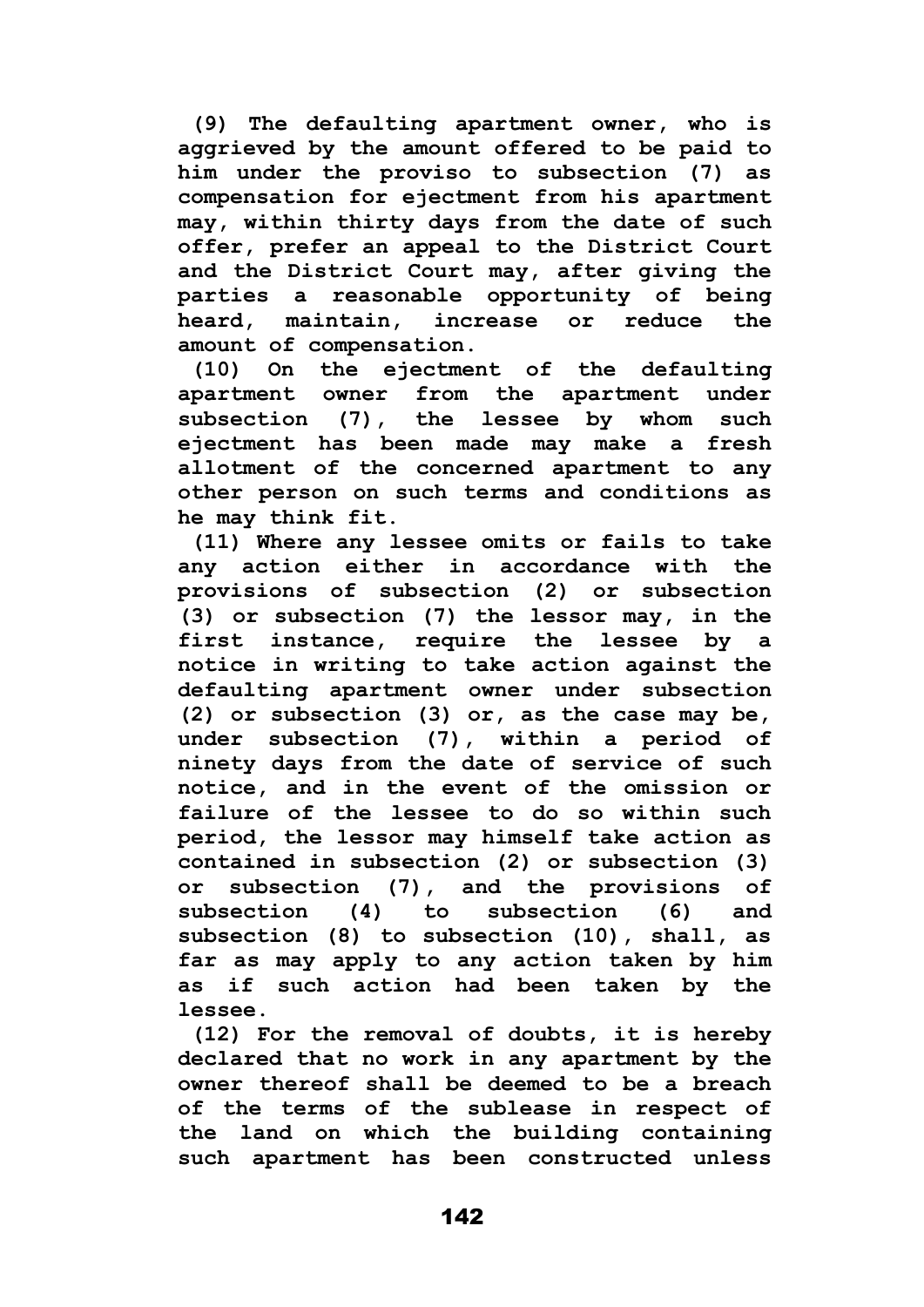**(9) The defaulting apartment owner, who is aggrieved by the amount offered to be paid to him under the proviso to subsection (7) as compensation for ejectment from his apartment may, within thirty days from the date of such offer, prefer an appeal to the District Court and the District Court may, after giving the parties a reasonable opportunity of being heard, maintain, increase or reduce the amount of compensation.**

**(10) On the ejectment of the defaulting apartment owner from the apartment under subsection (7), the lessee by whom such ejectment has been made may make a fresh allotment of the concerned apartment to any other person on such terms and conditions as he may think fit.**

**(11) Where any lessee omits or fails to take any action either in accordance with the provisions of subsection (2) or subsection (3) or subsection (7) the lessor may, in the first instance, require the lessee by a notice in writing to take action against the defaulting apartment owner under subsection (2) or subsection (3) or, as the case may be, under subsection (7), within a period of ninety days from the date of service of such notice, and in the event of the omission or failure of the lessee to do so within such period, the lessor may himself take action as contained in subsection (2) or subsection (3) or subsection (7), and the provisions of subsection (4) to subsection (6) and subsection (8) to subsection (10), shall, as far as may apply to any action taken by him as if such action had been taken by the lessee.**

**(12) For the removal of doubts, it is hereby declared that no work in any apartment by the owner thereof shall be deemed to be a breach of the terms of the sublease in respect of the land on which the building containing such apartment has been constructed unless**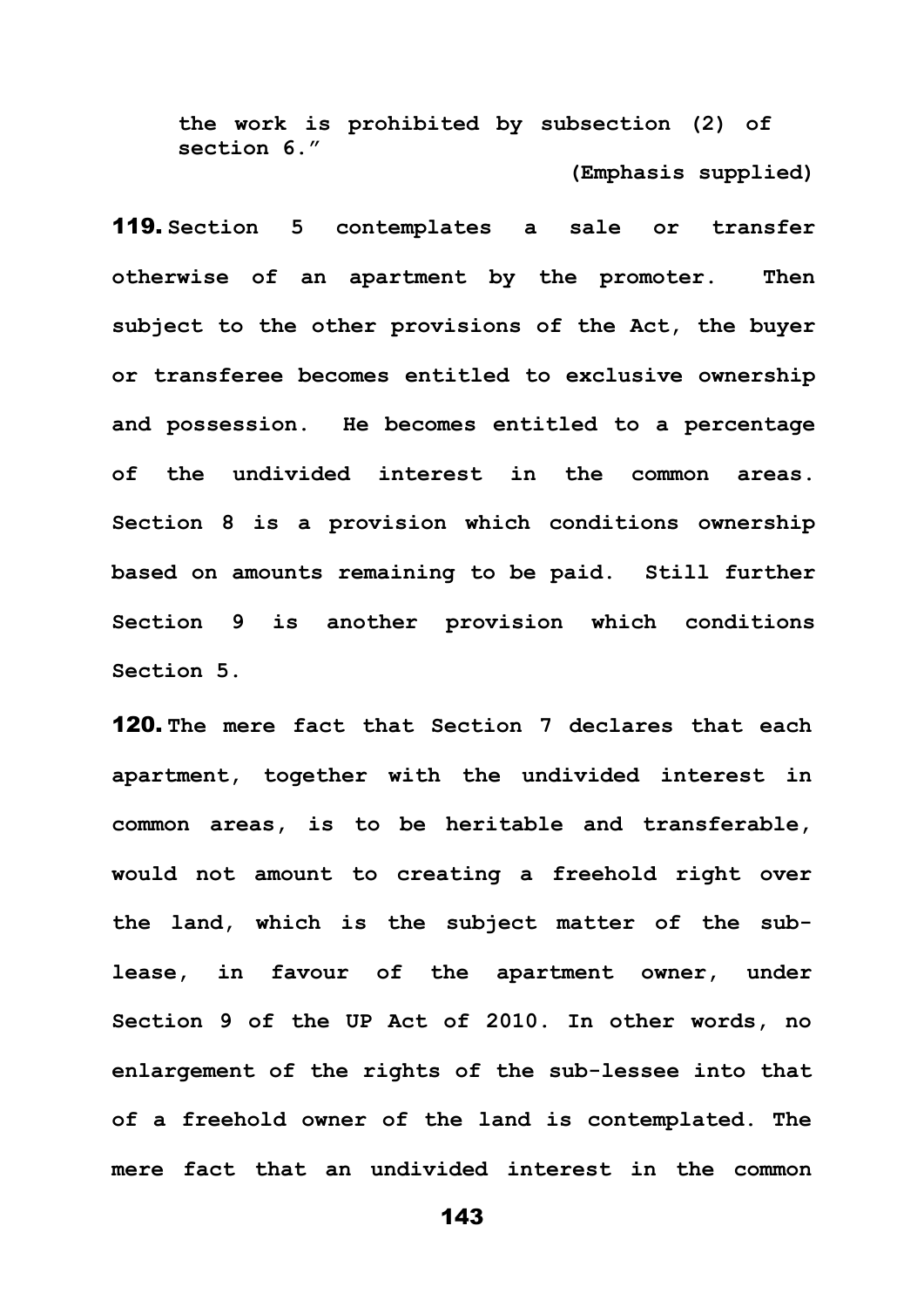**the work is prohibited by subsection (2) of section 6." (Emphasis supplied)**

119. **Section 5 contemplates a sale or transfer otherwise of an apartment by the promoter. Then subject to the other provisions of the Act, the buyer or transferee becomes entitled to exclusive ownership and possession. He becomes entitled to a percentage of the undivided interest in the common areas. Section 8 is a provision which conditions ownership based on amounts remaining to be paid. Still further Section 9 is another provision which conditions Section 5.**

120. **The mere fact that Section 7 declares that each apartment, together with the undivided interest in common areas, is to be heritable and transferable, would not amount to creating a freehold right over the land, which is the subject matter of the sublease, in favour of the apartment owner, under Section 9 of the UP Act of 2010. In other words, no enlargement of the rights of the sub-lessee into that of a freehold owner of the land is contemplated. The mere fact that an undivided interest in the common**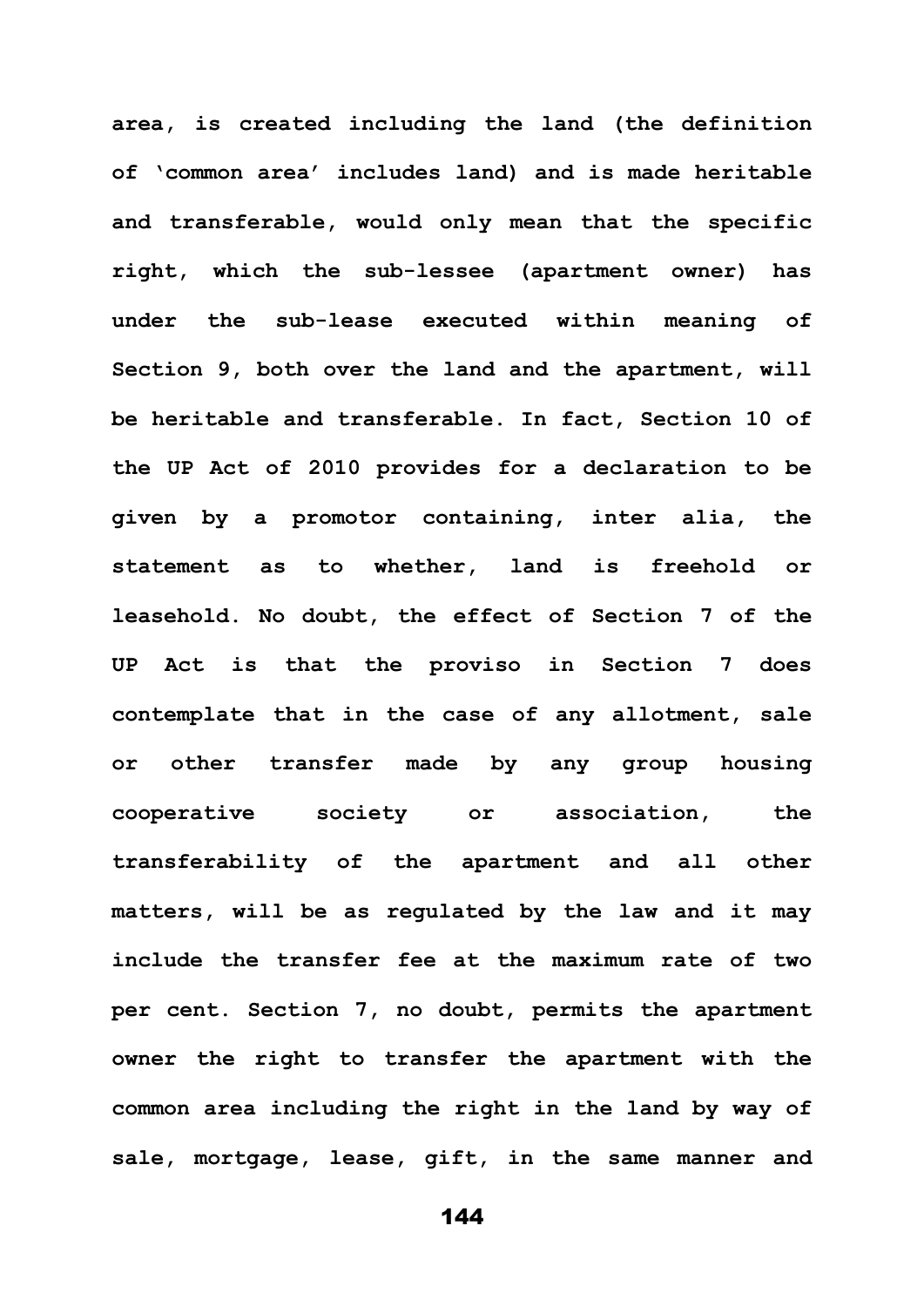**area, is created including the land (the definition of 'common area' includes land) and is made heritable and transferable, would only mean that the specific right, which the sub-lessee (apartment owner) has under the sub-lease executed within meaning of Section 9, both over the land and the apartment, will be heritable and transferable. In fact, Section 10 of the UP Act of 2010 provides for a declaration to be given by a promotor containing, inter alia, the statement as to whether, land is freehold or leasehold. No doubt, the effect of Section 7 of the UP Act is that the proviso in Section 7 does contemplate that in the case of any allotment, sale or other transfer made by any group housing cooperative society or association, the transferability of the apartment and all other matters, will be as regulated by the law and it may include the transfer fee at the maximum rate of two per cent. Section 7, no doubt, permits the apartment owner the right to transfer the apartment with the common area including the right in the land by way of sale, mortgage, lease, gift, in the same manner and**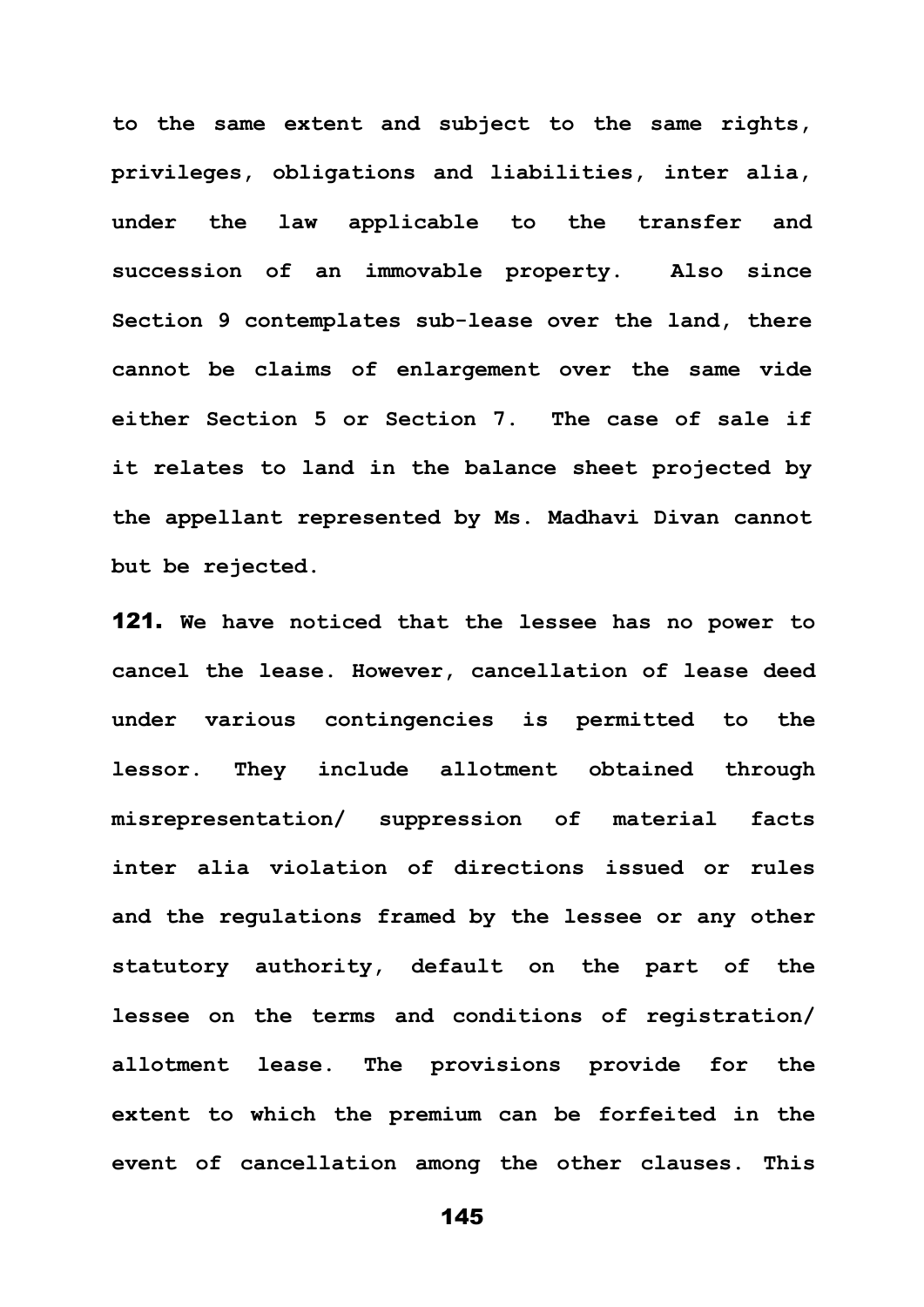**to the same extent and subject to the same rights, privileges, obligations and liabilities, inter alia, under the law applicable to the transfer and succession of an immovable property. Also since Section 9 contemplates sub-lease over the land, there cannot be claims of enlargement over the same vide either Section 5 or Section 7. The case of sale if it relates to land in the balance sheet projected by the appellant represented by Ms. Madhavi Divan cannot but be rejected.**

121. **We have noticed that the lessee has no power to cancel the lease. However, cancellation of lease deed under various contingencies is permitted to the lessor. They include allotment obtained through misrepresentation/ suppression of material facts inter alia violation of directions issued or rules and the regulations framed by the lessee or any other statutory authority, default on the part of the lessee on the terms and conditions of registration/ allotment lease. The provisions provide for the extent to which the premium can be forfeited in the event of cancellation among the other clauses. This**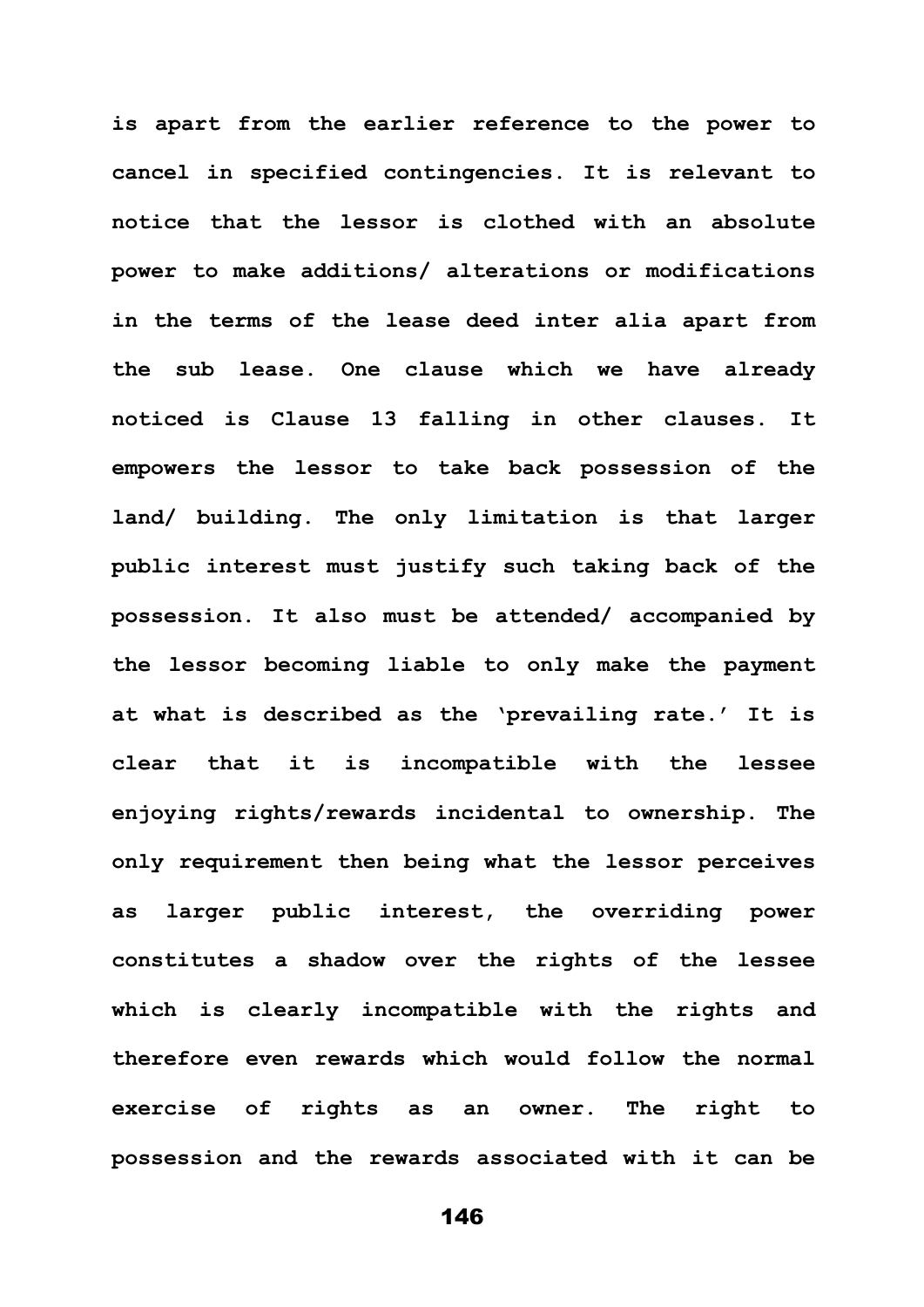**is apart from the earlier reference to the power to cancel in specified contingencies. It is relevant to notice that the lessor is clothed with an absolute power to make additions/ alterations or modifications in the terms of the lease deed inter alia apart from the sub lease. One clause which we have already noticed is Clause 13 falling in other clauses. It empowers the lessor to take back possession of the land/ building. The only limitation is that larger public interest must justify such taking back of the possession. It also must be attended/ accompanied by the lessor becoming liable to only make the payment at what is described as the 'prevailing rate.' It is clear that it is incompatible with the lessee enjoying rights/rewards incidental to ownership. The only requirement then being what the lessor perceives as larger public interest, the overriding power constitutes a shadow over the rights of the lessee which is clearly incompatible with the rights and therefore even rewards which would follow the normal exercise of rights as an owner. The right to possession and the rewards associated with it can be**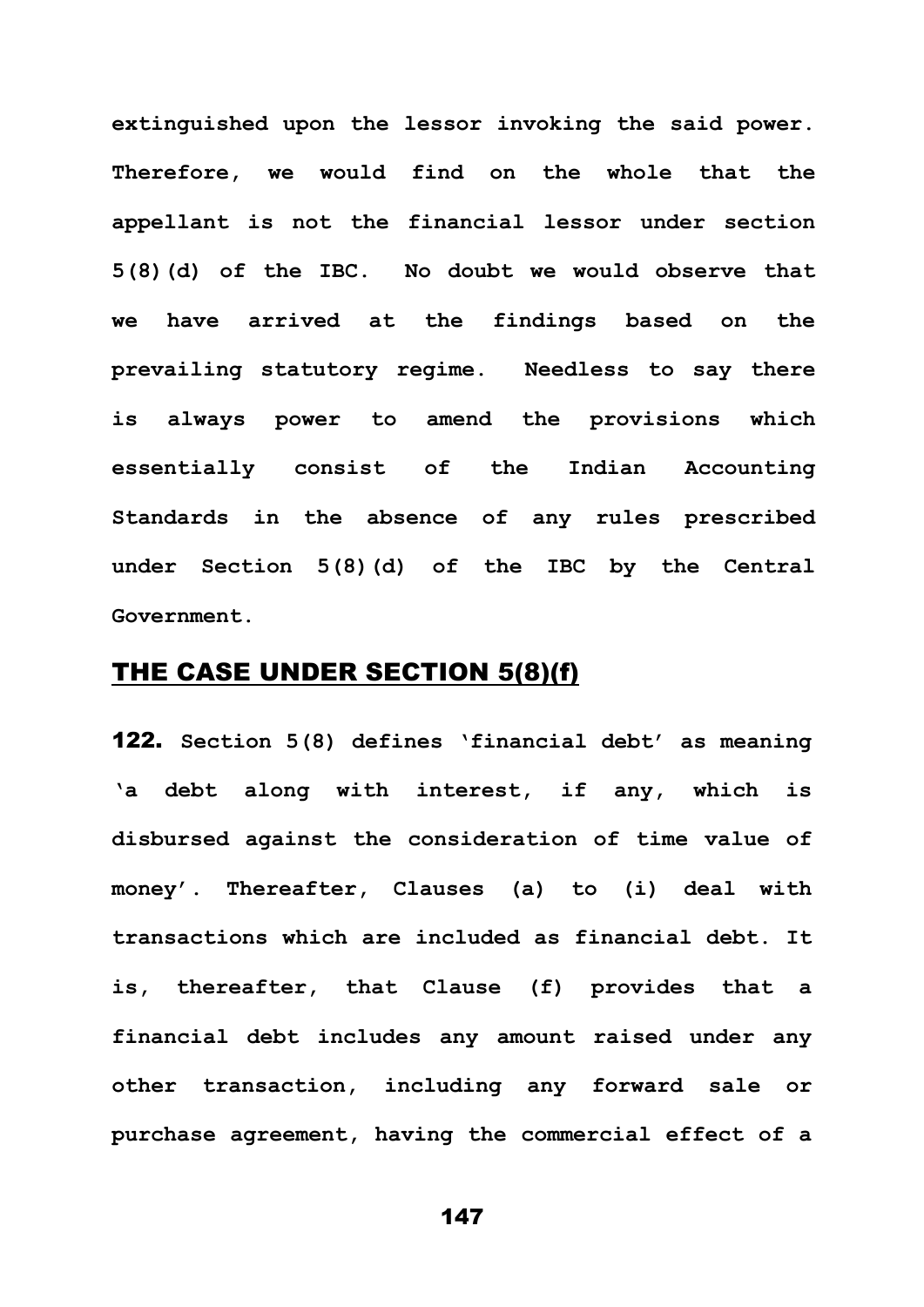**extinguished upon the lessor invoking the said power. Therefore, we would find on the whole that the appellant is not the financial lessor under section 5(8)(d) of the IBC. No doubt we would observe that we have arrived at the findings based on the prevailing statutory regime. Needless to say there is always power to amend the provisions which essentially consist of the Indian Accounting Standards in the absence of any rules prescribed under Section 5(8)(d) of the IBC by the Central Government.**

## THE CASE UNDER SECTION 5(8)(f)

122. **Section 5(8) defines 'financial debt' as meaning 'a debt along with interest, if any, which is disbursed against the consideration of time value of money'. Thereafter, Clauses (a) to (i) deal with transactions which are included as financial debt. It is, thereafter, that Clause (f) provides that a financial debt includes any amount raised under any other transaction, including any forward sale or purchase agreement, having the commercial effect of a**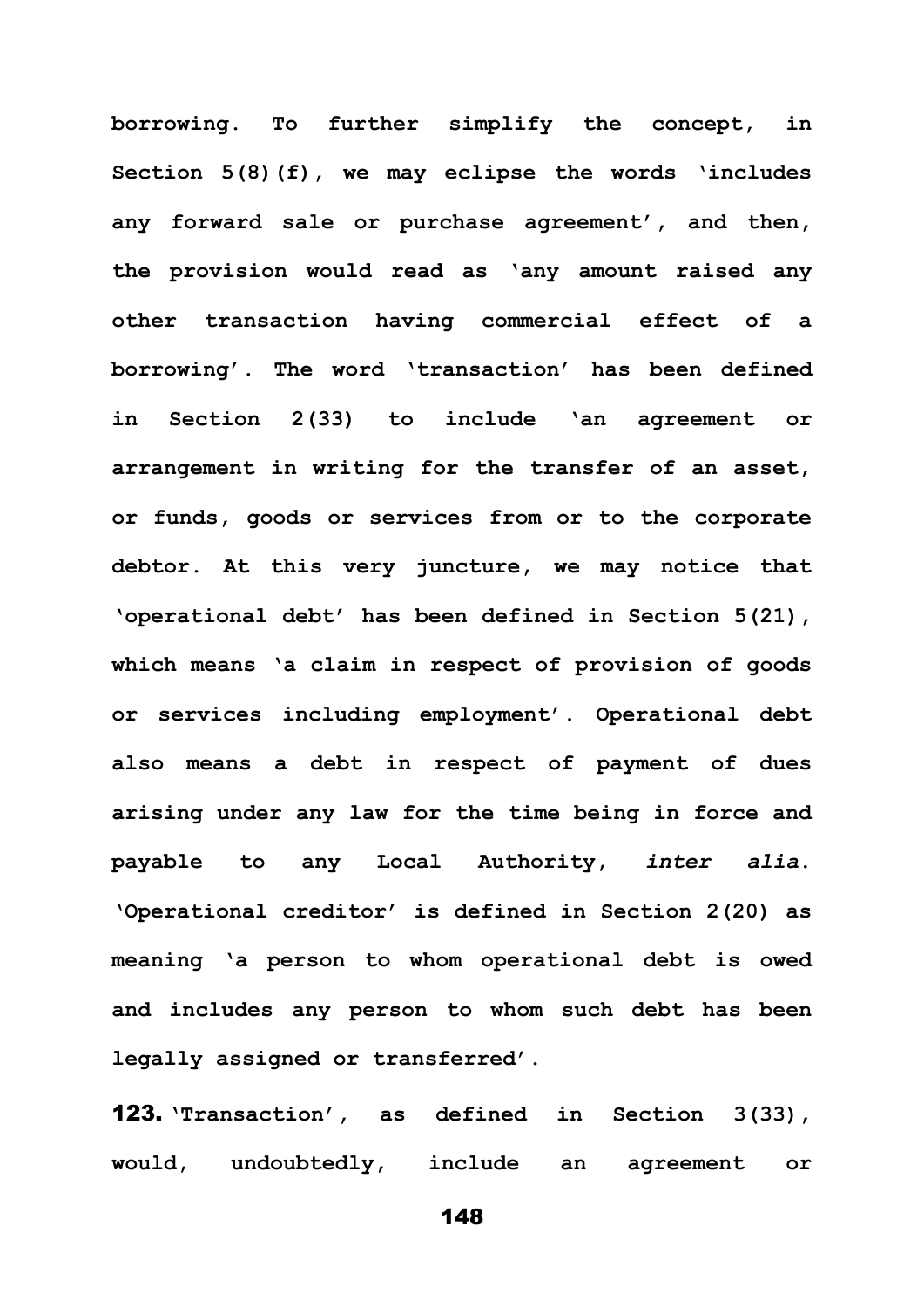**borrowing. To further simplify the concept, in Section 5(8)(f), we may eclipse the words 'includes any forward sale or purchase agreement', and then, the provision would read as 'any amount raised any other transaction having commercial effect of a borrowing'. The word 'transaction' has been defined in Section 2(33) to include 'an agreement or arrangement in writing for the transfer of an asset, or funds, goods or services from or to the corporate debtor. At this very juncture, we may notice that 'operational debt' has been defined in Section 5(21), which means 'a claim in respect of provision of goods or services including employment'. Operational debt also means a debt in respect of payment of dues arising under any law for the time being in force and payable to any Local Authority,** *inter alia***. 'Operational creditor' is defined in Section 2(20) as meaning 'a person to whom operational debt is owed and includes any person to whom such debt has been legally assigned or transferred'.**

123. **'Transaction', as defined in Section 3(33), would, undoubtedly, include an agreement or**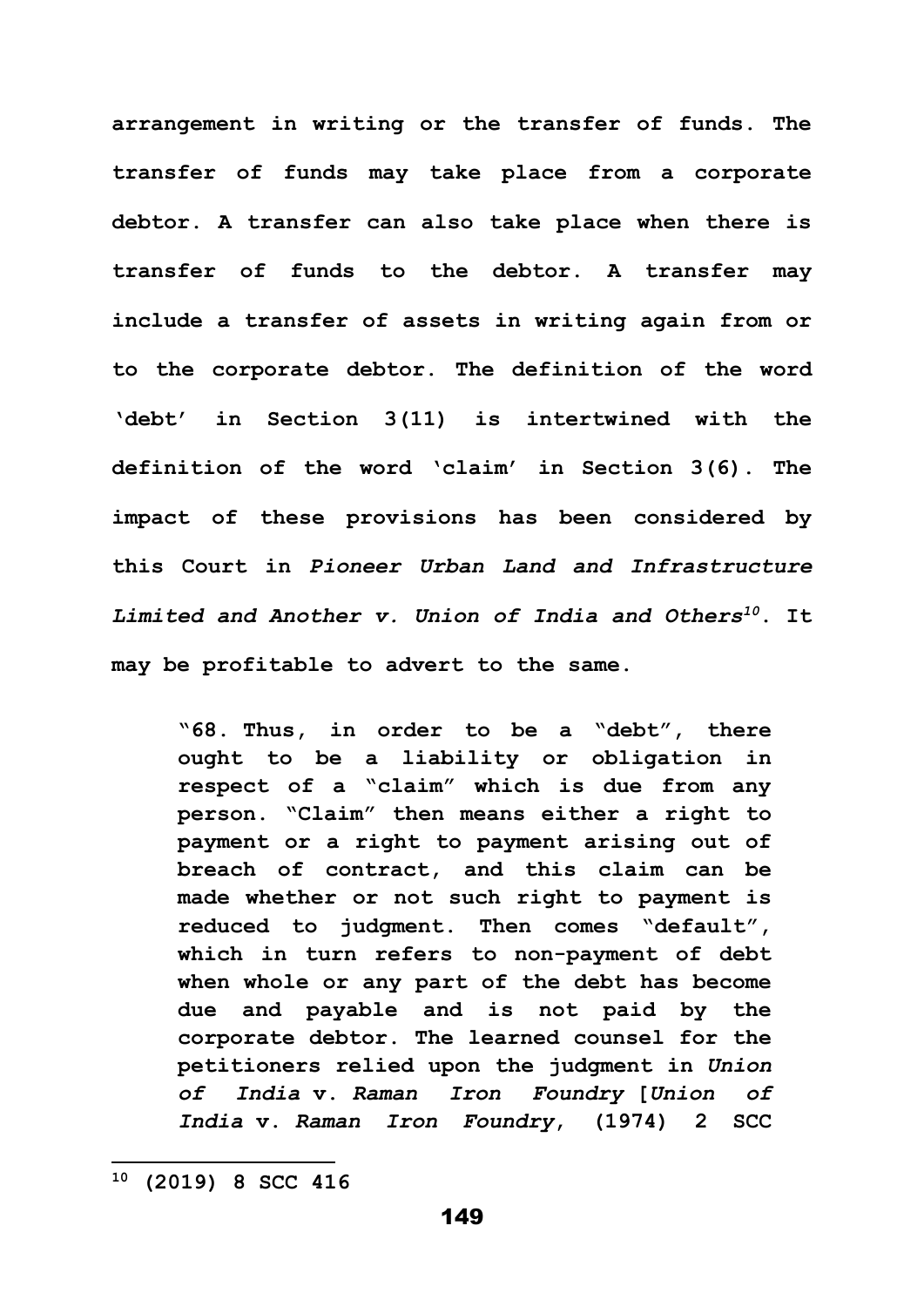**arrangement in writing or the transfer of funds. The transfer of funds may take place from a corporate debtor. A transfer can also take place when there is transfer of funds to the debtor. A transfer may include a transfer of assets in writing again from or to the corporate debtor. The definition of the word 'debt' in Section 3(11) is intertwined with the definition of the word 'claim' in Section 3(6). The impact of these provisions has been considered by this Court in** *Pioneer Urban Land and Infrastructure Limited and Another v. Union of India and Others<sup>10</sup>***. It may be profitable to advert to the same.**

**"68. Thus, in order to be a "debt", there ought to be a liability or obligation in respect of a "claim" which is due from any person. "Claim" then means either a right to payment or a right to payment arising out of breach of contract, and this claim can be made whether or not such right to payment is reduced to judgment. Then comes "default", which in turn refers to non-payment of debt when whole or any part of the debt has become due and payable and is not paid by the corporate debtor. The learned counsel for the petitioners relied upon the judgment in** *Union of India* **v.** *Raman Iron Foundry* **[***Union of India* **v.** *Raman Iron Foundry***, (1974) 2 SCC** 

**<sup>10</sup> (2019) 8 SCC 416**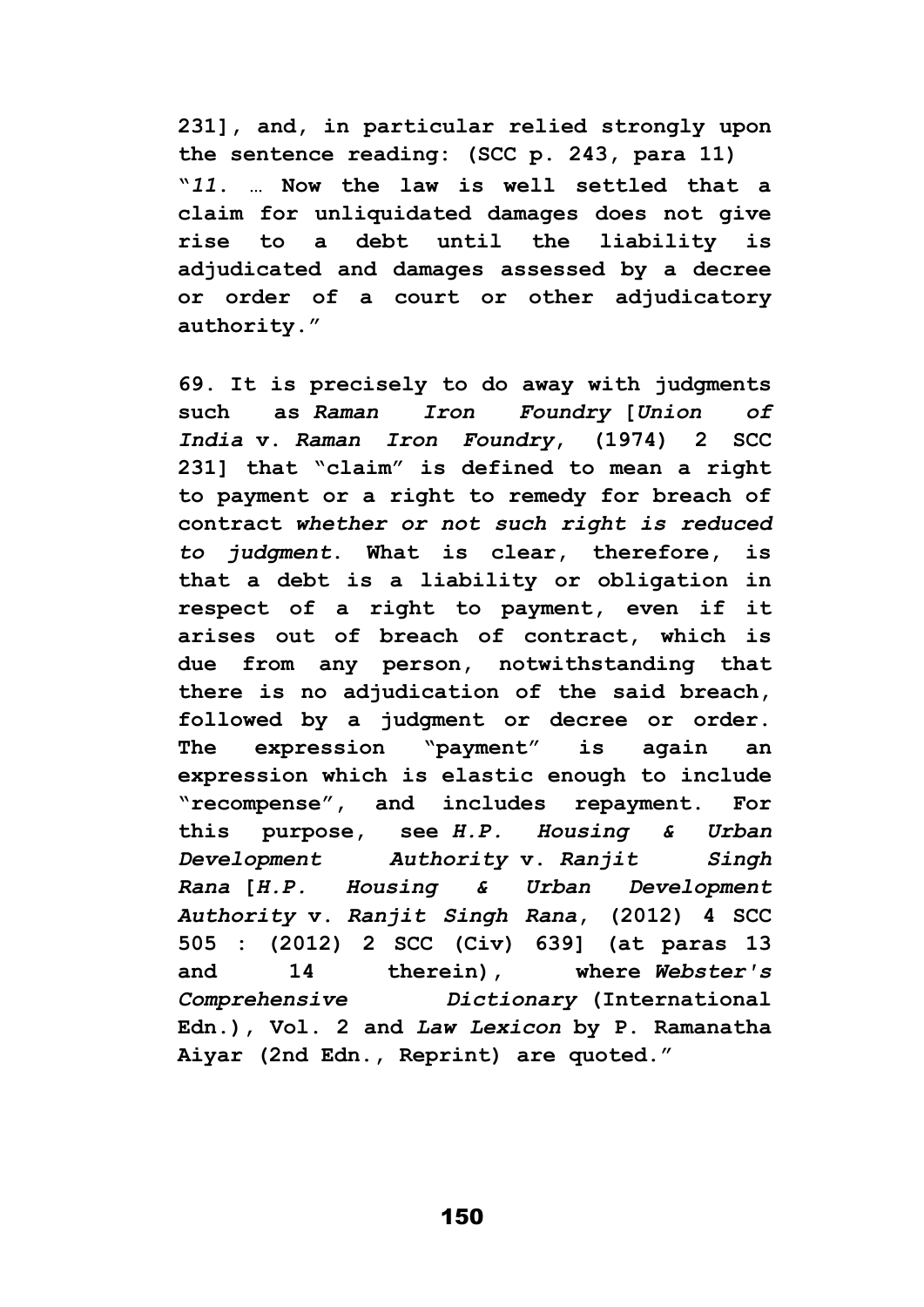**231], and, in particular relied strongly upon the sentence reading: (SCC p. 243, para 11) "***11***. … Now the law is well settled that a claim for unliquidated damages does not give rise to a debt until the liability is adjudicated and damages assessed by a decree or order of a court or other adjudicatory authority."**

**69. It is precisely to do away with judgments such as** *Raman Iron Foundry* **[***Union of India* **v.** *Raman Iron Foundry***, (1974) 2 SCC 231] that "claim" is defined to mean a right to payment or a right to remedy for breach of contract** *whether or not such right is reduced to judgment***. What is clear, therefore, is that a debt is a liability or obligation in respect of a right to payment, even if it arises out of breach of contract, which is due from any person, notwithstanding that there is no adjudication of the said breach, followed by a judgment or decree or order. The expression "payment" is again an expression which is elastic enough to include "recompense", and includes repayment. For this purpose, see** *H.P. Housing & Urban Development Authority* **v.** *Ranjit Singh Rana* **[***H.P. Housing & Urban Development Authority* **v.** *Ranjit Singh Rana***, (2012) 4 SCC 505 : (2012) 2 SCC (Civ) 639] (at paras 13 and 14 therein), where** *Webster's Comprehensive Dictionary* **(International Edn.), Vol. 2 and** *Law Lexicon* **by P. Ramanatha Aiyar (2nd Edn., Reprint) are quoted."**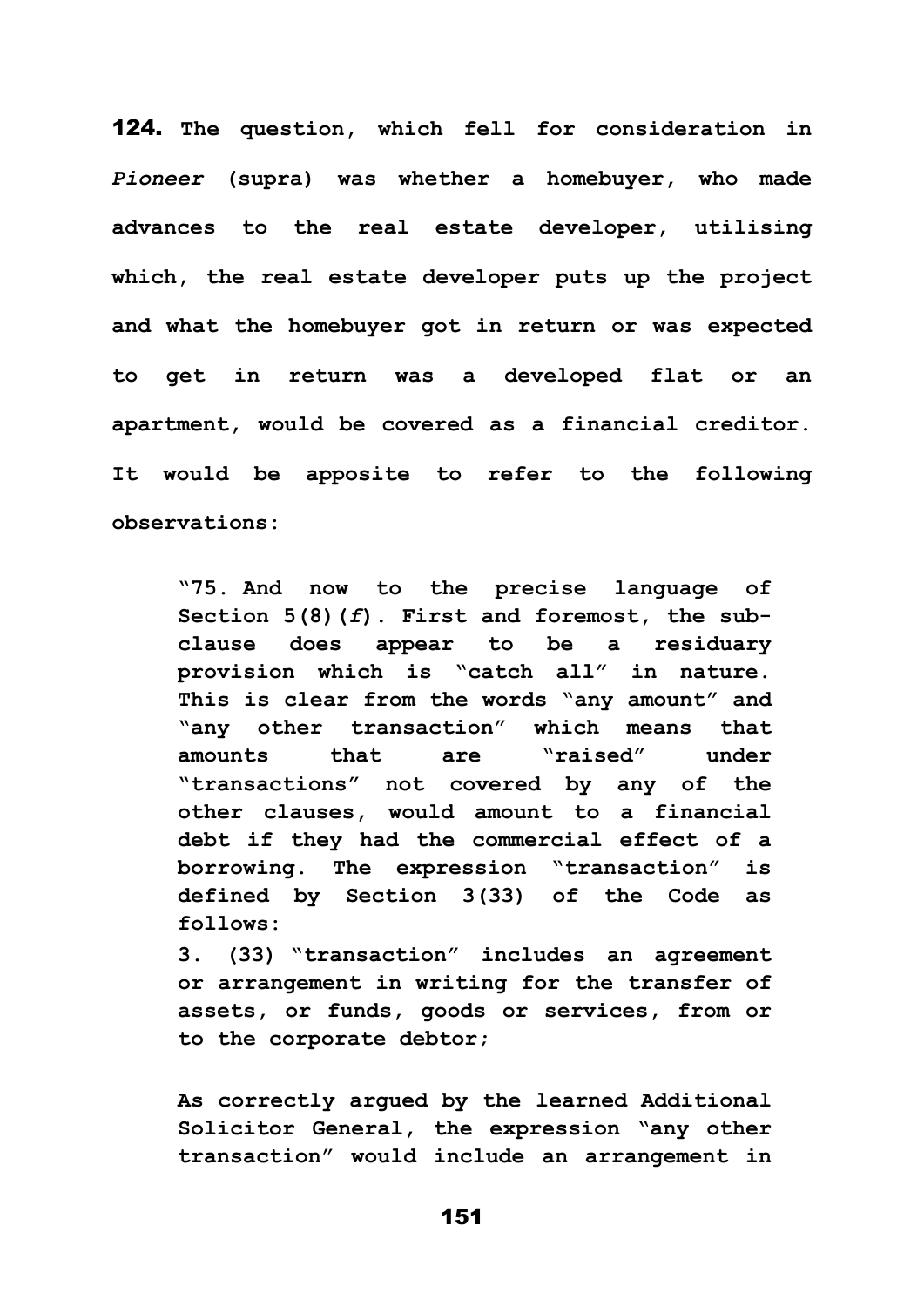124. **The question, which fell for consideration in**  *Pioneer* **(supra) was whether a homebuyer, who made advances to the real estate developer, utilising which, the real estate developer puts up the project and what the homebuyer got in return or was expected to get in return was a developed flat or an apartment, would be covered as a financial creditor. It would be apposite to refer to the following observations:**

**"75. And now to the precise language of Section 5(8)(***f***). First and foremost, the subclause does appear to be a residuary provision which is "catch all" in nature. This is clear from the words "any amount" and "any other transaction" which means that amounts that are "raised" under "transactions" not covered by any of the other clauses, would amount to a financial debt if they had the commercial effect of a borrowing. The expression "transaction" is defined by Section 3(33) of the Code as follows:**

**3. (33) "transaction" includes an agreement or arrangement in writing for the transfer of assets, or funds, goods or services, from or to the corporate debtor;**

**As correctly argued by the learned Additional Solicitor General, the expression "any other transaction" would include an arrangement in**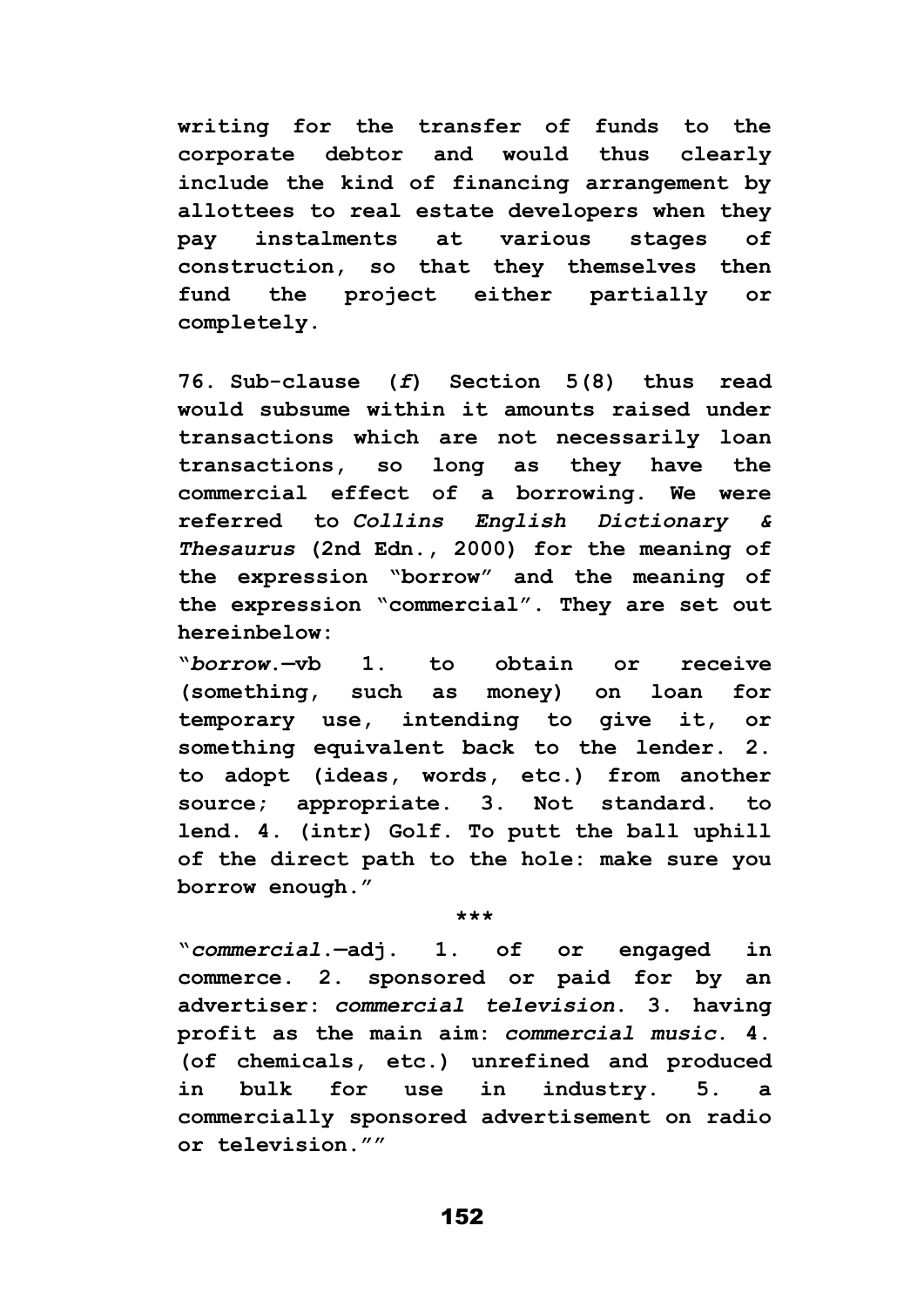**writing for the transfer of funds to the corporate debtor and would thus clearly include the kind of financing arrangement by allottees to real estate developers when they pay instalments at various stages of construction, so that they themselves then fund the project either partially or completely.**

**76. Sub-clause (***f***) Section 5(8) thus read would subsume within it amounts raised under transactions which are not necessarily loan transactions, so long as they have the commercial effect of a borrowing. We were referred to** *Collins English Dictionary & Thesaurus* **(2nd Edn., 2000) for the meaning of the expression "borrow" and the meaning of the expression "commercial". They are set out hereinbelow:**

**"***borrow***.—vb 1. to obtain or receive (something, such as money) on loan for temporary use, intending to give it, or something equivalent back to the lender. 2. to adopt (ideas, words, etc.) from another source; appropriate. 3. Not standard. to lend. 4. (intr) Golf. To putt the ball uphill of the direct path to the hole: make sure you borrow enough."**

**\*\*\***

**"***commercial***.—adj. 1. of or engaged in commerce. 2. sponsored or paid for by an advertiser:** *commercial television***. 3. having profit as the main aim:** *commercial music***. 4. (of chemicals, etc.) unrefined and produced in bulk for use in industry. 5. a commercially sponsored advertisement on radio or television.""**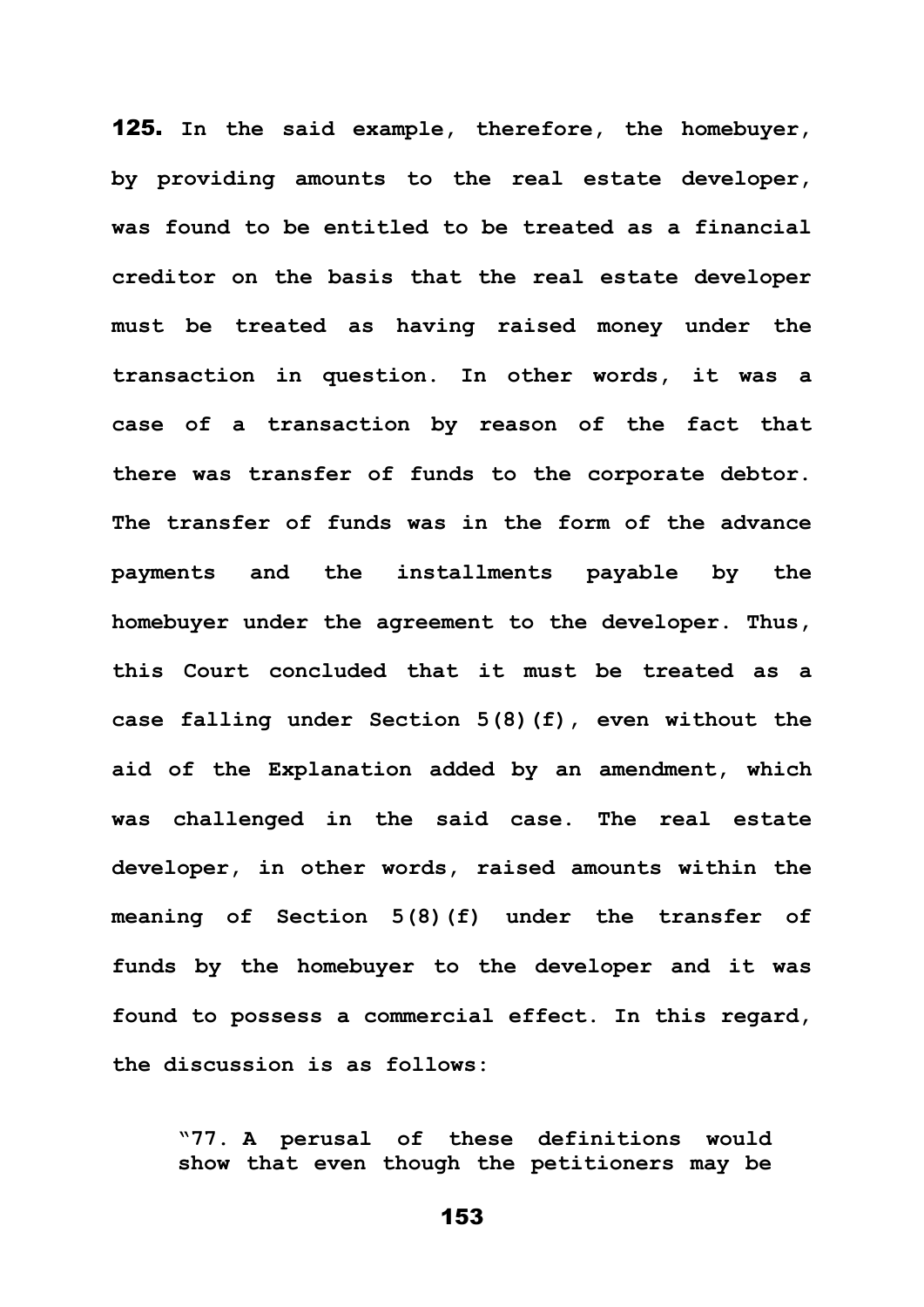125. **In the said example, therefore, the homebuyer, by providing amounts to the real estate developer, was found to be entitled to be treated as a financial creditor on the basis that the real estate developer must be treated as having raised money under the transaction in question. In other words, it was a case of a transaction by reason of the fact that there was transfer of funds to the corporate debtor. The transfer of funds was in the form of the advance payments and the installments payable by the homebuyer under the agreement to the developer. Thus, this Court concluded that it must be treated as a case falling under Section 5(8)(f), even without the aid of the Explanation added by an amendment, which was challenged in the said case. The real estate developer, in other words, raised amounts within the meaning of Section 5(8)(f) under the transfer of funds by the homebuyer to the developer and it was found to possess a commercial effect. In this regard, the discussion is as follows:**

**"77. A perusal of these definitions would show that even though the petitioners may be**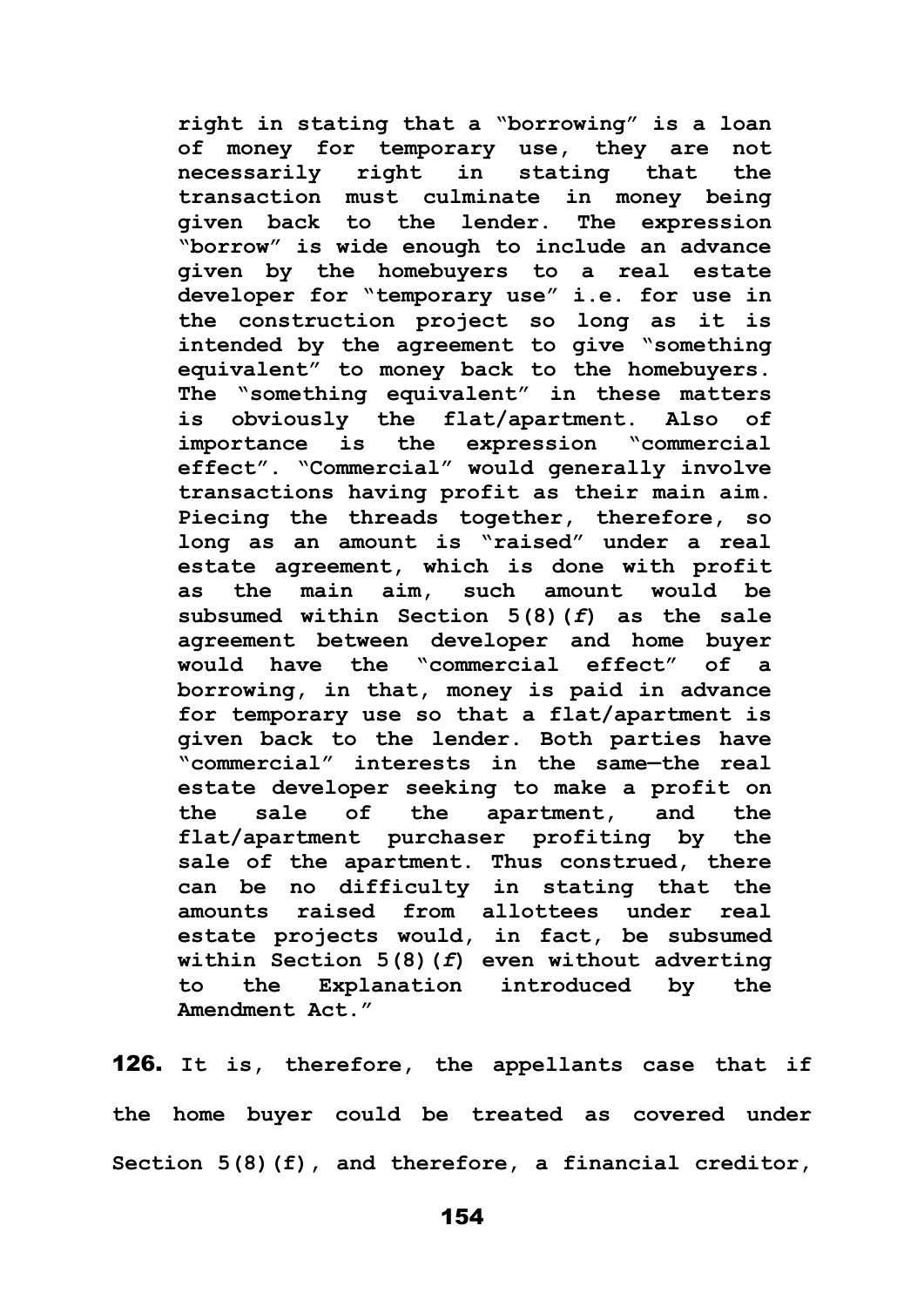**right in stating that a "borrowing" is a loan of money for temporary use, they are not necessarily right in stating that the transaction must culminate in money being given back to the lender. The expression "borrow" is wide enough to include an advance given by the homebuyers to a real estate developer for "temporary use" i.e. for use in the construction project so long as it is intended by the agreement to give "something equivalent" to money back to the homebuyers. The "something equivalent" in these matters is obviously the flat/apartment. Also of importance is the expression "commercial effect". "Commercial" would generally involve transactions having profit as their main aim. Piecing the threads together, therefore, so long as an amount is "raised" under a real estate agreement, which is done with profit as the main aim, such amount would be subsumed within Section 5(8)(***f***) as the sale agreement between developer and home buyer would have the "commercial effect" of a borrowing, in that, money is paid in advance for temporary use so that a flat/apartment is given back to the lender. Both parties have "commercial" interests in the same—the real estate developer seeking to make a profit on the sale of the apartment, and the flat/apartment purchaser profiting by the sale of the apartment. Thus construed, there can be no difficulty in stating that the amounts raised from allottees under real estate projects would, in fact, be subsumed within Section 5(8)(***f***) even without adverting to the Explanation introduced by the Amendment Act."**

126. **It is, therefore, the appellants case that if the home buyer could be treated as covered under Section 5(8)(f), and therefore, a financial creditor,**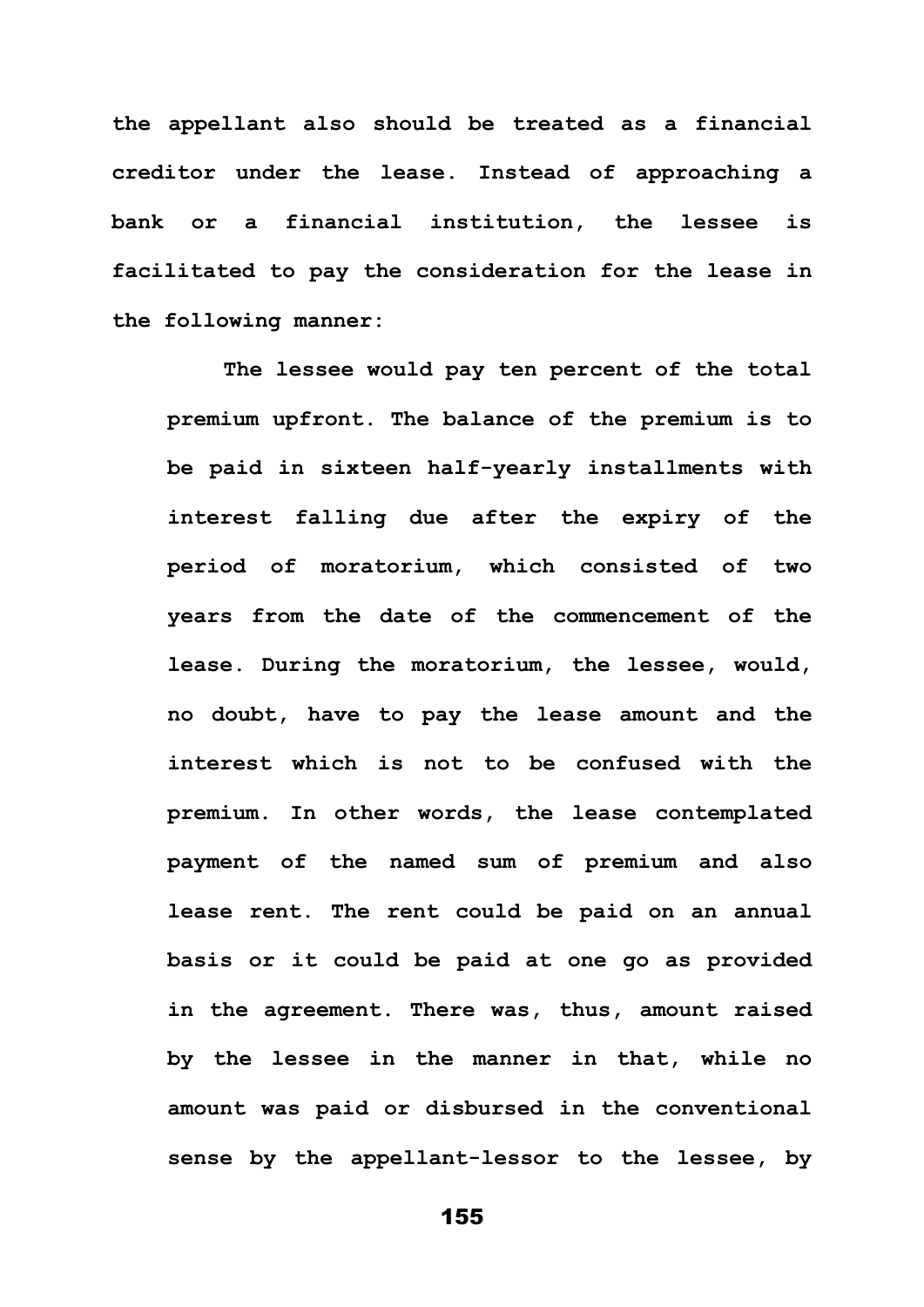**the appellant also should be treated as a financial creditor under the lease. Instead of approaching a bank or a financial institution, the lessee is facilitated to pay the consideration for the lease in the following manner:**

**The lessee would pay ten percent of the total premium upfront. The balance of the premium is to be paid in sixteen half-yearly installments with interest falling due after the expiry of the period of moratorium, which consisted of two years from the date of the commencement of the lease. During the moratorium, the lessee, would, no doubt, have to pay the lease amount and the interest which is not to be confused with the premium. In other words, the lease contemplated payment of the named sum of premium and also lease rent. The rent could be paid on an annual basis or it could be paid at one go as provided in the agreement. There was, thus, amount raised by the lessee in the manner in that, while no amount was paid or disbursed in the conventional sense by the appellant-lessor to the lessee, by**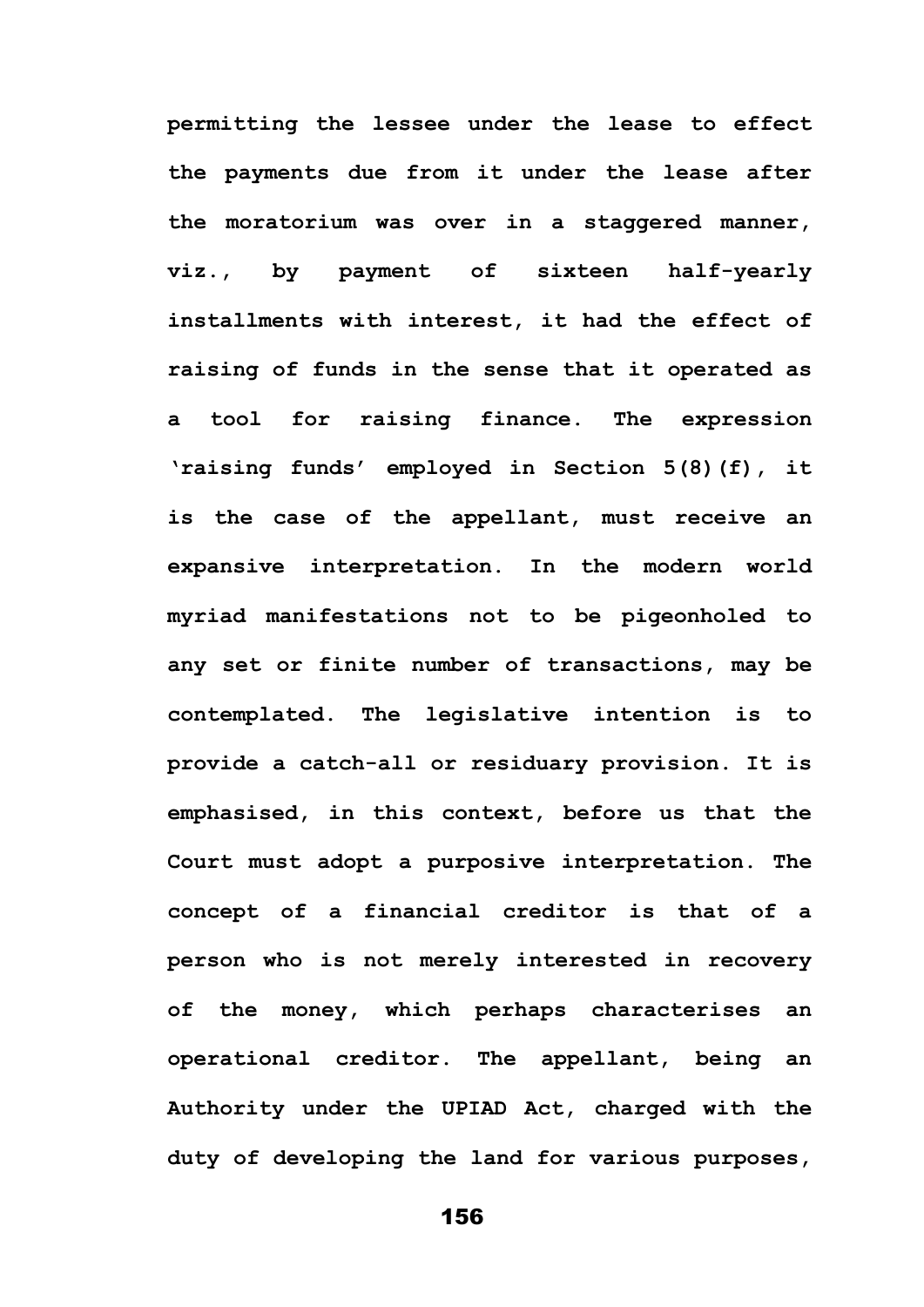**permitting the lessee under the lease to effect the payments due from it under the lease after the moratorium was over in a staggered manner, viz., by payment of sixteen half-yearly installments with interest, it had the effect of raising of funds in the sense that it operated as a tool for raising finance. The expression 'raising funds' employed in Section 5(8)(f), it is the case of the appellant, must receive an expansive interpretation. In the modern world myriad manifestations not to be pigeonholed to any set or finite number of transactions, may be contemplated. The legislative intention is to provide a catch-all or residuary provision. It is emphasised, in this context, before us that the Court must adopt a purposive interpretation. The concept of a financial creditor is that of a person who is not merely interested in recovery of the money, which perhaps characterises an operational creditor. The appellant, being an Authority under the UPIAD Act, charged with the duty of developing the land for various purposes,**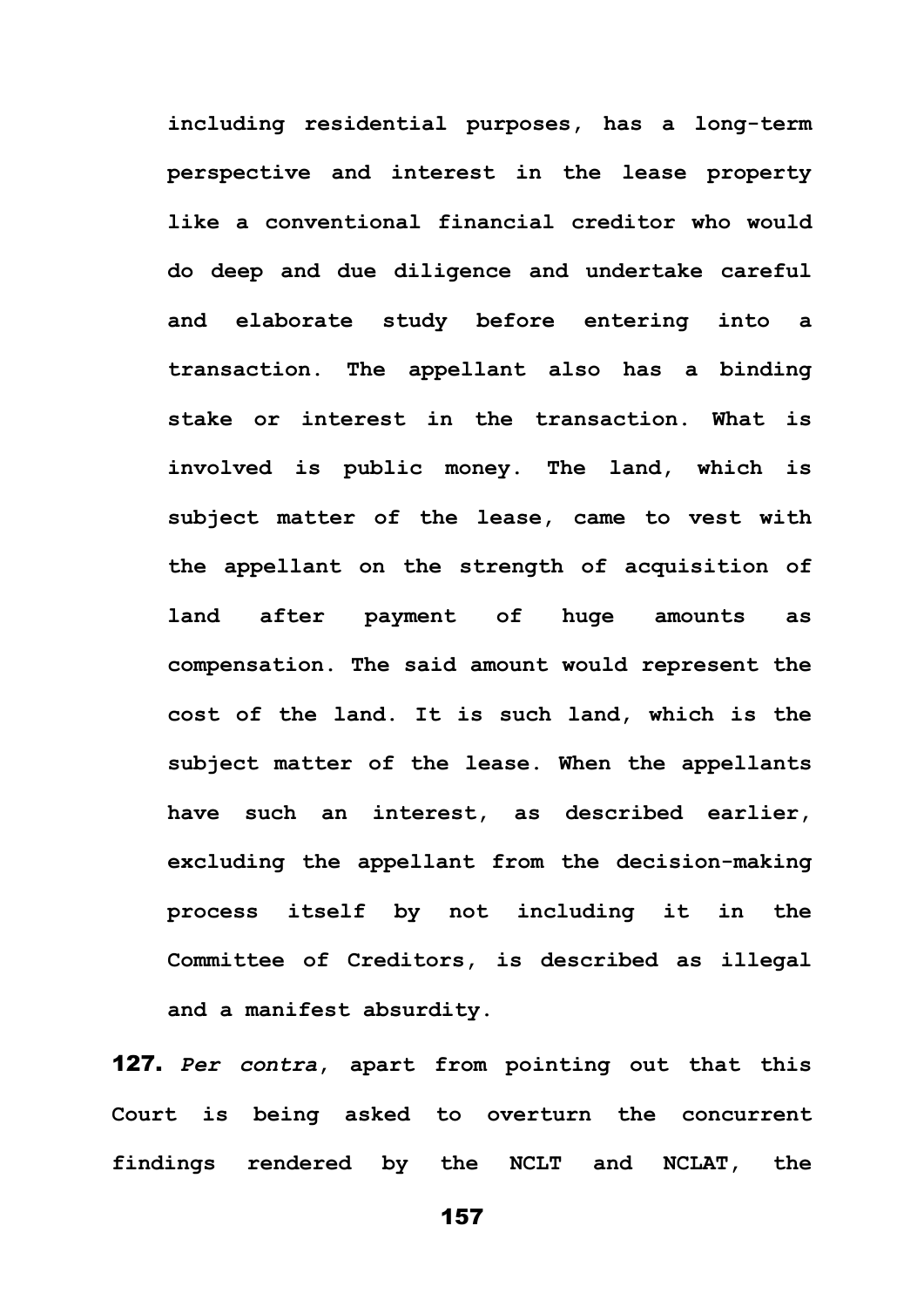**including residential purposes, has a long-term perspective and interest in the lease property like a conventional financial creditor who would do deep and due diligence and undertake careful and elaborate study before entering into a transaction. The appellant also has a binding stake or interest in the transaction. What is involved is public money. The land, which is subject matter of the lease, came to vest with the appellant on the strength of acquisition of land after payment of huge amounts as compensation. The said amount would represent the cost of the land. It is such land, which is the subject matter of the lease. When the appellants have such an interest, as described earlier, excluding the appellant from the decision-making process itself by not including it in the Committee of Creditors, is described as illegal and a manifest absurdity.**

127. *Per contra***, apart from pointing out that this Court is being asked to overturn the concurrent findings rendered by the NCLT and NCLAT, the**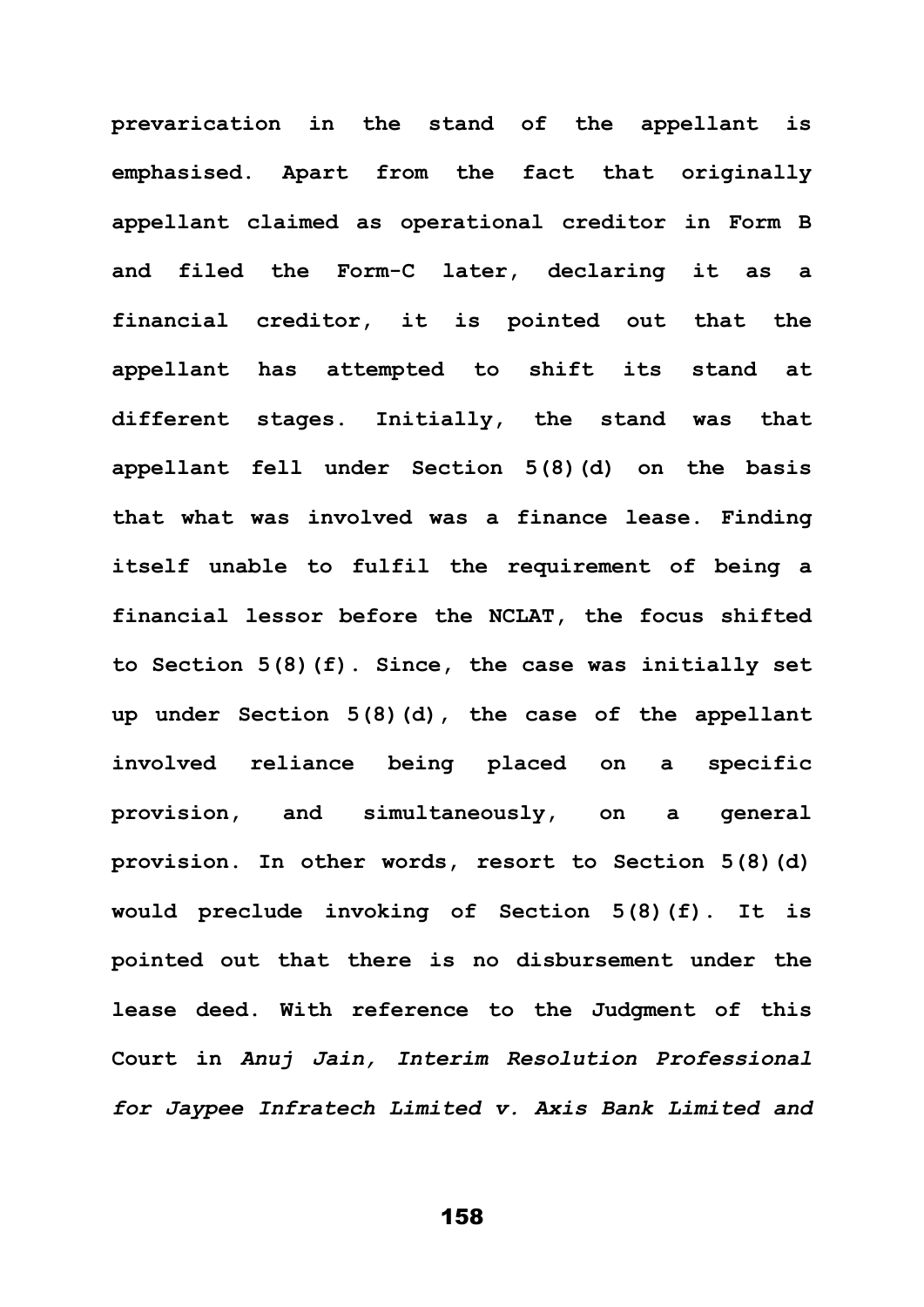**prevarication in the stand of the appellant is emphasised. Apart from the fact that originally appellant claimed as operational creditor in Form B and filed the Form-C later, declaring it as a financial creditor, it is pointed out that the appellant has attempted to shift its stand at different stages. Initially, the stand was that appellant fell under Section 5(8)(d) on the basis that what was involved was a finance lease. Finding itself unable to fulfil the requirement of being a financial lessor before the NCLAT, the focus shifted to Section 5(8)(f). Since, the case was initially set up under Section 5(8)(d), the case of the appellant involved reliance being placed on a specific provision, and simultaneously, on a general provision. In other words, resort to Section 5(8)(d) would preclude invoking of Section 5(8)(f). It is pointed out that there is no disbursement under the lease deed. With reference to the Judgment of this Court in** *Anuj Jain, Interim Resolution Professional for Jaypee Infratech Limited v. Axis Bank Limited and*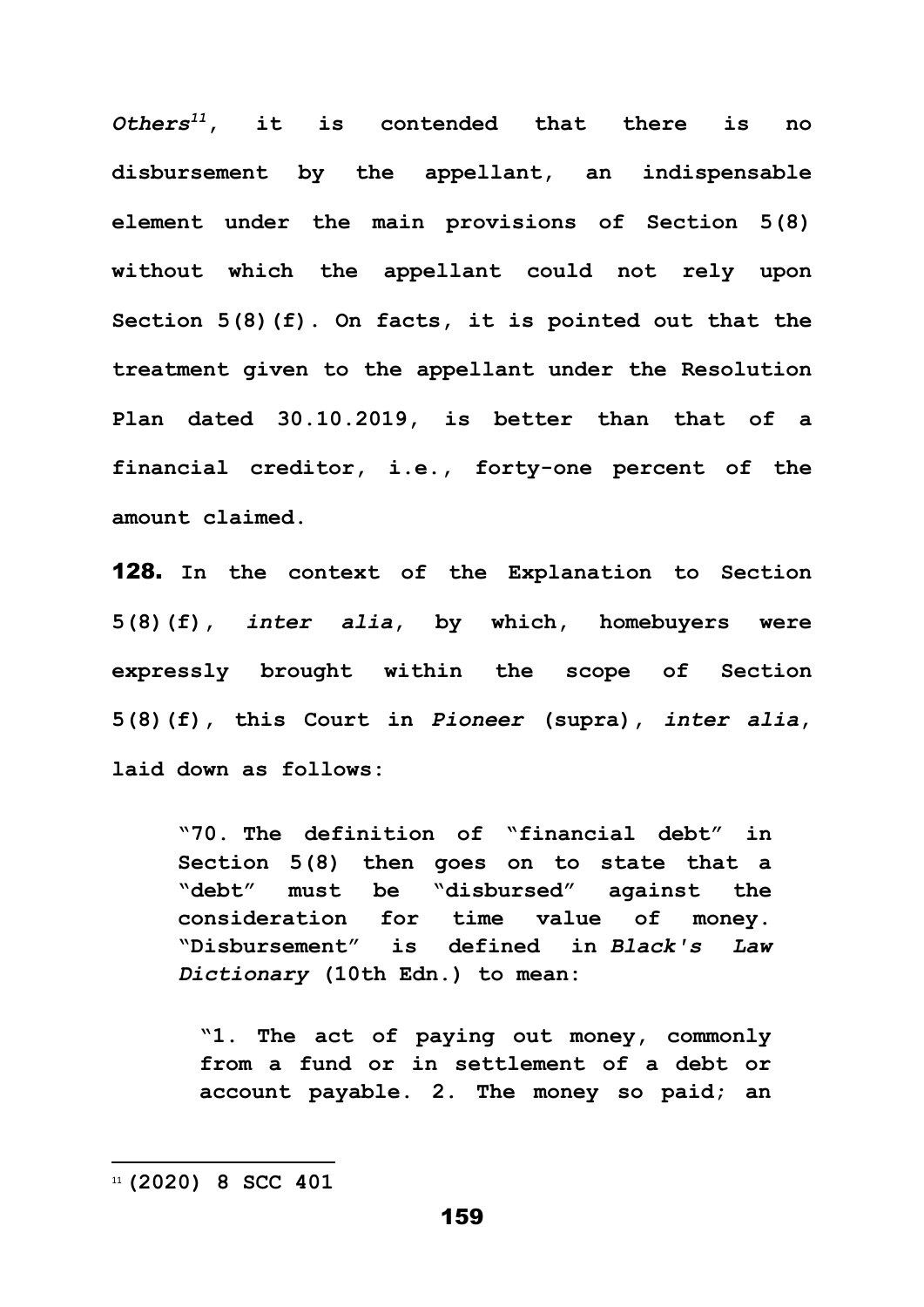*Others<sup>11</sup>***, it is contended that there is no disbursement by the appellant, an indispensable element under the main provisions of Section 5(8) without which the appellant could not rely upon Section 5(8)(f). On facts, it is pointed out that the treatment given to the appellant under the Resolution Plan dated 30.10.2019, is better than that of a financial creditor, i.e., forty-one percent of the amount claimed.** 

128. **In the context of the Explanation to Section 5(8)(f),** *inter alia***, by which, homebuyers were expressly brought within the scope of Section 5(8)(f), this Court in** *Pioneer* **(supra),** *inter alia***, laid down as follows:** 

**"70. The definition of "financial debt" in Section 5(8) then goes on to state that a "debt" must be "disbursed" against the consideration for time value of money. "Disbursement" is defined in** *Black's Law Dictionary* **(10th Edn.) to mean:**

**"1. The act of paying out money, commonly from a fund or in settlement of a debt or account payable. 2. The money so paid; an** 

<sup>11</sup> **(2020) 8 SCC 401**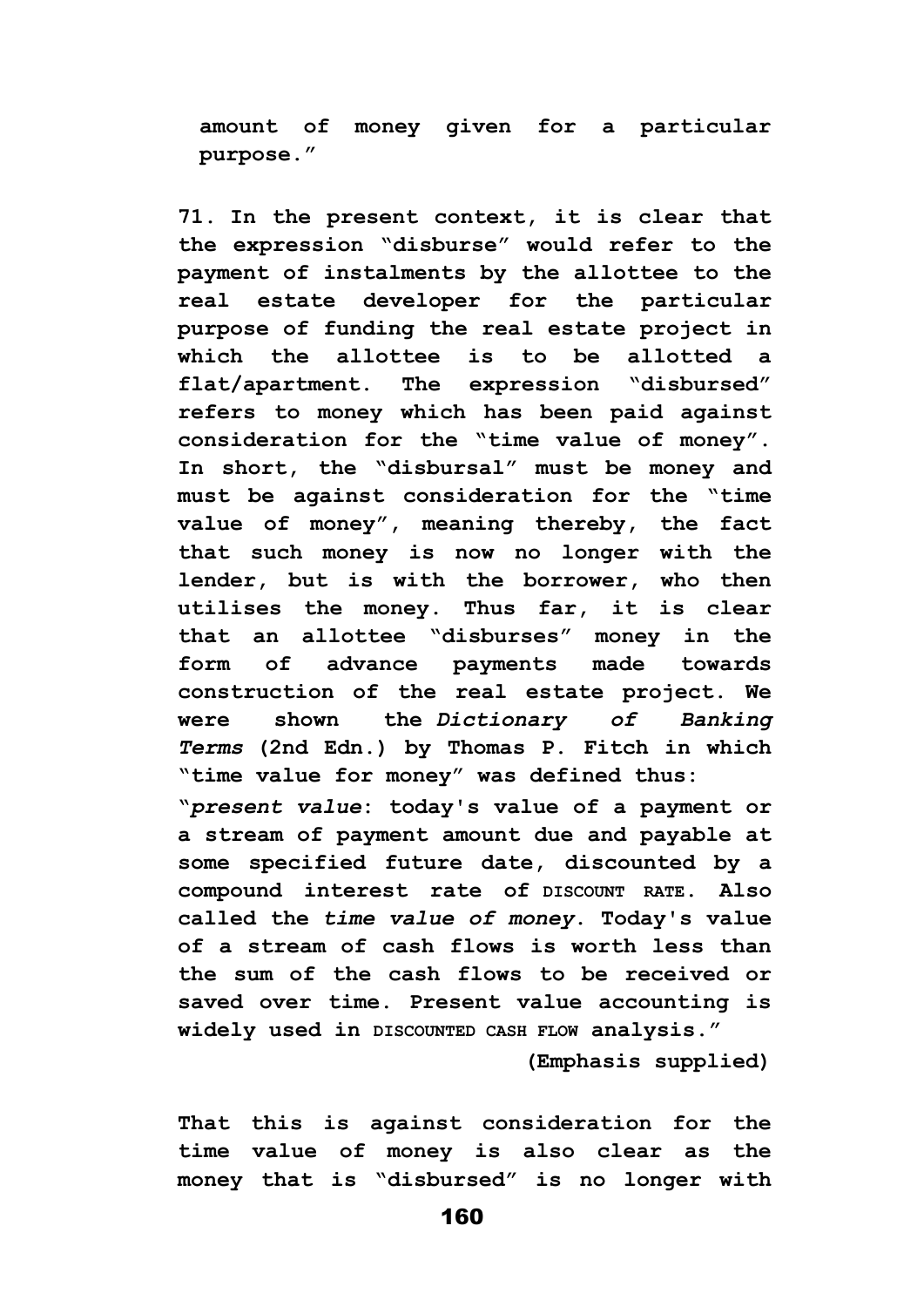**amount of money given for a particular purpose."**

**71. In the present context, it is clear that the expression "disburse" would refer to the payment of instalments by the allottee to the real estate developer for the particular purpose of funding the real estate project in which the allottee is to be allotted a flat/apartment. The expression "disbursed" refers to money which has been paid against consideration for the "time value of money". In short, the "disbursal" must be money and must be against consideration for the "time value of money", meaning thereby, the fact that such money is now no longer with the lender, but is with the borrower, who then utilises the money. Thus far, it is clear that an allottee "disburses" money in the form of advance payments made towards construction of the real estate project. We were shown the** *Dictionary of Banking Terms* **(2nd Edn.) by Thomas P. Fitch in which "time value for money" was defined thus:**

**"***present value***: today's value of a payment or a stream of payment amount due and payable at some specified future date, discounted by a compound interest rate of DISCOUNT RATE. Also called the** *time value of money***. Today's value of a stream of cash flows is worth less than the sum of the cash flows to be received or saved over time. Present value accounting is widely used in DISCOUNTED CASH FLOW analysis."**

**(Emphasis supplied)**

**That this is against consideration for the time value of money is also clear as the money that is "disbursed" is no longer with**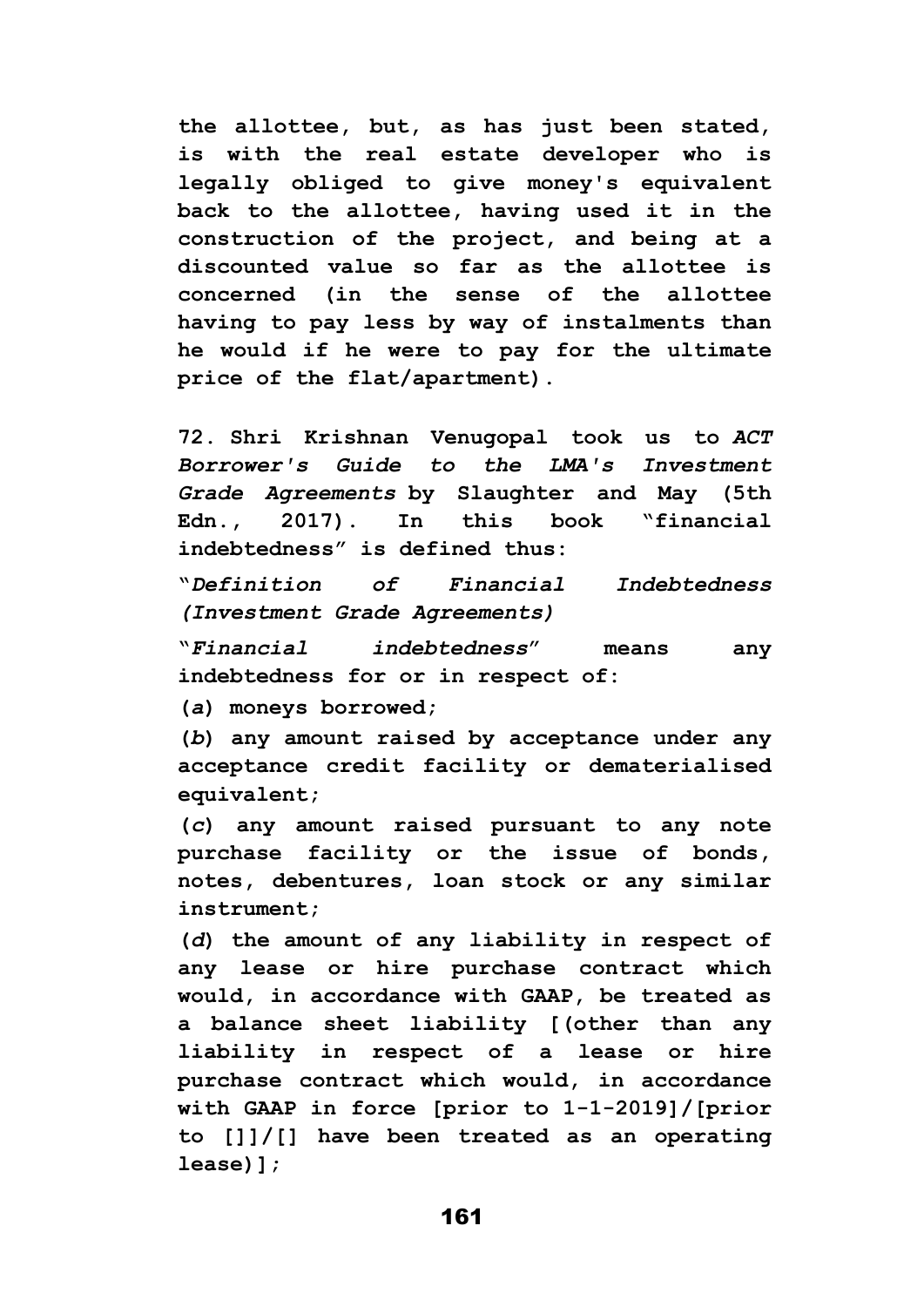**the allottee, but, as has just been stated, is with the real estate developer who is legally obliged to give money's equivalent back to the allottee, having used it in the construction of the project, and being at a discounted value so far as the allottee is concerned (in the sense of the allottee having to pay less by way of instalments than he would if he were to pay for the ultimate price of the flat/apartment).**

**72. Shri Krishnan Venugopal took us to** *ACT Borrower's Guide to the LMA's Investment Grade Agreements* **by Slaughter and May (5th Edn., 2017). In this book "financial indebtedness" is defined thus:**

**"***Definition of Financial Indebtedness (Investment Grade Agreements)*

**"***Financial indebtedness***" means any indebtedness for or in respect of:**

**(***a***) moneys borrowed;**

**(***b***) any amount raised by acceptance under any acceptance credit facility or dematerialised equivalent;**

**(***c***) any amount raised pursuant to any note purchase facility or the issue of bonds, notes, debentures, loan stock or any similar instrument;**

**(***d***) the amount of any liability in respect of any lease or hire purchase contract which would, in accordance with GAAP, be treated as a balance sheet liability [(other than any liability in respect of a lease or hire purchase contract which would, in accordance with GAAP in force [prior to 1-1-2019]/[prior to []]/[] have been treated as an operating lease)];**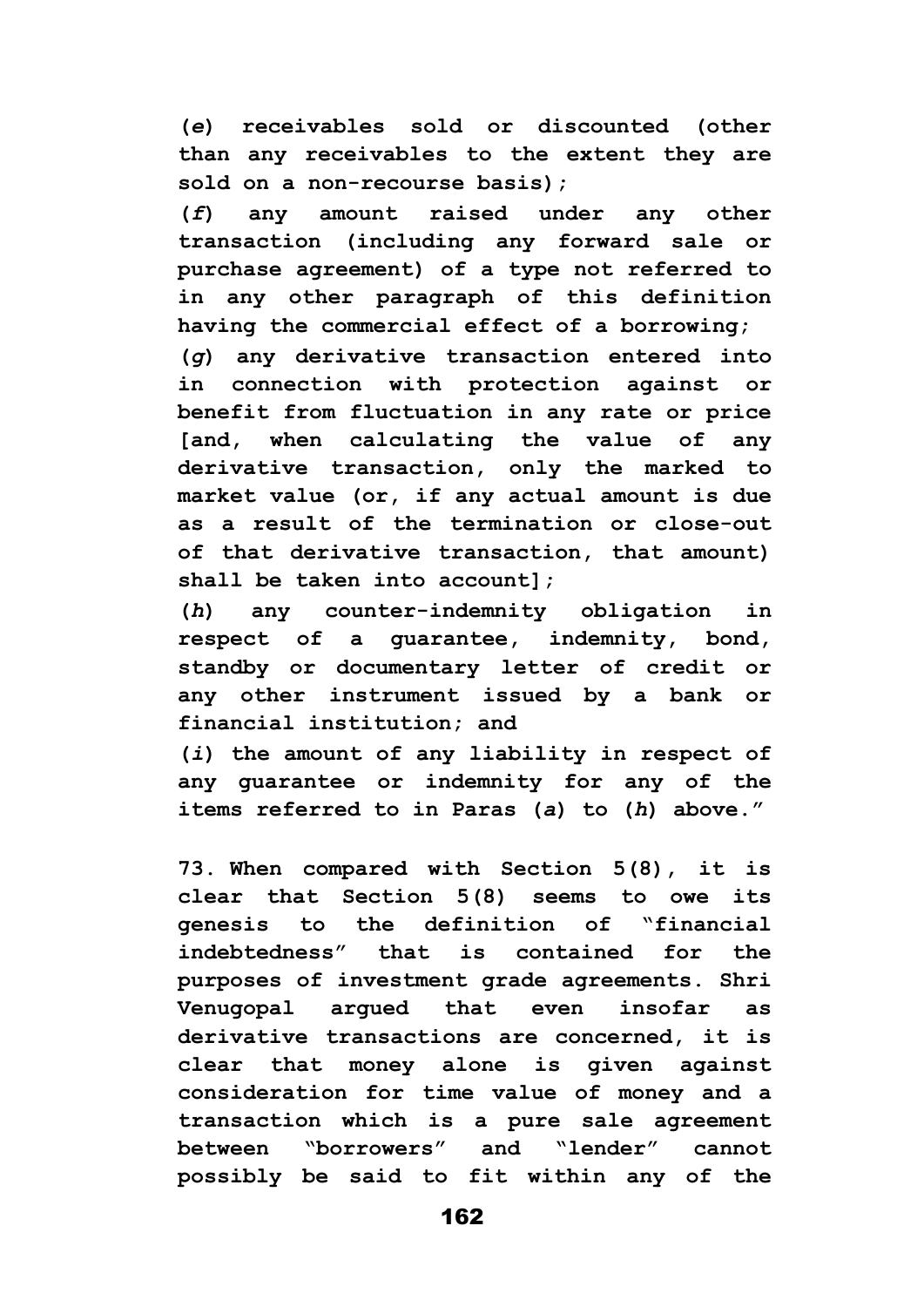**(***e***) receivables sold or discounted (other than any receivables to the extent they are sold on a non-recourse basis);**

**(***f***) any amount raised under any other transaction (including any forward sale or purchase agreement) of a type not referred to in any other paragraph of this definition having the commercial effect of a borrowing;**

**(***g***) any derivative transaction entered into in connection with protection against or benefit from fluctuation in any rate or price [and, when calculating the value of any derivative transaction, only the marked to market value (or, if any actual amount is due as a result of the termination or close-out of that derivative transaction, that amount) shall be taken into account];**

**(***h***) any counter-indemnity obligation in respect of a guarantee, indemnity, bond, standby or documentary letter of credit or any other instrument issued by a bank or financial institution; and**

**(***i***) the amount of any liability in respect of any guarantee or indemnity for any of the items referred to in Paras (***a***) to (***h***) above."**

**73. When compared with Section 5(8), it is clear that Section 5(8) seems to owe its genesis to the definition of "financial indebtedness" that is contained for the purposes of investment grade agreements. Shri Venugopal argued that even insofar as derivative transactions are concerned, it is clear that money alone is given against consideration for time value of money and a transaction which is a pure sale agreement between "borrowers" and "lender" cannot possibly be said to fit within any of the**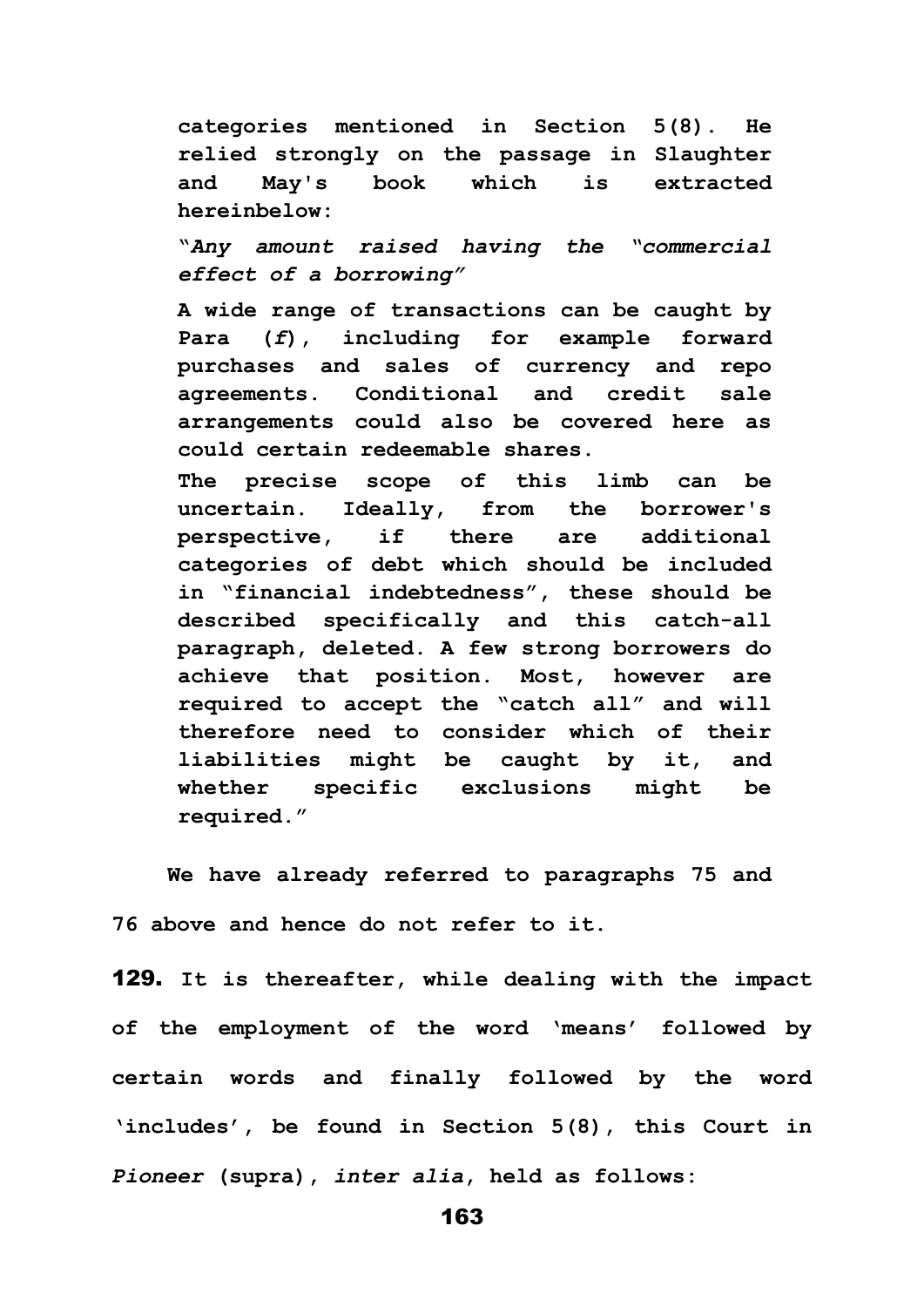**categories mentioned in Section 5(8). He relied strongly on the passage in Slaughter and May's book which is extracted hereinbelow:**

**"***Any amount raised having the "commercial effect of a borrowing"*

**A wide range of transactions can be caught by Para (***f***), including for example forward purchases and sales of currency and repo agreements. Conditional and credit sale arrangements could also be covered here as could certain redeemable shares.**

**The precise scope of this limb can be uncertain. Ideally, from the borrower's perspective, if there are additional categories of debt which should be included in "financial indebtedness", these should be described specifically and this catch-all paragraph, deleted. A few strong borrowers do achieve that position. Most, however are required to accept the "catch all" and will therefore need to consider which of their liabilities might be caught by it, and whether specific exclusions might be required."**

**We have already referred to paragraphs 75 and 76 above and hence do not refer to it.**

129. **It is thereafter, while dealing with the impact of the employment of the word 'means' followed by certain words and finally followed by the word 'includes', be found in Section 5(8), this Court in**  *Pioneer* **(supra),** *inter alia***, held as follows:**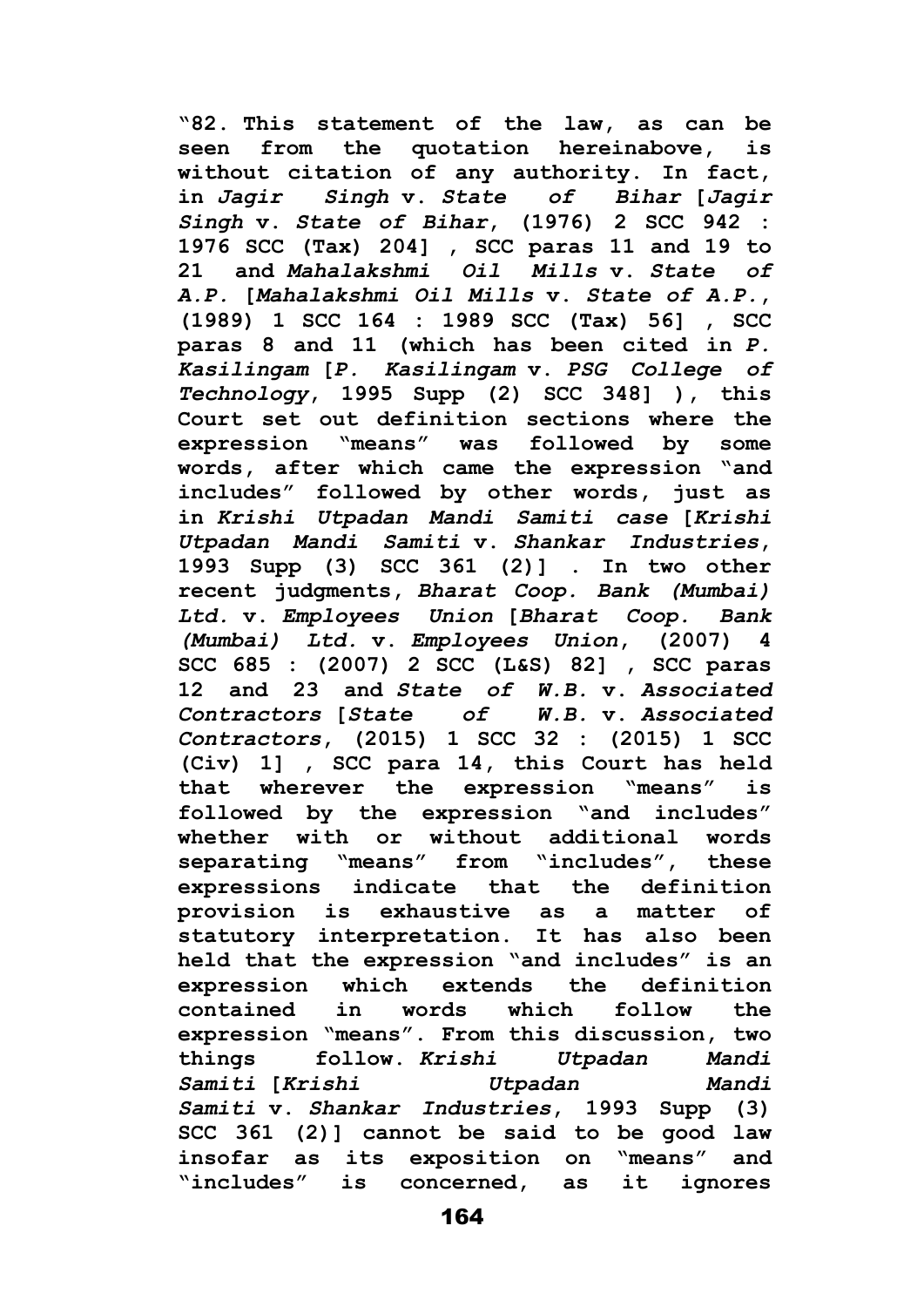**"82. This statement of the law, as can be seen from the quotation hereinabove, is without citation of any authority. In fact, in** *Jagir Singh* **v.** *State of Bihar* **[***Jagir Singh* **v.** *State of Bihar***, (1976) 2 SCC 942 : 1976 SCC (Tax) 204] , SCC paras 11 and 19 to 21 and** *Mahalakshmi Oil Mills* **v.** *State of A.P.* **[***Mahalakshmi Oil Mills* **v.** *State of A.P.***, (1989) 1 SCC 164 : 1989 SCC (Tax) 56] , SCC paras 8 and 11 (which has been cited in** *P. Kasilingam* **[***P. Kasilingam* **v.** *PSG College of Technology***, 1995 Supp (2) SCC 348] ), this Court set out definition sections where the expression "means" was followed by some words, after which came the expression "and includes" followed by other words, just as in** *Krishi Utpadan Mandi Samiti case* **[***Krishi Utpadan Mandi Samiti* **v.** *Shankar Industries***, 1993 Supp (3) SCC 361 (2)] . In two other recent judgments,** *Bharat Coop. Bank (Mumbai) Ltd.* **v.** *Employees Union* **[***Bharat Coop. Bank (Mumbai) Ltd.* **v.** *Employees Union***, (2007) 4 SCC 685 : (2007) 2 SCC (L&S) 82] , SCC paras 12 and 23 and** *State of W.B.* **v.** *Associated Contractors* **[***State of W.B.* **v.** *Associated Contractors***, (2015) 1 SCC 32 : (2015) 1 SCC (Civ) 1] , SCC para 14, this Court has held that wherever the expression "means" is followed by the expression "and includes" whether with or without additional words separating "means" from "includes", these expressions indicate that the definition provision is exhaustive as a matter of statutory interpretation. It has also been held that the expression "and includes" is an expression which extends the definition contained in words which follow the expression "means". From this discussion, two things follow.** *Krishi Utpadan Mandi Samiti* **[***Krishi Utpadan Mandi Samiti* **v.** *Shankar Industries***, 1993 Supp (3) SCC 361 (2)] cannot be said to be good law insofar as its exposition on "means" and "includes" is concerned, as it ignores**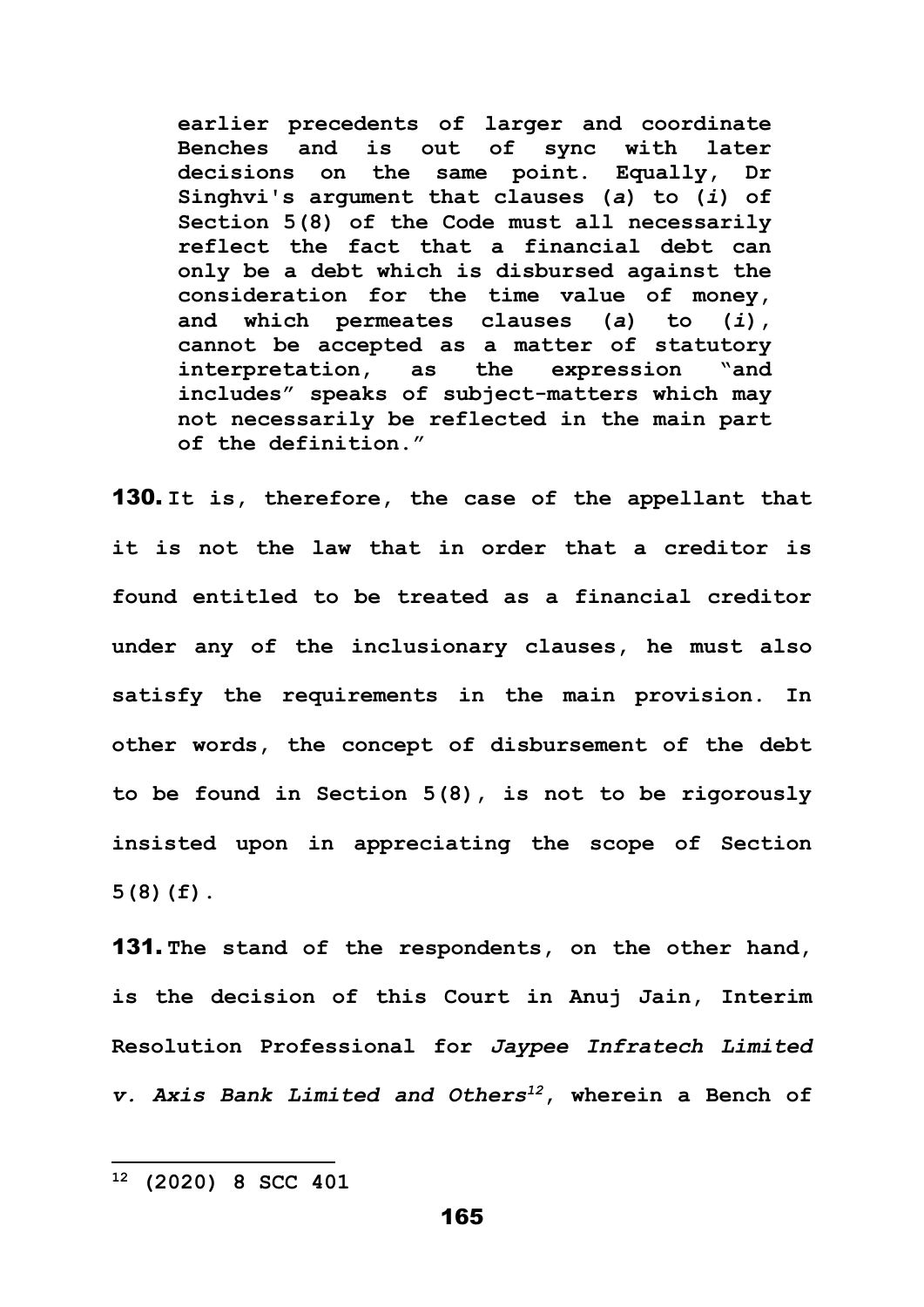**earlier precedents of larger and coordinate Benches and is out of sync with later decisions on the same point. Equally, Dr Singhvi's argument that clauses (***a***) to (***i***) of Section 5(8) of the Code must all necessarily reflect the fact that a financial debt can only be a debt which is disbursed against the consideration for the time value of money, and which permeates clauses (***a***) to (***i***), cannot be accepted as a matter of statutory interpretation, as the expression "and includes" speaks of subject-matters which may not necessarily be reflected in the main part of the definition."**

130. **It is, therefore, the case of the appellant that it is not the law that in order that a creditor is found entitled to be treated as a financial creditor under any of the inclusionary clauses, he must also satisfy the requirements in the main provision. In other words, the concept of disbursement of the debt to be found in Section 5(8), is not to be rigorously insisted upon in appreciating the scope of Section 5(8)(f).** 

131. **The stand of the respondents, on the other hand, is the decision of this Court in Anuj Jain, Interim Resolution Professional for** *Jaypee Infratech Limited v. Axis Bank Limited and Others<sup>12</sup>***, wherein a Bench of** 

**<sup>12</sup> (2020) 8 SCC 401**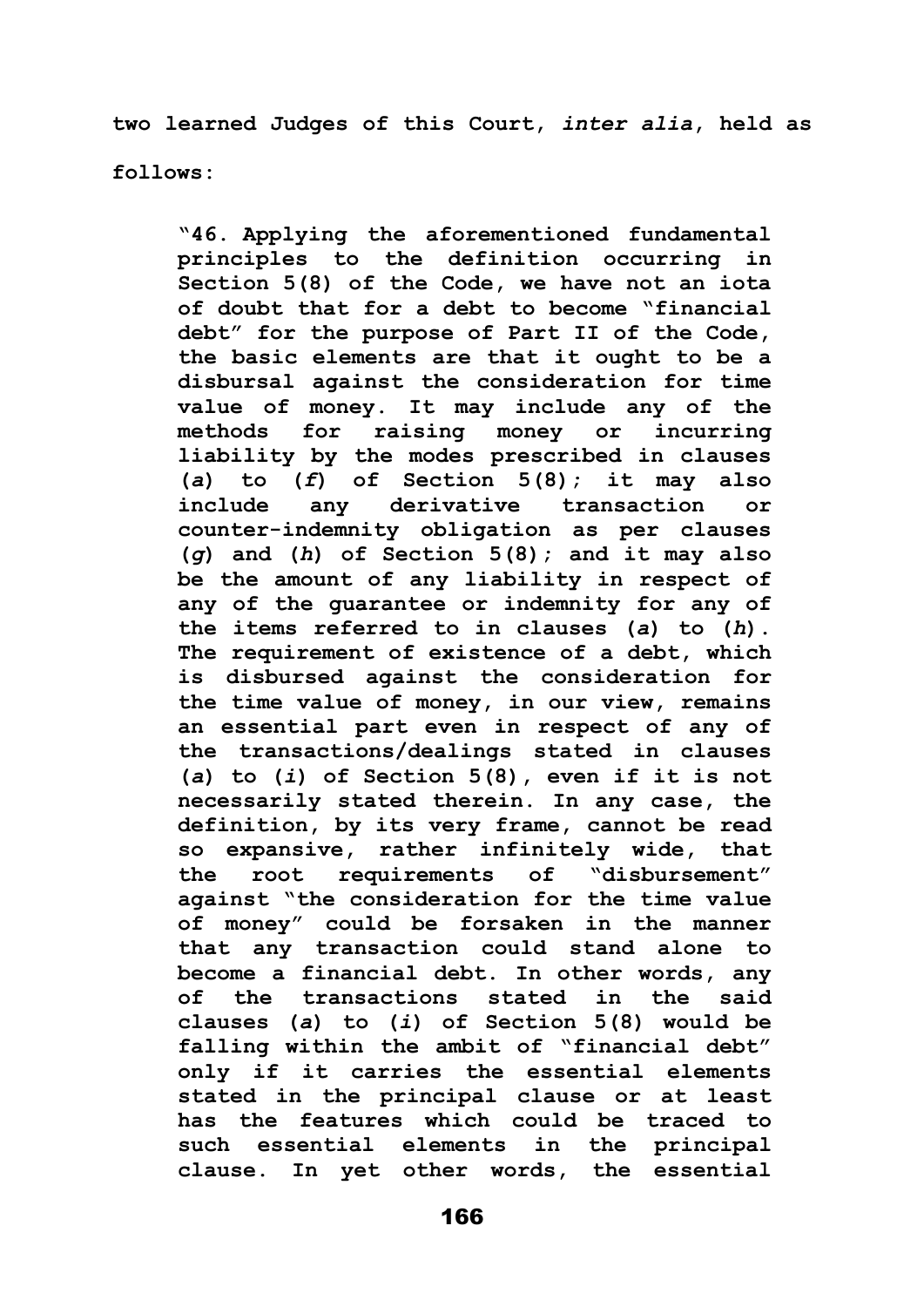**two learned Judges of this Court,** *inter alia***, held as** 

**follows:**

**"46. Applying the aforementioned fundamental principles to the definition occurring in Section 5(8) of the Code, we have not an iota of doubt that for a debt to become "financial debt" for the purpose of Part II of the Code, the basic elements are that it ought to be a disbursal against the consideration for time value of money. It may include any of the methods for raising money or incurring liability by the modes prescribed in clauses (***a***) to (***f***) of Section 5(8); it may also include any derivative transaction or counter-indemnity obligation as per clauses (***g***) and (***h***) of Section 5(8); and it may also be the amount of any liability in respect of any of the guarantee or indemnity for any of the items referred to in clauses (***a***) to (***h***). The requirement of existence of a debt, which is disbursed against the consideration for the time value of money, in our view, remains an essential part even in respect of any of the transactions/dealings stated in clauses (***a***) to (***i***) of Section 5(8), even if it is not necessarily stated therein. In any case, the definition, by its very frame, cannot be read so expansive, rather infinitely wide, that the root requirements of "disbursement" against "the consideration for the time value of money" could be forsaken in the manner that any transaction could stand alone to become a financial debt. In other words, any of the transactions stated in the said clauses (***a***) to (***i***) of Section 5(8) would be falling within the ambit of "financial debt" only if it carries the essential elements stated in the principal clause or at least has the features which could be traced to such essential elements in the principal clause. In yet other words, the essential**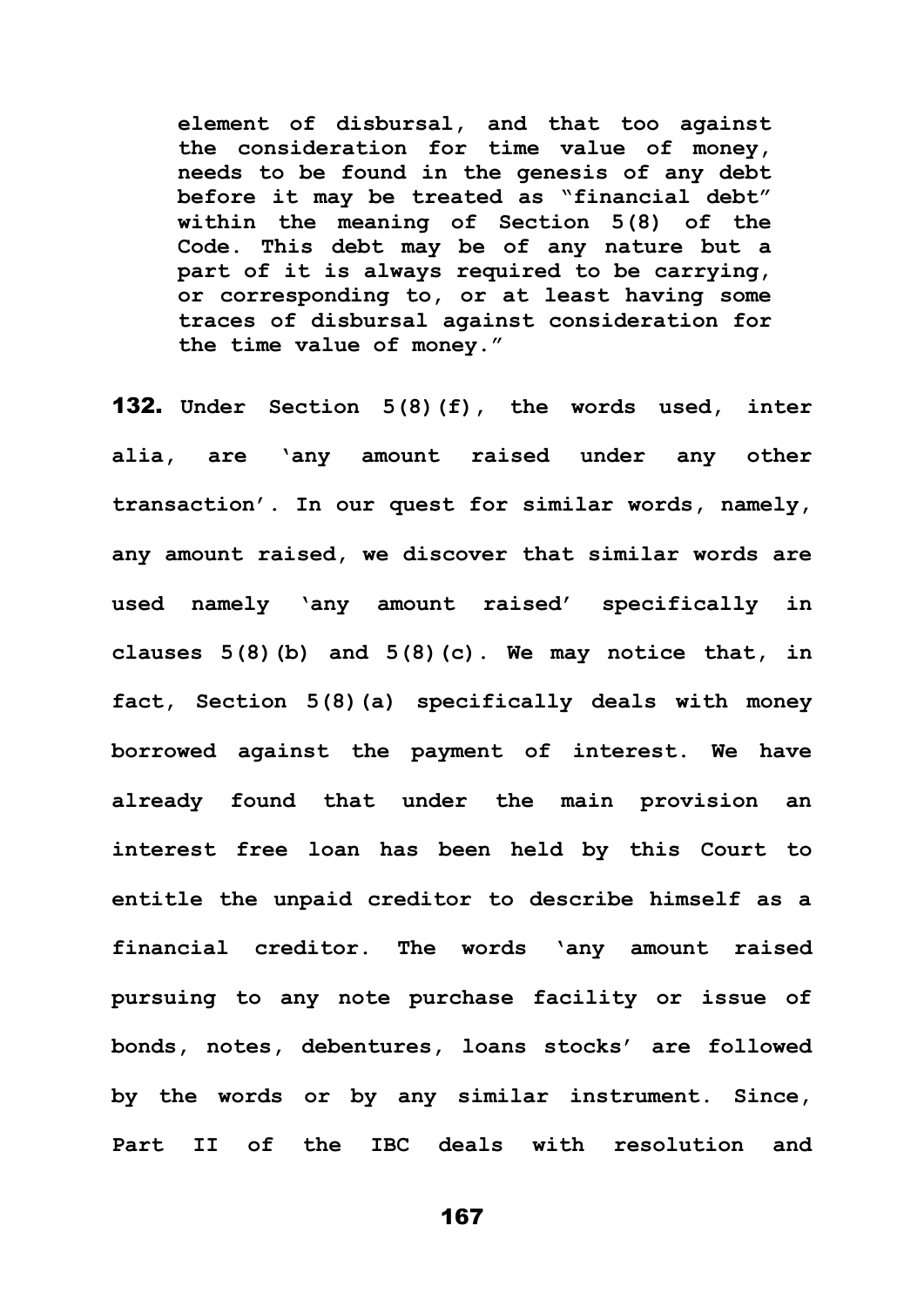**element of disbursal, and that too against the consideration for time value of money, needs to be found in the genesis of any debt before it may be treated as "financial debt" within the meaning of Section 5(8) of the Code. This debt may be of any nature but a part of it is always required to be carrying, or corresponding to, or at least having some traces of disbursal against consideration for the time value of money."**

132. **Under Section 5(8)(f), the words used, inter alia, are 'any amount raised under any other transaction'. In our quest for similar words, namely, any amount raised, we discover that similar words are used namely 'any amount raised' specifically in clauses 5(8)(b) and 5(8)(c). We may notice that, in fact, Section 5(8)(a) specifically deals with money borrowed against the payment of interest. We have already found that under the main provision an interest free loan has been held by this Court to entitle the unpaid creditor to describe himself as a financial creditor. The words 'any amount raised pursuing to any note purchase facility or issue of bonds, notes, debentures, loans stocks' are followed by the words or by any similar instrument. Since, Part II of the IBC deals with resolution and**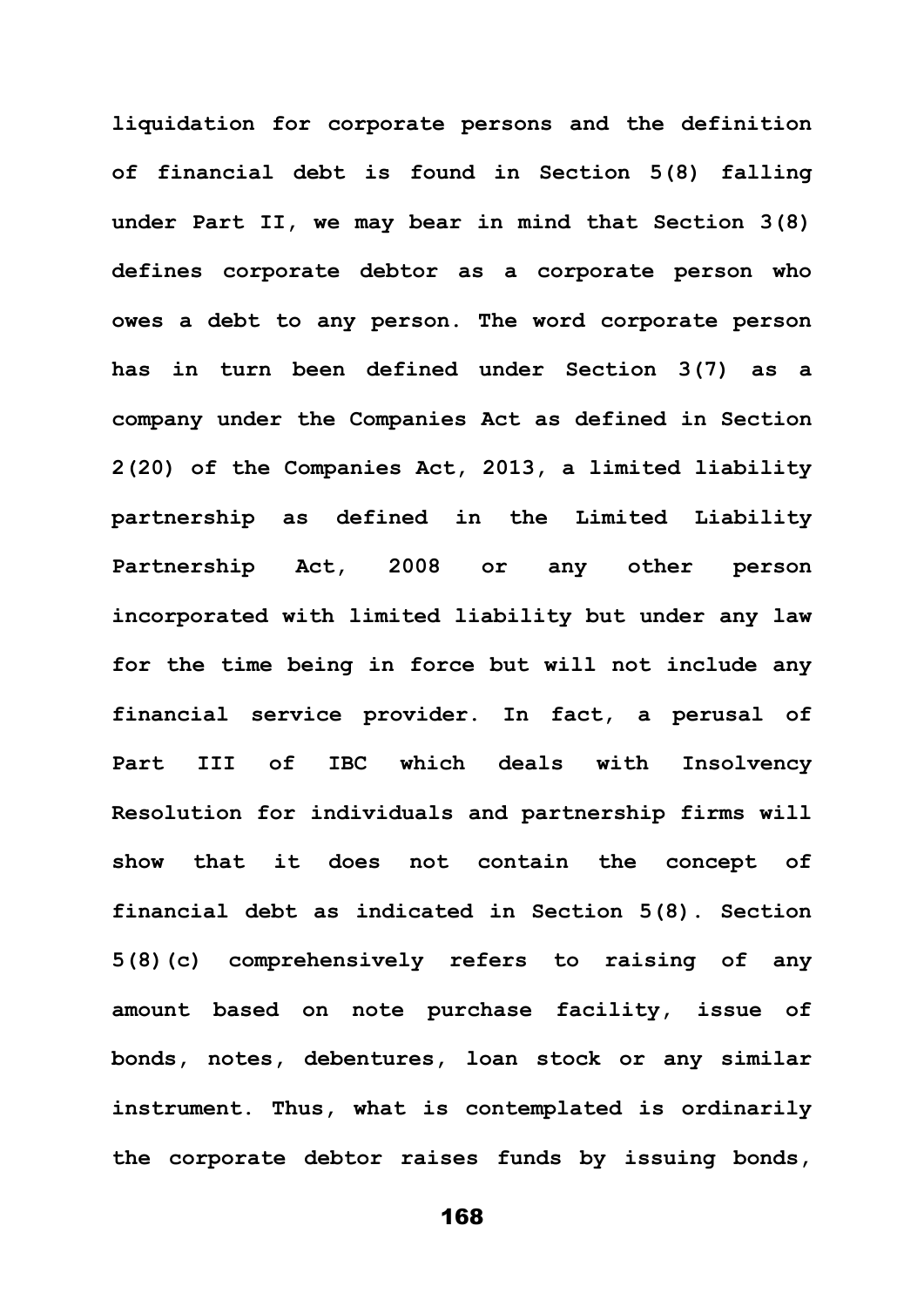**liquidation for corporate persons and the definition of financial debt is found in Section 5(8) falling under Part II, we may bear in mind that Section 3(8) defines corporate debtor as a corporate person who owes a debt to any person. The word corporate person has in turn been defined under Section 3(7) as a company under the Companies Act as defined in Section 2(20) of the Companies Act, 2013, a limited liability partnership as defined in the Limited Liability Partnership Act, 2008 or any other person incorporated with limited liability but under any law for the time being in force but will not include any financial service provider. In fact, a perusal of Part III of IBC which deals with Insolvency Resolution for individuals and partnership firms will show that it does not contain the concept of financial debt as indicated in Section 5(8). Section 5(8)(c) comprehensively refers to raising of any amount based on note purchase facility, issue of bonds, notes, debentures, loan stock or any similar instrument. Thus, what is contemplated is ordinarily the corporate debtor raises funds by issuing bonds,**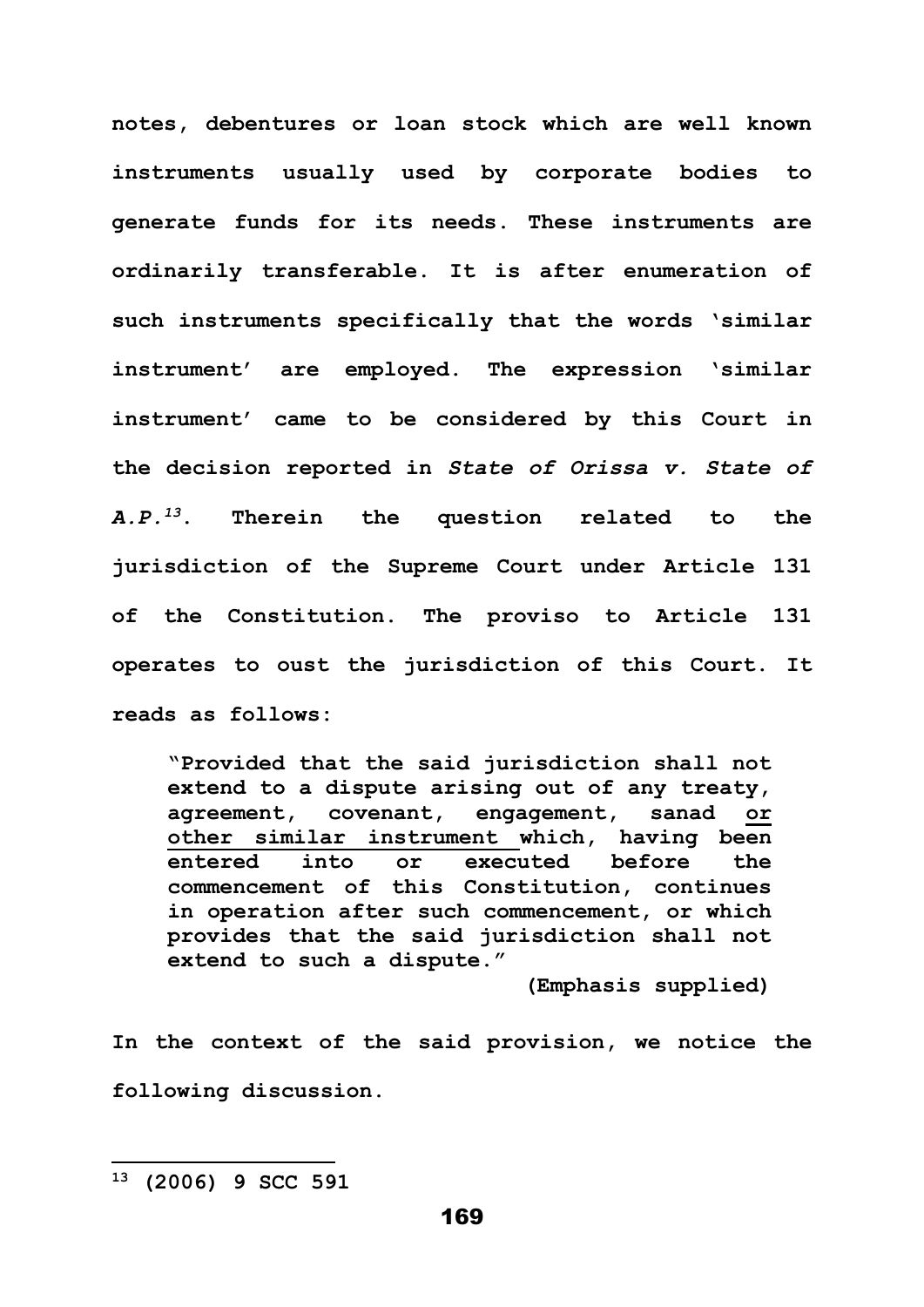**notes, debentures or loan stock which are well known instruments usually used by corporate bodies to generate funds for its needs. These instruments are ordinarily transferable. It is after enumeration of such instruments specifically that the words 'similar instrument' are employed. The expression 'similar instrument' came to be considered by this Court in the decision reported in** *State of Orissa v. State of*   $A.P.$ <sup>13</sup>. *<sup>13</sup>***. Therein the question related to the jurisdiction of the Supreme Court under Article 131 of the Constitution. The proviso to Article 131 operates to oust the jurisdiction of this Court. It reads as follows:** 

**"Provided that the said jurisdiction shall not extend to a dispute arising out of any treaty, agreement, covenant, engagement, sanad or other similar instrument which, having been entered into or executed before the commencement of this Constitution, continues in operation after such commencement, or which provides that the said jurisdiction shall not extend to such a dispute."**

**(Emphasis supplied)**

**In the context of the said provision, we notice the following discussion.**

**<sup>13</sup> (2006) 9 SCC 591**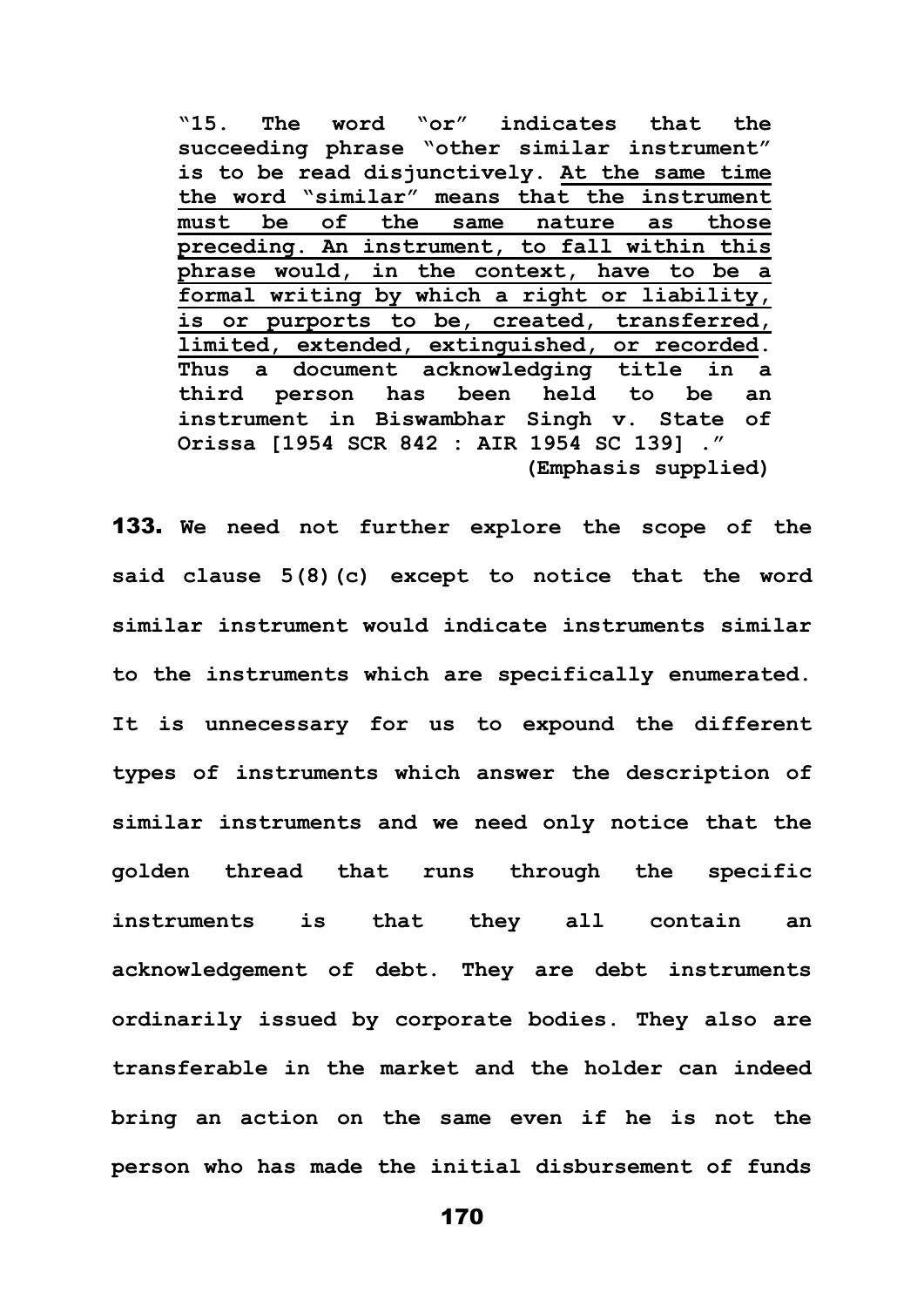**"15. The word "or" indicates that the succeeding phrase "other similar instrument" is to be read disjunctively. At the same time the word "similar" means that the instrument must be of the same nature as those preceding. An instrument, to fall within this phrase would, in the context, have to be a formal writing by which a right or liability, is or purports to be, created, transferred, limited, extended, extinguished, or recorded. Thus a document acknowledging title in a third person has been held to be an instrument in Biswambhar Singh v. State of Orissa [1954 SCR 842 : AIR 1954 SC 139] ." (Emphasis supplied)**

133. **We need not further explore the scope of the said clause 5(8)(c) except to notice that the word similar instrument would indicate instruments similar to the instruments which are specifically enumerated. It is unnecessary for us to expound the different types of instruments which answer the description of similar instruments and we need only notice that the golden thread that runs through the specific instruments is that they all contain an acknowledgement of debt. They are debt instruments ordinarily issued by corporate bodies. They also are transferable in the market and the holder can indeed bring an action on the same even if he is not the person who has made the initial disbursement of funds**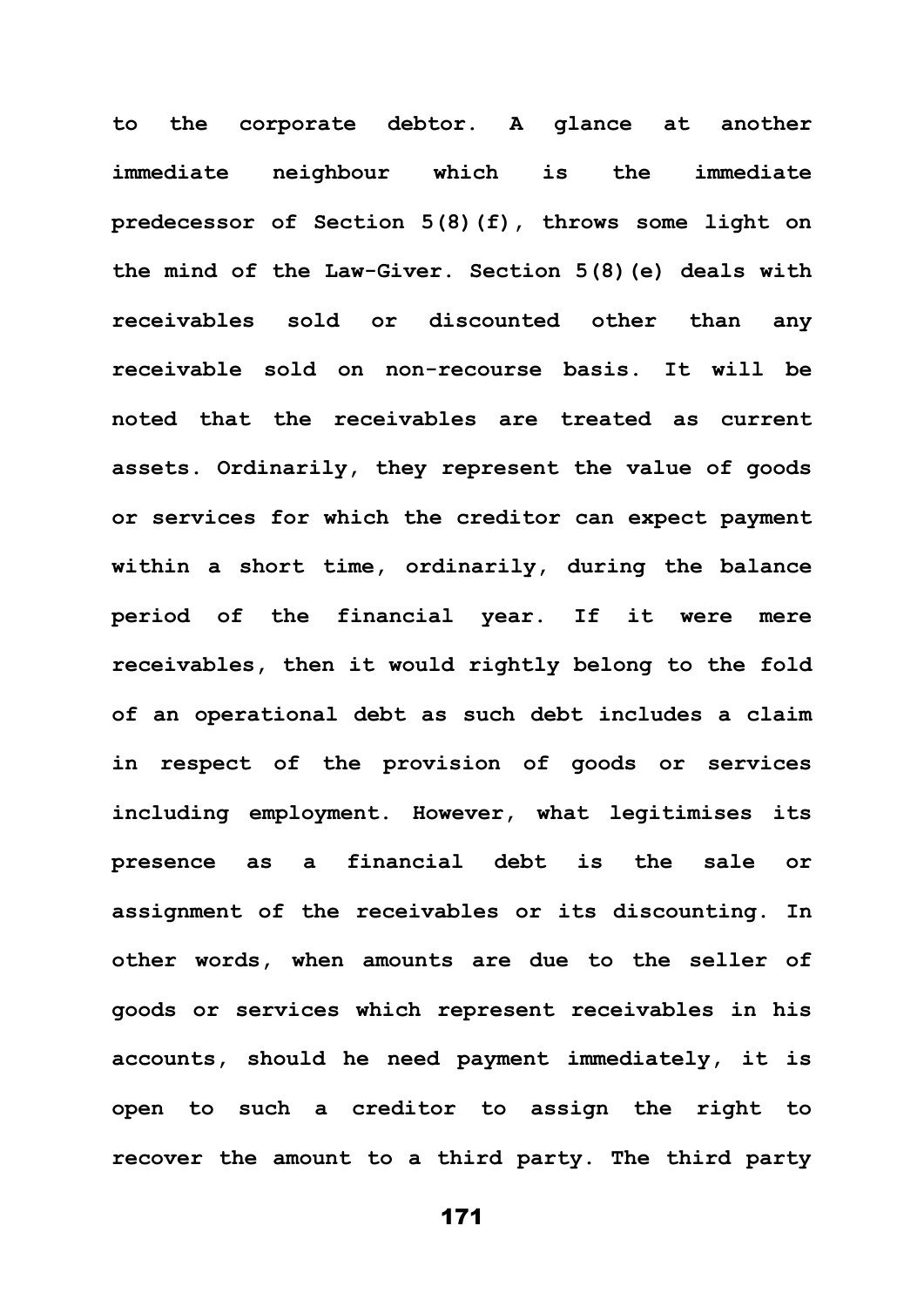**to the corporate debtor. A glance at another immediate neighbour which is the immediate predecessor of Section 5(8)(f), throws some light on the mind of the Law-Giver. Section 5(8)(e) deals with receivables sold or discounted other than any receivable sold on non-recourse basis. It will be noted that the receivables are treated as current assets. Ordinarily, they represent the value of goods or services for which the creditor can expect payment within a short time, ordinarily, during the balance period of the financial year. If it were mere receivables, then it would rightly belong to the fold of an operational debt as such debt includes a claim in respect of the provision of goods or services including employment. However, what legitimises its presence as a financial debt is the sale or assignment of the receivables or its discounting. In other words, when amounts are due to the seller of goods or services which represent receivables in his accounts, should he need payment immediately, it is open to such a creditor to assign the right to recover the amount to a third party. The third party**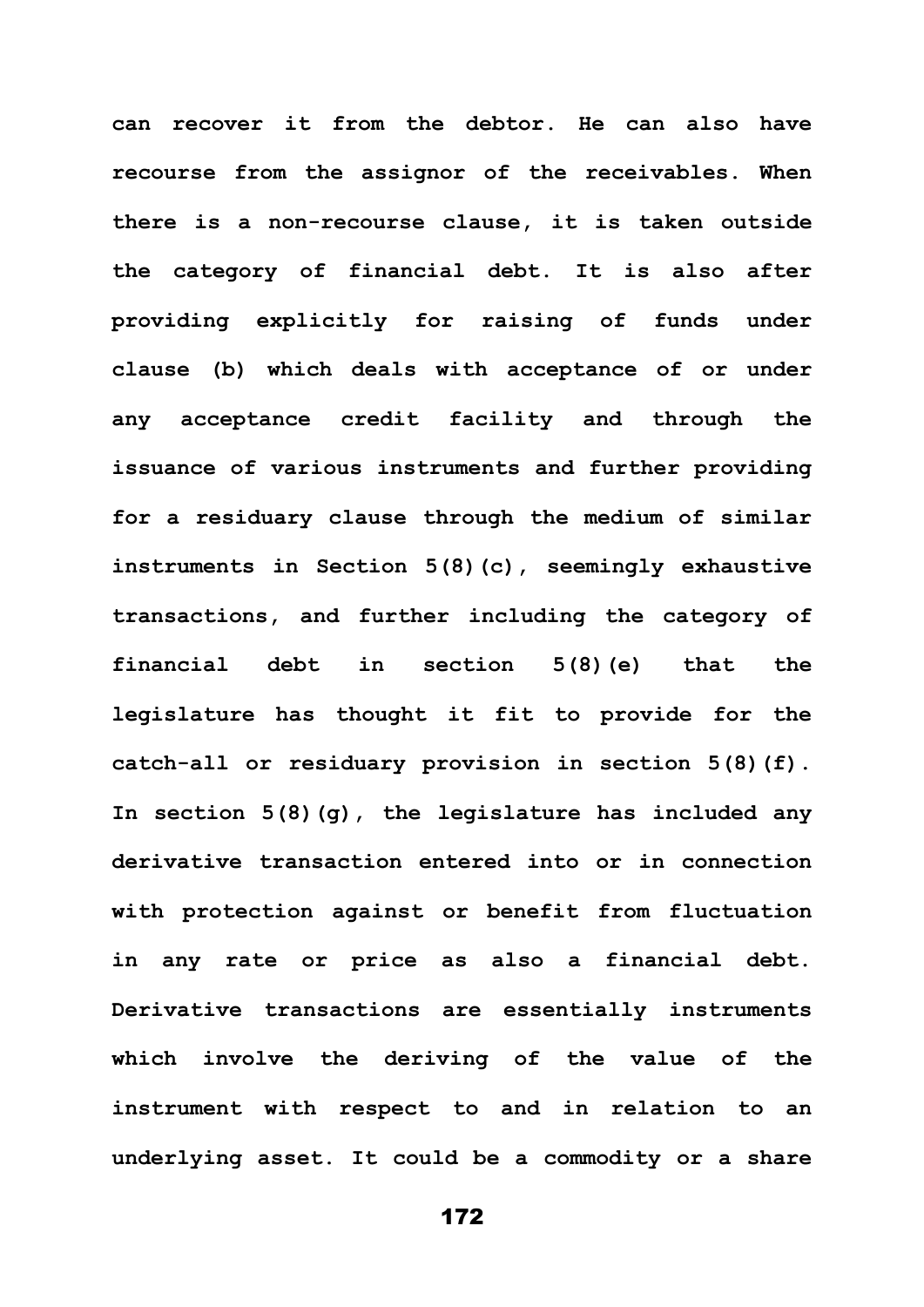**can recover it from the debtor. He can also have recourse from the assignor of the receivables. When there is a non-recourse clause, it is taken outside the category of financial debt. It is also after providing explicitly for raising of funds under clause (b) which deals with acceptance of or under any acceptance credit facility and through the issuance of various instruments and further providing for a residuary clause through the medium of similar instruments in Section 5(8)(c), seemingly exhaustive transactions, and further including the category of financial debt in section 5(8)(e) that the legislature has thought it fit to provide for the catch-all or residuary provision in section 5(8)(f). In section 5(8)(g), the legislature has included any derivative transaction entered into or in connection with protection against or benefit from fluctuation in any rate or price as also a financial debt. Derivative transactions are essentially instruments which involve the deriving of the value of the instrument with respect to and in relation to an underlying asset. It could be a commodity or a share**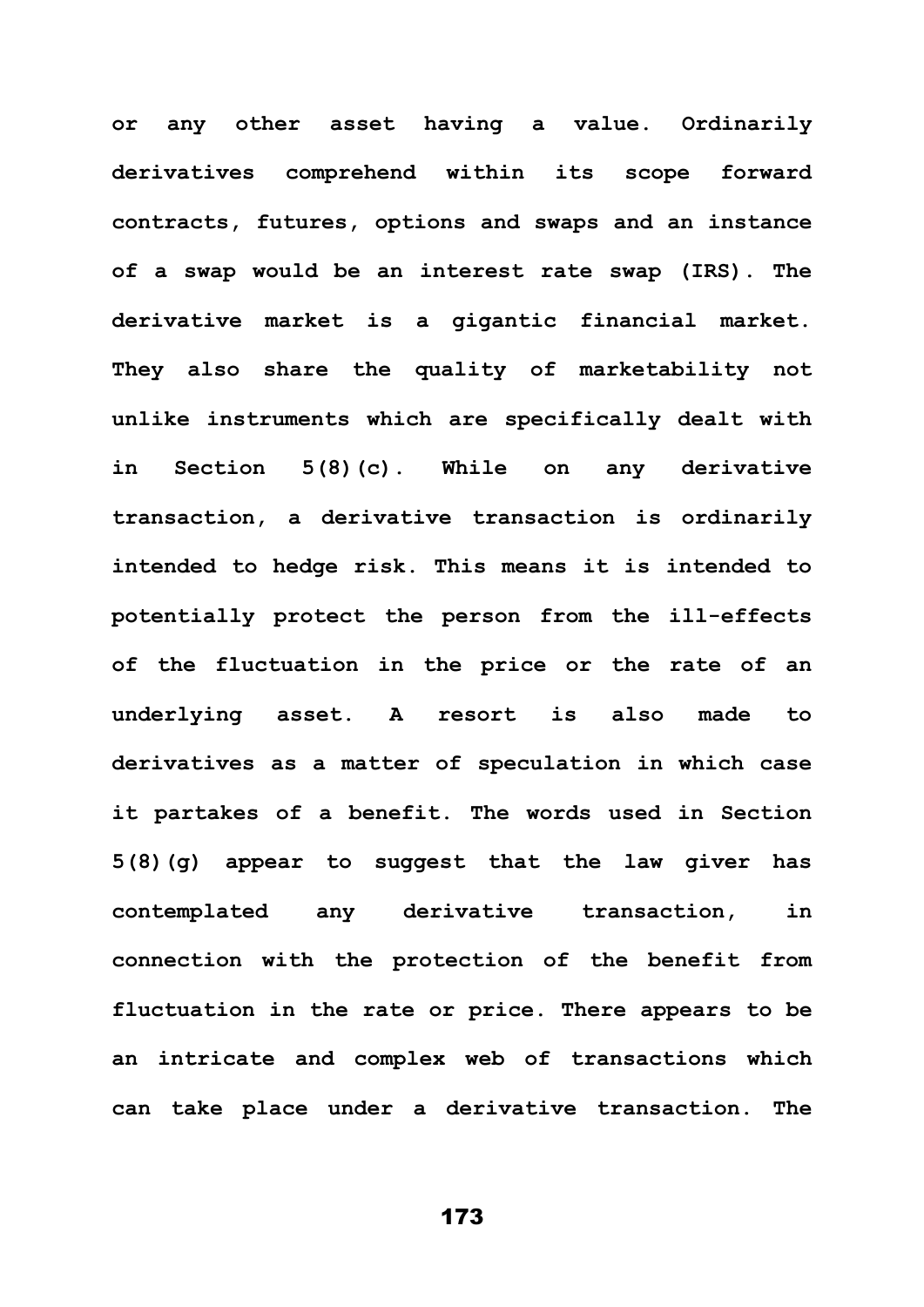**or any other asset having a value. Ordinarily derivatives comprehend within its scope forward contracts, futures, options and swaps and an instance of a swap would be an interest rate swap (IRS). The derivative market is a gigantic financial market. They also share the quality of marketability not unlike instruments which are specifically dealt with in Section 5(8)(c). While on any derivative transaction, a derivative transaction is ordinarily intended to hedge risk. This means it is intended to potentially protect the person from the ill-effects of the fluctuation in the price or the rate of an underlying asset. A resort is also made to derivatives as a matter of speculation in which case it partakes of a benefit. The words used in Section 5(8)(g) appear to suggest that the law giver has contemplated any derivative transaction, in connection with the protection of the benefit from fluctuation in the rate or price. There appears to be an intricate and complex web of transactions which can take place under a derivative transaction. The**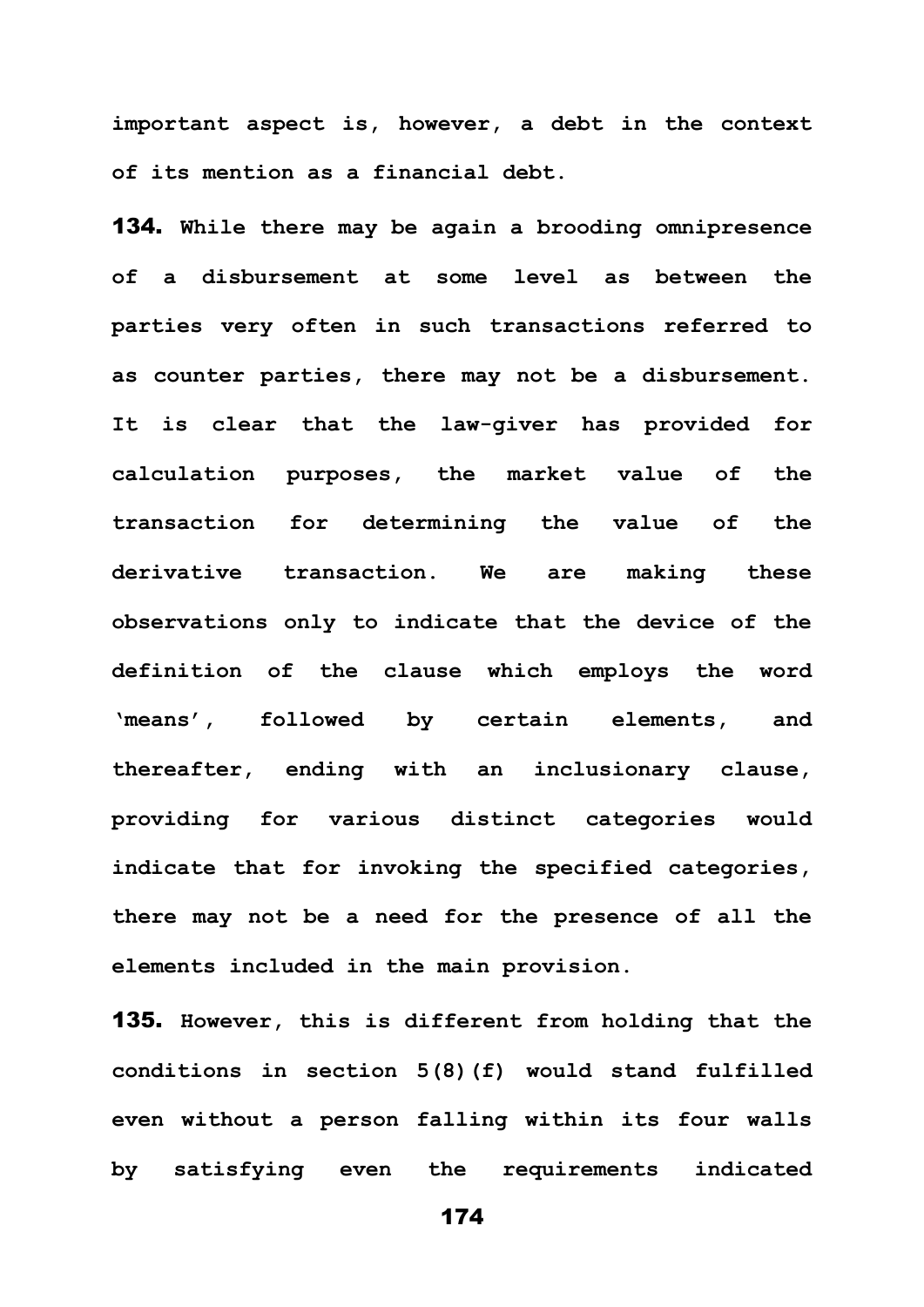**important aspect is, however, a debt in the context of its mention as a financial debt.**

134. **While there may be again a brooding omnipresence of a disbursement at some level as between the parties very often in such transactions referred to as counter parties, there may not be a disbursement. It is clear that the law-giver has provided for calculation purposes, the market value of the transaction for determining the value of the derivative transaction. We are making these observations only to indicate that the device of the definition of the clause which employs the word 'means', followed by certain elements, and thereafter, ending with an inclusionary clause, providing for various distinct categories would indicate that for invoking the specified categories, there may not be a need for the presence of all the elements included in the main provision.** 

135. **However, this is different from holding that the conditions in section 5(8)(f) would stand fulfilled even without a person falling within its four walls by satisfying even the requirements indicated**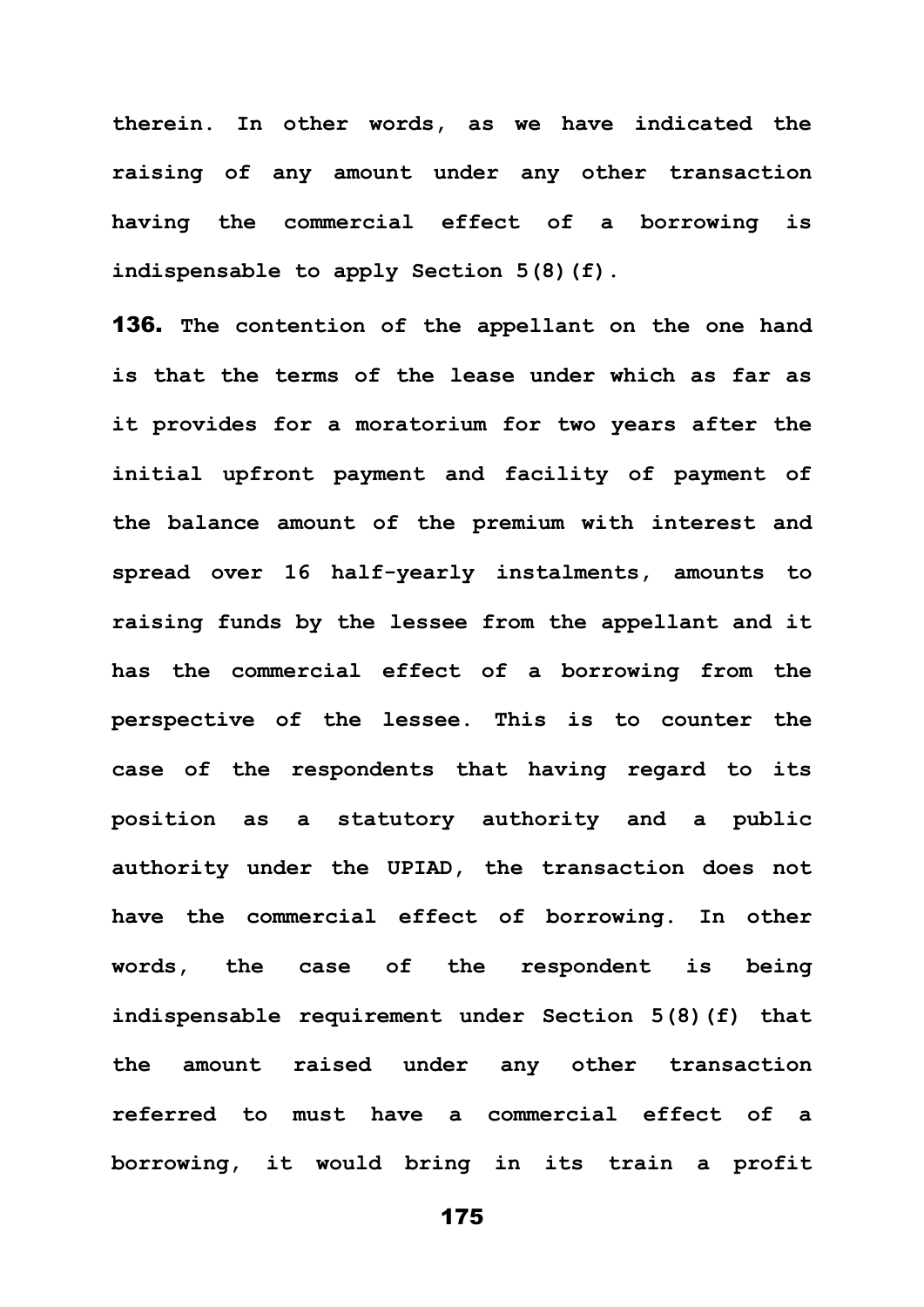**therein. In other words, as we have indicated the raising of any amount under any other transaction having the commercial effect of a borrowing is indispensable to apply Section 5(8)(f).** 

136. **The contention of the appellant on the one hand is that the terms of the lease under which as far as it provides for a moratorium for two years after the initial upfront payment and facility of payment of the balance amount of the premium with interest and spread over 16 half-yearly instalments, amounts to raising funds by the lessee from the appellant and it has the commercial effect of a borrowing from the perspective of the lessee. This is to counter the case of the respondents that having regard to its position as a statutory authority and a public authority under the UPIAD, the transaction does not have the commercial effect of borrowing. In other words, the case of the respondent is being indispensable requirement under Section 5(8)(f) that the amount raised under any other transaction referred to must have a commercial effect of a borrowing, it would bring in its train a profit**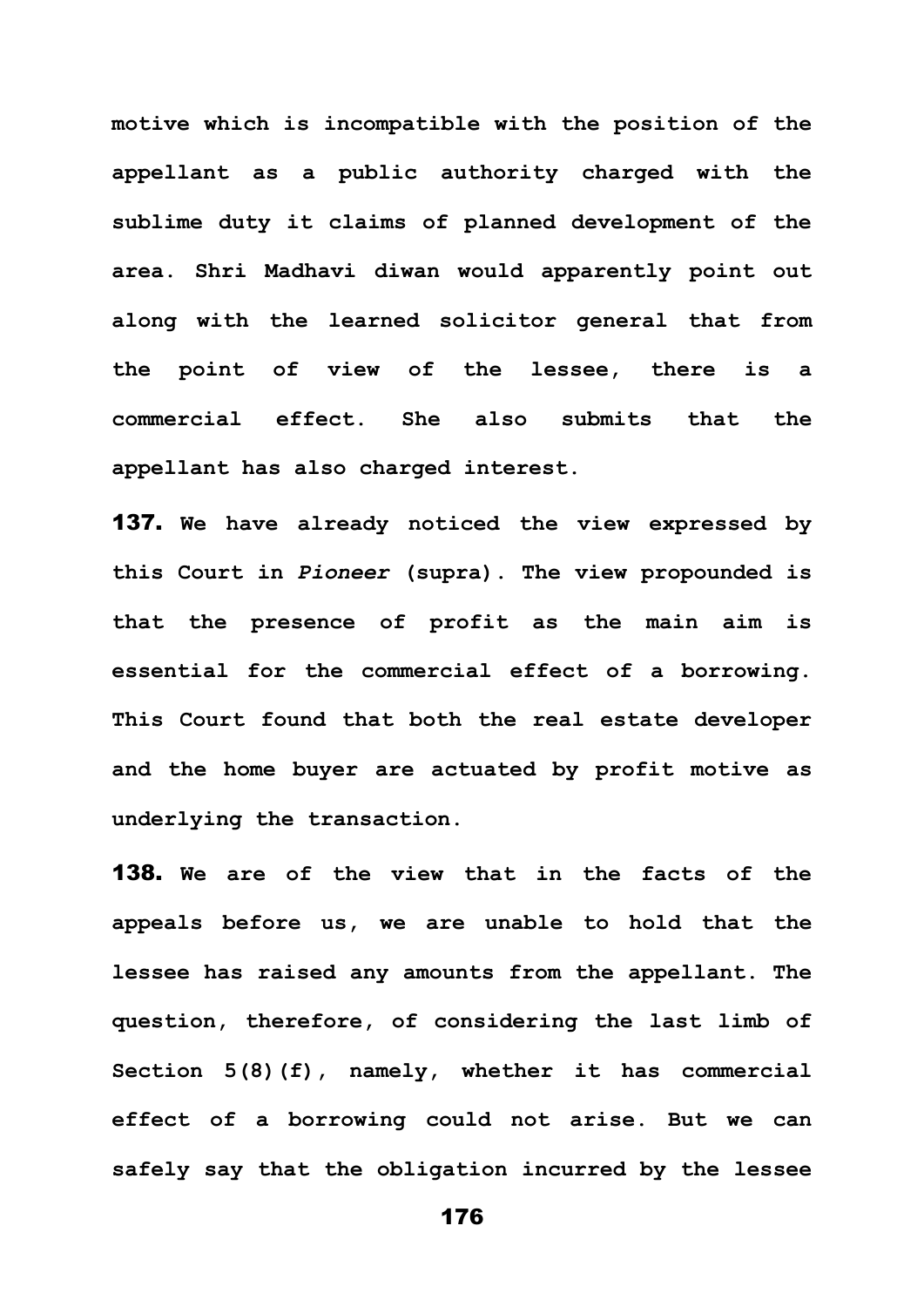**motive which is incompatible with the position of the appellant as a public authority charged with the sublime duty it claims of planned development of the area. Shri Madhavi diwan would apparently point out along with the learned solicitor general that from the point of view of the lessee, there is a commercial effect. She also submits that the appellant has also charged interest.** 

137. **We have already noticed the view expressed by this Court in** *Pioneer* **(supra). The view propounded is that the presence of profit as the main aim is essential for the commercial effect of a borrowing. This Court found that both the real estate developer and the home buyer are actuated by profit motive as underlying the transaction.** 

138. **We are of the view that in the facts of the appeals before us, we are unable to hold that the lessee has raised any amounts from the appellant. The question, therefore, of considering the last limb of Section 5(8)(f), namely, whether it has commercial effect of a borrowing could not arise. But we can safely say that the obligation incurred by the lessee**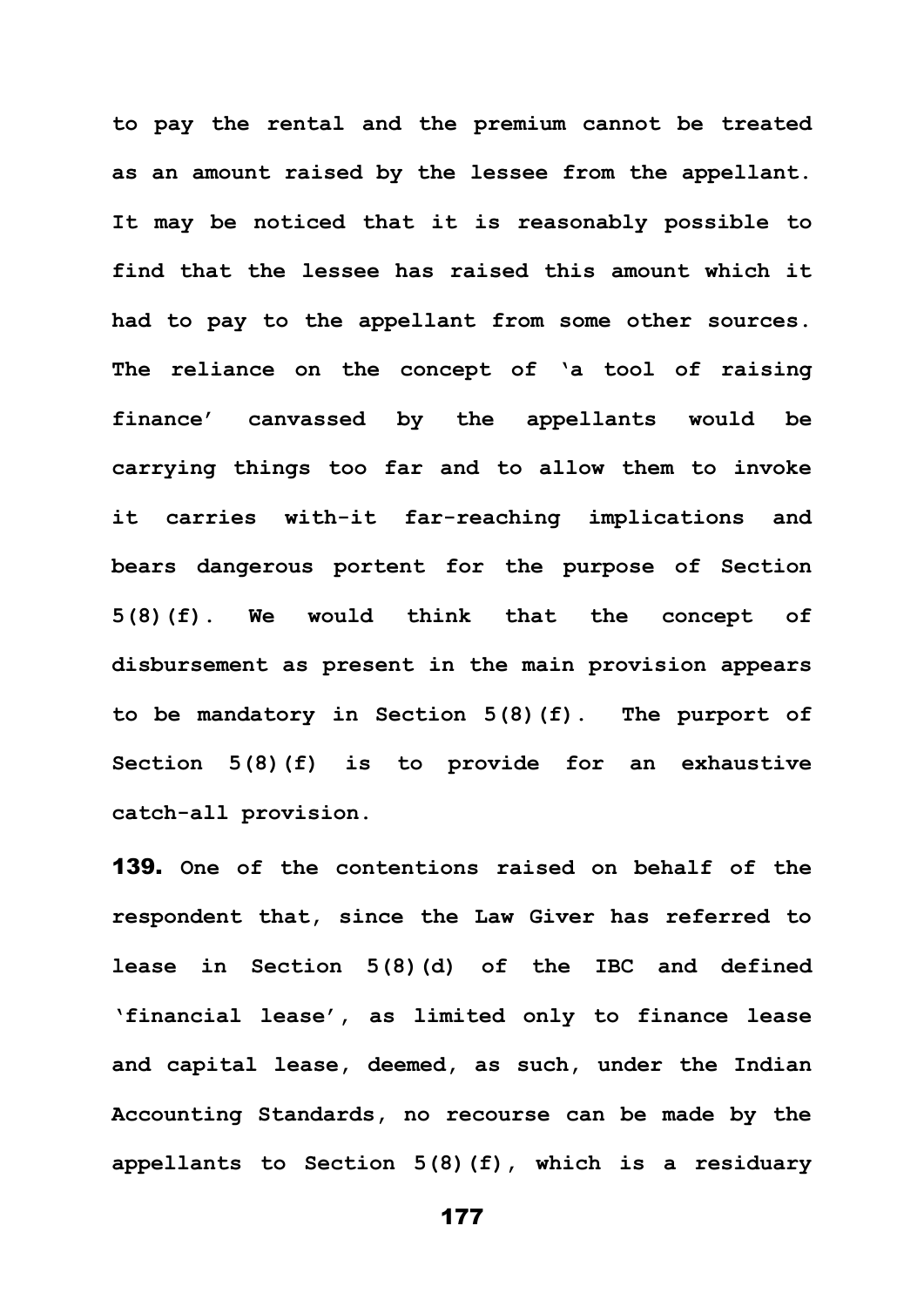**to pay the rental and the premium cannot be treated as an amount raised by the lessee from the appellant. It may be noticed that it is reasonably possible to find that the lessee has raised this amount which it had to pay to the appellant from some other sources. The reliance on the concept of 'a tool of raising finance' canvassed by the appellants would be carrying things too far and to allow them to invoke it carries with-it far-reaching implications and bears dangerous portent for the purpose of Section 5(8)(f). We would think that the concept of disbursement as present in the main provision appears to be mandatory in Section 5(8)(f). The purport of Section 5(8)(f) is to provide for an exhaustive catch-all provision.**

139. **One of the contentions raised on behalf of the respondent that, since the Law Giver has referred to lease in Section 5(8)(d) of the IBC and defined 'financial lease', as limited only to finance lease and capital lease, deemed, as such, under the Indian Accounting Standards, no recourse can be made by the appellants to Section 5(8)(f), which is a residuary** 

```
177
```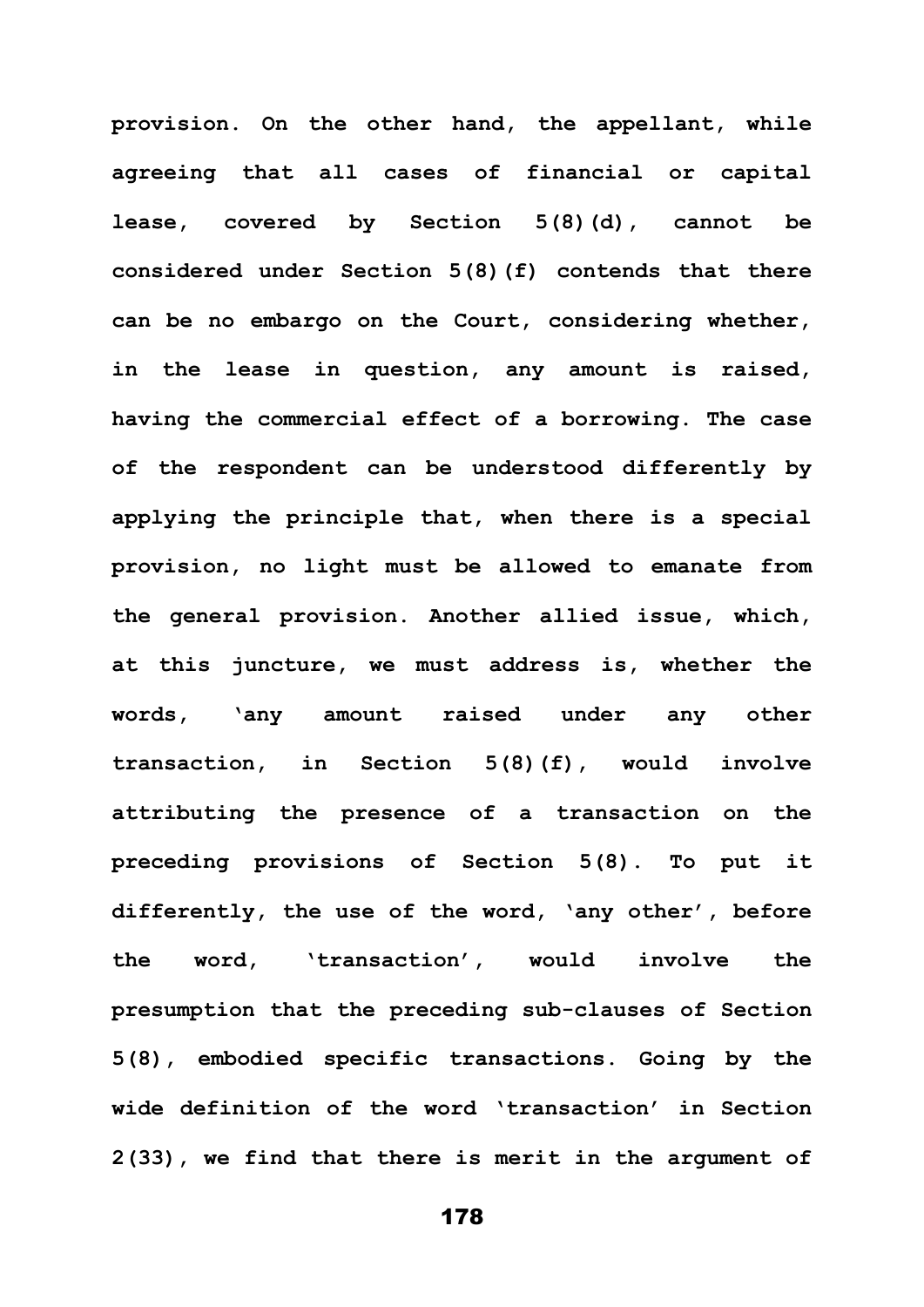**provision. On the other hand, the appellant, while agreeing that all cases of financial or capital lease, covered by Section 5(8)(d), cannot be considered under Section 5(8)(f) contends that there can be no embargo on the Court, considering whether, in the lease in question, any amount is raised, having the commercial effect of a borrowing. The case of the respondent can be understood differently by applying the principle that, when there is a special provision, no light must be allowed to emanate from the general provision. Another allied issue, which, at this juncture, we must address is, whether the words, 'any amount raised under any other transaction, in Section 5(8)(f), would involve attributing the presence of a transaction on the preceding provisions of Section 5(8). To put it differently, the use of the word, 'any other', before the word, 'transaction', would involve the presumption that the preceding sub-clauses of Section 5(8), embodied specific transactions. Going by the wide definition of the word 'transaction' in Section 2(33), we find that there is merit in the argument of**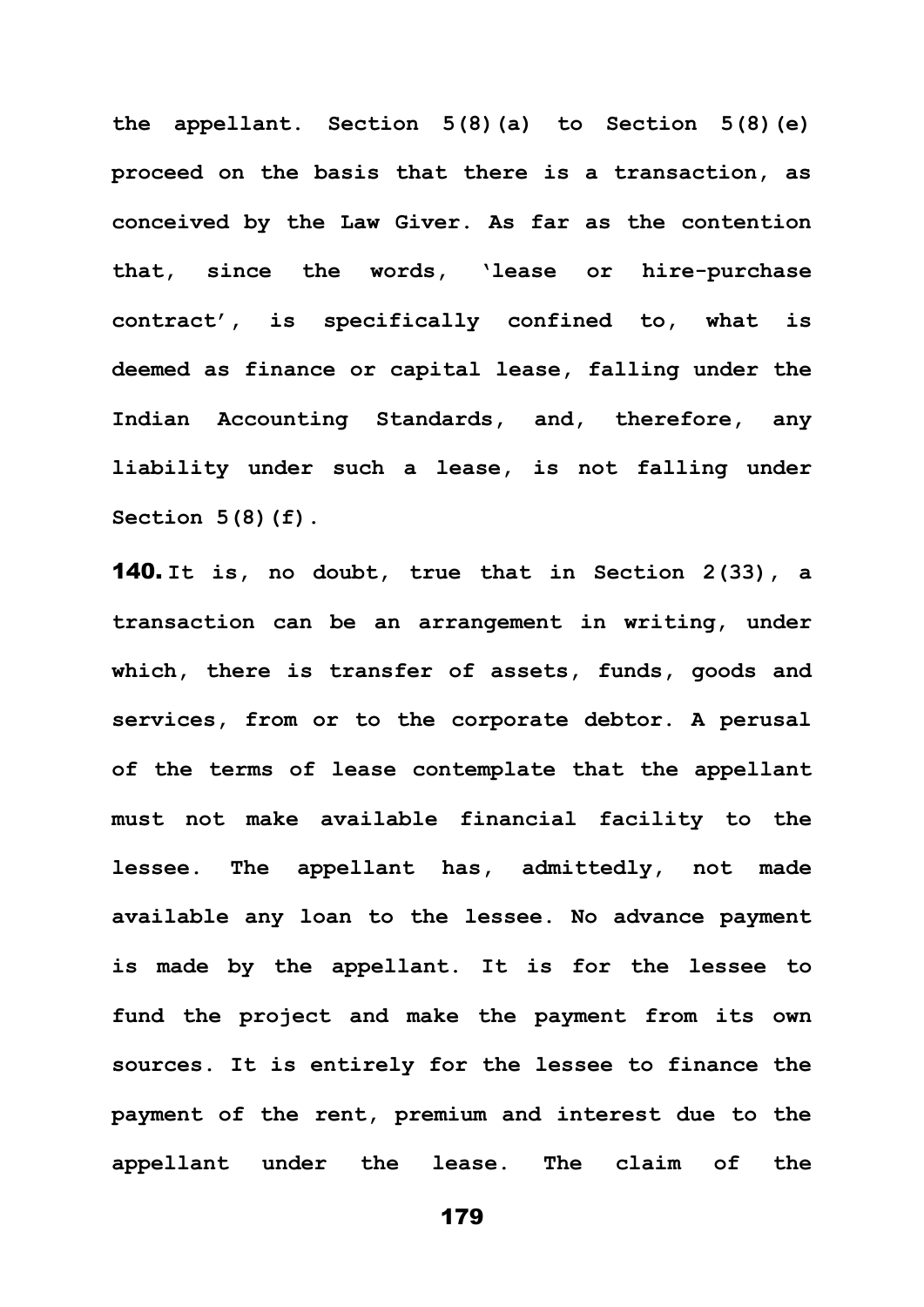**the appellant. Section 5(8)(a) to Section 5(8)(e) proceed on the basis that there is a transaction, as conceived by the Law Giver. As far as the contention that, since the words, 'lease or hire-purchase contract', is specifically confined to, what is deemed as finance or capital lease, falling under the Indian Accounting Standards, and, therefore, any liability under such a lease, is not falling under Section 5(8)(f).**

140. **It is, no doubt, true that in Section 2(33), a transaction can be an arrangement in writing, under which, there is transfer of assets, funds, goods and services, from or to the corporate debtor. A perusal of the terms of lease contemplate that the appellant must not make available financial facility to the lessee. The appellant has, admittedly, not made available any loan to the lessee. No advance payment is made by the appellant. It is for the lessee to fund the project and make the payment from its own sources. It is entirely for the lessee to finance the payment of the rent, premium and interest due to the appellant under the lease. The claim of the**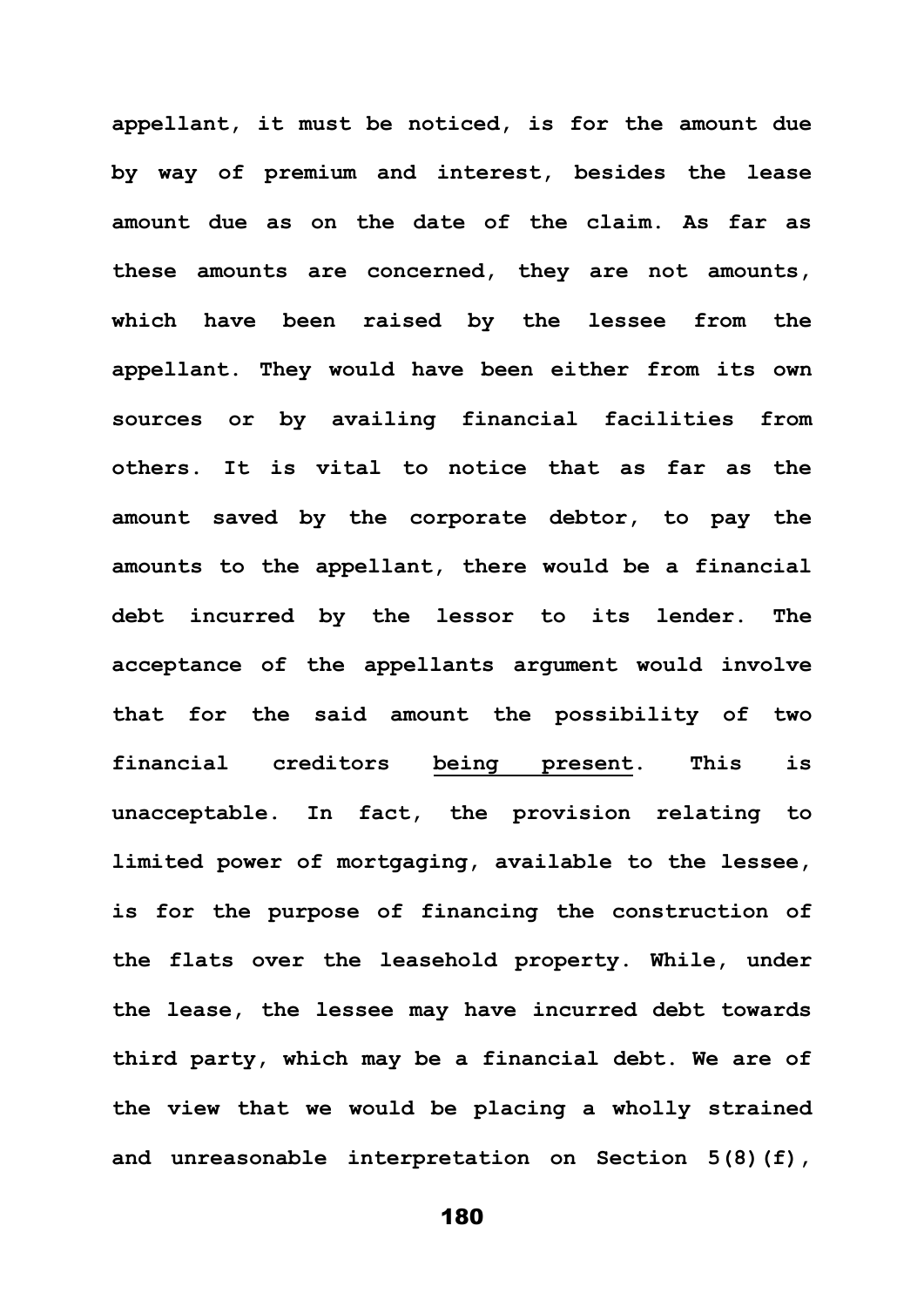**appellant, it must be noticed, is for the amount due by way of premium and interest, besides the lease amount due as on the date of the claim. As far as these amounts are concerned, they are not amounts, which have been raised by the lessee from the appellant. They would have been either from its own sources or by availing financial facilities from others. It is vital to notice that as far as the amount saved by the corporate debtor, to pay the amounts to the appellant, there would be a financial debt incurred by the lessor to its lender. The acceptance of the appellants argument would involve that for the said amount the possibility of two financial creditors being present. This is unacceptable. In fact, the provision relating to limited power of mortgaging, available to the lessee, is for the purpose of financing the construction of the flats over the leasehold property. While, under the lease, the lessee may have incurred debt towards third party, which may be a financial debt. We are of the view that we would be placing a wholly strained and unreasonable interpretation on Section 5(8)(f),**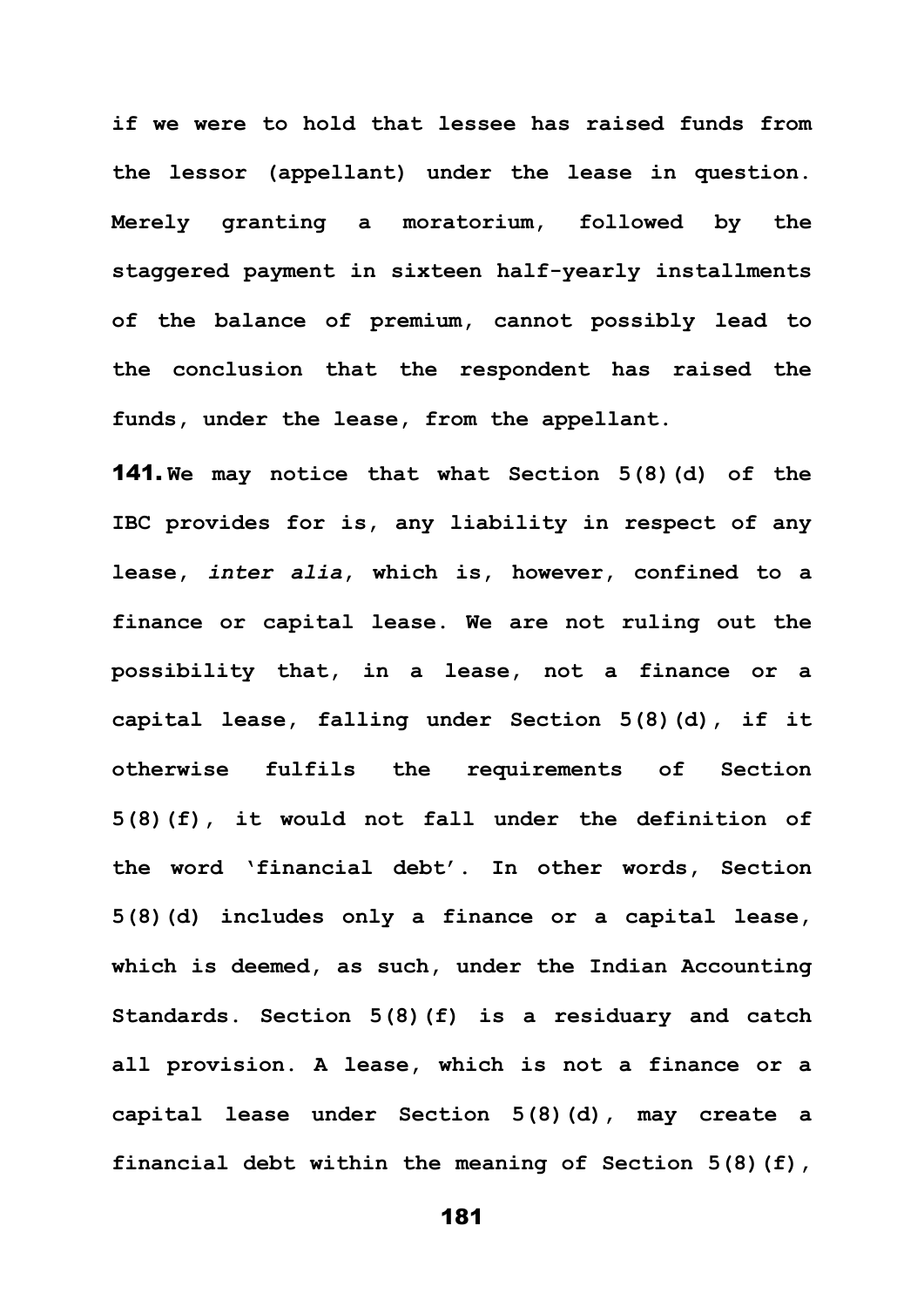**if we were to hold that lessee has raised funds from the lessor (appellant) under the lease in question. Merely granting a moratorium, followed by the staggered payment in sixteen half-yearly installments of the balance of premium, cannot possibly lead to the conclusion that the respondent has raised the funds, under the lease, from the appellant.** 

141. **We may notice that what Section 5(8)(d) of the IBC provides for is, any liability in respect of any lease,** *inter alia***, which is, however, confined to a finance or capital lease. We are not ruling out the possibility that, in a lease, not a finance or a capital lease, falling under Section 5(8)(d), if it otherwise fulfils the requirements of Section 5(8)(f), it would not fall under the definition of the word 'financial debt'. In other words, Section 5(8)(d) includes only a finance or a capital lease, which is deemed, as such, under the Indian Accounting Standards. Section 5(8)(f) is a residuary and catch all provision. A lease, which is not a finance or a capital lease under Section 5(8)(d), may create a financial debt within the meaning of Section 5(8)(f),** 

181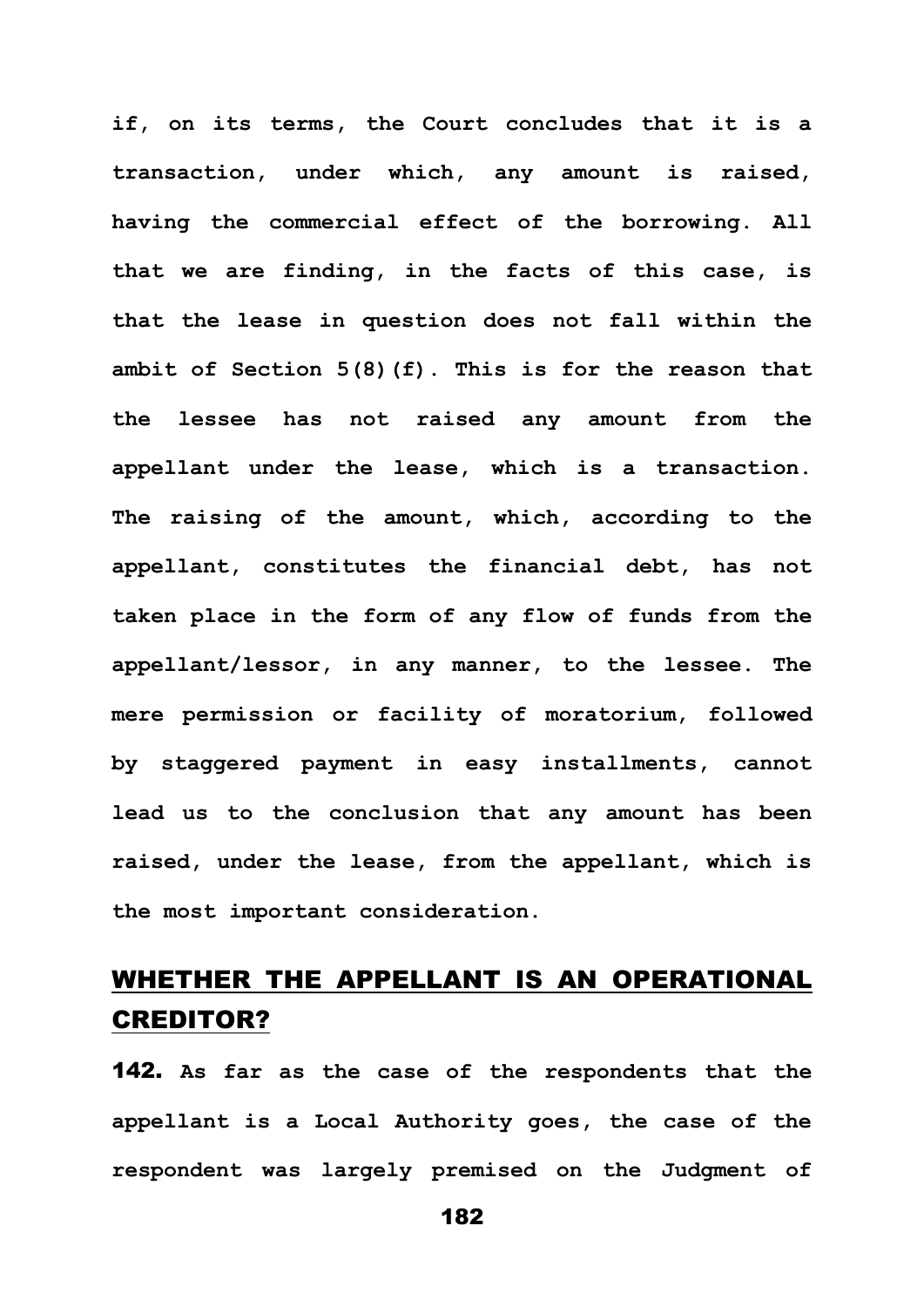**if, on its terms, the Court concludes that it is a transaction, under which, any amount is raised, having the commercial effect of the borrowing. All that we are finding, in the facts of this case, is that the lease in question does not fall within the ambit of Section 5(8)(f). This is for the reason that the lessee has not raised any amount from the appellant under the lease, which is a transaction. The raising of the amount, which, according to the appellant, constitutes the financial debt, has not taken place in the form of any flow of funds from the appellant/lessor, in any manner, to the lessee. The mere permission or facility of moratorium, followed by staggered payment in easy installments, cannot lead us to the conclusion that any amount has been raised, under the lease, from the appellant, which is the most important consideration.**

## WHETHER THE APPELLANT IS AN OPERATIONAL CREDITOR?

142. **As far as the case of the respondents that the appellant is a Local Authority goes, the case of the respondent was largely premised on the Judgment of**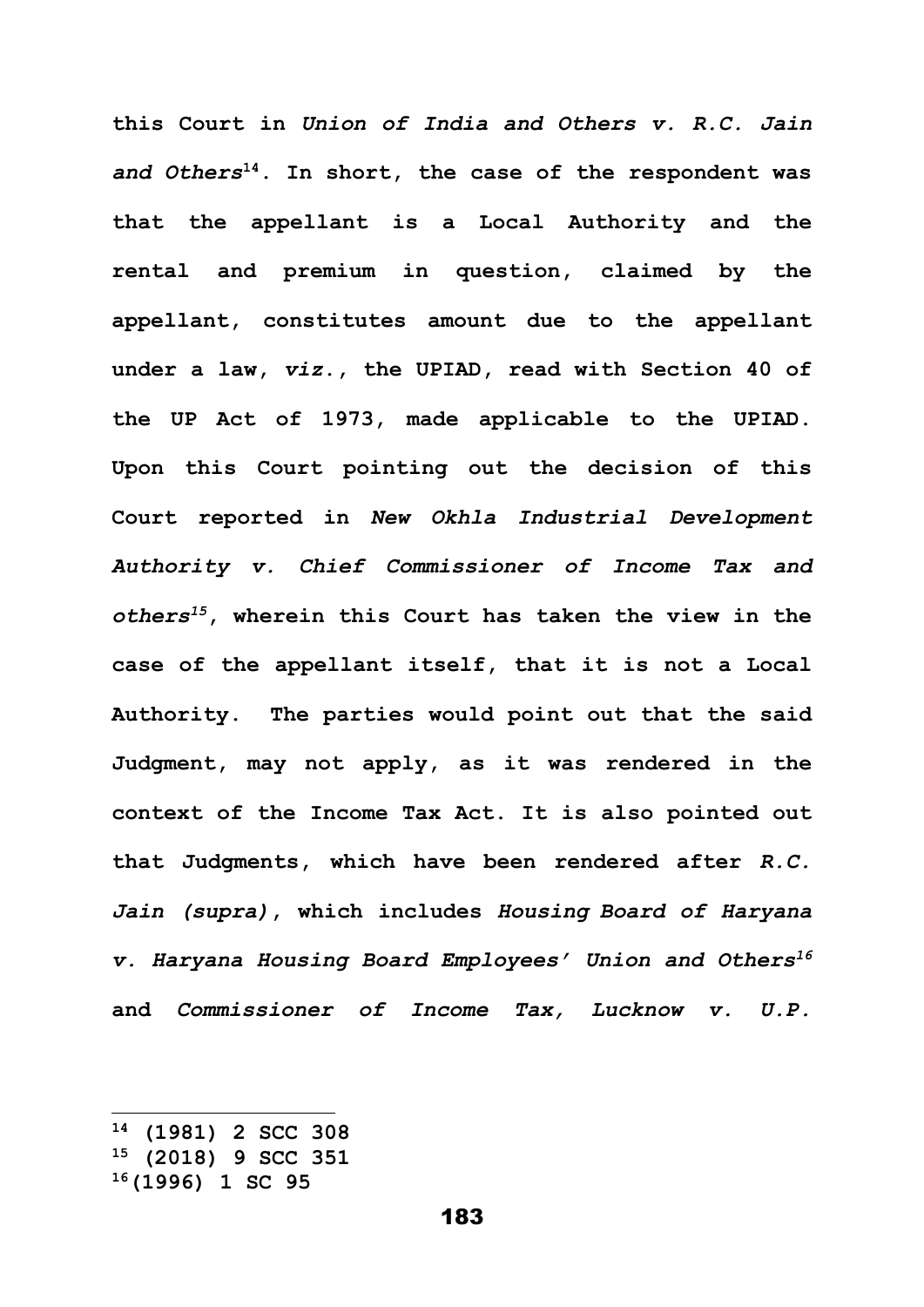**this Court in** *Union of India and Others v. R.C. Jain and Others***<sup>14</sup>. In short, the case of the respondent was that the appellant is a Local Authority and the rental and premium in question, claimed by the appellant, constitutes amount due to the appellant under a law,** *viz***., the UPIAD, read with Section 40 of the UP Act of 1973, made applicable to the UPIAD. Upon this Court pointing out the decision of this Court reported in** *New Okhla Industrial Development Authority v. Chief Commissioner of Income Tax and others<sup>15</sup>***, wherein this Court has taken the view in the case of the appellant itself, that it is not a Local Authority. The parties would point out that the said Judgment, may not apply, as it was rendered in the context of the Income Tax Act. It is also pointed out that Judgments, which have been rendered after** *R.C. Jain (supra)***, which includes** *Housing Board of Haryana v. Haryana Housing Board Employees' Union and Others<sup>16</sup>* **and** *Commissioner of Income Tax, Lucknow v. U.P.* 

**<sup>14</sup> (1981) 2 SCC 308**

**<sup>15</sup> (2018) 9 SCC 351**

**<sup>16</sup>(1996) 1 SC 95**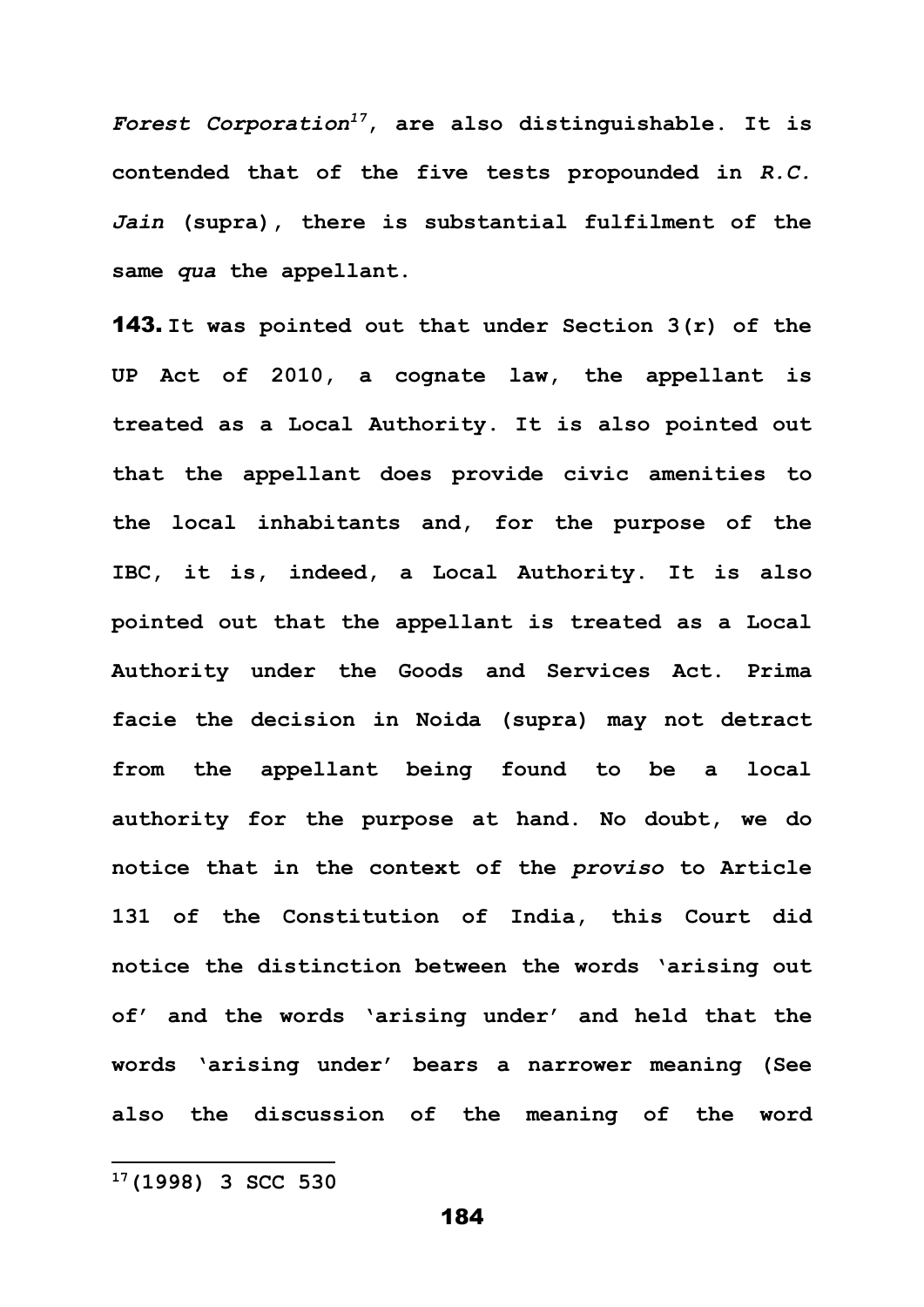*Forest Corporation<sup>17</sup>***, are also distinguishable. It is contended that of the five tests propounded in** *R.C. Jain* **(supra), there is substantial fulfilment of the same** *qua* **the appellant.** 

143. **It was pointed out that under Section 3(r) of the UP Act of 2010, a cognate law, the appellant is treated as a Local Authority. It is also pointed out that the appellant does provide civic amenities to the local inhabitants and, for the purpose of the IBC, it is, indeed, a Local Authority. It is also pointed out that the appellant is treated as a Local Authority under the Goods and Services Act. Prima facie the decision in Noida (supra) may not detract from the appellant being found to be a local authority for the purpose at hand. No doubt, we do notice that in the context of the** *proviso* **to Article 131 of the Constitution of India, this Court did notice the distinction between the words 'arising out of' and the words 'arising under' and held that the words 'arising under' bears a narrower meaning (See also the discussion of the meaning of the word** 

## **17(1998) 3 SCC 530**

184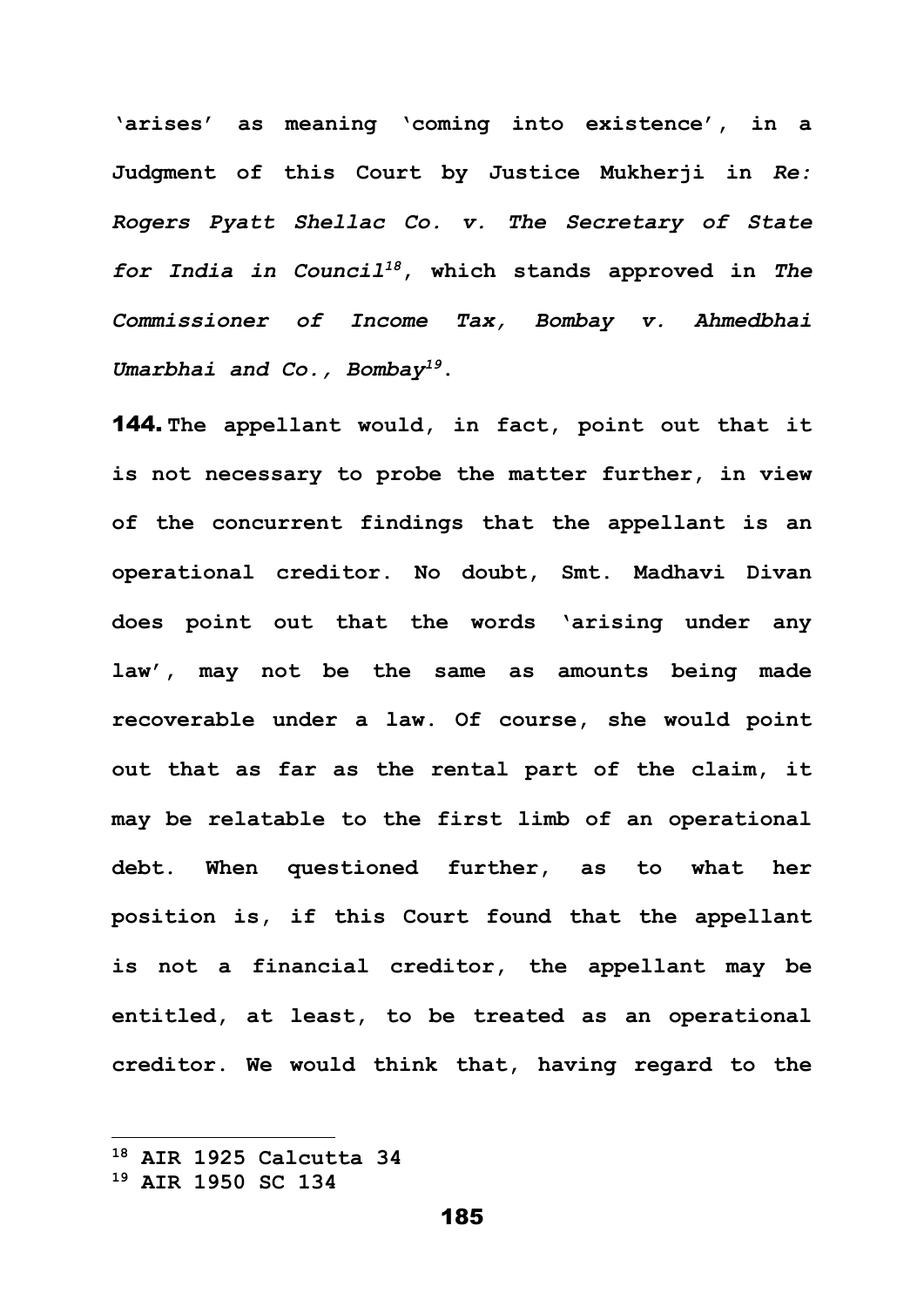**'arises' as meaning 'coming into existence', in a Judgment of this Court by Justice Mukherji in** *Re: Rogers Pyatt Shellac Co. v. The Secretary of State for India in Council<sup>18</sup>***, which stands approved in** *The Commissioner of Income Tax, Bombay v. Ahmedbhai Umarbhai and Co., Bombay<sup>19</sup>***.** 

144. **The appellant would, in fact, point out that it is not necessary to probe the matter further, in view of the concurrent findings that the appellant is an operational creditor. No doubt, Smt. Madhavi Divan does point out that the words 'arising under any law', may not be the same as amounts being made recoverable under a law. Of course, she would point out that as far as the rental part of the claim, it may be relatable to the first limb of an operational debt. When questioned further, as to what her position is, if this Court found that the appellant is not a financial creditor, the appellant may be entitled, at least, to be treated as an operational creditor. We would think that, having regard to the** 

**<sup>18</sup> AIR 1925 Calcutta 34**

**<sup>19</sup> AIR 1950 SC 134**